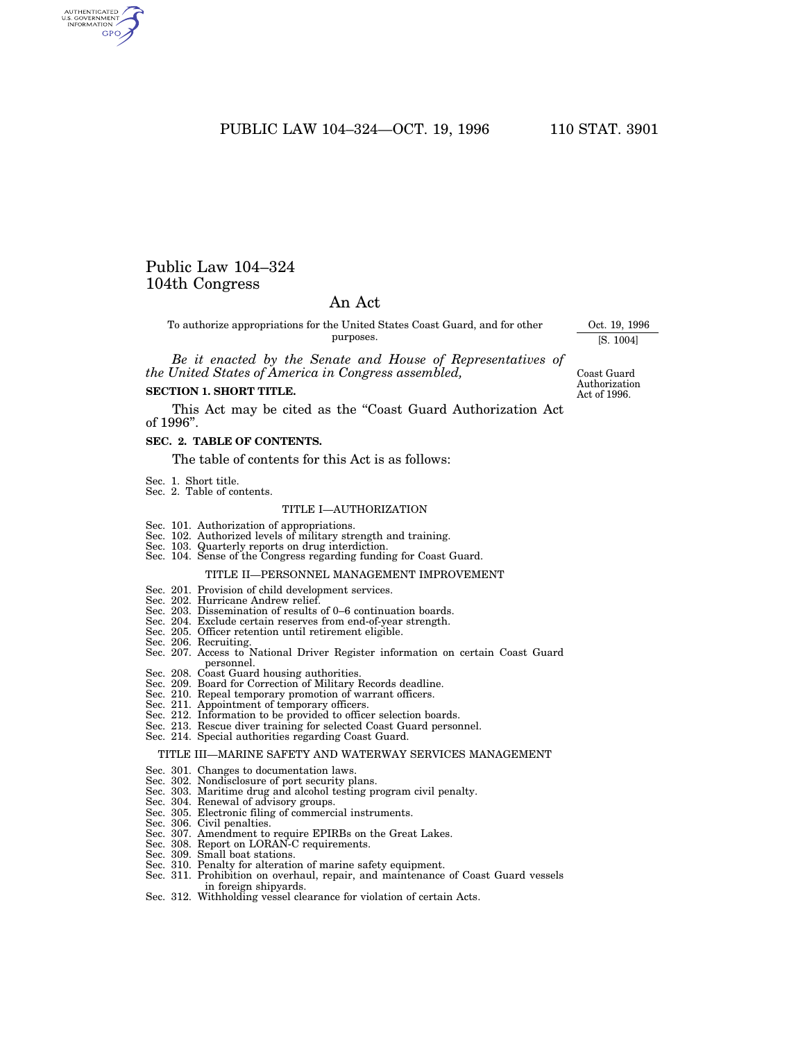## PUBLIC LAW 104-324-OCT. 19, 1996 110 STAT. 3901

## Public Law 104–324 104th Congress

## An Act

To authorize appropriations for the United States Coast Guard, and for other purposes.

*Be it enacted by the Senate and House of Representatives of the United States of America in Congress assembled,*

## **SECTION 1. SHORT TITLE.**

This Act may be cited as the "Coast Guard Authorization Act of 1996''.

### **SEC. 2. TABLE OF CONTENTS.**

The table of contents for this Act is as follows:

- Sec. 1. Short title. Sec. 2. Table of contents.
- 

#### TITLE I—AUTHORIZATION

- 
- 
- 
- Sec. 101. Authorization of appropriations. Sec. 102. Authorized levels of military strength and training. Sec. 103. Quarterly reports on drug interdiction. Sec. 104. Sense of the Congress regarding funding for Coast Guard.

#### TITLE II—PERSONNEL MANAGEMENT IMPROVEMENT

- Sec. 201. Provision of child development services.
- Sec. 202. Hurricane Andrew relief.
- Sec. 203. Dissemination of results of 0–6 continuation boards. Sec. 204. Exclude certain reserves from end-of-year strength.
- 
- Sec. 205. Officer retention until retirement eligible. Sec. 206. Recruiting.
- 
- Sec. 207. Access to National Driver Register information on certain Coast Guard personnel. Sec. 208. Coast Guard housing authorities. Sec. 209. Board for Correction of Military Records deadline.
- 
- 
- Sec. 210. Repeal temporary promotion of warrant officers.
- Sec. 211. Appointment of temporary officers.
- Sec. 212. Information to be provided to officer selection boards.
- Sec. 213. Rescue diver training for selected Coast Guard personnel.
- Sec. 214. Special authorities regarding Coast Guard.

#### TITLE III—MARINE SAFETY AND WATERWAY SERVICES MANAGEMENT

- Sec. 301. Changes to documentation laws.
- Sec. 302. Nondisclosure of port security plans.
- Sec. 303. Maritime drug and alcohol testing program civil penalty.
- Sec. 304. Renewal of advisory groups.
- Sec. 305. Electronic filing of commercial instruments. Sec. 306. Civil penalties.
- 
- Sec. 307. Amendment to require EPIRBs on the Great Lakes.
- Sec. 308. Report on LORAN-C requirements.
- Sec. 309. Small boat stations.
- Sec. 310. Penalty for alteration of marine safety equipment.
- Sec. 311. Prohibition on overhaul, repair, and maintenance of Coast Guard vessels in foreign shipyards.
- Sec. 312. Withholding vessel clearance for violation of certain Acts.

Oct. 19, 1996 [S. 1004]

Coast Guard Authorization Act of 1996.

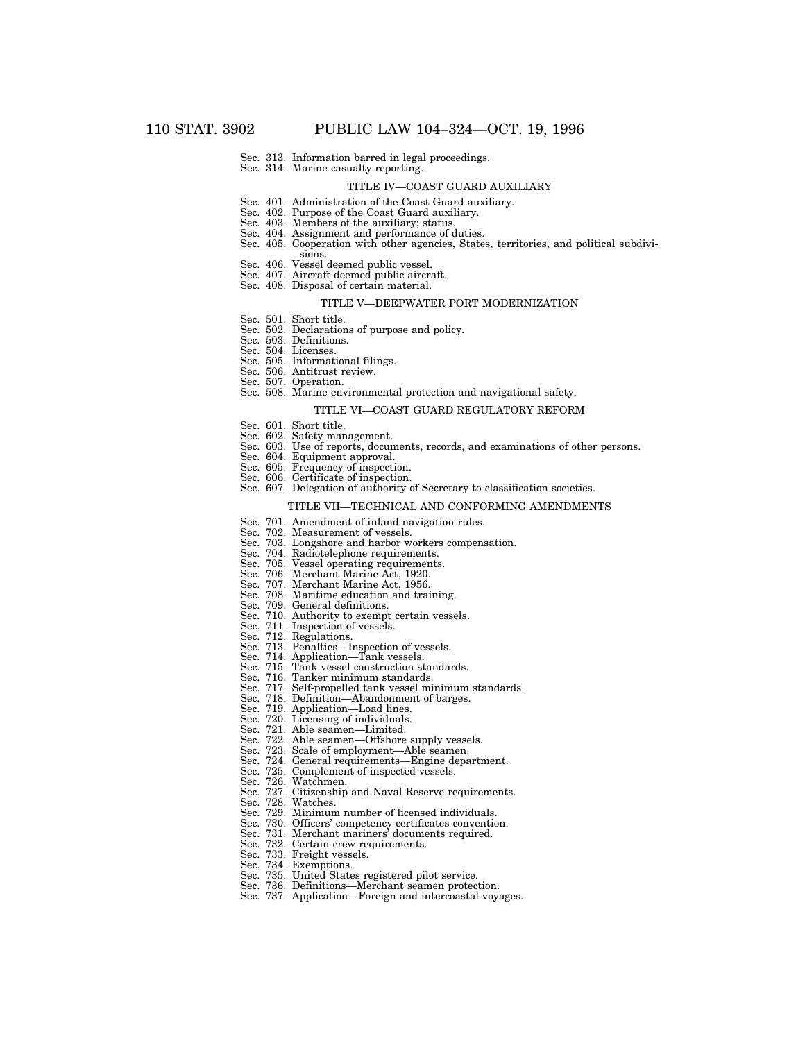- Sec. 313. Information barred in legal proceedings.
- Sec. 314. Marine casualty reporting.

#### TITLE IV—COAST GUARD AUXILIARY

- Sec. 401. Administration of the Coast Guard auxiliary. Sec. 402. Purpose of the Coast Guard auxiliary.
- 
- Sec. 403. Members of the auxiliary; status.
- 
- Sec. 404. Assignment and performance of duties. Sec. 405. Cooperation with other agencies, States, territories, and political subdivisions.
- 
- Sec. 406. Vessel deemed public vessel. Sec. 407. Aircraft deemed public aircraft. Sec. 408. Disposal of certain material.
- 

## TITLE V—DEEPWATER PORT MODERNIZATION

- Sec. 501. Short title.
- Sec. 502. Declarations of purpose and policy.
- Sec. 503. Definitions. Sec. 504. Licenses.
- Sec. 505. Informational filings.
- Sec. 506. Antitrust review.
- 
- Sec. 507. Operation.
- Sec. 508. Marine environmental protection and navigational safety.

## TITLE VI—COAST GUARD REGULATORY REFORM

- Sec. 601. Short title.
- Sec. 602. Safety management.
- Sec. 603. Use of reports, documents, records, and examinations of other persons.
- Sec. 604. Equipment approval.
- Sec. 605. Frequency of inspection. Sec. 606. Certificate of inspection.
- 
- Sec. 607. Delegation of authority of Secretary to classification societies.

#### TITLE VII—TECHNICAL AND CONFORMING AMENDMENTS

- Sec. 701. Amendment of inland navigation rules.
- Sec. 702. Measurement of vessels.
- Sec. 703. Longshore and harbor workers compensation.
- Sec. 704. Radiotelephone requirements.
- Sec. 705. Vessel operating requirements. Sec. 706. Merchant Marine Act, 1920.
- 
- 
- Sec. 707. Merchant Marine Act, 1956. Sec. 708. Maritime education and training.
- 
- Sec. 709. General definitions. Sec. 710. Authority to exempt certain vessels.
- Sec. 711. Inspection of vessels. Sec. 712. Regulations.
- 
- Sec. 713. Penalties—Inspection of vessels. Sec. 714. Application—Tank vessels.
- 
- Sec. 715. Tank vessel construction standards. Sec. 716. Tanker minimum standards.
- 
- Sec. 717. Self-propelled tank vessel minimum standards. Sec. 718. Definition—Abandonment of barges.
- 
- Sec. 719. Application—Load lines. Sec. 720. Licensing of individuals.
- 
- Sec. 721. Able seamen—Limited. Sec. 722. Able seamen—Offshore supply vessels.
- 
- Sec. 723. Scale of employment—Able seamen. Sec. 724. General requirements—Engine department.
- Sec. 725. Complement of inspected vessels.
- 
- Sec. 726. Watchmen.
- Sec. 727. Citizenship and Naval Reserve requirements.
- Sec.  $728$ .
- Sec. 729. Minimum number of licensed individuals.
- Sec. 730. Officers' competency certificates convention. Sec. 731. Merchant mariners' documents required.
- 
- Sec. 732. Certain crew requirements.
- Sec. 733. Freight vessels.
- Sec. 734. Exemptions.
- 
- Sec. 735. United States registered pilot service. Sec. 736. Definitions—Merchant seamen protection.
- Sec. 737. Application—Foreign and intercoastal voyages.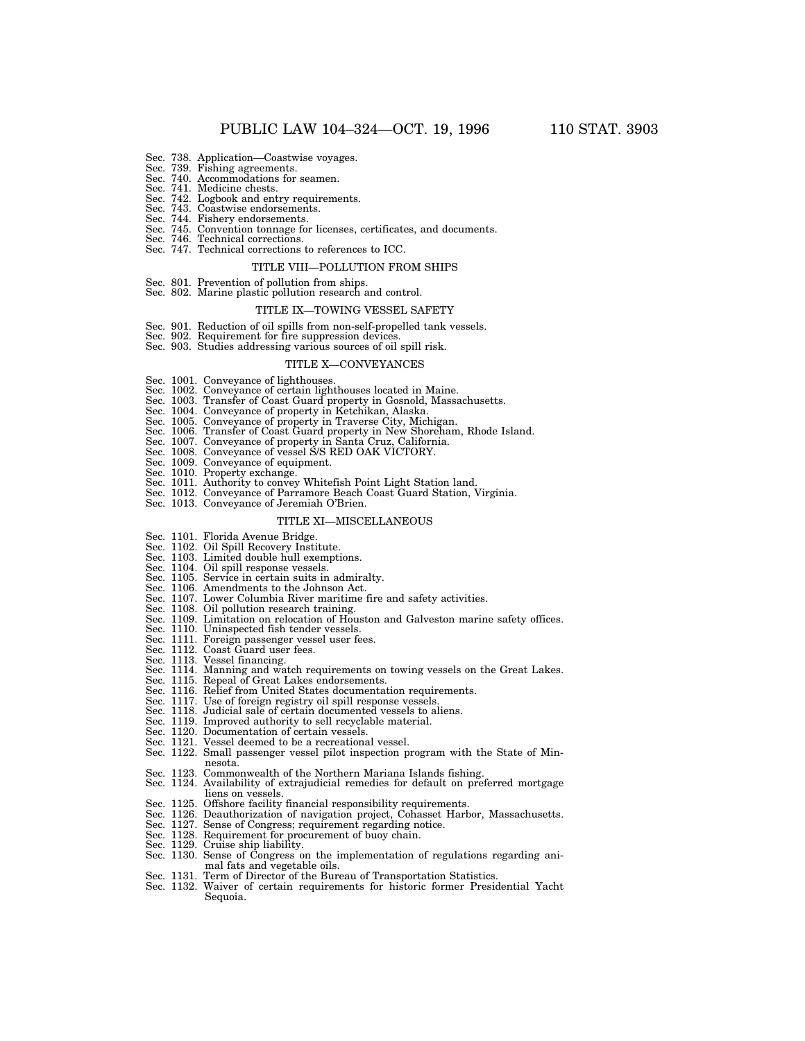- Sec. 738. Application—Coastwise voyages. Sec. 739. Fishing agreements.
- 
- Sec. 740. Accommodations for seamen. Sec. 741. Medicine chests. Sec. 742. Logbook and entry requirements.
- 
- 
- Sec. 743. Coastwise endorsements.
- Sec. 744. Fishery endorsements.
- Sec. 745. Convention tonnage for licenses, certificates, and documents. Sec. 746. Technical corrections. Sec. 747. Technical corrections to references to ICC.
- 

#### TITLE VIII—POLLUTION FROM SHIPS

- Sec. 801. Prevention of pollution from ships.
- Sec. 802. Marine plastic pollution research and control.

## TITLE IX—TOWING VESSEL SAFETY

- Sec. 901. Reduction of oil spills from non-self-propelled tank vessels.
- Sec. 902. Requirement for fire suppression devices.
- Sec. 903. Studies addressing various sources of oil spill risk.

#### TITLE X—CONVEYANCES

- Sec. 1001. Conveyance of lighthouses.
- 
- Sec. 1002. Conveyance of certain lighthouses located in Maine. Sec. 1003. Transfer of Coast Guard property in Gosnold, Massachusetts.
- 
- 
- Sec. 1004. Conveyance of property in Ketchikan, Alaska.<br>Sec. 1005. Conveyance of property in Traverse City, Michigan.<br>Sec. 1006. Transfer of Coast Guard property in New Shoreham, Rhode Island.<br>Sec. 1007. Conveyance of prop
- 
- 
- Sec. 1009. Conveyance of equipment.
- 
- Sec. 1010. Property exchange. Sec. 1011. Authority to convey Whitefish Point Light Station land.
- Sec. 1012. Conveyance of Parramore Beach Coast Guard Station, Virginia.
- Sec. 1013. Conveyance of Jeremiah O'Brien.

#### TITLE XI—MISCELLANEOUS

- Sec. 1101. Florida Avenue Bridge.
- 
- Sec. 1102. Oil Spill Recovery Institute. Sec. 1103. Limited double hull exemptions.
- Sec. 1104. Oil spill response vessels.
- Sec. 1105. Service in certain suits in admiralty. Sec. 1106. Amendments to the Johnson Act.
- 
- Sec. 1107. Lower Columbia River maritime fire and safety activities.
- 
- Sec. 1108. Oil pollution research training.<br>Sec. 1109. Limitation on relocation of Hou<br>Sec. 1110. Uninspected fish tender vessels Sec. 1109. Limitation on relocation of Houston and Galveston marine safety offices. Sec. 1110. Uninspected fish tender vessels.
- 
- Sec. 1111. Foreign passenger vessel user fees.<br>Sec. 1112. Coast Guard user fees.
- Sec. 1111. Policy Pussenger Vess.<br>Sec. 1112. Coast Guard user fees.<br>Sec. 1113. Vessel financing.
- Vessel financing.
- Sec. 1114. Manning and watch requirements on towing vessels on the Great Lakes. Sec. 1115. Repeal of Great Lakes endorsements. Sec. 1116. Relief from United States documentation requirements.
- 
- 
- Sec. 1117. Use of foreign registry oil spill response vessels.<br>Sec. 1118. Judicial sale of certain documented vessels to al
- Sec. 1118. Judicial sale of certain documented vessels to aliens.<br>Sec. 1119. Improved authority to sell recyclable material.
- Sec. 1119. Improved authority to sell recyclable material. Sec. 1120. Documentation of certain vessels.
- Sec. 1120. Documentation of certain vessels.<br>Sec. 1121. Vessel deemed to be a recreationa
- Vessel deemed to be a recreational vessel.
- Sec. 1122. Small passenger vessel pilot inspection program with the State of Minnesota.
- Sec. 1123. Commonwealth of the Northern Mariana Islands fishing.
- Sec. 1124. Availability of extrajudicial remedies for default on preferred mortgage liens on vessels.
- Sec. 1125. Offshore facility financial responsibility requirements.
- Sec. 1126. Deauthorization of navigation project, Cohasset Harbor, Massachusetts.<br>Sec. 1127. Sense of Congress; requirement regarding notice.
- Sense of Congress; requirement regarding notice.
- Sec. 1128. Requirement for procurement of buoy chain.
- 
- Sec. 1129. Cruise ship liability. Sec. 1130. Sense of Congress on the implementation of regulations regarding animal fats and vegetable oils.
- Sec. 1131. Term of Director of the Bureau of Transportation Statistics.<br>Sec. 1132. Waiver of certain requirements for historic former Presic
- Sec. 1132. Waiver of certain requirements for historic former Presidential Yacht Sequoia.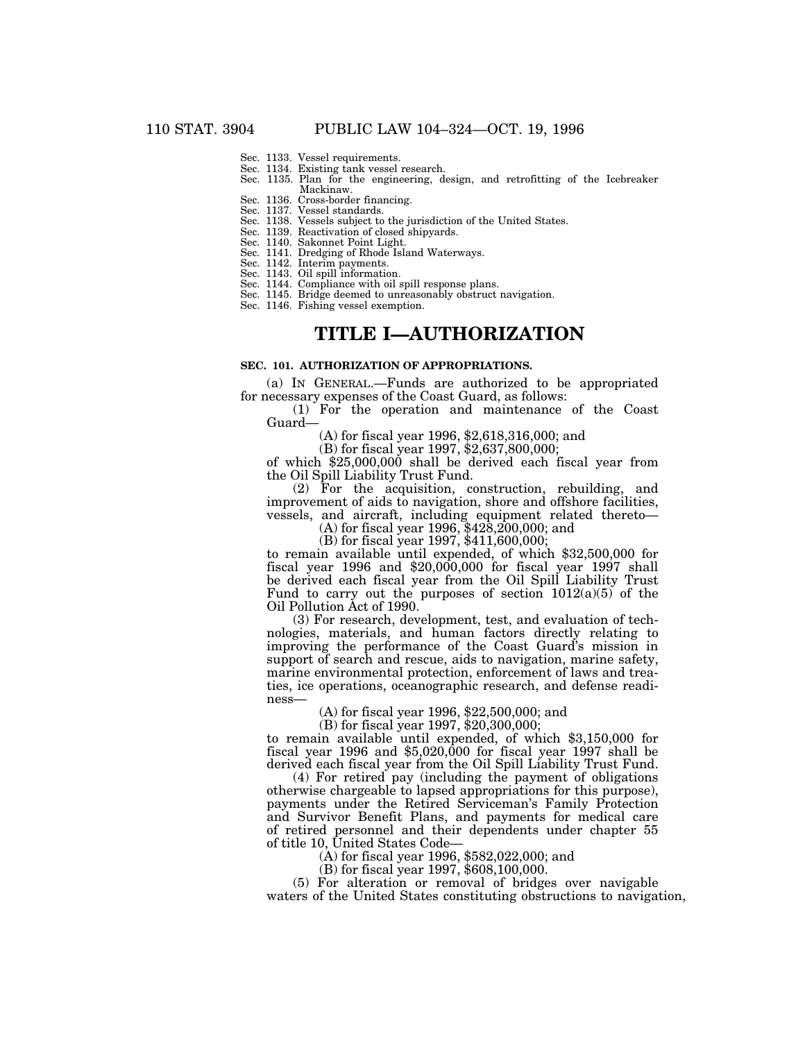- Sec. 1133. Vessel requirements.
- Sec. 1134. Existing tank vessel research.
- Sec. 1135. Plan for the engineering, design, and retrofitting of the Icebreaker Mackinaw.
- Sec. 1136. Cross-border financing.
- Sec. 1137. Vessel standards. Sec. 1138. Vessels subject to the jurisdiction of the United States.
- Sec. 1139. Reactivation of closed shipyards.
- Sec. 1140. Sakonnet Point Light.
- Sec. 1141. Dredging of Rhode Island Waterways.
- Sec. 1142. Interim payments.
- Sec. 1143. Oil spill information.
- Sec. 1144. Compliance with oil spill response plans.
- Sec. 1145. Bridge deemed to unreasonably obstruct navigation.
- Sec. 1146. Fishing vessel exemption.

# **TITLE I—AUTHORIZATION**

#### **SEC. 101. AUTHORIZATION OF APPROPRIATIONS.**

(a) IN GENERAL.—Funds are authorized to be appropriated for necessary expenses of the Coast Guard, as follows:

(1) For the operation and maintenance of the Coast Guard—

(A) for fiscal year 1996, \$2,618,316,000; and

(B) for fiscal year 1997, \$2,637,800,000;

of which \$25,000,000 shall be derived each fiscal year from the Oil Spill Liability Trust Fund.

(2) For the acquisition, construction, rebuilding, and improvement of aids to navigation, shore and offshore facilities, vessels, and aircraft, including equipment related thereto—

(A) for fiscal year 1996, \$428,200,000; and

(B) for fiscal year 1997, \$411,600,000;

to remain available until expended, of which \$32,500,000 for fiscal year 1996 and \$20,000,000 for fiscal year 1997 shall be derived each fiscal year from the Oil Spill Liability Trust Fund to carry out the purposes of section  $1012(a)(5)$  of the Oil Pollution Act of 1990.

(3) For research, development, test, and evaluation of technologies, materials, and human factors directly relating to improving the performance of the Coast Guard's mission in support of search and rescue, aids to navigation, marine safety, marine environmental protection, enforcement of laws and treaties, ice operations, oceanographic research, and defense readiness—

(A) for fiscal year 1996, \$22,500,000; and

(B) for fiscal year 1997, \$20,300,000;

to remain available until expended, of which \$3,150,000 for fiscal year  $1996$  and  $$5,020,000$  for fiscal year  $1997$  shall be derived each fiscal year from the Oil Spill Liability Trust Fund.

(4) For retired pay (including the payment of obligations otherwise chargeable to lapsed appropriations for this purpose), payments under the Retired Serviceman's Family Protection and Survivor Benefit Plans, and payments for medical care of retired personnel and their dependents under chapter 55 of title 10, United States Code—

(A) for fiscal year 1996, \$582,022,000; and

(B) for fiscal year 1997, \$608,100,000.

(5) For alteration or removal of bridges over navigable waters of the United States constituting obstructions to navigation,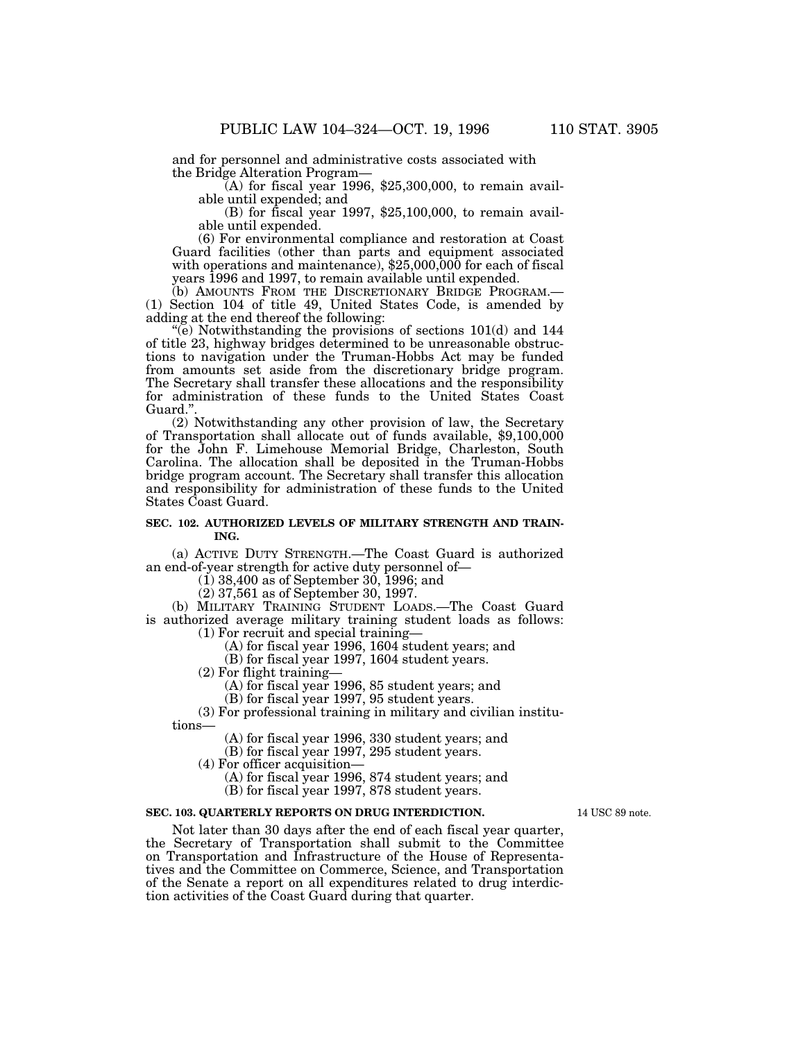and for personnel and administrative costs associated with the Bridge Alteration Program—

 $(A)$  for fiscal year 1996, \$25,300,000, to remain available until expended; and

(B) for fiscal year 1997, \$25,100,000, to remain available until expended.

(6) For environmental compliance and restoration at Coast Guard facilities (other than parts and equipment associated with operations and maintenance), \$25,000,000 for each of fiscal years 1996 and 1997, to remain available until expended.

(b) AMOUNTS FROM THE DISCRETIONARY BRIDGE PROGRAM.— (1) Section 104 of title 49, United States Code, is amended by adding at the end thereof the following:

 $\degree$ (e) Notwithstanding the provisions of sections 101(d) and 144 of title 23, highway bridges determined to be unreasonable obstructions to navigation under the Truman-Hobbs Act may be funded from amounts set aside from the discretionary bridge program. The Secretary shall transfer these allocations and the responsibility for administration of these funds to the United States Coast Guard.'

(2) Notwithstanding any other provision of law, the Secretary of Transportation shall allocate out of funds available, \$9,100,000 for the John F. Limehouse Memorial Bridge, Charleston, South Carolina. The allocation shall be deposited in the Truman-Hobbs bridge program account. The Secretary shall transfer this allocation and responsibility for administration of these funds to the United States Coast Guard.

#### **SEC. 102. AUTHORIZED LEVELS OF MILITARY STRENGTH AND TRAIN-ING.**

(a) ACTIVE DUTY STRENGTH.—The Coast Guard is authorized an end-of-year strength for active duty personnel of—

 $(1)$  38,400 as of September 30, 1996; and

(2) 37,561 as of September 30, 1997.

(b) MILITARY TRAINING STUDENT LOADS.—The Coast Guard is authorized average military training student loads as follows: (1) For recruit and special training—

(A) for fiscal year 1996, 1604 student years; and

(B) for fiscal year 1997, 1604 student years.

(2) For flight training—

(A) for fiscal year 1996, 85 student years; and

(B) for fiscal year 1997, 95 student years.

(3) For professional training in military and civilian institutions—

(A) for fiscal year 1996, 330 student years; and

(B) for fiscal year 1997, 295 student years.

(4) For officer acquisition—

(A) for fiscal year 1996, 874 student years; and

(B) for fiscal year 1997, 878 student years.

## **SEC. 103. QUARTERLY REPORTS ON DRUG INTERDICTION.**

14 USC 89 note.

Not later than 30 days after the end of each fiscal year quarter, the Secretary of Transportation shall submit to the Committee on Transportation and Infrastructure of the House of Representatives and the Committee on Commerce, Science, and Transportation of the Senate a report on all expenditures related to drug interdiction activities of the Coast Guard during that quarter.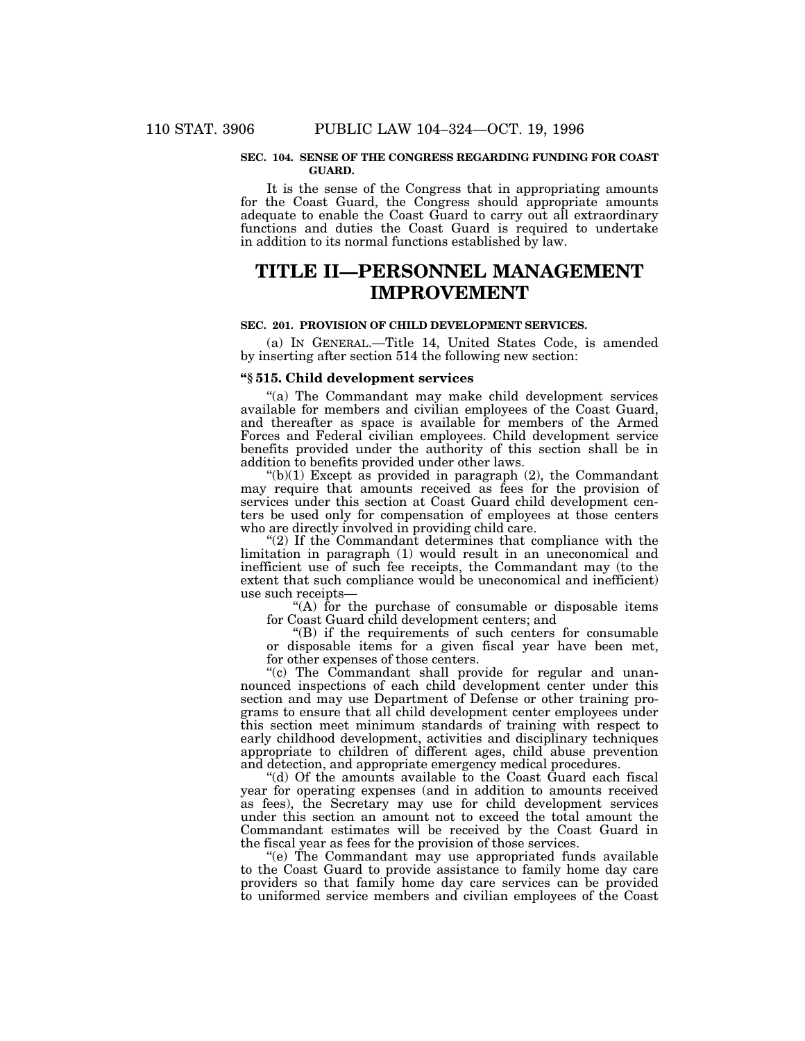#### **SEC. 104. SENSE OF THE CONGRESS REGARDING FUNDING FOR COAST GUARD.**

It is the sense of the Congress that in appropriating amounts for the Coast Guard, the Congress should appropriate amounts adequate to enable the Coast Guard to carry out all extraordinary functions and duties the Coast Guard is required to undertake in addition to its normal functions established by law.

# **TITLE II—PERSONNEL MANAGEMENT IMPROVEMENT**

#### **SEC. 201. PROVISION OF CHILD DEVELOPMENT SERVICES.**

(a) IN GENERAL.—Title 14, United States Code, is amended by inserting after section 514 the following new section:

#### **''§ 515. Child development services**

''(a) The Commandant may make child development services available for members and civilian employees of the Coast Guard, and thereafter as space is available for members of the Armed Forces and Federal civilian employees. Child development service benefits provided under the authority of this section shall be in addition to benefits provided under other laws.

" $(b)(1)$  Except as provided in paragraph  $(2)$ , the Commandant may require that amounts received as fees for the provision of services under this section at Coast Guard child development centers be used only for compensation of employees at those centers who are directly involved in providing child care.

"(2) If the Commandant determines that compliance with the limitation in paragraph (1) would result in an uneconomical and inefficient use of such fee receipts, the Commandant may (to the extent that such compliance would be uneconomical and inefficient) use such receipts—

"(A) for the purchase of consumable or disposable items for Coast Guard child development centers; and

''(B) if the requirements of such centers for consumable or disposable items for a given fiscal year have been met, for other expenses of those centers.

"(c) The Commandant shall provide for regular and unannounced inspections of each child development center under this section and may use Department of Defense or other training programs to ensure that all child development center employees under this section meet minimum standards of training with respect to early childhood development, activities and disciplinary techniques appropriate to children of different ages, child abuse prevention and detection, and appropriate emergency medical procedures.

''(d) Of the amounts available to the Coast Guard each fiscal year for operating expenses (and in addition to amounts received as fees), the Secretary may use for child development services under this section an amount not to exceed the total amount the Commandant estimates will be received by the Coast Guard in the fiscal year as fees for the provision of those services.

''(e) The Commandant may use appropriated funds available to the Coast Guard to provide assistance to family home day care providers so that family home day care services can be provided to uniformed service members and civilian employees of the Coast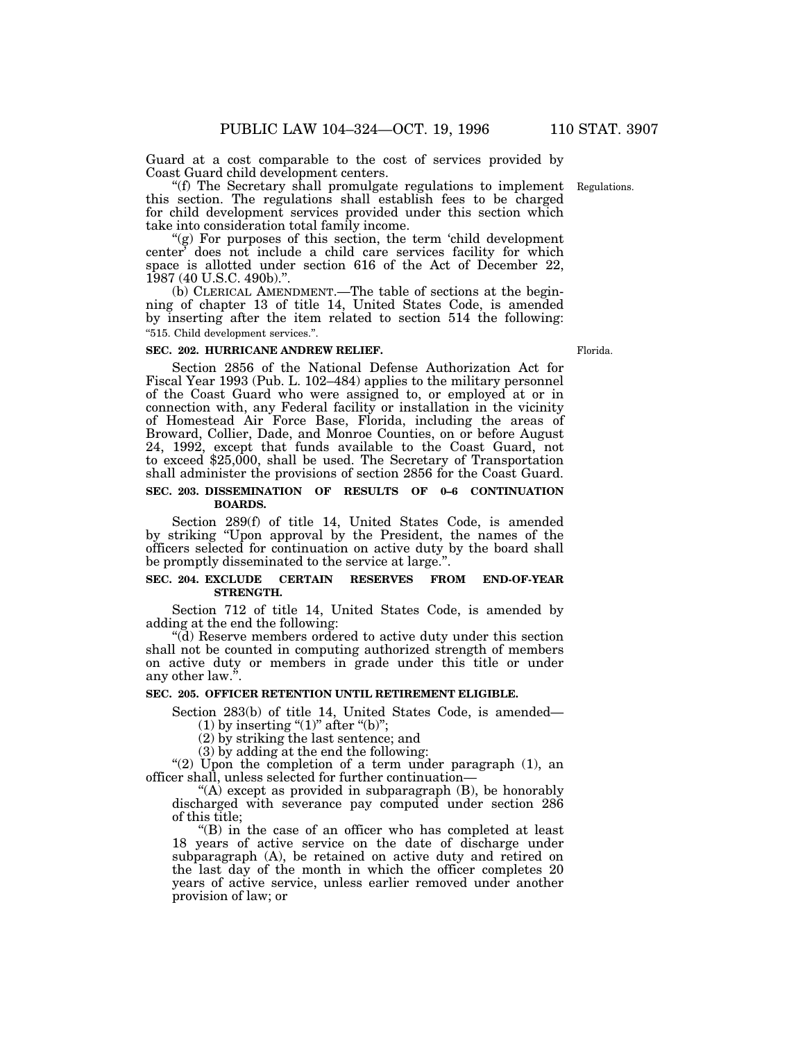Guard at a cost comparable to the cost of services provided by Coast Guard child development centers.

''(f) The Secretary shall promulgate regulations to implement Regulations.this section. The regulations shall establish fees to be charged for child development services provided under this section which take into consideration total family income.

"(g) For purposes of this section, the term 'child development" center' does not include a child care services facility for which space is allotted under section 616 of the Act of December 22, 1987 (40 U.S.C. 490b).''.

(b) CLERICAL AMENDMENT.—The table of sections at the beginning of chapter 13 of title 14, United States Code, is amended by inserting after the item related to section 514 the following: ''515. Child development services.''.

#### **SEC. 202. HURRICANE ANDREW RELIEF.**

Section 2856 of the National Defense Authorization Act for Fiscal Year 1993 (Pub. L. 102–484) applies to the military personnel of the Coast Guard who were assigned to, or employed at or in connection with, any Federal facility or installation in the vicinity of Homestead Air Force Base, Florida, including the areas of Broward, Collier, Dade, and Monroe Counties, on or before August 24, 1992, except that funds available to the Coast Guard, not to exceed \$25,000, shall be used. The Secretary of Transportation shall administer the provisions of section 2856 for the Coast Guard.

## **SEC. 203. DISSEMINATION OF RESULTS OF 0–6 CONTINUATION BOARDS.**

Section 289(f) of title 14, United States Code, is amended by striking ''Upon approval by the President, the names of the officers selected for continuation on active duty by the board shall be promptly disseminated to the service at large.''.

## **SEC. 204. EXCLUDE CERTAIN RESERVES FROM END-OF-YEAR STRENGTH.**

Section 712 of title 14, United States Code, is amended by adding at the end the following:

''(d) Reserve members ordered to active duty under this section shall not be counted in computing authorized strength of members on active duty or members in grade under this title or under any other law."

## **SEC. 205. OFFICER RETENTION UNTIL RETIREMENT ELIGIBLE.**

Section 283(b) of title 14, United States Code, is amended— (1) by inserting " $(1)$ " after " $(b)$ ";

(2) by striking the last sentence; and

(3) by adding at the end the following:

"(2) Upon the completion of a term under paragraph (1), an officer shall, unless selected for further continuation—

"(A) except as provided in subparagraph  $(B)$ , be honorably discharged with severance pay computed under section 286 of this title;

''(B) in the case of an officer who has completed at least 18 years of active service on the date of discharge under subparagraph (A), be retained on active duty and retired on the last day of the month in which the officer completes 20 years of active service, unless earlier removed under another provision of law; or

Florida.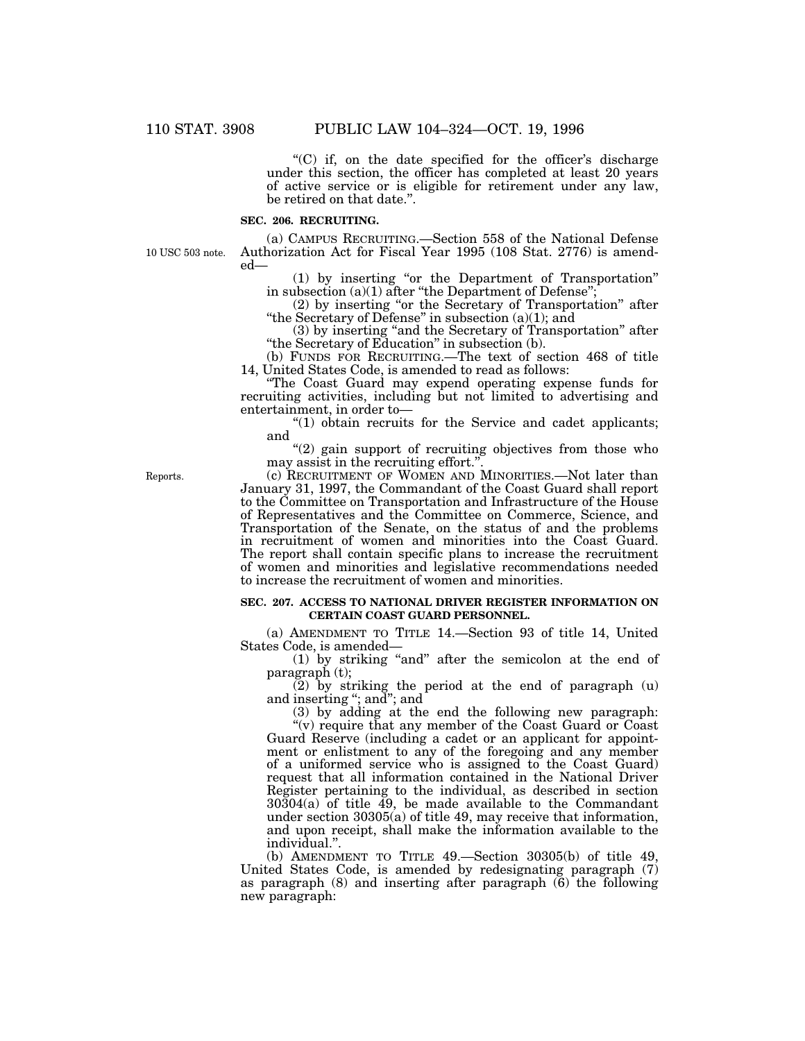''(C) if, on the date specified for the officer's discharge under this section, the officer has completed at least 20 years of active service or is eligible for retirement under any law, be retired on that date.''.

#### **SEC. 206. RECRUITING.**

10 USC 503 note.

(a) CAMPUS RECRUITING.—Section 558 of the National Defense Authorization Act for Fiscal Year 1995 (108 Stat. 2776) is amended—

(1) by inserting ''or the Department of Transportation'' in subsection (a)(1) after ''the Department of Defense'';

(2) by inserting "or the Secretary of Transportation" after ''the Secretary of Defense'' in subsection (a)(1); and

(3) by inserting ''and the Secretary of Transportation'' after ''the Secretary of Education'' in subsection (b).

(b) FUNDS FOR RECRUITING.—The text of section 468 of title 14, United States Code, is amended to read as follows:

''The Coast Guard may expend operating expense funds for recruiting activities, including but not limited to advertising and entertainment, in order to—

"(1) obtain recruits for the Service and cadet applicants; and

"(2) gain support of recruiting objectives from those who may assist in the recruiting effort."

(c) RECRUITMENT OF WOMEN AND MINORITIES.—Not later than January 31, 1997, the Commandant of the Coast Guard shall report to the Committee on Transportation and Infrastructure of the House of Representatives and the Committee on Commerce, Science, and Transportation of the Senate, on the status of and the problems in recruitment of women and minorities into the Coast Guard. The report shall contain specific plans to increase the recruitment of women and minorities and legislative recommendations needed to increase the recruitment of women and minorities.

#### **SEC. 207. ACCESS TO NATIONAL DRIVER REGISTER INFORMATION ON CERTAIN COAST GUARD PERSONNEL.**

(a) AMENDMENT TO TITLE 14.—Section 93 of title 14, United States Code, is amended—

(1) by striking ''and'' after the semicolon at the end of paragraph (t);

(2) by striking the period at the end of paragraph (u) and inserting ''; and''; and

(3) by adding at the end the following new paragraph:

"(v) require that any member of the Coast Guard or Coast Guard Reserve (including a cadet or an applicant for appointment or enlistment to any of the foregoing and any member of a uniformed service who is assigned to the Coast Guard) request that all information contained in the National Driver Register pertaining to the individual, as described in section 30304(a) of title 49, be made available to the Commandant under section 30305(a) of title 49, may receive that information, and upon receipt, shall make the information available to the individual.''.

(b) AMENDMENT TO TITLE 49.—Section 30305(b) of title 49, United States Code, is amended by redesignating paragraph (7) as paragraph (8) and inserting after paragraph (6) the following new paragraph:

Reports.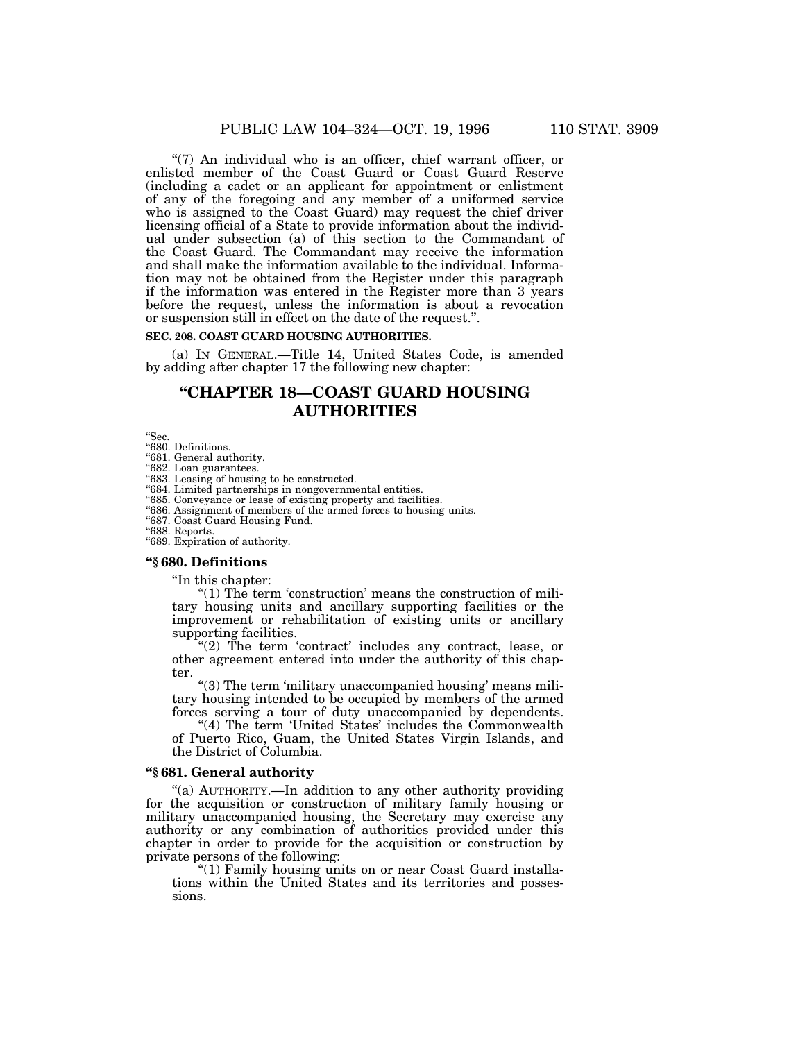"(7) An individual who is an officer, chief warrant officer, or enlisted member of the Coast Guard or Coast Guard Reserve (including a cadet or an applicant for appointment or enlistment of any of the foregoing and any member of a uniformed service who is assigned to the Coast Guard) may request the chief driver licensing official of a State to provide information about the individual under subsection (a) of this section to the Commandant of the Coast Guard. The Commandant may receive the information and shall make the information available to the individual. Information may not be obtained from the Register under this paragraph if the information was entered in the Register more than 3 years before the request, unless the information is about a revocation or suspension still in effect on the date of the request.''.

#### **SEC. 208. COAST GUARD HOUSING AUTHORITIES.**

(a) IN GENERAL.—Title 14, United States Code, is amended by adding after chapter 17 the following new chapter:

# **''CHAPTER 18—COAST GUARD HOUSING AUTHORITIES**

''Sec.

#### ''680. Definitions.

''681. General authority.

''682. Loan guarantees.

''683. Leasing of housing to be constructed.

''684. Limited partnerships in nongovernmental entities.

"685. Conveyance or lease of existing property and facilities.

''686. Assignment of members of the armed forces to housing units.

''687. Coast Guard Housing Fund.

''688. Reports.

## ''689. Expiration of authority.

## **''§ 680. Definitions**

''In this chapter:

"(1) The term 'construction' means the construction of military housing units and ancillary supporting facilities or the improvement or rehabilitation of existing units or ancillary supporting facilities.

"(2) The term 'contract' includes any contract, lease, or other agreement entered into under the authority of this chapter.

''(3) The term 'military unaccompanied housing' means military housing intended to be occupied by members of the armed forces serving a tour of duty unaccompanied by dependents.

''(4) The term 'United States' includes the Commonwealth of Puerto Rico, Guam, the United States Virgin Islands, and the District of Columbia.

## **''§ 681. General authority**

''(a) AUTHORITY.—In addition to any other authority providing for the acquisition or construction of military family housing or military unaccompanied housing, the Secretary may exercise any authority or any combination of authorities provided under this chapter in order to provide for the acquisition or construction by private persons of the following:

''(1) Family housing units on or near Coast Guard installations within the United States and its territories and possessions.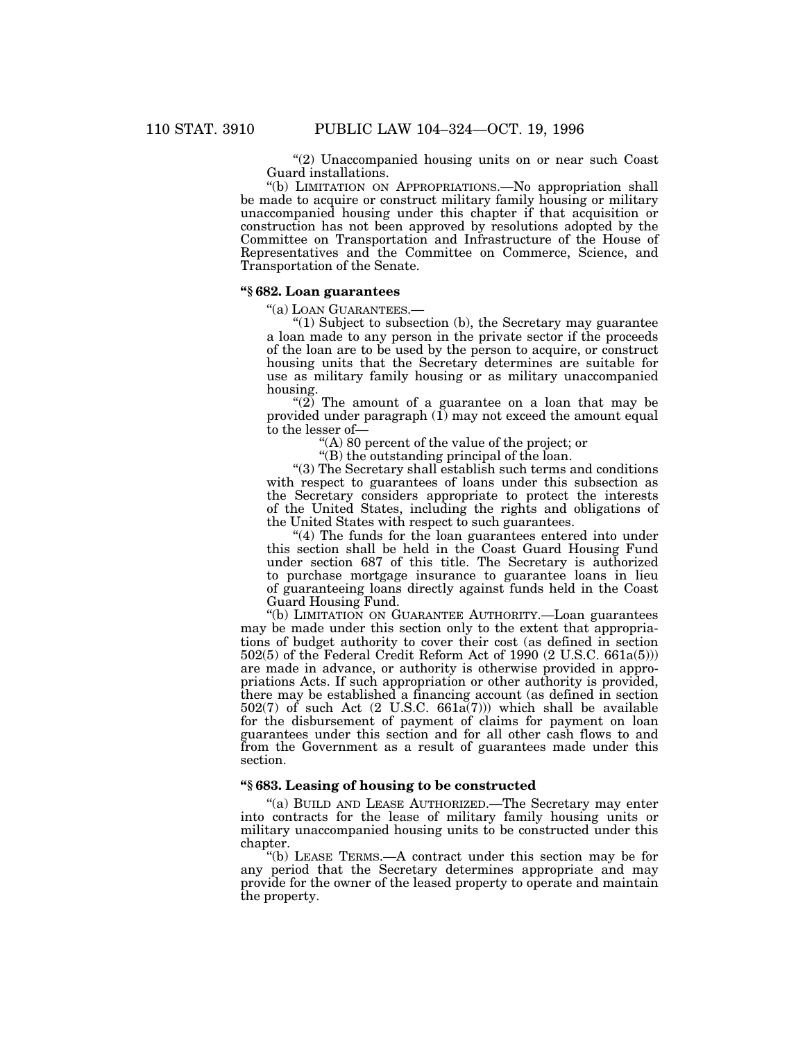"(2) Unaccompanied housing units on or near such Coast" Guard installations.

"(b) LIMITATION ON APPROPRIATIONS.—No appropriation shall be made to acquire or construct military family housing or military unaccompanied housing under this chapter if that acquisition or construction has not been approved by resolutions adopted by the Committee on Transportation and Infrastructure of the House of Representatives and the Committee on Commerce, Science, and Transportation of the Senate.

## **''§ 682. Loan guarantees**

''(a) LOAN GUARANTEES.—

" $(1)$  Subject to subsection  $(b)$ , the Secretary may guarantee a loan made to any person in the private sector if the proceeds of the loan are to be used by the person to acquire, or construct housing units that the Secretary determines are suitable for use as military family housing or as military unaccompanied housing.

" $(2)$  The amount of a guarantee on a loan that may be provided under paragraph (1) may not exceed the amount equal to the lesser of—

''(A) 80 percent of the value of the project; or

''(B) the outstanding principal of the loan.

''(3) The Secretary shall establish such terms and conditions with respect to guarantees of loans under this subsection as the Secretary considers appropriate to protect the interests of the United States, including the rights and obligations of the United States with respect to such guarantees.

"(4) The funds for the loan guarantees entered into under this section shall be held in the Coast Guard Housing Fund under section 687 of this title. The Secretary is authorized to purchase mortgage insurance to guarantee loans in lieu of guaranteeing loans directly against funds held in the Coast Guard Housing Fund.

''(b) LIMITATION ON GUARANTEE AUTHORITY.—Loan guarantees may be made under this section only to the extent that appropriations of budget authority to cover their cost (as defined in section 502(5) of the Federal Credit Reform Act of 1990 (2 U.S.C. 661a(5))) are made in advance, or authority is otherwise provided in appropriations Acts. If such appropriation or other authority is provided, there may be established a financing account (as defined in section 502(7) of such Act (2 U.S.C. 661a(7))) which shall be available for the disbursement of payment of claims for payment on loan guarantees under this section and for all other cash flows to and from the Government as a result of guarantees made under this section.

## **''§ 683. Leasing of housing to be constructed**

''(a) BUILD AND LEASE AUTHORIZED.—The Secretary may enter into contracts for the lease of military family housing units or military unaccompanied housing units to be constructed under this chapter.

''(b) LEASE TERMS.—A contract under this section may be for any period that the Secretary determines appropriate and may provide for the owner of the leased property to operate and maintain the property.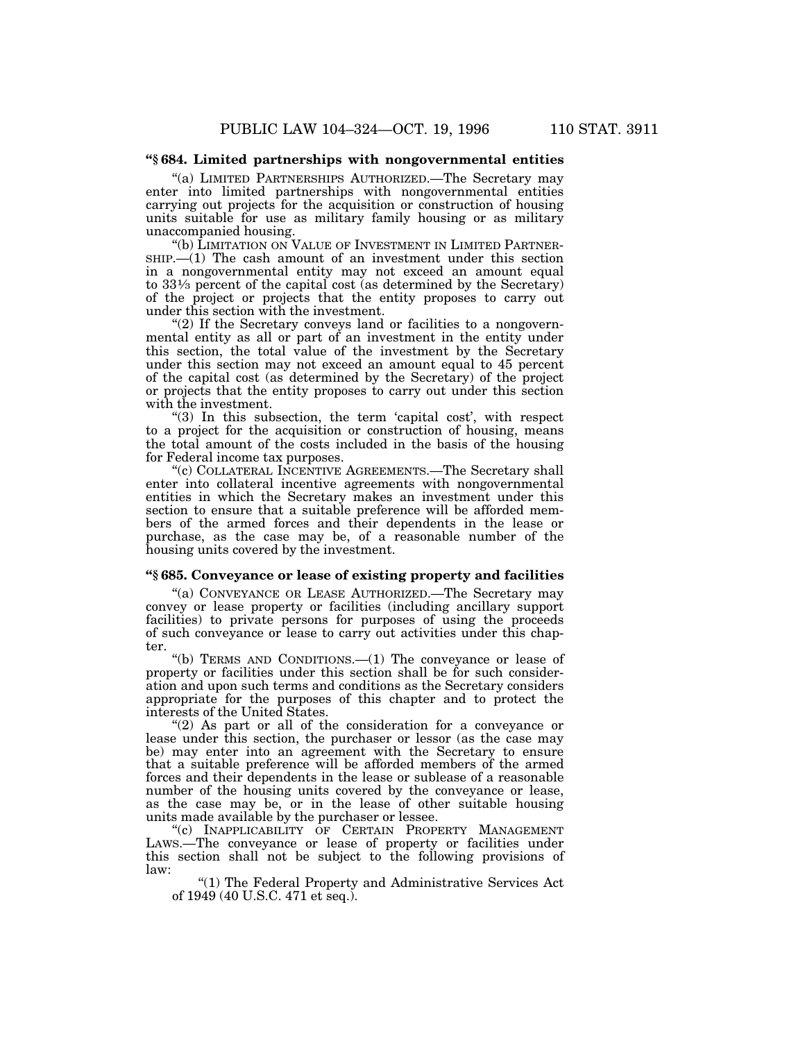## **''§ 684. Limited partnerships with nongovernmental entities**

''(a) LIMITED PARTNERSHIPS AUTHORIZED.—The Secretary may enter into limited partnerships with nongovernmental entities carrying out projects for the acquisition or construction of housing units suitable for use as military family housing or as military unaccompanied housing.

''(b) LIMITATION ON VALUE OF INVESTMENT IN LIMITED PARTNER- $SHIP$ .—(1) The cash amount of an investment under this section in a nongovernmental entity may not exceed an amount equal to 331⁄3 percent of the capital cost (as determined by the Secretary) of the project or projects that the entity proposes to carry out under this section with the investment.

"(2) If the Secretary conveys land or facilities to a nongovernmental entity as all or part of an investment in the entity under this section, the total value of the investment by the Secretary under this section may not exceed an amount equal to 45 percent of the capital cost (as determined by the Secretary) of the project or projects that the entity proposes to carry out under this section with the investment.

"(3) In this subsection, the term 'capital cost', with respect to a project for the acquisition or construction of housing, means the total amount of the costs included in the basis of the housing for Federal income tax purposes.

"(c) COLLATERAL INCENTIVE AGREEMENTS.—The Secretary shall enter into collateral incentive agreements with nongovernmental entities in which the Secretary makes an investment under this section to ensure that a suitable preference will be afforded members of the armed forces and their dependents in the lease or purchase, as the case may be, of a reasonable number of the housing units covered by the investment.

#### **''§ 685. Conveyance or lease of existing property and facilities**

''(a) CONVEYANCE OR LEASE AUTHORIZED.—The Secretary may convey or lease property or facilities (including ancillary support facilities) to private persons for purposes of using the proceeds of such conveyance or lease to carry out activities under this chapter.

''(b) TERMS AND CONDITIONS.—(1) The conveyance or lease of property or facilities under this section shall be for such consideration and upon such terms and conditions as the Secretary considers appropriate for the purposes of this chapter and to protect the interests of the United States.

" $(2)$  As part or all of the consideration for a conveyance or lease under this section, the purchaser or lessor (as the case may be) may enter into an agreement with the Secretary to ensure that a suitable preference will be afforded members of the armed forces and their dependents in the lease or sublease of a reasonable number of the housing units covered by the conveyance or lease, as the case may be, or in the lease of other suitable housing units made available by the purchaser or lessee.

"(c) INAPPLICABILITY OF CERTAIN PROPERTY MANAGEMENT LAWS.—The conveyance or lease of property or facilities under this section shall not be subject to the following provisions of law:

''(1) The Federal Property and Administrative Services Act of 1949 (40 U.S.C. 471 et seq.).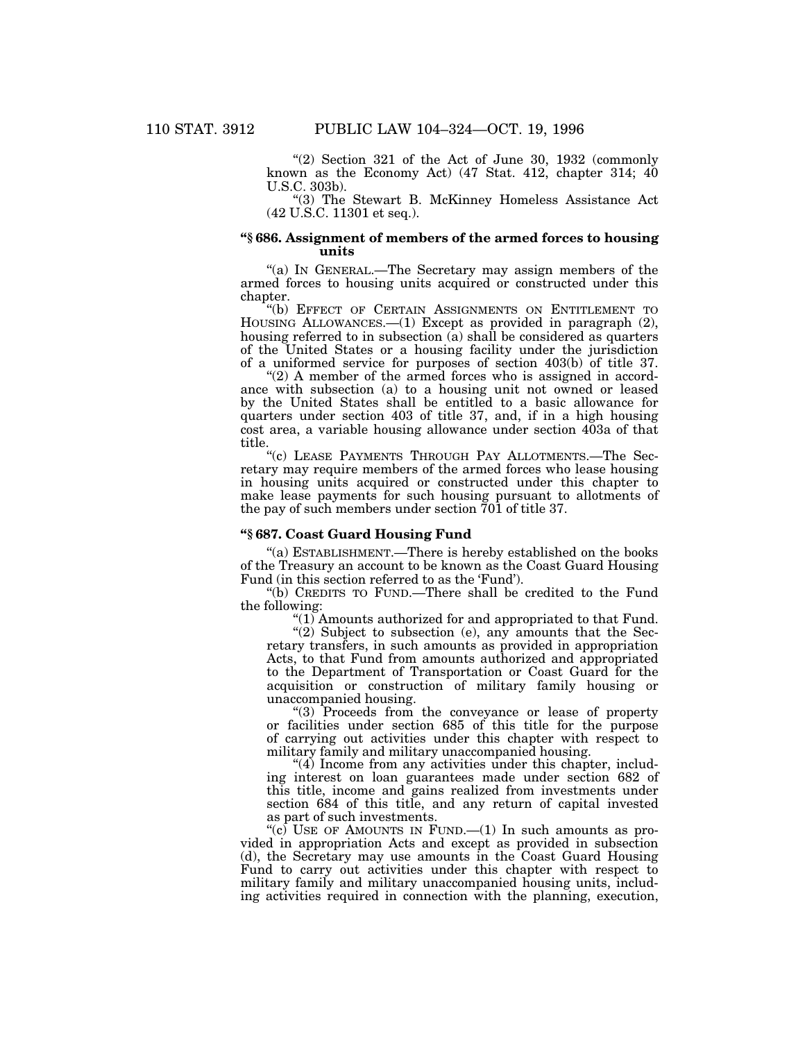"(2) Section 321 of the Act of June 30, 1932 (commonly known as the Economy Act) (47 Stat. 412, chapter 314; 40 U.S.C. 303b).

''(3) The Stewart B. McKinney Homeless Assistance Act (42 U.S.C. 11301 et seq.).

## **''§ 686. Assignment of members of the armed forces to housing units**

"(a) In GENERAL.—The Secretary may assign members of the armed forces to housing units acquired or constructed under this chapter.

''(b) EFFECT OF CERTAIN ASSIGNMENTS ON ENTITLEMENT TO HOUSING ALLOWANCES.—(1) Except as provided in paragraph (2), housing referred to in subsection (a) shall be considered as quarters of the United States or a housing facility under the jurisdiction of a uniformed service for purposes of section 403(b) of title 37.

 $''(2)$  A member of the armed forces who is assigned in accordance with subsection (a) to a housing unit not owned or leased by the United States shall be entitled to a basic allowance for quarters under section 403 of title 37, and, if in a high housing cost area, a variable housing allowance under section 403a of that title.

''(c) LEASE PAYMENTS THROUGH PAY ALLOTMENTS.—The Secretary may require members of the armed forces who lease housing in housing units acquired or constructed under this chapter to make lease payments for such housing pursuant to allotments of the pay of such members under section 701 of title 37.

## **''§ 687. Coast Guard Housing Fund**

''(a) ESTABLISHMENT.—There is hereby established on the books of the Treasury an account to be known as the Coast Guard Housing Fund (in this section referred to as the 'Fund').

''(b) CREDITS TO FUND.—There shall be credited to the Fund the following:

''(1) Amounts authorized for and appropriated to that Fund.

" $(2)$  Subject to subsection  $(e)$ , any amounts that the Secretary transfers, in such amounts as provided in appropriation Acts, to that Fund from amounts authorized and appropriated to the Department of Transportation or Coast Guard for the acquisition or construction of military family housing or unaccompanied housing.

"(3) Proceeds from the conveyance or lease of property or facilities under section 685 of this title for the purpose of carrying out activities under this chapter with respect to military family and military unaccompanied housing.

 $\cdot$ (4) Income from any activities under this chapter, including interest on loan guarantees made under section 682 of this title, income and gains realized from investments under section 684 of this title, and any return of capital invested as part of such investments.

"(c) USE OF AMOUNTS IN FUND.— $(1)$  In such amounts as provided in appropriation Acts and except as provided in subsection (d), the Secretary may use amounts in the Coast Guard Housing Fund to carry out activities under this chapter with respect to military family and military unaccompanied housing units, including activities required in connection with the planning, execution,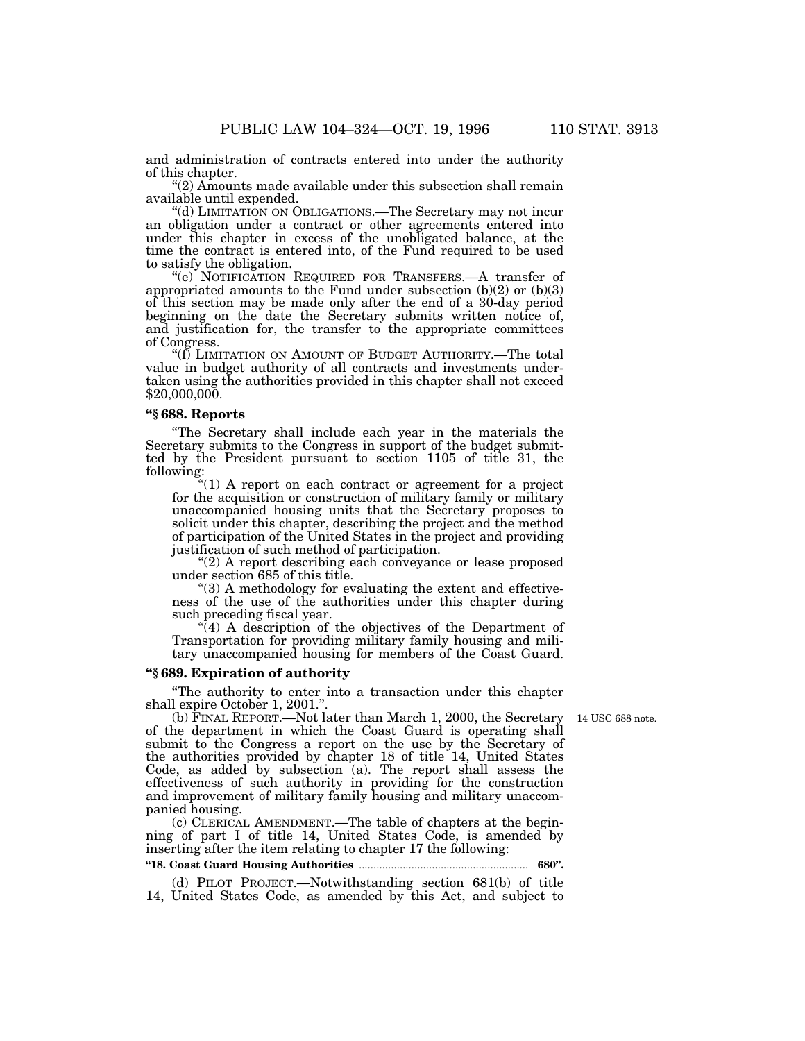and administration of contracts entered into under the authority of this chapter.

''(2) Amounts made available under this subsection shall remain available until expended.

''(d) LIMITATION ON OBLIGATIONS.—The Secretary may not incur an obligation under a contract or other agreements entered into under this chapter in excess of the unobligated balance, at the time the contract is entered into, of the Fund required to be used to satisfy the obligation.

"(e) NOTIFICATION REQUIRED FOR TRANSFERS.—A transfer of appropriated amounts to the Fund under subsection  $(b)(2)$  or  $(b)(3)$ of this section may be made only after the end of a 30-day period beginning on the date the Secretary submits written notice of, and justification for, the transfer to the appropriate committees of Congress.

"(f) LIMITATION ON AMOUNT OF BUDGET AUTHORITY.—The total value in budget authority of all contracts and investments undertaken using the authorities provided in this chapter shall not exceed \$20,000,000.

## **''§ 688. Reports**

''The Secretary shall include each year in the materials the Secretary submits to the Congress in support of the budget submitted by the President pursuant to section 1105 of title 31, the following:

''(1) A report on each contract or agreement for a project for the acquisition or construction of military family or military unaccompanied housing units that the Secretary proposes to solicit under this chapter, describing the project and the method of participation of the United States in the project and providing justification of such method of participation.

''(2) A report describing each conveyance or lease proposed under section 685 of this title.

''(3) A methodology for evaluating the extent and effectiveness of the use of the authorities under this chapter during such preceding fiscal year.

 $\sqrt{4}$ ) A description of the objectives of the Department of Transportation for providing military family housing and military unaccompanied housing for members of the Coast Guard.

## **''§ 689. Expiration of authority**

''The authority to enter into a transaction under this chapter shall expire October 1, 2001.''.

14 USC 688 note.

(b) FINAL REPORT.—Not later than March 1, 2000, the Secretary of the department in which the Coast Guard is operating shall submit to the Congress a report on the use by the Secretary of the authorities provided by chapter 18 of title 14, United States Code, as added by subsection (a). The report shall assess the effectiveness of such authority in providing for the construction and improvement of military family housing and military unaccompanied housing.

(c) CLERICAL AMENDMENT.—The table of chapters at the beginning of part I of title 14, United States Code, is amended by inserting after the item relating to chapter 17 the following:

**''18. Coast Guard Housing Authorities** .......................................................... **680''.**

(d) PILOT PROJECT.—Notwithstanding section 681(b) of title 14, United States Code, as amended by this Act, and subject to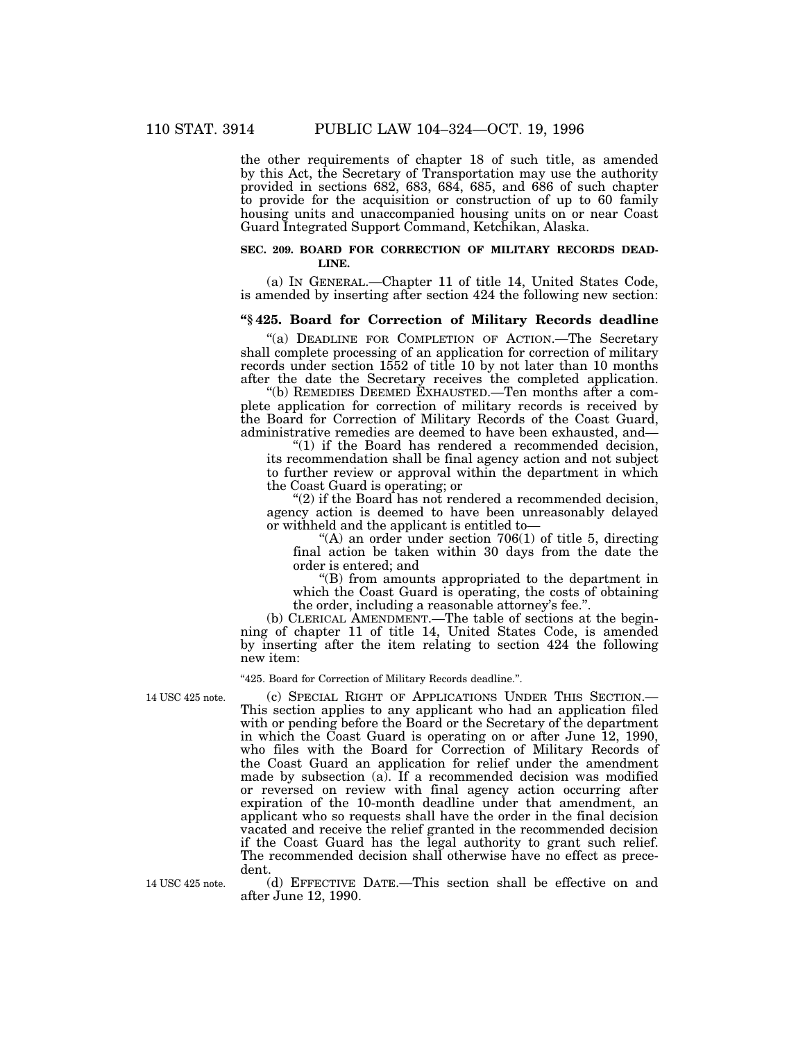the other requirements of chapter 18 of such title, as amended by this Act, the Secretary of Transportation may use the authority provided in sections 682, 683, 684, 685, and 686 of such chapter to provide for the acquisition or construction of up to 60 family housing units and unaccompanied housing units on or near Coast Guard Integrated Support Command, Ketchikan, Alaska.

## **SEC. 209. BOARD FOR CORRECTION OF MILITARY RECORDS DEAD-LINE.**

(a) IN GENERAL.—Chapter 11 of title 14, United States Code, is amended by inserting after section 424 the following new section:

## **''§ 425. Board for Correction of Military Records deadline**

''(a) DEADLINE FOR COMPLETION OF ACTION.—The Secretary shall complete processing of an application for correction of military records under section 1552 of title 10 by not later than 10 months after the date the Secretary receives the completed application.

''(b) REMEDIES DEEMED EXHAUSTED.—Ten months after a complete application for correction of military records is received by the Board for Correction of Military Records of the Coast Guard, administrative remedies are deemed to have been exhausted, and—

" $(1)$  if the Board has rendered a recommended decision, its recommendation shall be final agency action and not subject to further review or approval within the department in which the Coast Guard is operating; or

" $(2)$  if the Board has not rendered a recommended decision, agency action is deemed to have been unreasonably delayed or withheld and the applicant is entitled to—

"(A) an order under section  $706(1)$  of title 5, directing final action be taken within 30 days from the date the order is entered; and

''(B) from amounts appropriated to the department in which the Coast Guard is operating, the costs of obtaining the order, including a reasonable attorney's fee.''.

(b) CLERICAL AMENDMENT.—The table of sections at the beginning of chapter 11 of title 14, United States Code, is amended by inserting after the item relating to section 424 the following new item:

''425. Board for Correction of Military Records deadline.''.

14 USC 425 note.

(c) SPECIAL RIGHT OF APPLICATIONS UNDER THIS SECTION.— This section applies to any applicant who had an application filed with or pending before the Board or the Secretary of the department in which the Coast Guard is operating on or after June 12, 1990, who files with the Board for Correction of Military Records of the Coast Guard an application for relief under the amendment made by subsection (a). If a recommended decision was modified or reversed on review with final agency action occurring after expiration of the 10-month deadline under that amendment, an applicant who so requests shall have the order in the final decision vacated and receive the relief granted in the recommended decision if the Coast Guard has the legal authority to grant such relief. The recommended decision shall otherwise have no effect as precedent.

(d) EFFECTIVE DATE.—This section shall be effective on and after June 12, 1990.

14 USC 425 note.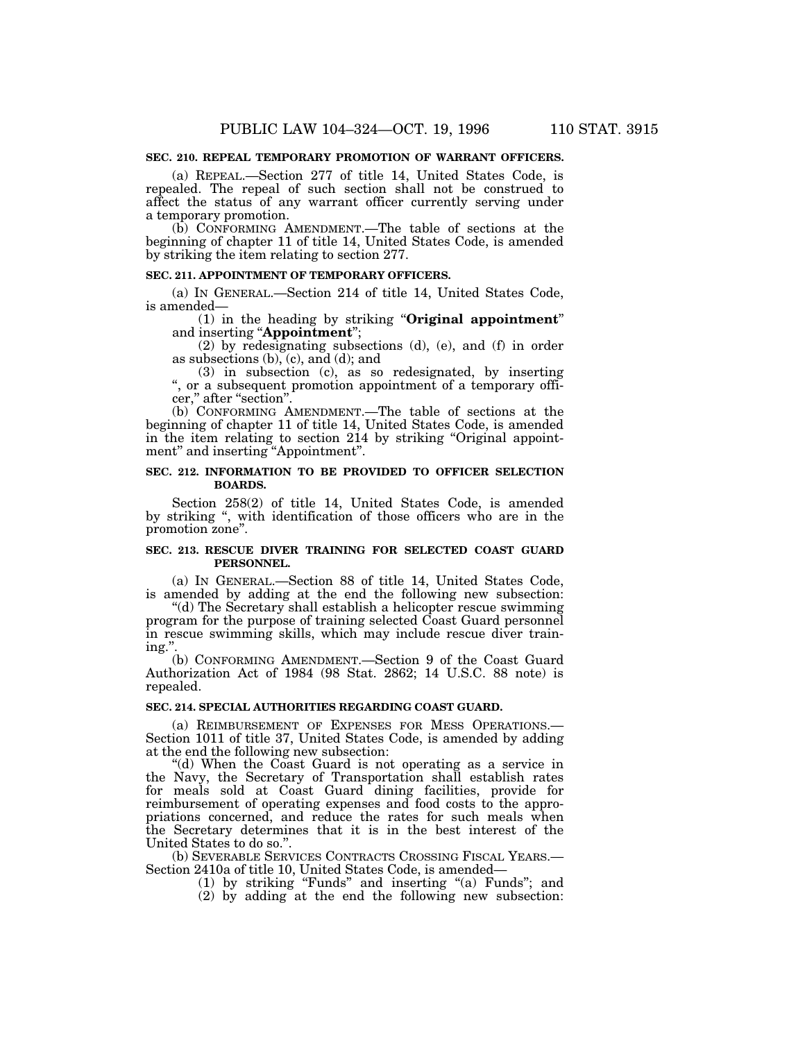## **SEC. 210. REPEAL TEMPORARY PROMOTION OF WARRANT OFFICERS.**

(a) REPEAL.—Section 277 of title 14, United States Code, is repealed. The repeal of such section shall not be construed to affect the status of any warrant officer currently serving under a temporary promotion.

(b) CONFORMING AMENDMENT.—The table of sections at the beginning of chapter 11 of title 14, United States Code, is amended by striking the item relating to section 277.

## **SEC. 211. APPOINTMENT OF TEMPORARY OFFICERS.**

(a) IN GENERAL.—Section 214 of title 14, United States Code, is amended—

(1) in the heading by striking ''**Original appointment**'' and inserting ''**Appointment**'';

(2) by redesignating subsections (d), (e), and (f) in order as subsections  $(b)$ ,  $(c)$ , and  $(d)$ ; and

(3) in subsection (c), as so redesignated, by inserting '', or a subsequent promotion appointment of a temporary officer," after "section".

(b) CONFORMING AMENDMENT.—The table of sections at the beginning of chapter 11 of title 14, United States Code, is amended in the item relating to section 214 by striking ''Original appointment" and inserting "Appointment".

## **SEC. 212. INFORMATION TO BE PROVIDED TO OFFICER SELECTION BOARDS.**

Section 258(2) of title 14, United States Code, is amended by striking '', with identification of those officers who are in the promotion zone''.

## **SEC. 213. RESCUE DIVER TRAINING FOR SELECTED COAST GUARD PERSONNEL.**

(a) IN GENERAL.—Section 88 of title 14, United States Code, is amended by adding at the end the following new subsection:

"(d) The Secretary shall establish a helicopter rescue swimming program for the purpose of training selected Coast Guard personnel in rescue swimming skills, which may include rescue diver training.''.

(b) CONFORMING AMENDMENT.—Section 9 of the Coast Guard Authorization Act of 1984 (98 Stat. 2862; 14 U.S.C. 88 note) is repealed.

## **SEC. 214. SPECIAL AUTHORITIES REGARDING COAST GUARD.**

(a) REIMBURSEMENT OF EXPENSES FOR MESS OPERATIONS.— Section 1011 of title 37, United States Code, is amended by adding at the end the following new subsection:

''(d) When the Coast Guard is not operating as a service in the Navy, the Secretary of Transportation shall establish rates for meals sold at Coast Guard dining facilities, provide for reimbursement of operating expenses and food costs to the appropriations concerned, and reduce the rates for such meals when the Secretary determines that it is in the best interest of the United States to do so.''.

(b) SEVERABLE SERVICES CONTRACTS CROSSING FISCAL YEARS.— Section 2410a of title 10, United States Code, is amended—

- (1) by striking ''Funds'' and inserting ''(a) Funds''; and
- (2) by adding at the end the following new subsection: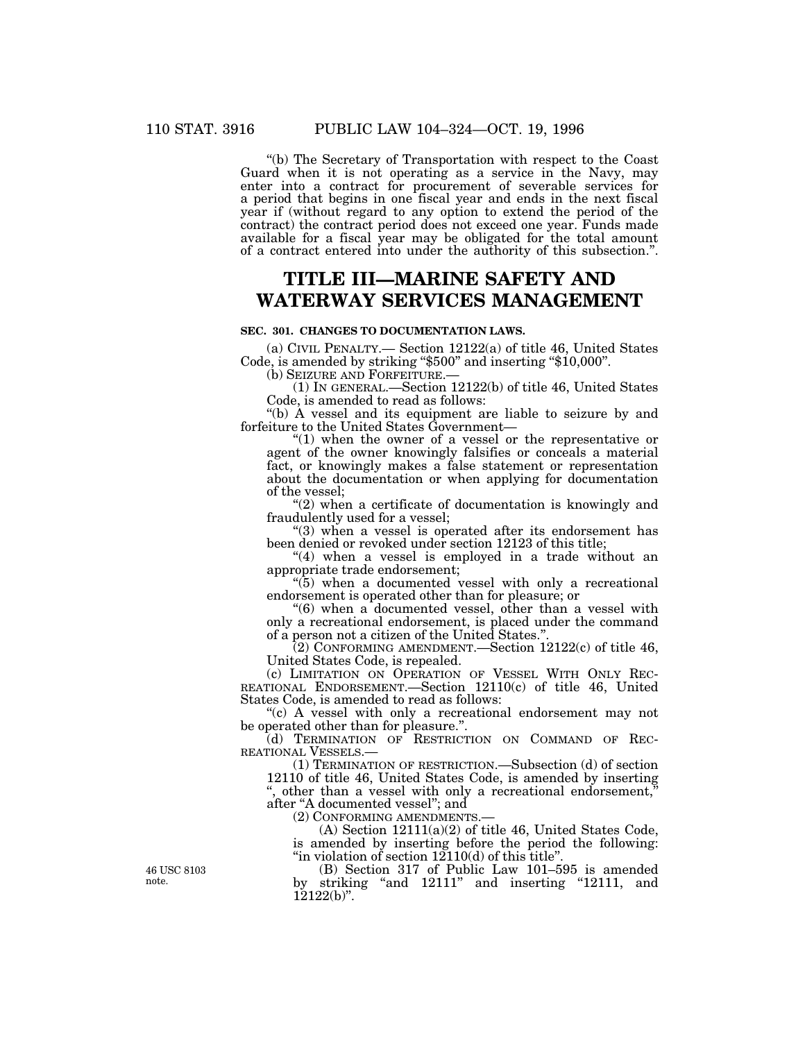''(b) The Secretary of Transportation with respect to the Coast Guard when it is not operating as a service in the Navy, may enter into a contract for procurement of severable services for a period that begins in one fiscal year and ends in the next fiscal year if (without regard to any option to extend the period of the contract) the contract period does not exceed one year. Funds made available for a fiscal year may be obligated for the total amount of a contract entered into under the authority of this subsection.''.

# **TITLE III—MARINE SAFETY AND WATERWAY SERVICES MANAGEMENT**

## **SEC. 301. CHANGES TO DOCUMENTATION LAWS.**

(a) CIVIL PENALTY.— Section 12122(a) of title 46, United States Code, is amended by striking ''\$500'' and inserting ''\$10,000''.

 $(1)$  In GENERAL.—Section 12122(b) of title 46, United States Code, is amended to read as follows:

''(b) A vessel and its equipment are liable to seizure by and forfeiture to the United States Government—

" $(1)$  when the owner of a vessel or the representative or agent of the owner knowingly falsifies or conceals a material fact, or knowingly makes a false statement or representation about the documentation or when applying for documentation of the vessel;

"(2) when a certificate of documentation is knowingly and fraudulently used for a vessel;

"(3) when a vessel is operated after its endorsement has been denied or revoked under section 12123 of this title;

"(4) when a vessel is employed in a trade without an appropriate trade endorsement;

''(5) when a documented vessel with only a recreational endorsement is operated other than for pleasure; or

''(6) when a documented vessel, other than a vessel with only a recreational endorsement, is placed under the command of a person not a citizen of the United States.''.

 $(2)$  CONFORMING AMENDMENT.—Section 12122 $(c)$  of title 46, United States Code, is repealed.

(c) LIMITATION ON OPERATION OF VESSEL WITH ONLY REC- REATIONAL ENDORSEMENT.—Section 12110(c) of title 46, United States Code, is amended to read as follows:

''(c) A vessel with only a recreational endorsement may not be operated other than for pleasure.''.

(d) TERMINATION OF RESTRICTION ON COMMAND OF REC-

REATIONAL VESSELS.— (1) TERMINATION OF RESTRICTION.—Subsection (d) of section 12110 of title 46, United States Code, is amended by inserting other than a vessel with only a recreational endorsement, after "A documented vessel"; and<br>(2) CONFORMING AMENDMENTS.-

(A) Section  $12111(a)(2)$  of title 46, United States Code, is amended by inserting before the period the following: "in violation of section  $12110(d)$  of this title".

(B) Section 317 of Public Law 101–595 is amended by striking "and 12111" and inserting "12111, and  $12122(b)$ ".

46 USC 8103 note.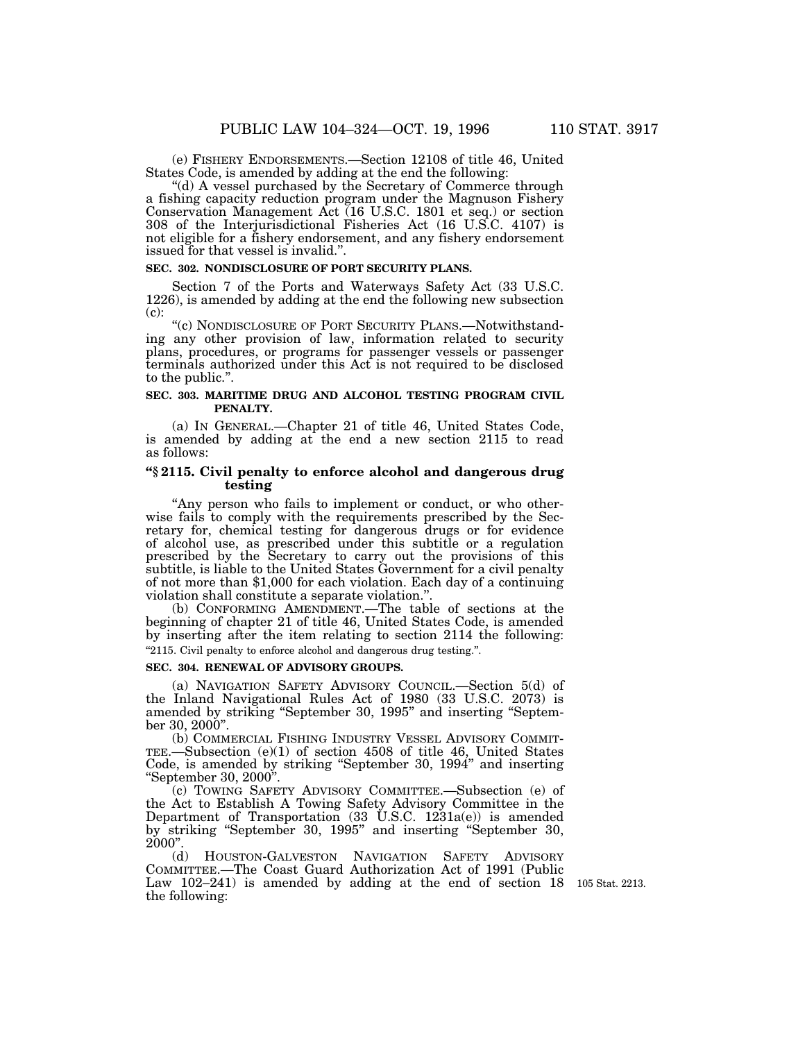(e) FISHERY ENDORSEMENTS.—Section 12108 of title 46, United States Code, is amended by adding at the end the following:

''(d) A vessel purchased by the Secretary of Commerce through a fishing capacity reduction program under the Magnuson Fishery Conservation Management Act (16 U.S.C. 1801 et seq.) or section 308 of the Interjurisdictional Fisheries Act (16 U.S.C. 4107) is not eligible for a fishery endorsement, and any fishery endorsement issued for that vessel is invalid.''.

## **SEC. 302. NONDISCLOSURE OF PORT SECURITY PLANS.**

Section 7 of the Ports and Waterways Safety Act (33 U.S.C. 1226), is amended by adding at the end the following new subsection  $(c)$ :

"(c) NONDISCLOSURE OF PORT SECURITY PLANS.-Notwithstanding any other provision of law, information related to security plans, procedures, or programs for passenger vessels or passenger terminals authorized under this Act is not required to be disclosed to the public.''.

#### **SEC. 303. MARITIME DRUG AND ALCOHOL TESTING PROGRAM CIVIL PENALTY.**

(a) IN GENERAL.—Chapter 21 of title 46, United States Code, is amended by adding at the end a new section 2115 to read as follows:

## **''§ 2115. Civil penalty to enforce alcohol and dangerous drug testing**

''Any person who fails to implement or conduct, or who otherwise fails to comply with the requirements prescribed by the Secretary for, chemical testing for dangerous drugs or for evidence of alcohol use, as prescribed under this subtitle or a regulation prescribed by the Secretary to carry out the provisions of this subtitle, is liable to the United States Government for a civil penalty of not more than \$1,000 for each violation. Each day of a continuing violation shall constitute a separate violation.''.

(b) CONFORMING AMENDMENT.—The table of sections at the beginning of chapter 21 of title 46, United States Code, is amended by inserting after the item relating to section 2114 the following: ''2115. Civil penalty to enforce alcohol and dangerous drug testing.''.

#### **SEC. 304. RENEWAL OF ADVISORY GROUPS.**

(a) NAVIGATION SAFETY ADVISORY COUNCIL.—Section 5(d) of the Inland Navigational Rules Act of 1980 (33 U.S.C. 2073) is amended by striking ''September 30, 1995'' and inserting ''September 30, 2000".<br>
(b) COMMERCIAL FISHING INDUSTRY VESSEL ADVISORY COMMIT-

TEE.—Subsection  $(e)(1)$  of section 4508 of title 46, United States Code, is amended by striking ''September 30, 1994'' and inserting ''September 30, 2000''.

(c) TOWING SAFETY ADVISORY COMMITTEE.—Subsection (e) of the Act to Establish A Towing Safety Advisory Committee in the Department of Transportation (33 U.S.C. 1231a(e)) is amended by striking ''September 30, 1995'' and inserting ''September 30, 2000''.

(d) HOUSTON-GALVESTON NAVIGATION SAFETY ADVISORY COMMITTEE.—The Coast Guard Authorization Act of 1991 (Public Law 102–241) is amended by adding at the end of section 18 105 Stat. 2213. the following: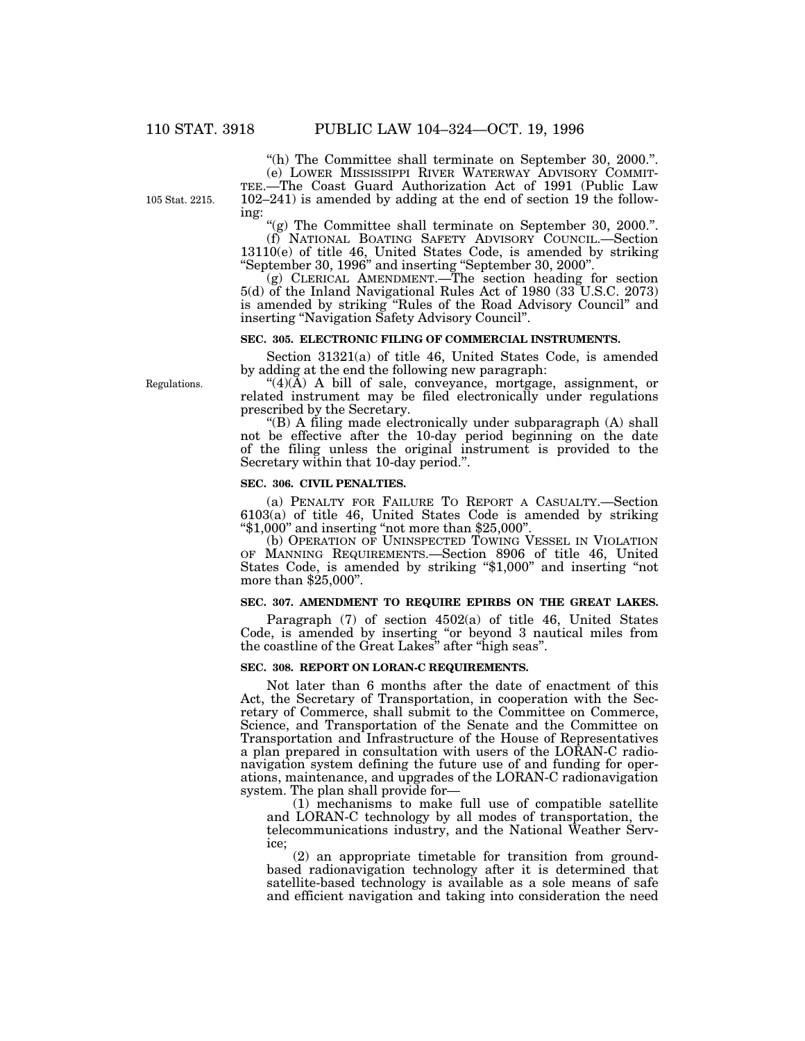105 Stat. 2215.

''(h) The Committee shall terminate on September 30, 2000.''. (e) LOWER MISSISSIPPI RIVER WATERWAY ADVISORY COMMIT- TEE.—The Coast Guard Authorization Act of 1991 (Public Law 102–241) is amended by adding at the end of section 19 the following:

''(g) The Committee shall terminate on September 30, 2000.''.

(f) NATIONAL BOATING SAFETY ADVISORY COUNCIL.—Section 13110(e) of title 46, United States Code, is amended by striking ''September 30, 1996'' and inserting ''September 30, 2000''.

(g) CLERICAL AMENDMENT.—The section heading for section 5(d) of the Inland Navigational Rules Act of 1980 (33 U.S.C. 2073) is amended by striking ''Rules of the Road Advisory Council'' and inserting ''Navigation Safety Advisory Council''.

## **SEC. 305. ELECTRONIC FILING OF COMMERCIAL INSTRUMENTS.**

Section 31321(a) of title 46, United States Code, is amended by adding at the end the following new paragraph:

 $*(4)(\breve{A})$  A bill of sale, conveyance, mortgage, assignment, or related instrument may be filed electronically under regulations prescribed by the Secretary.

''(B) A filing made electronically under subparagraph (A) shall not be effective after the 10-day period beginning on the date of the filing unless the original instrument is provided to the Secretary within that 10-day period.''.

#### **SEC. 306. CIVIL PENALTIES.**

(a) PENALTY FOR FAILURE TO REPORT A CASUALTY.—Section 6103(a) of title 46, United States Code is amended by striking ''\$1,000'' and inserting ''not more than \$25,000''.

(b) OPERATION OF UNINSPECTED TOWING VESSEL IN VIOLATION OF MANNING REQUIREMENTS.—Section 8906 of title 46, United States Code, is amended by striking "\$1,000" and inserting "not more than \$25,000''.

### **SEC. 307. AMENDMENT TO REQUIRE EPIRBS ON THE GREAT LAKES.**

Paragraph (7) of section 4502(a) of title 46, United States Code, is amended by inserting ''or beyond 3 nautical miles from the coastline of the Great Lakes'' after ''high seas''.

## **SEC. 308. REPORT ON LORAN-C REQUIREMENTS.**

Not later than 6 months after the date of enactment of this Act, the Secretary of Transportation, in cooperation with the Secretary of Commerce, shall submit to the Committee on Commerce, Science, and Transportation of the Senate and the Committee on Transportation and Infrastructure of the House of Representatives a plan prepared in consultation with users of the LORAN-C radionavigation system defining the future use of and funding for operations, maintenance, and upgrades of the LORAN-C radionavigation system. The plan shall provide for—

(1) mechanisms to make full use of compatible satellite and LORAN-C technology by all modes of transportation, the telecommunications industry, and the National Weather Service;

(2) an appropriate timetable for transition from groundbased radionavigation technology after it is determined that satellite-based technology is available as a sole means of safe and efficient navigation and taking into consideration the need

Regulations.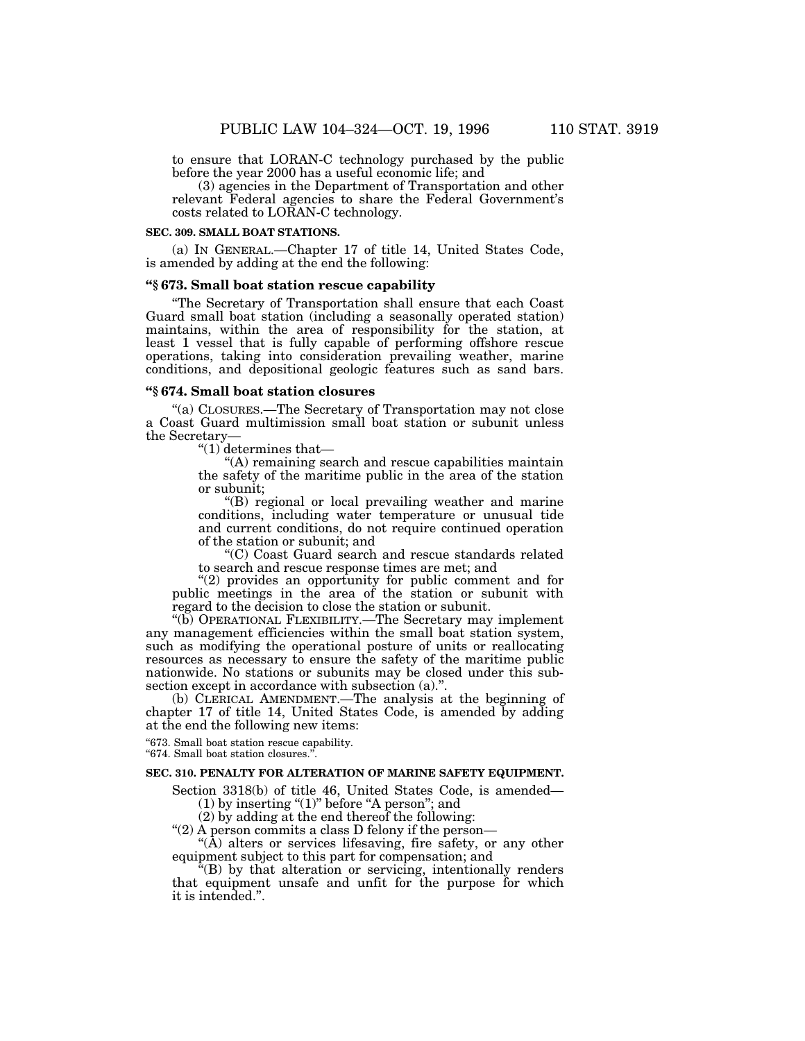to ensure that LORAN-C technology purchased by the public before the year 2000 has a useful economic life; and

(3) agencies in the Department of Transportation and other relevant Federal agencies to share the Federal Government's costs related to LORAN-C technology.

#### **SEC. 309. SMALL BOAT STATIONS.**

(a) IN GENERAL.—Chapter 17 of title 14, United States Code, is amended by adding at the end the following:

## **''§ 673. Small boat station rescue capability**

''The Secretary of Transportation shall ensure that each Coast Guard small boat station (including a seasonally operated station) maintains, within the area of responsibility for the station, at least 1 vessel that is fully capable of performing offshore rescue operations, taking into consideration prevailing weather, marine conditions, and depositional geologic features such as sand bars.

## **''§ 674. Small boat station closures**

(a) CLOSURES.—The Secretary of Transportation may not close a Coast Guard multimission small boat station or subunit unless the Secretary—

''(1) determines that—

''(A) remaining search and rescue capabilities maintain the safety of the maritime public in the area of the station or subunit;

''(B) regional or local prevailing weather and marine conditions, including water temperature or unusual tide and current conditions, do not require continued operation of the station or subunit; and

''(C) Coast Guard search and rescue standards related to search and rescue response times are met; and

"(2) provides an opportunity for public comment and for public meetings in the area of the station or subunit with regard to the decision to close the station or subunit.

''(b) OPERATIONAL FLEXIBILITY.—The Secretary may implement any management efficiencies within the small boat station system, such as modifying the operational posture of units or reallocating resources as necessary to ensure the safety of the maritime public nationwide. No stations or subunits may be closed under this subsection except in accordance with subsection (a)."

(b) CLERICAL AMENDMENT.—The analysis at the beginning of chapter 17 of title 14, United States Code, is amended by adding at the end the following new items:

''673. Small boat station rescue capability.

''674. Small boat station closures.''.

## **SEC. 310. PENALTY FOR ALTERATION OF MARINE SAFETY EQUIPMENT.**

Section 3318(b) of title 46, United States Code, is amended—

 $(1)$  by inserting " $(1)$ " before "A person"; and

(2) by adding at the end thereof the following:

"(2) A person commits a class D felony if the person-

"( $\bar{A}$ ) alters or services lifesaving, fire safety, or any other equipment subject to this part for compensation; and

''(B) by that alteration or servicing, intentionally renders that equipment unsafe and unfit for the purpose for which it is intended.''.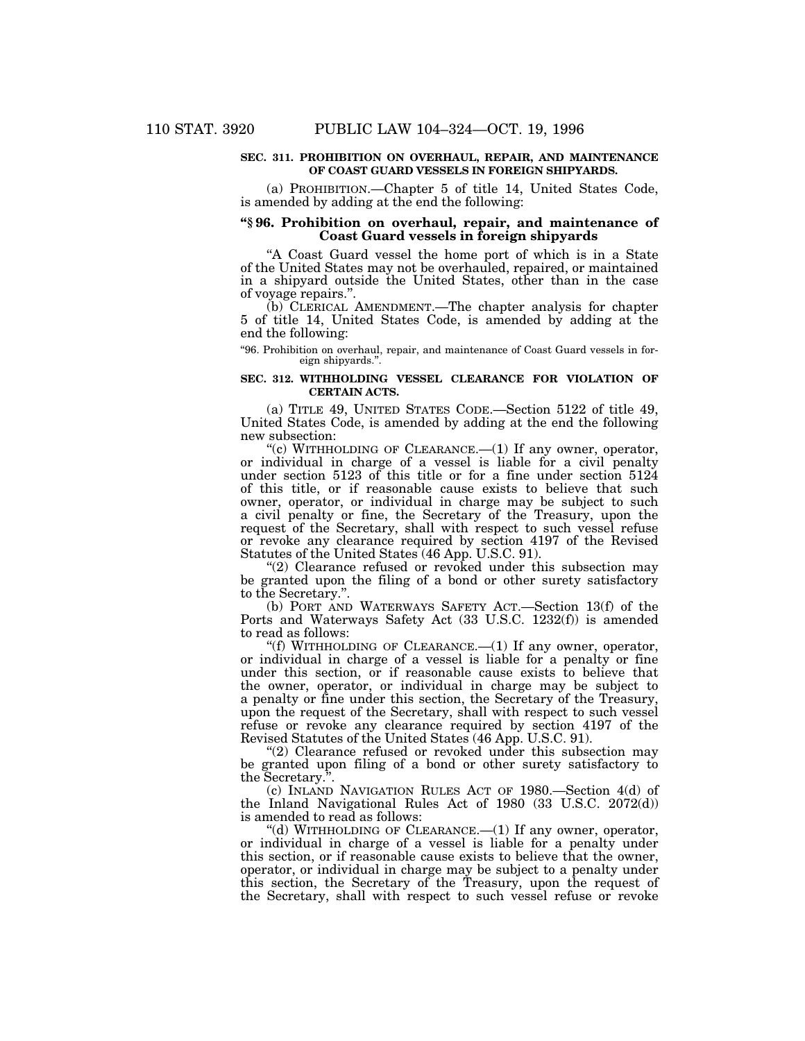## **SEC. 311. PROHIBITION ON OVERHAUL, REPAIR, AND MAINTENANCE OF COAST GUARD VESSELS IN FOREIGN SHIPYARDS.**

(a) PROHIBITION.—Chapter 5 of title 14, United States Code, is amended by adding at the end the following:

## **''§ 96. Prohibition on overhaul, repair, and maintenance of Coast Guard vessels in foreign shipyards**

''A Coast Guard vessel the home port of which is in a State of the United States may not be overhauled, repaired, or maintained in a shipyard outside the United States, other than in the case of voyage repairs.''.

(b) CLERICAL AMENDMENT.—The chapter analysis for chapter 5 of title 14, United States Code, is amended by adding at the end the following:

''96. Prohibition on overhaul, repair, and maintenance of Coast Guard vessels in foreign shipyards."

## **SEC. 312. WITHHOLDING VESSEL CLEARANCE FOR VIOLATION OF CERTAIN ACTS.**

(a) TITLE 49, UNITED STATES CODE.—Section 5122 of title 49, United States Code, is amended by adding at the end the following new subsection:

"(c) WITHHOLDING OF CLEARANCE.-(1) If any owner, operator, or individual in charge of a vessel is liable for a civil penalty under section 5123 of this title or for a fine under section 5124 of this title, or if reasonable cause exists to believe that such owner, operator, or individual in charge may be subject to such a civil penalty or fine, the Secretary of the Treasury, upon the request of the Secretary, shall with respect to such vessel refuse or revoke any clearance required by section 4197 of the Revised Statutes of the United States (46 App. U.S.C. 91).

"(2) Clearance refused or revoked under this subsection may be granted upon the filing of a bond or other surety satisfactory to the Secretary.''.

(b) PORT AND WATERWAYS SAFETY ACT.—Section 13(f) of the Ports and Waterways Safety Act (33 U.S.C. 1232(f)) is amended to read as follows:

"(f) WITHHOLDING OF CLEARANCE.— $(1)$  If any owner, operator, or individual in charge of a vessel is liable for a penalty or fine under this section, or if reasonable cause exists to believe that the owner, operator, or individual in charge may be subject to a penalty or fine under this section, the Secretary of the Treasury, upon the request of the Secretary, shall with respect to such vessel refuse or revoke any clearance required by section 4197 of the Revised Statutes of the United States (46 App. U.S.C. 91).

"(2) Clearance refused or revoked under this subsection may be granted upon filing of a bond or other surety satisfactory to the Secretary.''.

(c) INLAND NAVIGATION RULES ACT OF 1980.—Section 4(d) of the Inland Navigational Rules Act of 1980 (33 U.S.C. 2072(d)) is amended to read as follows:

"(d) WITHHOLDING OF CLEARANCE. $-(1)$  If any owner, operator, or individual in charge of a vessel is liable for a penalty under this section, or if reasonable cause exists to believe that the owner, operator, or individual in charge may be subject to a penalty under this section, the Secretary of the Treasury, upon the request of the Secretary, shall with respect to such vessel refuse or revoke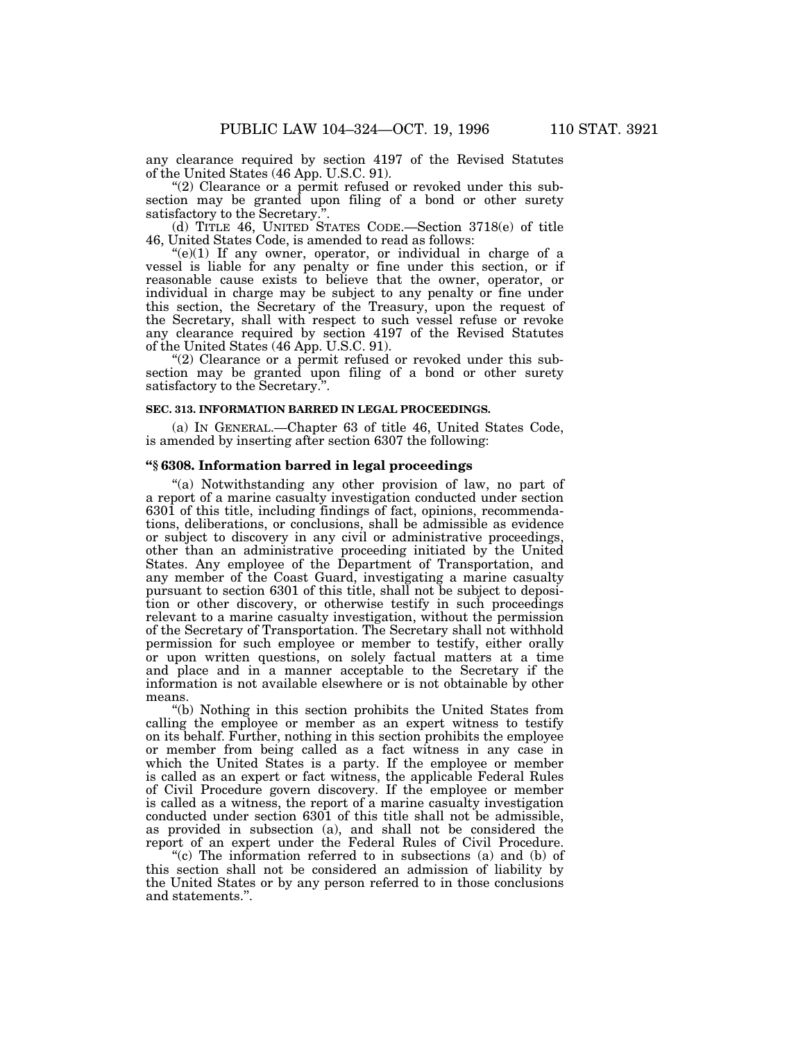any clearance required by section 4197 of the Revised Statutes of the United States (46 App. U.S.C. 91).

"(2) Clearance or a permit refused or revoked under this subsection may be granted upon filing of a bond or other surety satisfactory to the Secretary.''.

(d) TITLE 46, UNITED STATES CODE.—Section 3718(e) of title 46, United States Code, is amended to read as follows:

 $((e)(1)$  If any owner, operator, or individual in charge of a vessel is liable for any penalty or fine under this section, or if reasonable cause exists to believe that the owner, operator, or individual in charge may be subject to any penalty or fine under this section, the Secretary of the Treasury, upon the request of the Secretary, shall with respect to such vessel refuse or revoke any clearance required by section 4197 of the Revised Statutes of the United States (46 App. U.S.C. 91).

" $(2)$  Clearance or a permit refused or revoked under this subsection may be granted upon filing of a bond or other surety satisfactory to the Secretary.''.

#### **SEC. 313. INFORMATION BARRED IN LEGAL PROCEEDINGS.**

(a) IN GENERAL.—Chapter 63 of title 46, United States Code, is amended by inserting after section 6307 the following:

## **''§ 6308. Information barred in legal proceedings**

''(a) Notwithstanding any other provision of law, no part of a report of a marine casualty investigation conducted under section 6301 of this title, including findings of fact, opinions, recommendations, deliberations, or conclusions, shall be admissible as evidence or subject to discovery in any civil or administrative proceedings, other than an administrative proceeding initiated by the United States. Any employee of the Department of Transportation, and any member of the Coast Guard, investigating a marine casualty pursuant to section 6301 of this title, shall not be subject to deposition or other discovery, or otherwise testify in such proceedings relevant to a marine casualty investigation, without the permission of the Secretary of Transportation. The Secretary shall not withhold permission for such employee or member to testify, either orally or upon written questions, on solely factual matters at a time and place and in a manner acceptable to the Secretary if the information is not available elsewhere or is not obtainable by other means.

''(b) Nothing in this section prohibits the United States from calling the employee or member as an expert witness to testify on its behalf. Further, nothing in this section prohibits the employee or member from being called as a fact witness in any case in which the United States is a party. If the employee or member is called as an expert or fact witness, the applicable Federal Rules of Civil Procedure govern discovery. If the employee or member is called as a witness, the report of a marine casualty investigation conducted under section 6301 of this title shall not be admissible, as provided in subsection (a), and shall not be considered the report of an expert under the Federal Rules of Civil Procedure.

''(c) The information referred to in subsections (a) and (b) of this section shall not be considered an admission of liability by the United States or by any person referred to in those conclusions and statements.''.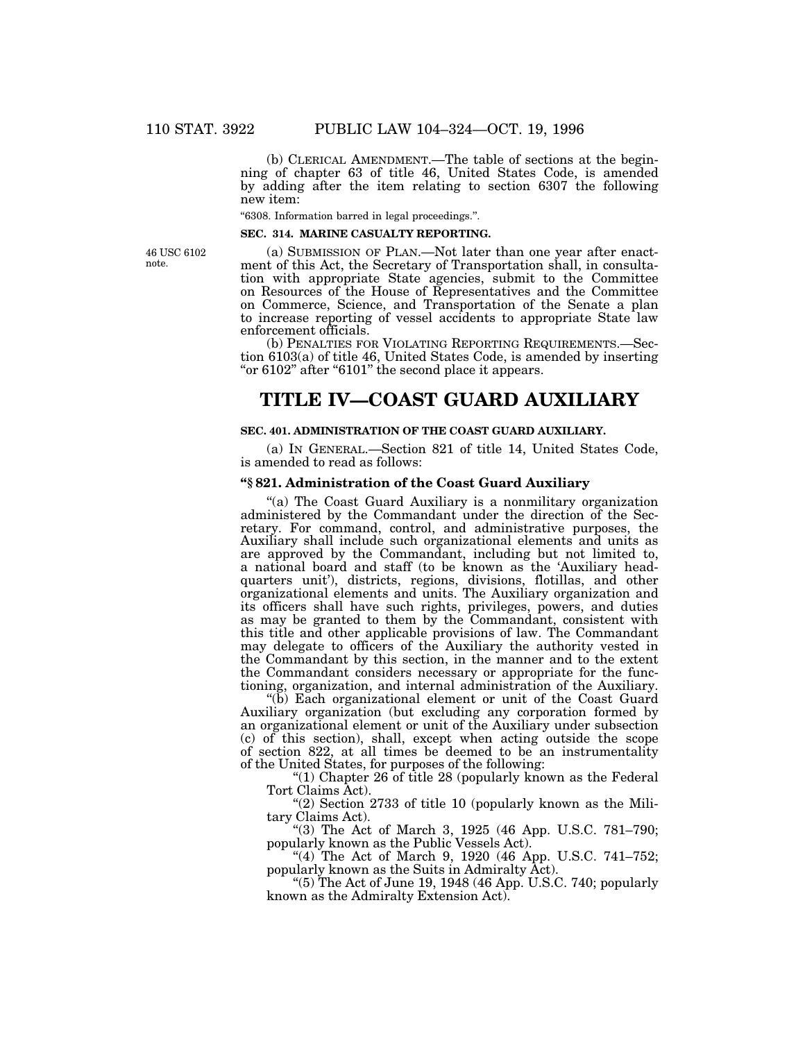(b) CLERICAL AMENDMENT.—The table of sections at the beginning of chapter 63 of title 46, United States Code, is amended by adding after the item relating to section 6307 the following new item:

''6308. Information barred in legal proceedings.''.

#### **SEC. 314. MARINE CASUALTY REPORTING.**

46 USC 6102 note.

(a) SUBMISSION OF PLAN.—Not later than one year after enactment of this Act, the Secretary of Transportation shall, in consultation with appropriate State agencies, submit to the Committee on Resources of the House of Representatives and the Committee on Commerce, Science, and Transportation of the Senate a plan to increase reporting of vessel accidents to appropriate State law enforcement officials.

(b) PENALTIES FOR VIOLATING REPORTING REQUIREMENTS.—Section 6103(a) of title 46, United States Code, is amended by inserting "or 6102" after "6101" the second place it appears.

# **TITLE IV—COAST GUARD AUXILIARY**

## **SEC. 401. ADMINISTRATION OF THE COAST GUARD AUXILIARY.**

(a) IN GENERAL.—Section 821 of title 14, United States Code, is amended to read as follows:

## **''§ 821. Administration of the Coast Guard Auxiliary**

''(a) The Coast Guard Auxiliary is a nonmilitary organization administered by the Commandant under the direction of the Secretary. For command, control, and administrative purposes, the Auxiliary shall include such organizational elements and units as are approved by the Commandant, including but not limited to, a national board and staff (to be known as the 'Auxiliary headquarters unit'), districts, regions, divisions, flotillas, and other organizational elements and units. The Auxiliary organization and its officers shall have such rights, privileges, powers, and duties as may be granted to them by the Commandant, consistent with this title and other applicable provisions of law. The Commandant may delegate to officers of the Auxiliary the authority vested in the Commandant by this section, in the manner and to the extent the Commandant considers necessary or appropriate for the functioning, organization, and internal administration of the Auxiliary.

''(b) Each organizational element or unit of the Coast Guard Auxiliary organization (but excluding any corporation formed by an organizational element or unit of the Auxiliary under subsection (c) of this section), shall, except when acting outside the scope of section 822, at all times be deemed to be an instrumentality of the United States, for purposes of the following:

" $(1)$  Chapter 26 of title 28 (popularly known as the Federal Tort Claims Act).

"(2) Section  $2733$  of title 10 (popularly known as the Military Claims Act).

''(3) The Act of March 3, 1925 (46 App. U.S.C. 781–790; popularly known as the Public Vessels Act).

"(4) The Act of March 9, 1920 (46 App. U.S.C.  $741-752$ ; popularly known as the Suits in Admiralty Act).

"(5) The Act of June 19, 1948 (46 App. U.S.C. 740; popularly known as the Admiralty Extension Act).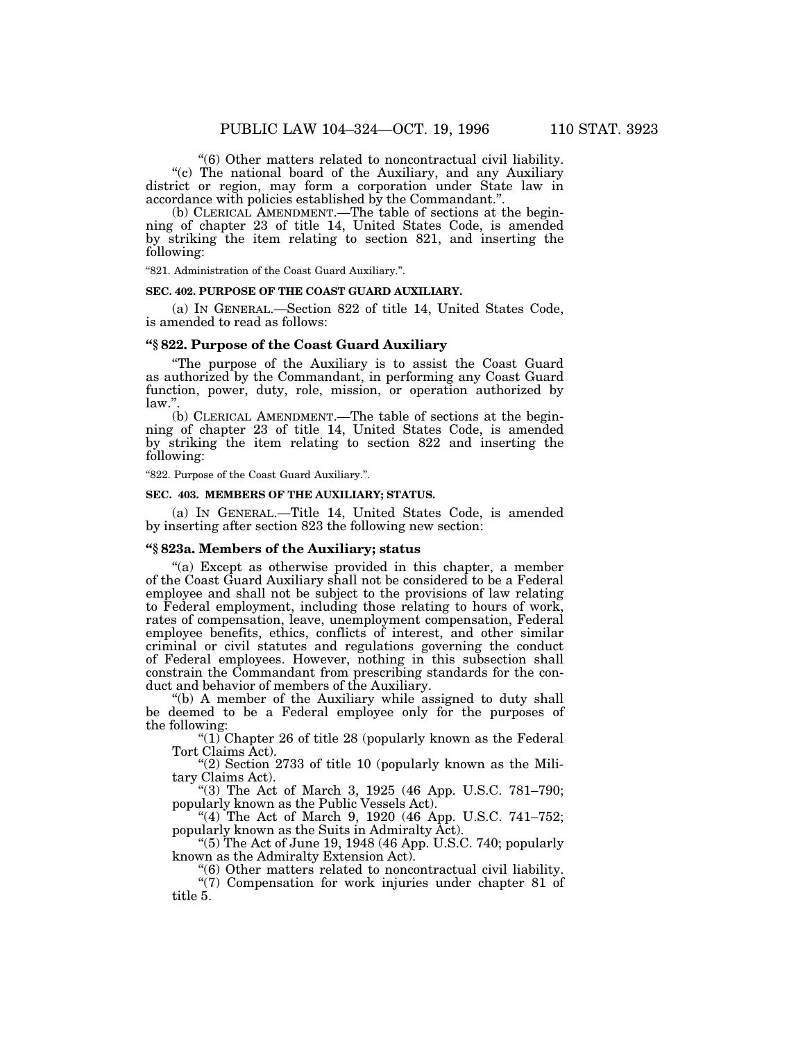''(6) Other matters related to noncontractual civil liability. "(c) The national board of the Auxiliary, and any Auxiliary district or region, may form a corporation under State law in accordance with policies established by the Commandant.''.

(b) CLERICAL AMENDMENT.—The table of sections at the beginning of chapter 23 of title 14, United States Code, is amended by striking the item relating to section 821, and inserting the following:

''821. Administration of the Coast Guard Auxiliary.''.

#### **SEC. 402. PURPOSE OF THE COAST GUARD AUXILIARY.**

(a) IN GENERAL.—Section 822 of title 14, United States Code, is amended to read as follows:

## **''§ 822. Purpose of the Coast Guard Auxiliary**

''The purpose of the Auxiliary is to assist the Coast Guard as authorized by the Commandant, in performing any Coast Guard function, power, duty, role, mission, or operation authorized by law.''.

(b) CLERICAL AMENDMENT.—The table of sections at the beginning of chapter 23 of title 14, United States Code, is amended by striking the item relating to section 822 and inserting the following:

''822. Purpose of the Coast Guard Auxiliary.''.

#### **SEC. 403. MEMBERS OF THE AUXILIARY; STATUS.**

(a) IN GENERAL.—Title 14, United States Code, is amended by inserting after section 823 the following new section:

## **''§ 823a. Members of the Auxiliary; status**

''(a) Except as otherwise provided in this chapter, a member of the Coast Guard Auxiliary shall not be considered to be a Federal employee and shall not be subject to the provisions of law relating to Federal employment, including those relating to hours of work, rates of compensation, leave, unemployment compensation, Federal employee benefits, ethics, conflicts of interest, and other similar criminal or civil statutes and regulations governing the conduct of Federal employees. However, nothing in this subsection shall constrain the Commandant from prescribing standards for the conduct and behavior of members of the Auxiliary.

''(b) A member of the Auxiliary while assigned to duty shall be deemed to be a Federal employee only for the purposes of the following:

" $(1)$  Chapter 26 of title 28 (popularly known as the Federal Tort Claims Act).

" $(2)$  Section 2733 of title 10 (popularly known as the Military Claims Act).

''(3) The Act of March 3, 1925 (46 App. U.S.C. 781–790; popularly known as the Public Vessels Act).

"(4) The Act of March 9, 1920 (46 App. U.S.C. 741-752; popularly known as the Suits in Admiralty Act).

" $(5)$  The Act of June 19, 1948 (46 App. U.S.C. 740; popularly known as the Admiralty Extension Act).

''(6) Other matters related to noncontractual civil liability.

"(7) Compensation for work injuries under chapter 81 of title 5.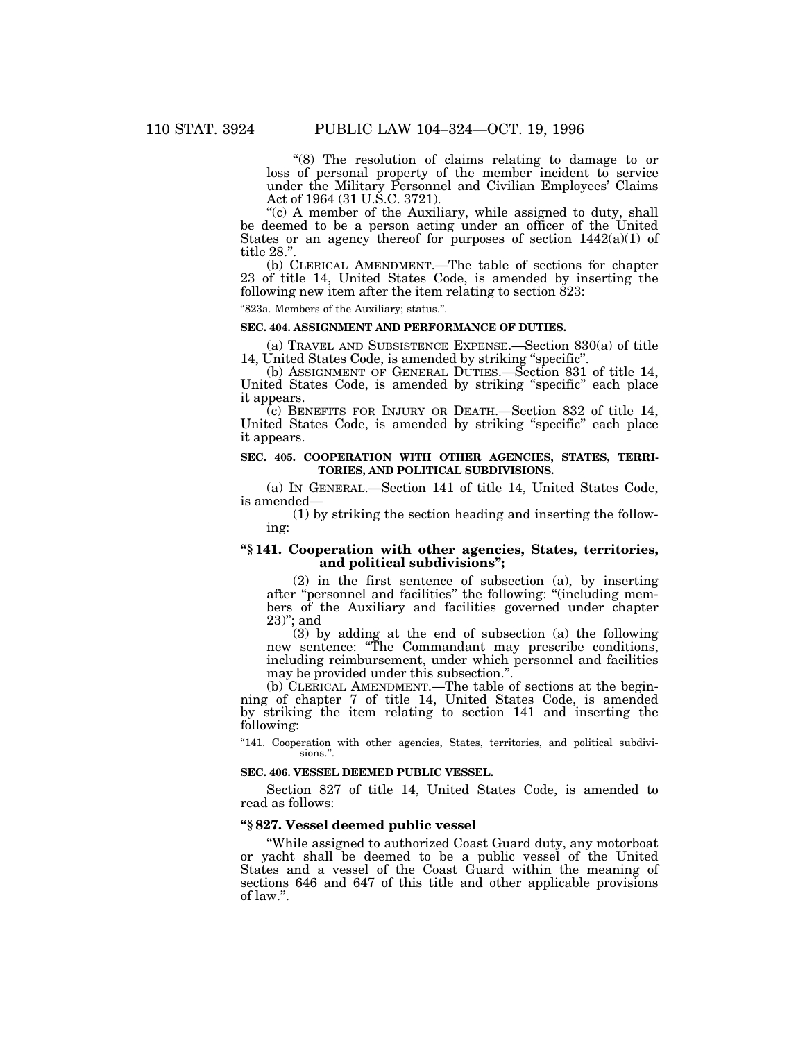''(8) The resolution of claims relating to damage to or loss of personal property of the member incident to service under the Military Personnel and Civilian Employees' Claims Act of 1964 (31 U.S.C. 3721).

"(c) A member of the Auxiliary, while assigned to duty, shall be deemed to be a person acting under an officer of the United States or an agency thereof for purposes of section  $1442(a)(1)$  of title 28."

(b) CLERICAL AMENDMENT.—The table of sections for chapter 23 of title 14, United States Code, is amended by inserting the following new item after the item relating to section 823:

''823a. Members of the Auxiliary; status.''.

## **SEC. 404. ASSIGNMENT AND PERFORMANCE OF DUTIES.**

(a) TRAVEL AND SUBSISTENCE EXPENSE.—Section 830(a) of title 14, United States Code, is amended by striking "specific".

(b) ASSIGNMENT OF GENERAL DUTIES.—Section 831 of title 14, United States Code, is amended by striking ''specific'' each place it appears.

(c) BENEFITS FOR INJURY OR DEATH.—Section 832 of title 14, United States Code, is amended by striking ''specific'' each place it appears.

## **SEC. 405. COOPERATION WITH OTHER AGENCIES, STATES, TERRI-TORIES, AND POLITICAL SUBDIVISIONS.**

(a) IN GENERAL.—Section 141 of title 14, United States Code, is amended—

(1) by striking the section heading and inserting the following:

## **''§ 141. Cooperation with other agencies, States, territories, and political subdivisions'';**

(2) in the first sentence of subsection (a), by inserting after ''personnel and facilities'' the following: ''(including members of the Auxiliary and facilities governed under chapter 23)''; and

(3) by adding at the end of subsection (a) the following new sentence: ''The Commandant may prescribe conditions, including reimbursement, under which personnel and facilities may be provided under this subsection.''.

(b) CLERICAL AMENDMENT.—The table of sections at the beginning of chapter 7 of title 14, United States Code, is amended by striking the item relating to section 141 and inserting the following:

"141. Cooperation with other agencies, States, territories, and political subdivisions.''.

## **SEC. 406. VESSEL DEEMED PUBLIC VESSEL.**

Section 827 of title 14, United States Code, is amended to read as follows:

## **''§ 827. Vessel deemed public vessel**

''While assigned to authorized Coast Guard duty, any motorboat or yacht shall be deemed to be a public vessel of the United States and a vessel of the Coast Guard within the meaning of sections 646 and 647 of this title and other applicable provisions of law.''.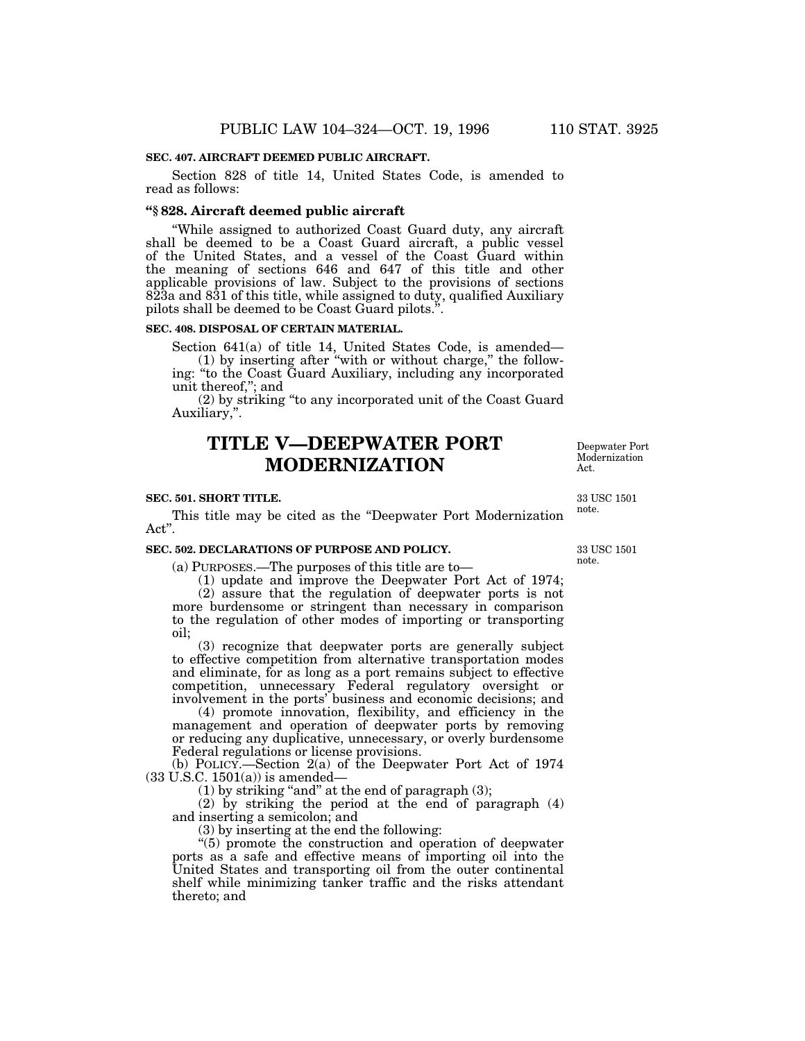## **SEC. 407. AIRCRAFT DEEMED PUBLIC AIRCRAFT.**

Section 828 of title 14, United States Code, is amended to read as follows:

## **''§ 828. Aircraft deemed public aircraft**

''While assigned to authorized Coast Guard duty, any aircraft shall be deemed to be a Coast Guard aircraft, a public vessel of the United States, and a vessel of the Coast Guard within the meaning of sections 646 and 647 of this title and other applicable provisions of law. Subject to the provisions of sections 823a and 831 of this title, while assigned to duty, qualified Auxiliary pilots shall be deemed to be Coast Guard pilots.''.

#### **SEC. 408. DISPOSAL OF CERTAIN MATERIAL.**

Section 641(a) of title 14, United States Code, is amended—

(1) by inserting after ''with or without charge,'' the following: ''to the Coast Guard Auxiliary, including any incorporated unit thereof,''; and

(2) by striking ''to any incorporated unit of the Coast Guard Auxiliary,''.

# **TITLE V—DEEPWATER PORT MODERNIZATION**

### **SEC. 501. SHORT TITLE.**

This title may be cited as the ''Deepwater Port Modernization Act''.

## **SEC. 502. DECLARATIONS OF PURPOSE AND POLICY.**

(a) PURPOSES.—The purposes of this title are to—

(1) update and improve the Deepwater Port Act of 1974;

(2) assure that the regulation of deepwater ports is not more burdensome or stringent than necessary in comparison to the regulation of other modes of importing or transporting oil;

(3) recognize that deepwater ports are generally subject to effective competition from alternative transportation modes and eliminate, for as long as a port remains subject to effective competition, unnecessary Federal regulatory oversight or involvement in the ports' business and economic decisions; and

(4) promote innovation, flexibility, and efficiency in the management and operation of deepwater ports by removing or reducing any duplicative, unnecessary, or overly burdensome Federal regulations or license provisions.

(b) POLICY.—Section 2(a) of the Deepwater Port Act of 1974  $(33 \text{ U.S.C. } 1501(a))$  is amended—

(1) by striking ''and'' at the end of paragraph (3);

(2) by striking the period at the end of paragraph (4) and inserting a semicolon; and

(3) by inserting at the end the following:

''(5) promote the construction and operation of deepwater ports as a safe and effective means of importing oil into the United States and transporting oil from the outer continental shelf while minimizing tanker traffic and the risks attendant thereto; and

33 USC 1501 note.

Deepwater Port Modernization Act.

33 USC 1501

note.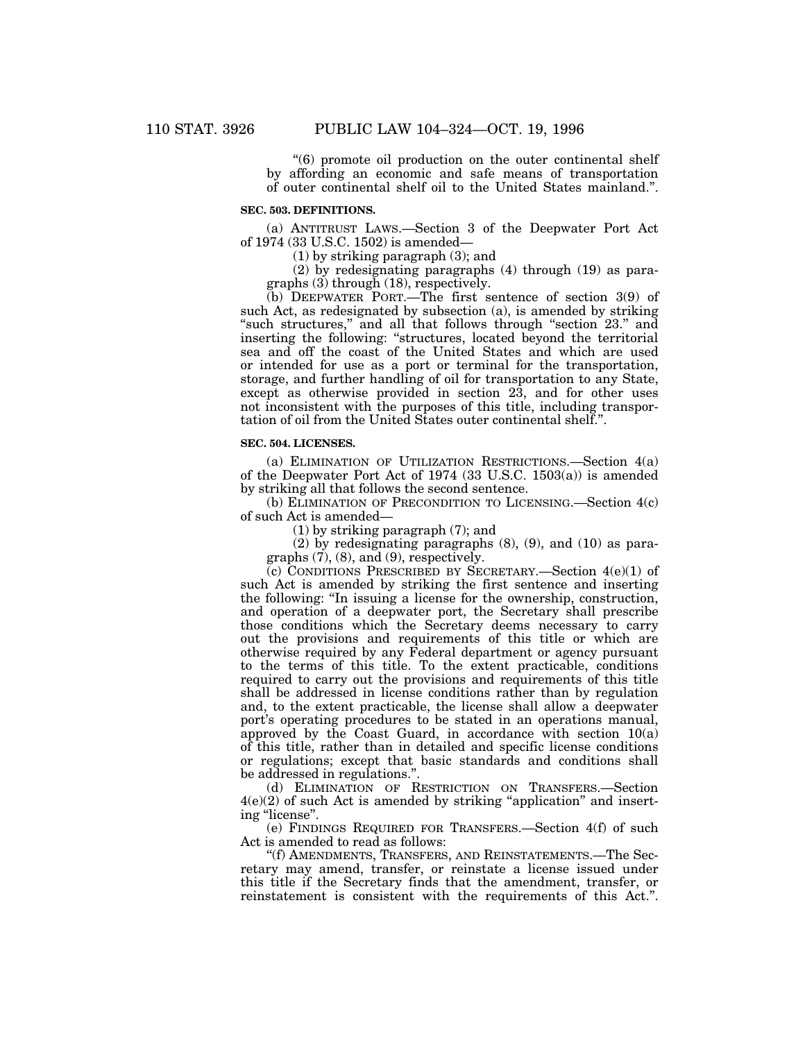''(6) promote oil production on the outer continental shelf by affording an economic and safe means of transportation of outer continental shelf oil to the United States mainland.''.

## **SEC. 503. DEFINITIONS.**

(a) ANTITRUST LAWS.—Section 3 of the Deepwater Port Act of 1974 (33 U.S.C. 1502) is amended—

(1) by striking paragraph (3); and

(2) by redesignating paragraphs (4) through (19) as paragraphs (3) through (18), respectively.

(b) DEEPWATER PORT.—The first sentence of section 3(9) of such Act, as redesignated by subsection (a), is amended by striking ''such structures,'' and all that follows through ''section 23.'' and inserting the following: ''structures, located beyond the territorial sea and off the coast of the United States and which are used or intended for use as a port or terminal for the transportation, storage, and further handling of oil for transportation to any State, except as otherwise provided in section 23, and for other uses not inconsistent with the purposes of this title, including transportation of oil from the United States outer continental shelf.''.

#### **SEC. 504. LICENSES.**

(a) ELIMINATION OF UTILIZATION RESTRICTIONS.—Section 4(a) of the Deepwater Port Act of 1974 (33 U.S.C. 1503(a)) is amended by striking all that follows the second sentence.

(b) ELIMINATION OF PRECONDITION TO LICENSING.—Section 4(c) of such Act is amended—

(1) by striking paragraph (7); and

(2) by redesignating paragraphs (8), (9), and (10) as paragraphs (7), (8), and (9), respectively.

(c) CONDITIONS PRESCRIBED BY SECRETARY.—Section  $4(e)(1)$  of such Act is amended by striking the first sentence and inserting the following: ''In issuing a license for the ownership, construction, and operation of a deepwater port, the Secretary shall prescribe those conditions which the Secretary deems necessary to carry out the provisions and requirements of this title or which are otherwise required by any Federal department or agency pursuant to the terms of this title. To the extent practicable, conditions required to carry out the provisions and requirements of this title shall be addressed in license conditions rather than by regulation and, to the extent practicable, the license shall allow a deepwater port's operating procedures to be stated in an operations manual, approved by the Coast Guard, in accordance with section 10(a) of this title, rather than in detailed and specific license conditions or regulations; except that basic standards and conditions shall be addressed in regulations.''.

(d) ELIMINATION OF RESTRICTION ON TRANSFERS.—Section  $4(e)(2)$  of such Act is amended by striking "application" and inserting "license".

(e) FINDINGS REQUIRED FOR TRANSFERS.—Section 4(f) of such Act is amended to read as follows:

''(f) AMENDMENTS, TRANSFERS, AND REINSTATEMENTS.—The Secretary may amend, transfer, or reinstate a license issued under this title if the Secretary finds that the amendment, transfer, or reinstatement is consistent with the requirements of this Act.''.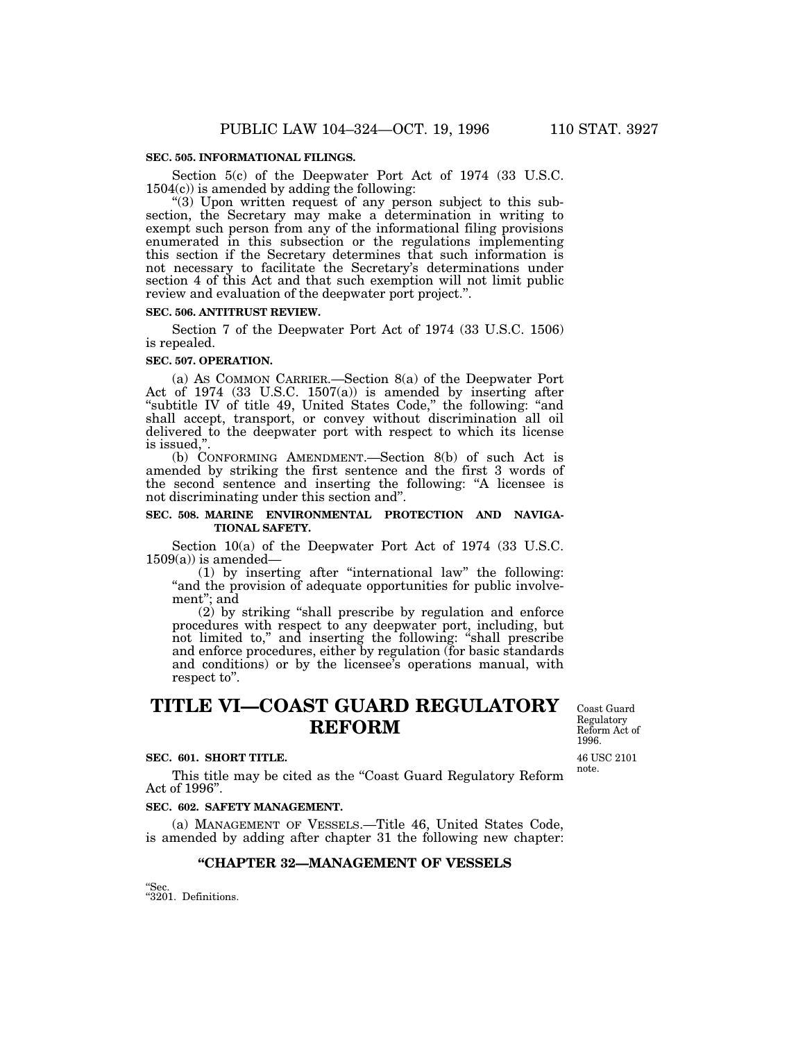Section 5(c) of the Deepwater Port Act of 1974 (33 U.S.C. 1504(c)) is amended by adding the following:

''(3) Upon written request of any person subject to this subsection, the Secretary may make a determination in writing to exempt such person from any of the informational filing provisions enumerated in this subsection or the regulations implementing this section if the Secretary determines that such information is not necessary to facilitate the Secretary's determinations under section 4 of this Act and that such exemption will not limit public review and evaluation of the deepwater port project.''.

#### **SEC. 506. ANTITRUST REVIEW.**

Section 7 of the Deepwater Port Act of 1974 (33 U.S.C. 1506) is repealed.

## **SEC. 507. OPERATION.**

(a) AS COMMON CARRIER.—Section 8(a) of the Deepwater Port Act of 1974 (33 U.S.C. 1507(a)) is amended by inserting after "subtitle IV of title 49, United States Code," the following: "and shall accept, transport, or convey without discrimination all oil delivered to the deepwater port with respect to which its license is issued,''.

(b) CONFORMING AMENDMENT.—Section 8(b) of such Act is amended by striking the first sentence and the first 3 words of the second sentence and inserting the following: "A licensee is not discriminating under this section and''.

## **SEC. 508. MARINE ENVIRONMENTAL PROTECTION AND NAVIGA-TIONAL SAFETY.**

Section 10(a) of the Deepwater Port Act of 1974 (33 U.S.C.  $1509(a)$  is amended-

(1) by inserting after ''international law'' the following: "and the provision of adequate opportunities for public involvement''; and

(2) by striking ''shall prescribe by regulation and enforce procedures with respect to any deepwater port, including, but not limited to," and inserting the following: "shall prescribe and enforce procedures, either by regulation (for basic standards and conditions) or by the licensee's operations manual, with respect to''.

# **TITLE VI—COAST GUARD REGULATORY REFORM**

#### **SEC. 601. SHORT TITLE.**

This title may be cited as the ''Coast Guard Regulatory Reform Act of 1996''.

## **SEC. 602. SAFETY MANAGEMENT.**

(a) MANAGEMENT OF VESSELS.—Title 46, United States Code, is amended by adding after chapter 31 the following new chapter:

#### **''CHAPTER 32—MANAGEMENT OF VESSELS**

''Sec. ''3201. Definitions. Coast Guard Regulatory Reform Act of 1996.

46 USC 2101 note.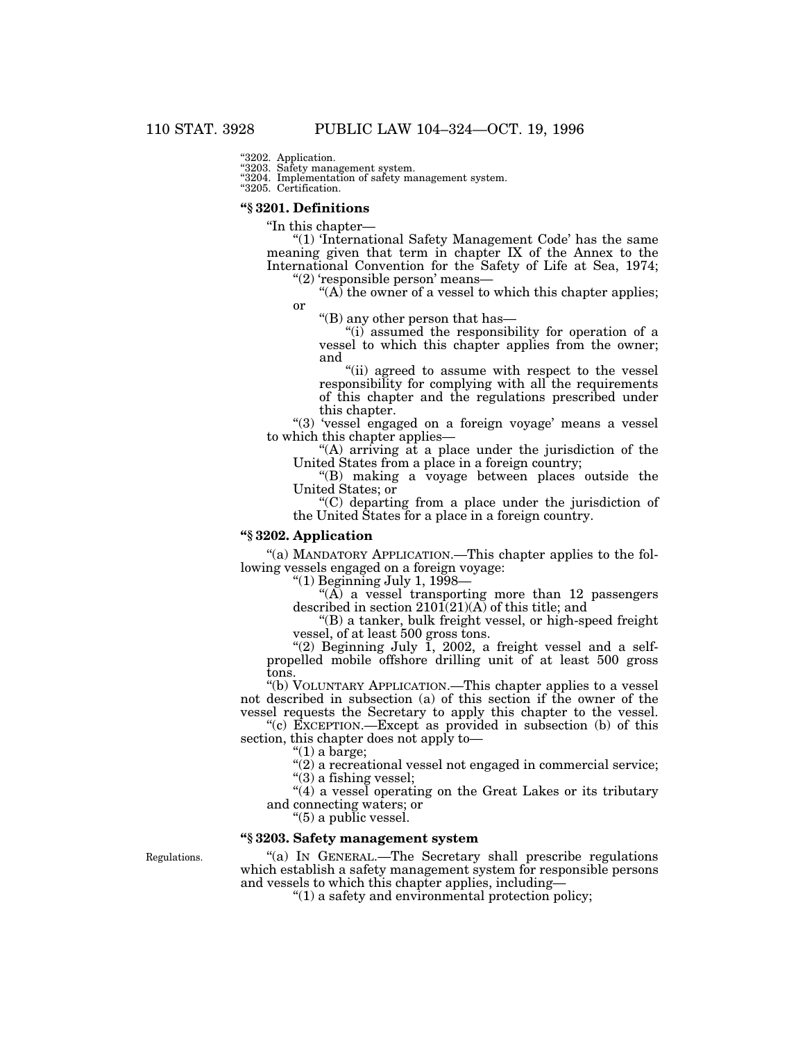''3202. Application. ''3203. Safety management system.

''3204. Implementation of safety management system. ''3205. Certification.

## **''§ 3201. Definitions**

''In this chapter—

''(1) 'International Safety Management Code' has the same meaning given that term in chapter IX of the Annex to the International Convention for the Safety of Life at Sea, 1974; ''(2) 'responsible person' means—

 $(A)$  the owner of a vessel to which this chapter applies; or

''(B) any other person that has—

"(i) assumed the responsibility for operation of a vessel to which this chapter applies from the owner; and

"(ii) agreed to assume with respect to the vessel" responsibility for complying with all the requirements of this chapter and the regulations prescribed under this chapter.

"(3) 'vessel engaged on a foreign voyage' means a vessel to which this chapter applies—

"(A) arriving at a place under the jurisdiction of the United States from a place in a foreign country;

''(B) making a voyage between places outside the United States; or

''(C) departing from a place under the jurisdiction of the United States for a place in a foreign country.

## **''§ 3202. Application**

"(a) MANDATORY APPLICATION.—This chapter applies to the following vessels engaged on a foreign voyage:

''(1) Beginning July 1, 1998—

" $(A)$  a vessel transporting more than 12 passengers described in section  $2101(21)(A)$  of this title; and

''(B) a tanker, bulk freight vessel, or high-speed freight vessel, of at least 500 gross tons.

"(2) Beginning July 1, 2002, a freight vessel and a selfpropelled mobile offshore drilling unit of at least 500 gross tons.

''(b) VOLUNTARY APPLICATION.—This chapter applies to a vessel not described in subsection (a) of this section if the owner of the vessel requests the Secretary to apply this chapter to the vessel.

"(c) EXCEPTION.—Except as provided in subsection (b) of this section, this chapter does not apply to—

" $(1)$  a barge;

''(2) a recreational vessel not engaged in commercial service; ''(3) a fishing vessel;

''(4) a vessel operating on the Great Lakes or its tributary and connecting waters; or

''(5) a public vessel.

## **''§ 3203. Safety management system**

Regulations.

''(a) IN GENERAL.—The Secretary shall prescribe regulations which establish a safety management system for responsible persons and vessels to which this chapter applies, including—

''(1) a safety and environmental protection policy;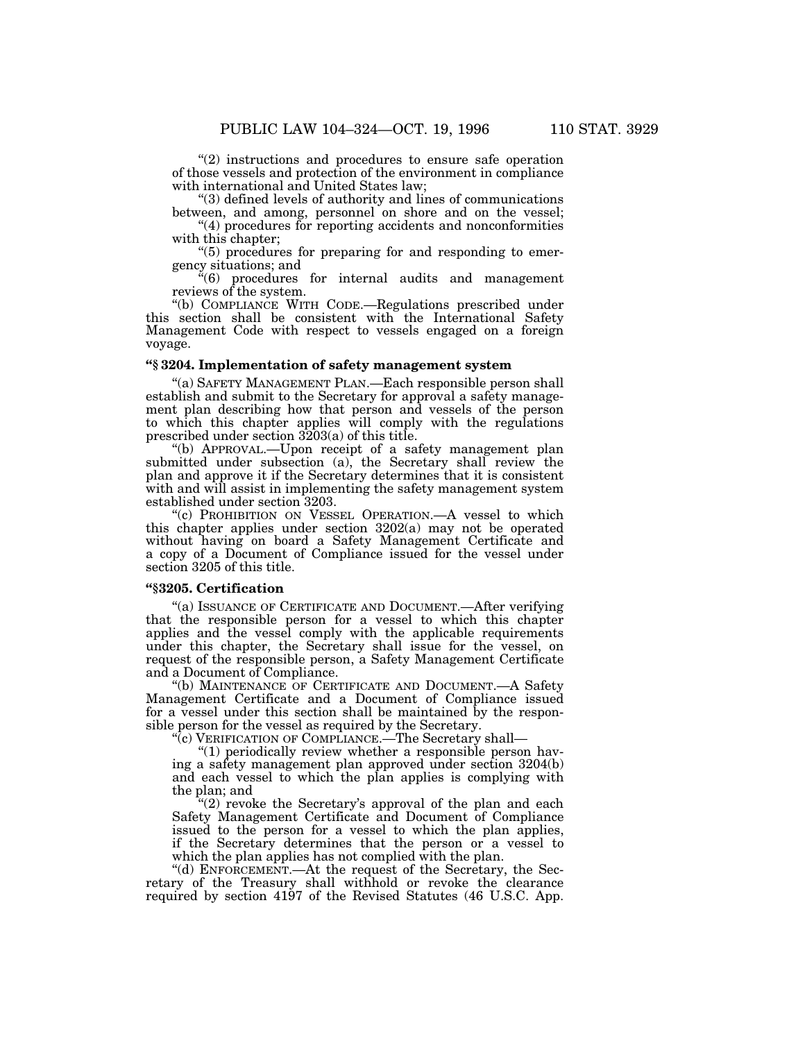"(2) instructions and procedures to ensure safe operation of those vessels and protection of the environment in compliance with international and United States law;

''(3) defined levels of authority and lines of communications between, and among, personnel on shore and on the vessel;

''(4) procedures for reporting accidents and nonconformities with this chapter;

''(5) procedures for preparing for and responding to emergency situations; and

''(6) procedures for internal audits and management reviews of the system.

''(b) COMPLIANCE WITH CODE.—Regulations prescribed under this section shall be consistent with the International Safety Management Code with respect to vessels engaged on a foreign voyage.

## **''§ 3204. Implementation of safety management system**

''(a) SAFETY MANAGEMENT PLAN.—Each responsible person shall establish and submit to the Secretary for approval a safety management plan describing how that person and vessels of the person to which this chapter applies will comply with the regulations prescribed under section 3203(a) of this title.

''(b) APPROVAL.—Upon receipt of a safety management plan submitted under subsection (a), the Secretary shall review the plan and approve it if the Secretary determines that it is consistent with and will assist in implementing the safety management system established under section 3203.

"(c) PROHIBITION ON VESSEL OPERATION.—A vessel to which this chapter applies under section 3202(a) may not be operated without having on board a Safety Management Certificate and a copy of a Document of Compliance issued for the vessel under section 3205 of this title.

## **''§3205. Certification**

''(a) ISSUANCE OF CERTIFICATE AND DOCUMENT.—After verifying that the responsible person for a vessel to which this chapter applies and the vessel comply with the applicable requirements under this chapter, the Secretary shall issue for the vessel, on request of the responsible person, a Safety Management Certificate and a Document of Compliance.

''(b) MAINTENANCE OF CERTIFICATE AND DOCUMENT.—A Safety Management Certificate and a Document of Compliance issued for a vessel under this section shall be maintained by the responsible person for the vessel as required by the Secretary.

''(c) VERIFICATION OF COMPLIANCE.—The Secretary shall—

"(1) periodically review whether a responsible person having a safety management plan approved under section 3204(b) and each vessel to which the plan applies is complying with the plan; and

 $(2)$  revoke the Secretary's approval of the plan and each Safety Management Certificate and Document of Compliance issued to the person for a vessel to which the plan applies, if the Secretary determines that the person or a vessel to which the plan applies has not complied with the plan.

''(d) ENFORCEMENT.—At the request of the Secretary, the Secretary of the Treasury shall withhold or revoke the clearance required by section 4197 of the Revised Statutes (46 U.S.C. App.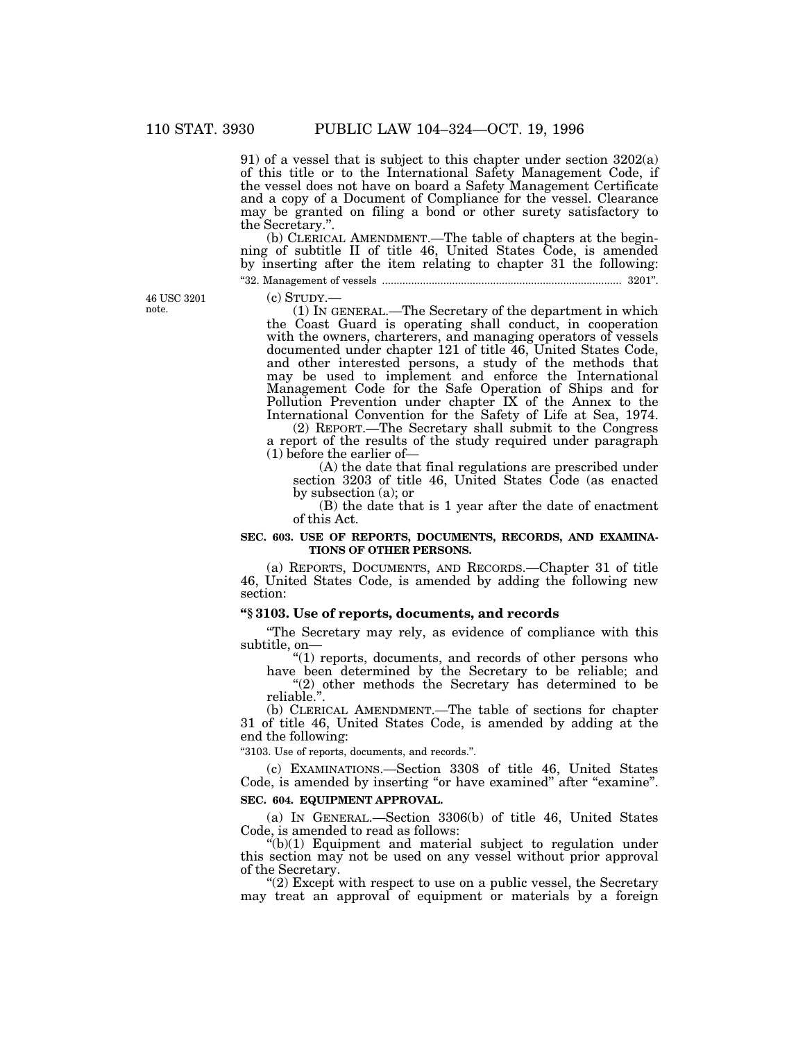91) of a vessel that is subject to this chapter under section 3202(a) of this title or to the International Safety Management Code, if the vessel does not have on board a Safety Management Certificate and a copy of a Document of Compliance for the vessel. Clearance may be granted on filing a bond or other surety satisfactory to the Secretary.''.

(b) CLERICAL AMENDMENT.—The table of chapters at the beginning of subtitle II of title 46, United States Code, is amended by inserting after the item relating to chapter 31 the following: ''32. Management of vessels .................................................................................. 3201''.

46 USC 3201 note.

(c) STUDY.— (1) IN GENERAL.—The Secretary of the department in which the Coast Guard is operating shall conduct, in cooperation with the owners, charterers, and managing operators of vessels documented under chapter 121 of title 46, United States Code, and other interested persons, a study of the methods that may be used to implement and enforce the International Management Code for the Safe Operation of Ships and for Pollution Prevention under chapter IX of the Annex to the International Convention for the Safety of Life at Sea, 1974.

(2) REPORT.—The Secretary shall submit to the Congress a report of the results of the study required under paragraph (1) before the earlier of—

(A) the date that final regulations are prescribed under section 3203 of title 46, United States Code (as enacted by subsection (a); or

(B) the date that is 1 year after the date of enactment of this Act.

## **SEC. 603. USE OF REPORTS, DOCUMENTS, RECORDS, AND EXAMINA-TIONS OF OTHER PERSONS.**

(a) REPORTS, DOCUMENTS, AND RECORDS.—Chapter 31 of title 46, United States Code, is amended by adding the following new section:

## **''§ 3103. Use of reports, documents, and records**

''The Secretary may rely, as evidence of compliance with this subtitle, on—

"(1) reports, documents, and records of other persons who

have been determined by the Secretary to be reliable; and "(2) other methods the Secretary has determined to be reliable.''.

(b) CLERICAL AMENDMENT.—The table of sections for chapter 31 of title 46, United States Code, is amended by adding at the end the following:

''3103. Use of reports, documents, and records.''.

(c) EXAMINATIONS.—Section 3308 of title 46, United States Code, is amended by inserting "or have examined" after "examine". **SEC. 604. EQUIPMENT APPROVAL.**

(a) IN GENERAL.—Section 3306(b) of title 46, United States Code, is amended to read as follows:

 $'(b)(1)$  Equipment and material subject to regulation under this section may not be used on any vessel without prior approval of the Secretary.

"(2) Except with respect to use on a public vessel, the Secretary may treat an approval of equipment or materials by a foreign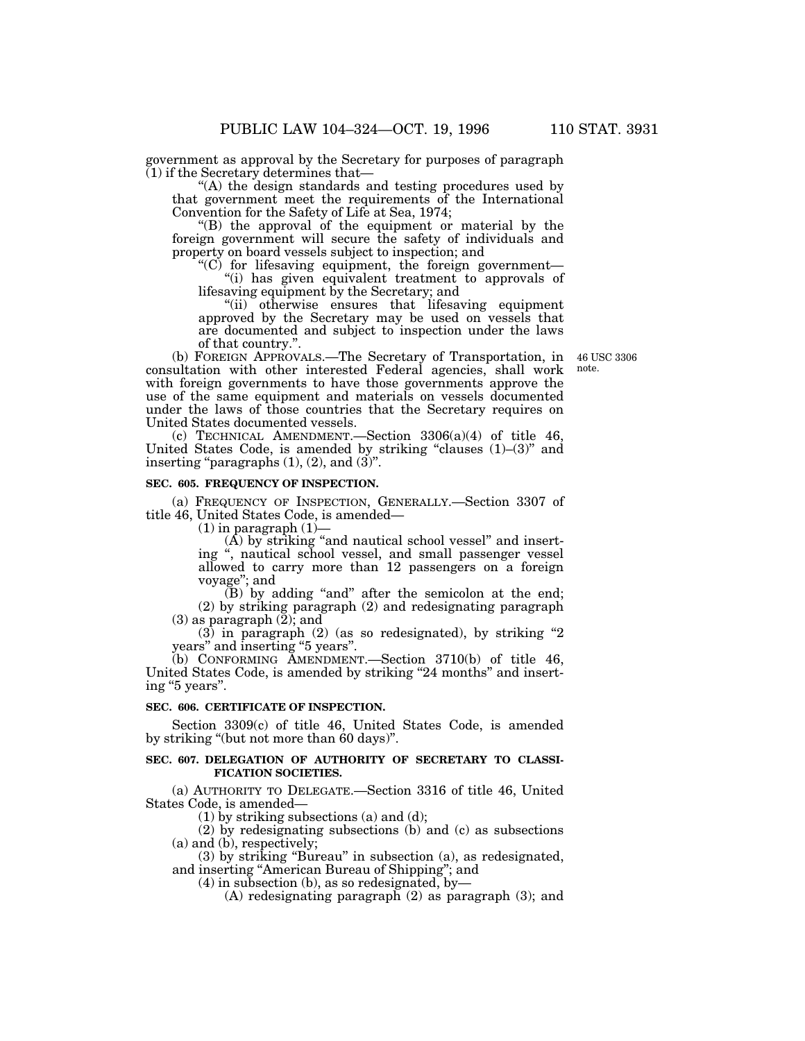government as approval by the Secretary for purposes of paragraph (1) if the Secretary determines that—

"(A) the design standards and testing procedures used by that government meet the requirements of the International Convention for the Safety of Life at Sea, 1974;

''(B) the approval of the equipment or material by the foreign government will secure the safety of individuals and property on board vessels subject to inspection; and

''(C) for lifesaving equipment, the foreign government— "(i) has given equivalent treatment to approvals of lifesaving equipment by the Secretary; and

''(ii) otherwise ensures that lifesaving equipment approved by the Secretary may be used on vessels that are documented and subject to inspection under the laws of that country.''.

note.

(b) FOREIGN APPROVALS.—The Secretary of Transportation, in 46 USC 3306 consultation with other interested Federal agencies, shall work with foreign governments to have those governments approve the use of the same equipment and materials on vessels documented under the laws of those countries that the Secretary requires on United States documented vessels.

(c) TECHNICAL AMENDMENT.—Section 3306(a)(4) of title 46, United States Code, is amended by striking "clauses  $(1)$ – $(3)$ " and inserting "paragraphs  $(1)$ ,  $(2)$ , and  $(3)$ ".

#### **SEC. 605. FREQUENCY OF INSPECTION.**

(a) FREQUENCY OF INSPECTION, GENERALLY.—Section 3307 of title 46, United States Code, is amended—

 $(1)$  in paragraph  $(1)$ —

 $(A)$  by striking "and nautical school vessel" and inserting '', nautical school vessel, and small passenger vessel allowed to carry more than 12 passengers on a foreign voyage''; and

 $(B)$  by adding "and" after the semicolon at the end; (2) by striking paragraph (2) and redesignating paragraph (3) as paragraph (2); and

(3) in paragraph (2) (as so redesignated), by striking ''2 years'' and inserting ''5 years''.

(b) CONFORMING AMENDMENT.—Section 3710(b) of title 46, United States Code, is amended by striking "24 months" and inserting "5 years".

## **SEC. 606. CERTIFICATE OF INSPECTION.**

Section 3309(c) of title 46, United States Code, is amended by striking ''(but not more than 60 days)''.

## **SEC. 607. DELEGATION OF AUTHORITY OF SECRETARY TO CLASSI-FICATION SOCIETIES.**

(a) AUTHORITY TO DELEGATE.—Section 3316 of title 46, United States Code, is amended—

(1) by striking subsections (a) and (d);

(2) by redesignating subsections (b) and (c) as subsections (a) and (b), respectively;

 $(3)$  by striking "Bureau" in subsection  $(a)$ , as redesignated, and inserting "American Bureau of Shipping"; and

 $(4)$  in subsection (b), as so redesignated, by-

(A) redesignating paragraph (2) as paragraph (3); and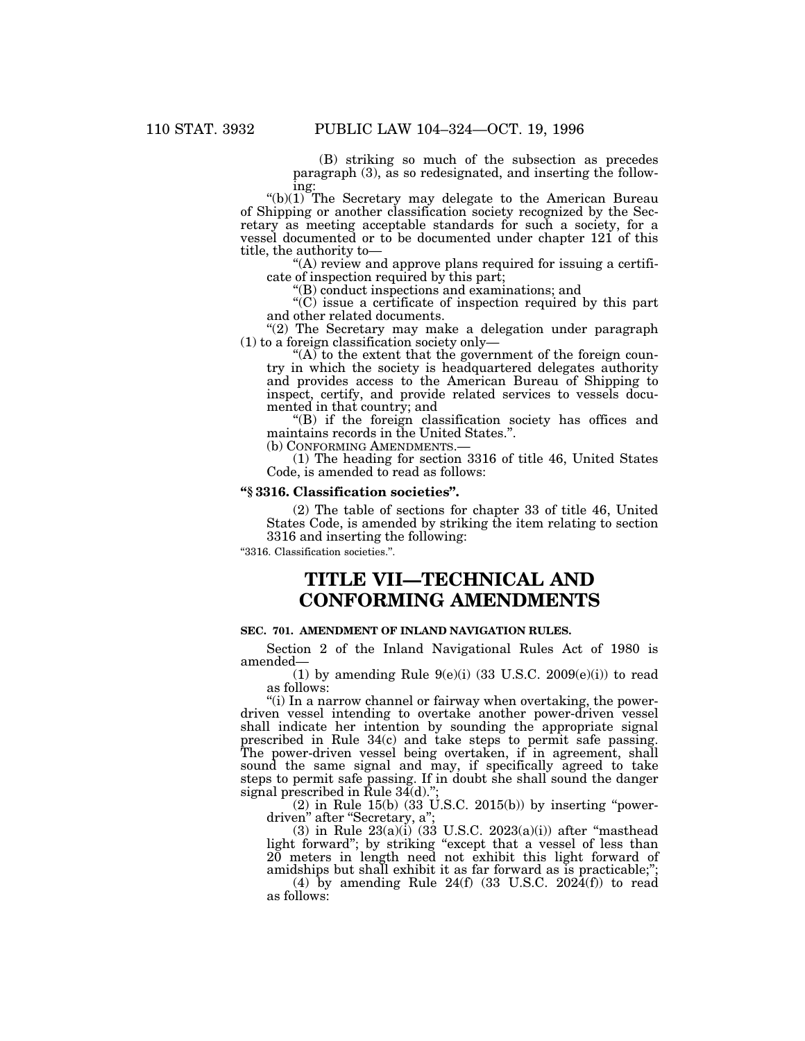(B) striking so much of the subsection as precedes paragraph (3), as so redesignated, and inserting the following:

" $(b)(1)$ <sup>"</sup>The Secretary may delegate to the American Bureau of Shipping or another classification society recognized by the Secretary as meeting acceptable standards for such a society, for a vessel documented or to be documented under chapter 121 of this title, the authority to—

 $(A)$  review and approve plans required for issuing a certificate of inspection required by this part;

''(B) conduct inspections and examinations; and

 $C'$ (C) issue a certificate of inspection required by this part and other related documents.

"(2) The Secretary may make a delegation under paragraph (1) to a foreign classification society only—

"(A) to the extent that the government of the foreign country in which the society is headquartered delegates authority and provides access to the American Bureau of Shipping to inspect, certify, and provide related services to vessels documented in that country; and

''(B) if the foreign classification society has offices and maintains records in the United States.".<br>(b) CONFORMING AMENDMENTS.—

 $(1)$  The heading for section 3316 of title 46, United States Code, is amended to read as follows:

## **''§ 3316. Classification societies''.**

(2) The table of sections for chapter 33 of title 46, United States Code, is amended by striking the item relating to section 3316 and inserting the following:

''3316. Classification societies.''.

# **TITLE VII—TECHNICAL AND CONFORMING AMENDMENTS**

## **SEC. 701. AMENDMENT OF INLAND NAVIGATION RULES.**

Section 2 of the Inland Navigational Rules Act of 1980 is amended—

(1) by amending Rule  $9(e)(i)$  (33 U.S.C. 2009 $(e)(i)$ ) to read as follows:

"(i) In a narrow channel or fairway when overtaking, the powerdriven vessel intending to overtake another power-driven vessel shall indicate her intention by sounding the appropriate signal prescribed in Rule 34(c) and take steps to permit safe passing. The power-driven vessel being overtaken, if in agreement, shall sound the same signal and may, if specifically agreed to take steps to permit safe passing. If in doubt she shall sound the danger signal prescribed in Rule  $34(d)$ .

 $(2)$  in Rule 15(b)  $(33 \text{ U.S.C. } 2015(b))$  by inserting "powerdriven'' after ''Secretary, a'';

(3) in Rule  $23(a)(i)$  (33 U.S.C.  $2023(a)(i)$ ) after "masthead light forward"; by striking "except that a vessel of less than 20 meters in length need not exhibit this light forward of amidships but shall exhibit it as far forward as is practicable;'';

(4) by amending Rule  $24(f)$  (33 U.S.C.  $202\dot{4}(f)$ ) to read as follows: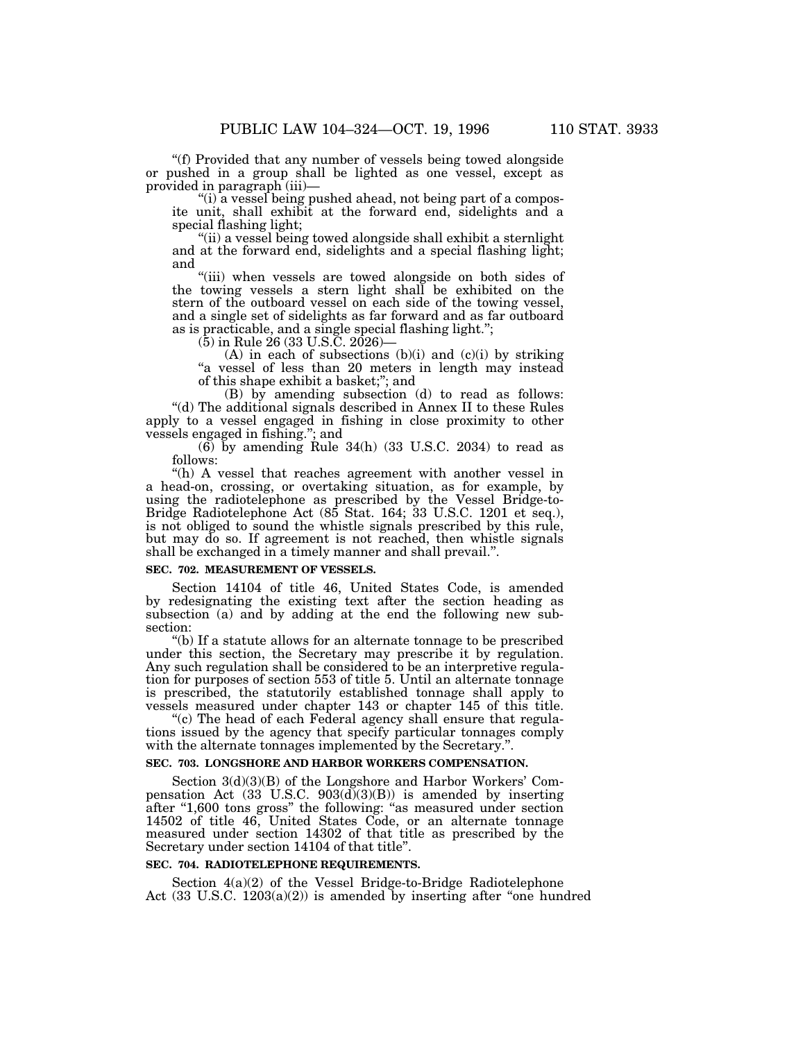''(f) Provided that any number of vessels being towed alongside or pushed in a group shall be lighted as one vessel, except as provided in paragraph (iii)—

" $(i)$  a vessel being pushed ahead, not being part of a composite unit, shall exhibit at the forward end, sidelights and a special flashing light;

''(ii) a vessel being towed alongside shall exhibit a sternlight and at the forward end, sidelights and a special flashing light; and

"(iii) when vessels are towed alongside on both sides of the towing vessels a stern light shall be exhibited on the stern of the outboard vessel on each side of the towing vessel, and a single set of sidelights as far forward and as far outboard as is practicable, and a single special flashing light.'';

 $(5)$  in Rule 26 (33 U.S.C. 2026)—

 $(A)$  in each of subsections  $(b)(i)$  and  $(c)(i)$  by striking ''a vessel of less than 20 meters in length may instead of this shape exhibit a basket;''; and

(B) by amending subsection (d) to read as follows: ''(d) The additional signals described in Annex II to these Rules apply to a vessel engaged in fishing in close proximity to other vessels engaged in fishing.''; and

(6) by amending Rule 34(h) (33 U.S.C. 2034) to read as follows:

''(h) A vessel that reaches agreement with another vessel in a head-on, crossing, or overtaking situation, as for example, by using the radiotelephone as prescribed by the Vessel Bridge-to-Bridge Radiotelephone Act (85 Stat. 164; 33 U.S.C. 1201 et seq.), is not obliged to sound the whistle signals prescribed by this rule, but may do so. If agreement is not reached, then whistle signals shall be exchanged in a timely manner and shall prevail.''.

## **SEC. 702. MEASUREMENT OF VESSELS.**

Section 14104 of title 46, United States Code, is amended by redesignating the existing text after the section heading as subsection (a) and by adding at the end the following new subsection:

''(b) If a statute allows for an alternate tonnage to be prescribed under this section, the Secretary may prescribe it by regulation. Any such regulation shall be considered to be an interpretive regulation for purposes of section 553 of title 5. Until an alternate tonnage is prescribed, the statutorily established tonnage shall apply to vessels measured under chapter 143 or chapter 145 of this title.

"(c) The head of each Federal agency shall ensure that regulations issued by the agency that specify particular tonnages comply with the alternate tonnages implemented by the Secretary.''.

## **SEC. 703. LONGSHORE AND HARBOR WORKERS COMPENSATION.**

Section 3(d)(3)(B) of the Longshore and Harbor Workers' Compensation Act (33 U.S.C.  $903(\overline{d})(3)(B)$ ) is amended by inserting after "1,600 tons gross" the following: "as measured under section 14502 of title 46, United States Code, or an alternate tonnage measured under section 14302 of that title as prescribed by the Secretary under section 14104 of that title''.

### **SEC. 704. RADIOTELEPHONE REQUIREMENTS.**

Section 4(a)(2) of the Vessel Bridge-to-Bridge Radiotelephone Act  $(33 \text{ U.S.C. } 1203(a)(2))$  is amended by inserting after "one hundred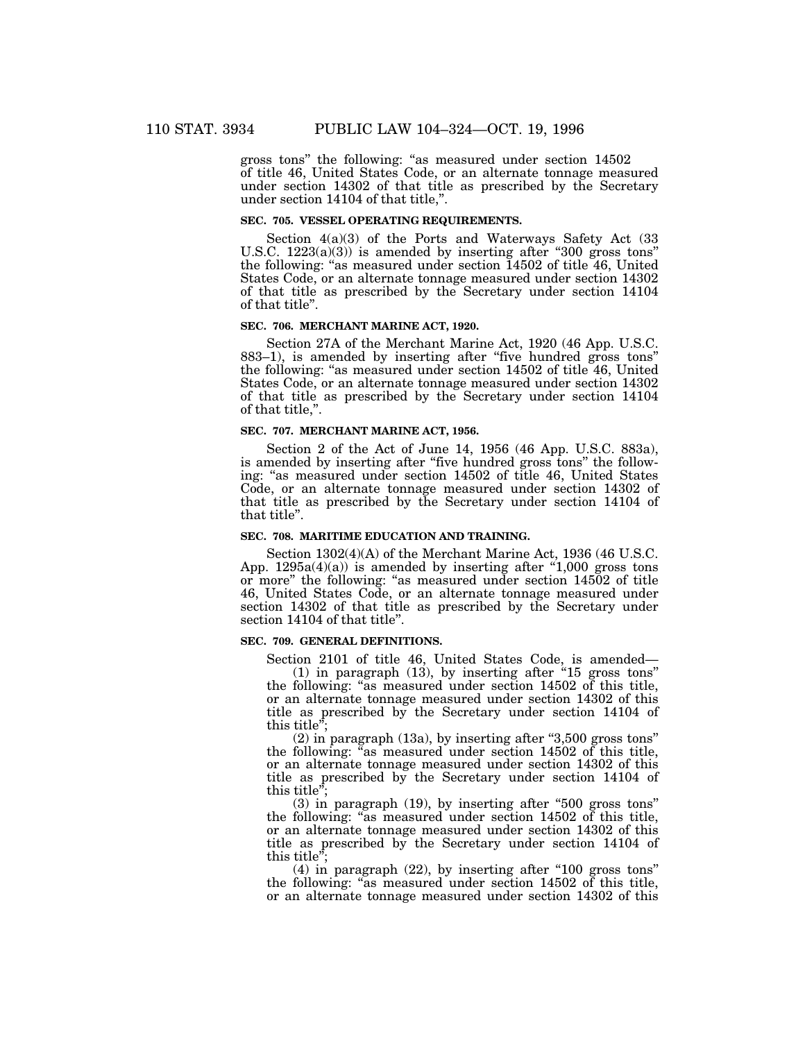gross tons'' the following: ''as measured under section 14502 of title 46, United States Code, or an alternate tonnage measured under section 14302 of that title as prescribed by the Secretary under section 14104 of that title,''.

#### **SEC. 705. VESSEL OPERATING REQUIREMENTS.**

Section 4(a)(3) of the Ports and Waterways Safety Act (33 U.S.C.  $1223(a)(3)$  is amended by inserting after "300 gross tons" the following: ''as measured under section 14502 of title 46, United States Code, or an alternate tonnage measured under section 14302 of that title as prescribed by the Secretary under section 14104 of that title''.

## **SEC. 706. MERCHANT MARINE ACT, 1920.**

Section 27A of the Merchant Marine Act, 1920 (46 App. U.S.C. 883–1), is amended by inserting after ''five hundred gross tons'' the following: ''as measured under section 14502 of title 46, United States Code, or an alternate tonnage measured under section 14302 of that title as prescribed by the Secretary under section 14104 of that title,''.

#### **SEC. 707. MERCHANT MARINE ACT, 1956.**

Section 2 of the Act of June 14, 1956 (46 App. U.S.C. 883a), is amended by inserting after "five hundred gross tons" the following: ''as measured under section 14502 of title 46, United States Code, or an alternate tonnage measured under section 14302 of that title as prescribed by the Secretary under section 14104 of that title''.

#### **SEC. 708. MARITIME EDUCATION AND TRAINING.**

Section 1302(4)(A) of the Merchant Marine Act, 1936 (46 U.S.C. App.  $1295a(4)(a)$  is amended by inserting after "1,000 gross tons" or more'' the following: ''as measured under section 14502 of title 46, United States Code, or an alternate tonnage measured under section 14302 of that title as prescribed by the Secretary under section 14104 of that title''.

## **SEC. 709. GENERAL DEFINITIONS.**

Section 2101 of title 46, United States Code, is amended— (1) in paragraph (13), by inserting after ''15 gross tons'' the following: ''as measured under section 14502 of this title, or an alternate tonnage measured under section 14302 of this title as prescribed by the Secretary under section 14104 of this title'';

 $(2)$  in paragraph  $(13a)$ , by inserting after "3,500 gross tons" the following: ''as measured under section 14502 of this title, or an alternate tonnage measured under section 14302 of this title as prescribed by the Secretary under section 14104 of this title'';

 $(3)$  in paragraph  $(19)$ , by inserting after "500 gross tons" the following: ''as measured under section 14502 of this title, or an alternate tonnage measured under section 14302 of this title as prescribed by the Secretary under section 14104 of this title'';

 $(4)$  in paragraph  $(22)$ , by inserting after "100 gross tons" the following: ''as measured under section 14502 of this title, or an alternate tonnage measured under section 14302 of this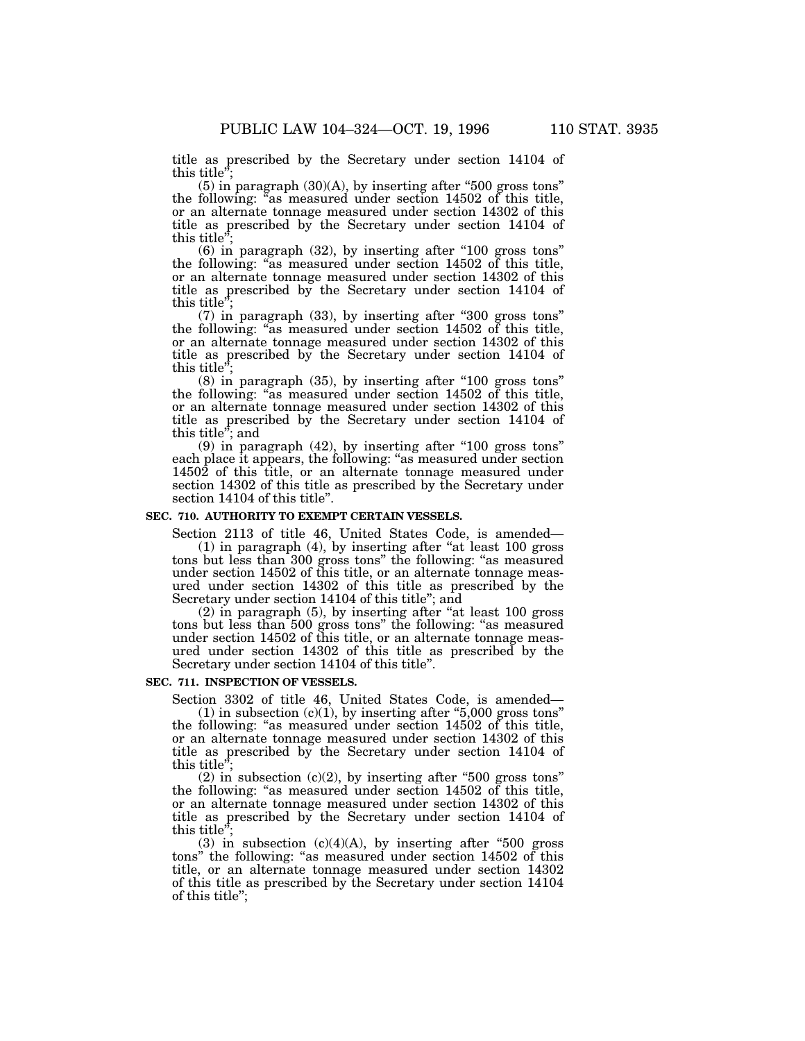title as prescribed by the Secretary under section 14104 of  $\overline{\text{this title}}$ 

 $(5)$  in paragraph  $(30)(A)$ , by inserting after "500 gross tons" the following: "as measured under section 14502 of this title, or an alternate tonnage measured under section 14302 of this title as prescribed by the Secretary under section 14104 of this title'';

 $(6)$  in paragraph  $(32)$ , by inserting after "100 gross tons" the following: "as measured under section 14502 of this title, or an alternate tonnage measured under section 14302 of this title as prescribed by the Secretary under section 14104 of this title<sup>3</sup>

 $(7)$  in paragraph  $(33)$ , by inserting after "300 gross tons" the following: ''as measured under section 14502 of this title, or an alternate tonnage measured under section 14302 of this title as prescribed by the Secretary under section 14104 of this title'';

(8) in paragraph (35), by inserting after ''100 gross tons'' the following: "as measured under section 14502 of this title, or an alternate tonnage measured under section 14302 of this title as prescribed by the Secretary under section 14104 of this title''; and

 $(9)$  in paragraph  $(42)$ , by inserting after "100 gross tons" each place it appears, the following: "as measured under section 14502 of this title, or an alternate tonnage measured under section 14302 of this title as prescribed by the Secretary under section 14104 of this title''.

#### **SEC. 710. AUTHORITY TO EXEMPT CERTAIN VESSELS.**

Section 2113 of title 46, United States Code, is amended— (1) in paragraph (4), by inserting after ''at least 100 gross tons but less than 300 gross tons'' the following: ''as measured under section 14502 of this title, or an alternate tonnage measured under section 14302 of this title as prescribed by the Secretary under section 14104 of this title''; and

 $(2)$  in paragraph  $(5)$ , by inserting after "at least 100 gross tons but less than 500 gross tons'' the following: ''as measured under section 14502 of this title, or an alternate tonnage measured under section 14302 of this title as prescribed by the Secretary under section 14104 of this title''.

#### **SEC. 711. INSPECTION OF VESSELS.**

Section 3302 of title 46, United States Code, is amended—

 $(1)$  in subsection  $(c)(1)$ , by inserting after "5,000 gross tons" the following: ''as measured under section 14502 of this title, or an alternate tonnage measured under section 14302 of this title as prescribed by the Secretary under section 14104 of this title'';

 $(2)$  in subsection  $(c)(2)$ , by inserting after "500 gross tons" the following: "as measured under section 14502 of this title, or an alternate tonnage measured under section 14302 of this title as prescribed by the Secretary under section 14104 of this title'';

(3) in subsection  $(c)(4)(A)$ , by inserting after "500 gross" tons'' the following: ''as measured under section 14502 of this title, or an alternate tonnage measured under section 14302 of this title as prescribed by the Secretary under section 14104 of this title'';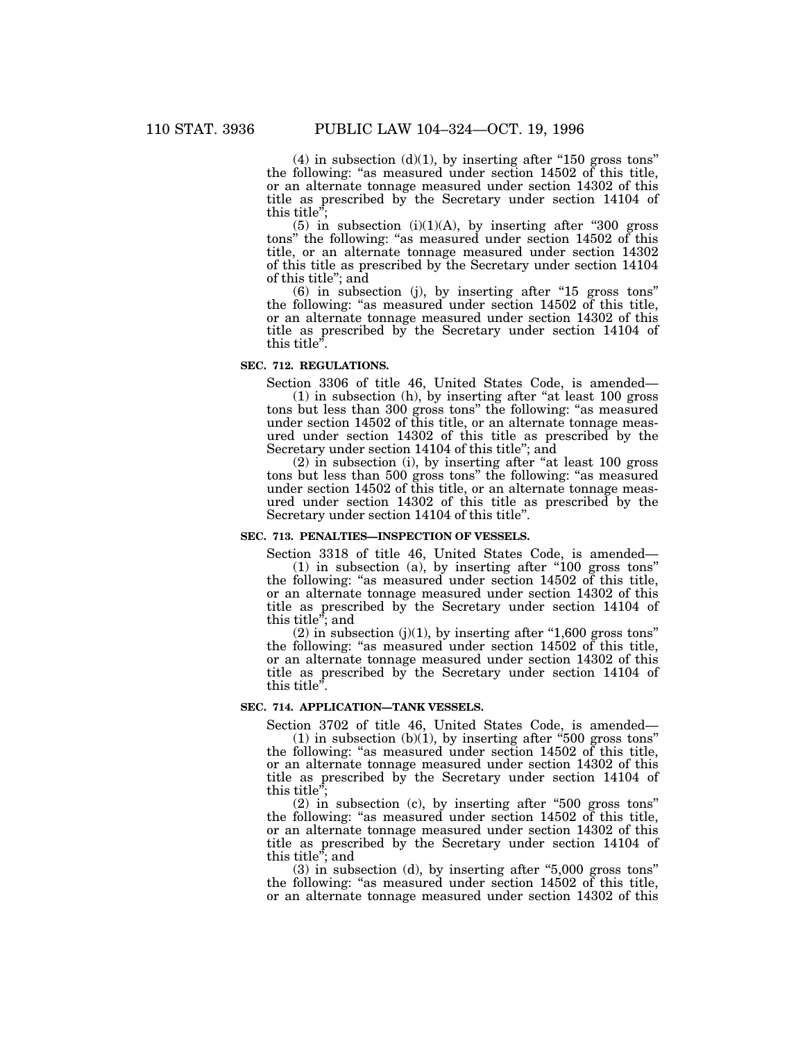$(4)$  in subsection  $(d)(1)$ , by inserting after "150 gross tons" the following: "as measured under section 14502 of this title, or an alternate tonnage measured under section 14302 of this title as prescribed by the Secretary under section 14104 of this title<sup>3</sup>

 $(5)$  in subsection  $(i)(1)(A)$ , by inserting after "300 gross" tons'' the following: ''as measured under section 14502 of this title, or an alternate tonnage measured under section 14302 of this title as prescribed by the Secretary under section 14104 of this title''; and

(6) in subsection (j), by inserting after ''15 gross tons'' the following: ''as measured under section 14502 of this title, or an alternate tonnage measured under section 14302 of this title as prescribed by the Secretary under section 14104 of this title''.

## **SEC. 712. REGULATIONS.**

Section 3306 of title 46, United States Code, is amended—

 $(1)$  in subsection  $(h)$ , by inserting after "at least 100 gross tons but less than 300 gross tons'' the following: ''as measured under section 14502 of this title, or an alternate tonnage measured under section 14302 of this title as prescribed by the Secretary under section 14104 of this title''; and

 $(2)$  in subsection  $(i)$ , by inserting after "at least 100 gross tons but less than 500 gross tons'' the following: ''as measured under section 14502 of this title, or an alternate tonnage measured under section 14302 of this title as prescribed by the Secretary under section 14104 of this title''.

### **SEC. 713. PENALTIES—INSPECTION OF VESSELS.**

Section 3318 of title 46, United States Code, is amended—

(1) in subsection (a), by inserting after ''100 gross tons'' the following: ''as measured under section 14502 of this title, or an alternate tonnage measured under section 14302 of this title as prescribed by the Secretary under section 14104 of this title''; and

 $(2)$  in subsection  $(j)(1)$ , by inserting after "1,600 gross tons" the following: ''as measured under section 14502 of this title, or an alternate tonnage measured under section 14302 of this title as prescribed by the Secretary under section 14104 of this title''.

## **SEC. 714. APPLICATION—TANK VESSELS.**

Section 3702 of title 46, United States Code, is amended— (1) in subsection (b)(1), by inserting after "500 gross tons" the following: ''as measured under section 14502 of this title, or an alternate tonnage measured under section 14302 of this title as prescribed by the Secretary under section 14104 of this title'';

(2) in subsection (c), by inserting after ''500 gross tons'' the following: "as measured under section 14502 of this title, or an alternate tonnage measured under section 14302 of this title as prescribed by the Secretary under section 14104 of this title''; and

 $(3)$  in subsection  $(d)$ , by inserting after "5,000 gross tons" the following: ''as measured under section 14502 of this title, or an alternate tonnage measured under section 14302 of this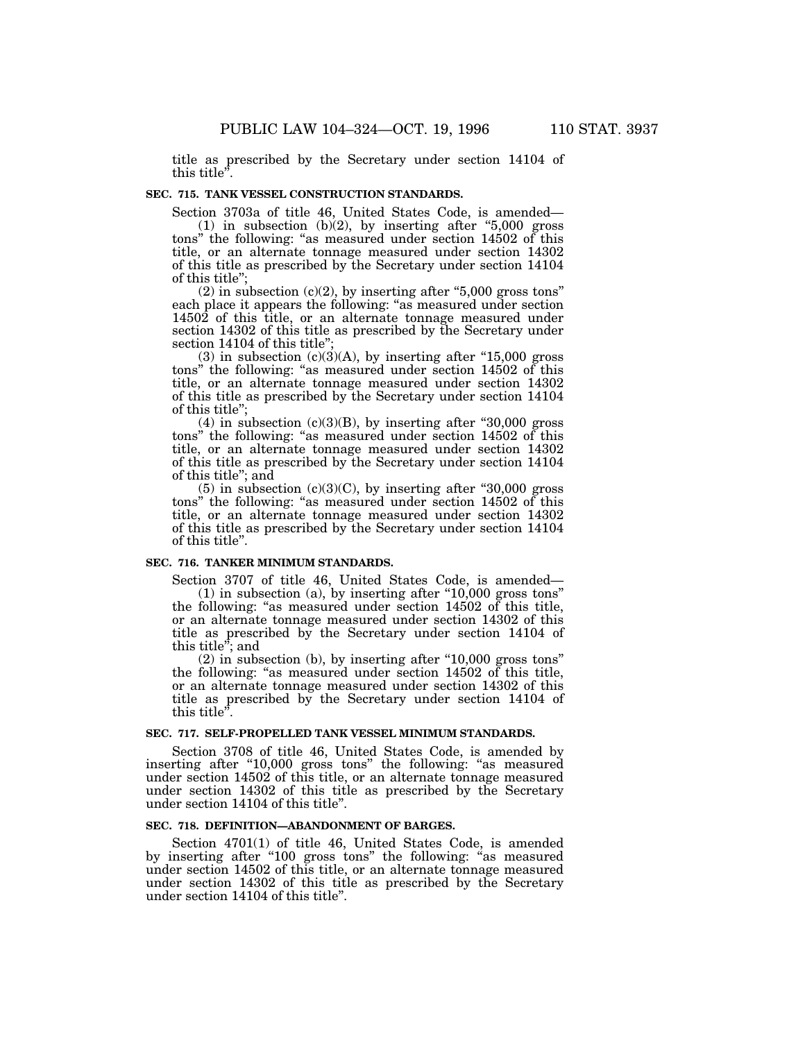title as prescribed by the Secretary under section 14104 of this title''.

#### **SEC. 715. TANK VESSEL CONSTRUCTION STANDARDS.**

Section 3703a of title 46, United States Code, is amended—

 $(1)$  in subsection  $(b)(2)$ , by inserting after "5,000 gross tons'' the following: ''as measured under section 14502 of this title, or an alternate tonnage measured under section 14302 of this title as prescribed by the Secretary under section 14104 of this title'';

 $(2)$  in subsection  $(c)(2)$ , by inserting after "5,000 gross tons" each place it appears the following: ''as measured under section 14502 of this title, or an alternate tonnage measured under section 14302 of this title as prescribed by the Secretary under section 14104 of this title'';

(3) in subsection  $(c)(3)(A)$ , by inserting after "15,000 gross" tons'' the following: ''as measured under section 14502 of this title, or an alternate tonnage measured under section 14302 of this title as prescribed by the Secretary under section 14104 of this title'';

(4) in subsection  $(c)(3)(B)$ , by inserting after "30,000 gross" tons" the following: "as measured under section 14502 of this title, or an alternate tonnage measured under section 14302 of this title as prescribed by the Secretary under section 14104 of this title''; and

 $(5)$  in subsection  $(c)(3)(C)$ , by inserting after "30,000 gross" tons'' the following: ''as measured under section 14502 of this title, or an alternate tonnage measured under section 14302 of this title as prescribed by the Secretary under section 14104 of this title''.

# **SEC. 716. TANKER MINIMUM STANDARDS.**

Section 3707 of title 46, United States Code, is amended—  $(1)$  in subsection  $(a)$ , by inserting after "10,000 gross tons"

the following: ''as measured under section 14502 of this title, or an alternate tonnage measured under section 14302 of this title as prescribed by the Secretary under section 14104 of this title''; and

 $(2)$  in subsection (b), by inserting after "10,000 gross tons" the following: ''as measured under section 14502 of this title, or an alternate tonnage measured under section 14302 of this title as prescribed by the Secretary under section 14104 of this title''.

#### **SEC. 717. SELF-PROPELLED TANK VESSEL MINIMUM STANDARDS.**

Section 3708 of title 46, United States Code, is amended by inserting after "10,000 gross tons" the following: "as measured under section 14502 of this title, or an alternate tonnage measured under section 14302 of this title as prescribed by the Secretary under section 14104 of this title''.

#### **SEC. 718. DEFINITION—ABANDONMENT OF BARGES.**

Section 4701(1) of title 46, United States Code, is amended by inserting after "100 gross tons" the following: "as measured under section 14502 of this title, or an alternate tonnage measured under section 14302 of this title as prescribed by the Secretary under section 14104 of this title''.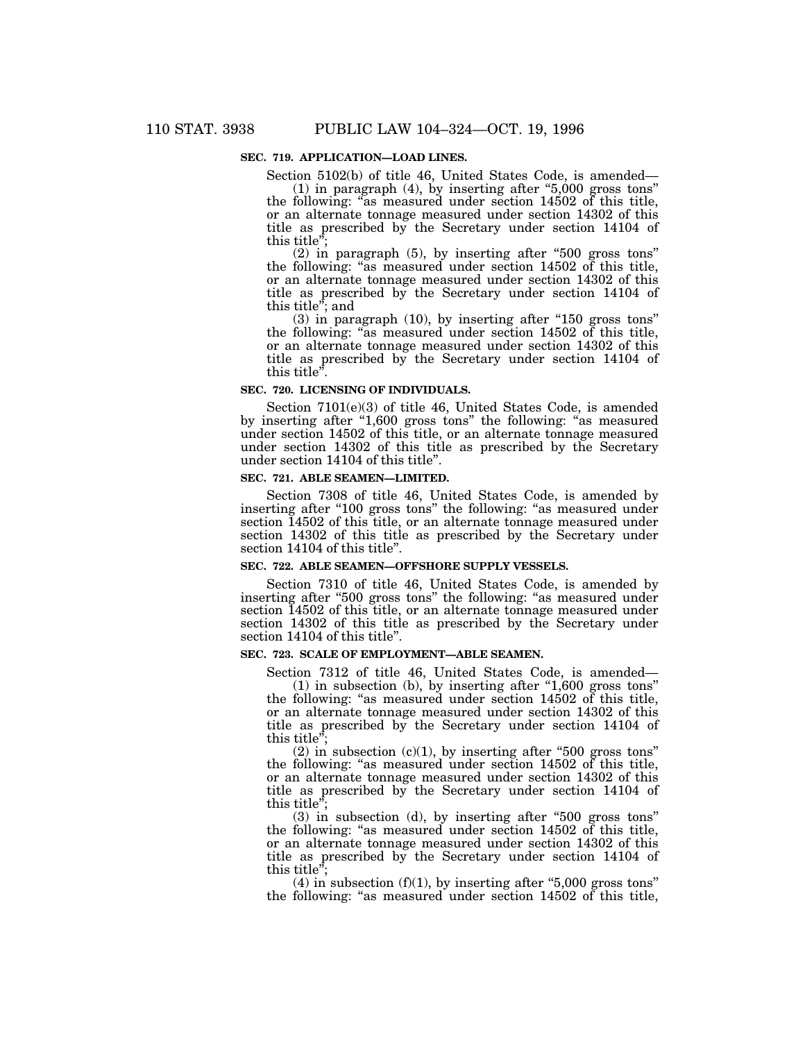# **SEC. 719. APPLICATION—LOAD LINES.**

Section 5102(b) of title 46, United States Code, is amended—

 $(1)$  in paragraph  $(4)$ , by inserting after "5,000 gross tons" the following: "as measured under section  $14502$  of this title, or an alternate tonnage measured under section 14302 of this title as prescribed by the Secretary under section 14104 of this title'';

(2) in paragraph (5), by inserting after ''500 gross tons'' the following: ''as measured under section 14502 of this title, or an alternate tonnage measured under section 14302 of this title as prescribed by the Secretary under section 14104 of this title''; and

 $(3)$  in paragraph  $(10)$ , by inserting after "150 gross tons" the following: ''as measured under section 14502 of this title, or an alternate tonnage measured under section 14302 of this title as prescribed by the Secretary under section 14104 of this title''.

## **SEC. 720. LICENSING OF INDIVIDUALS.**

Section 7101(e)(3) of title 46, United States Code, is amended by inserting after "1,600 gross tons" the following: "as measured under section 14502 of this title, or an alternate tonnage measured under section 14302 of this title as prescribed by the Secretary under section 14104 of this title''.

## **SEC. 721. ABLE SEAMEN—LIMITED.**

Section 7308 of title 46, United States Code, is amended by inserting after "100 gross tons" the following: "as measured under section 14502 of this title, or an alternate tonnage measured under section 14302 of this title as prescribed by the Secretary under section 14104 of this title''.

# **SEC. 722. ABLE SEAMEN—OFFSHORE SUPPLY VESSELS.**

Section 7310 of title 46, United States Code, is amended by inserting after "500 gross tons" the following: "as measured under section 14502 of this title, or an alternate tonnage measured under section 14302 of this title as prescribed by the Secretary under section 14104 of this title''.

#### **SEC. 723. SCALE OF EMPLOYMENT—ABLE SEAMEN.**

Section 7312 of title 46, United States Code, is amended—

 $(1)$  in subsection  $(b)$ , by inserting after "1,600 gross tons" the following: ''as measured under section 14502 of this title, or an alternate tonnage measured under section 14302 of this title as prescribed by the Secretary under section 14104 of this title'';

 $(2)$  in subsection  $(c)(1)$ , by inserting after "500 gross tons" the following: ''as measured under section 14502 of this title, or an alternate tonnage measured under section 14302 of this title as prescribed by the Secretary under section 14104 of this title'';

 $(3)$  in subsection  $(d)$ , by inserting after "500 gross tons" the following: "as measured under section 14502 of this title, or an alternate tonnage measured under section 14302 of this title as prescribed by the Secretary under section 14104 of this title'';

 $(4)$  in subsection  $(f)(1)$ , by inserting after "5,000 gross tons" the following: "as measured under section 14502 of this title,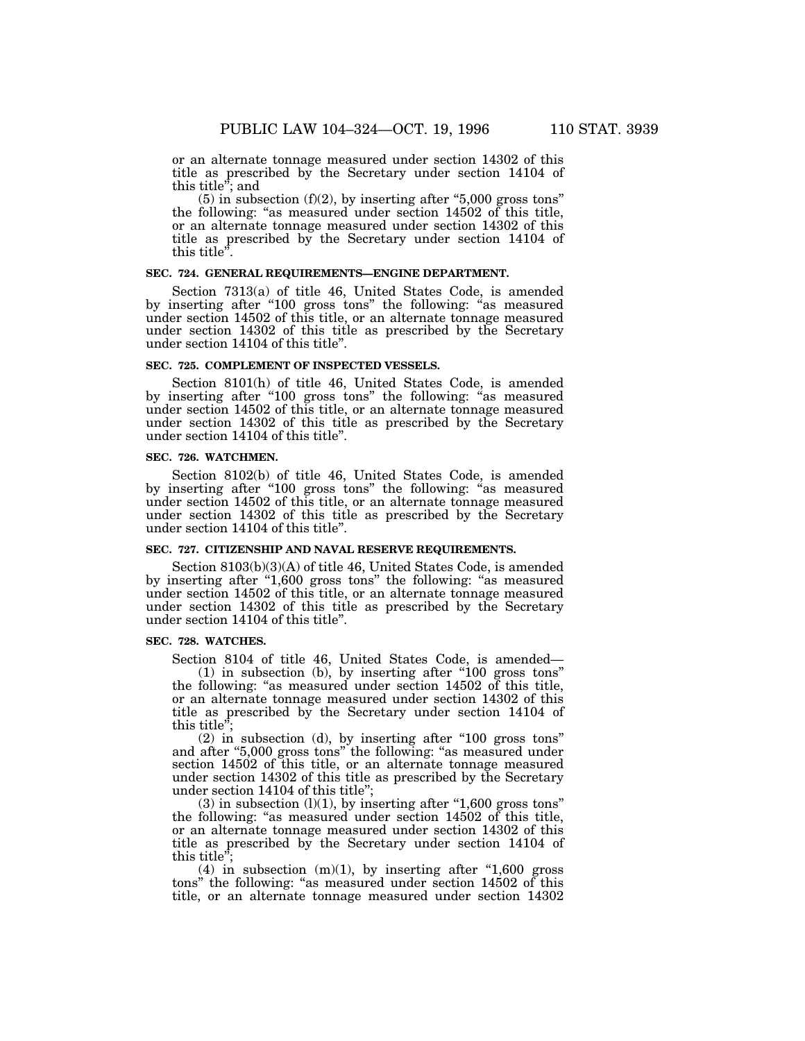or an alternate tonnage measured under section 14302 of this title as prescribed by the Secretary under section 14104 of this title''; and

5) in subsection  $(f)(2)$ , by inserting after "5,000 gross tons" the following: ''as measured under section 14502 of this title, or an alternate tonnage measured under section 14302 of this title as prescribed by the Secretary under section 14104 of this title''.

# **SEC. 724. GENERAL REQUIREMENTS—ENGINE DEPARTMENT.**

Section 7313(a) of title 46, United States Code, is amended by inserting after "100 gross tons" the following: "as measured under section 14502 of this title, or an alternate tonnage measured under section 14302 of this title as prescribed by the Secretary under section 14104 of this title''.

#### **SEC. 725. COMPLEMENT OF INSPECTED VESSELS.**

Section 8101(h) of title 46, United States Code, is amended by inserting after "100 gross tons" the following: "as measured under section 14502 of this title, or an alternate tonnage measured under section 14302 of this title as prescribed by the Secretary under section 14104 of this title''.

#### **SEC. 726. WATCHMEN.**

Section 8102(b) of title 46, United States Code, is amended by inserting after "100 gross tons" the following: "as measured under section 14502 of this title, or an alternate tonnage measured under section 14302 of this title as prescribed by the Secretary under section 14104 of this title''.

#### **SEC. 727. CITIZENSHIP AND NAVAL RESERVE REQUIREMENTS.**

Section 8103(b)(3)(A) of title 46, United States Code, is amended by inserting after "1,600 gross tons" the following: "as measured under section 14502 of this title, or an alternate tonnage measured under section 14302 of this title as prescribed by the Secretary under section 14104 of this title''.

# **SEC. 728. WATCHES.**

Section 8104 of title 46, United States Code, is amended— (1) in subsection (b), by inserting after ''100 gross tons'' the following: ''as measured under section 14502 of this title, or an alternate tonnage measured under section 14302 of this title as prescribed by the Secretary under section 14104 of this title'';

 $(2)$  in subsection  $(d)$ , by inserting after "100 gross tons" and after "5,000 gross tons" the following: "as measured under section 14502 of this title, or an alternate tonnage measured under section 14302 of this title as prescribed by the Secretary under section 14104 of this title'';

 $(3)$  in subsection  $(l)(1)$ , by inserting after "1,600 gross tons" the following: "as measured under section 14502 of this title, or an alternate tonnage measured under section 14302 of this title as prescribed by the Secretary under section 14104 of this title'';

(4) in subsection  $(m)(1)$ , by inserting after "1,600 gross" tons'' the following: ''as measured under section 14502 of this title, or an alternate tonnage measured under section 14302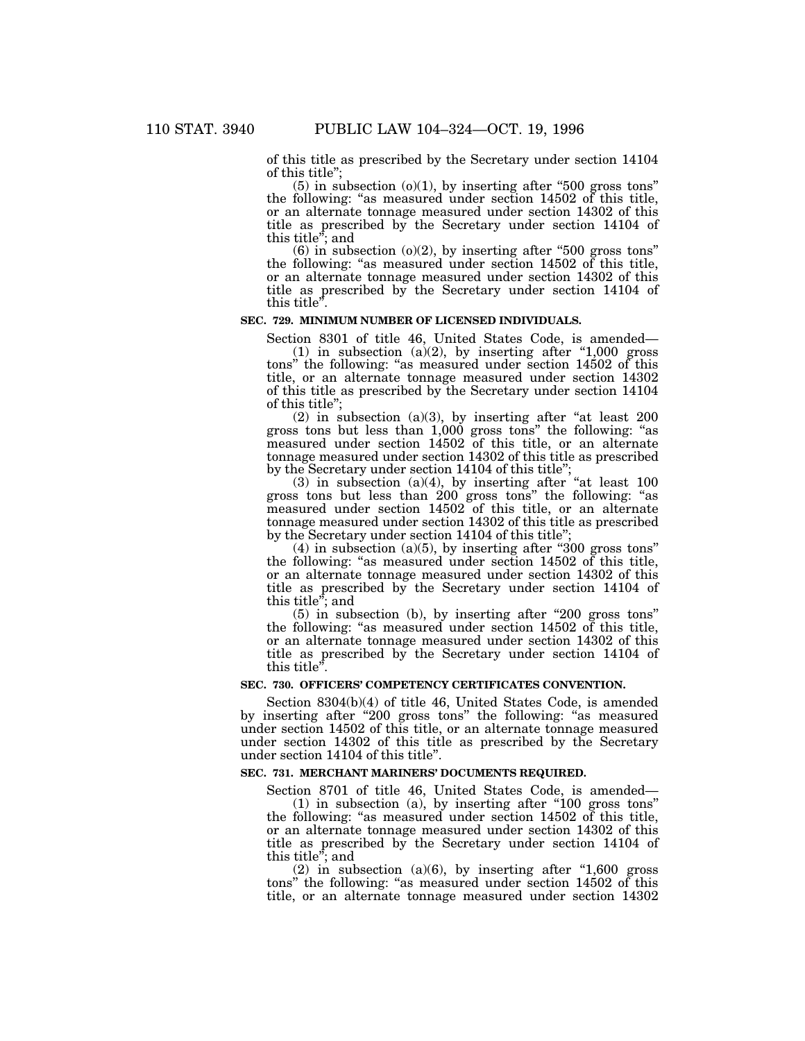of this title as prescribed by the Secretary under section 14104 of this title'';

 $(5)$  in subsection  $(0)(1)$ , by inserting after "500 gross tons" the following: ''as measured under section 14502 of this title, or an alternate tonnage measured under section 14302 of this title as prescribed by the Secretary under section 14104 of this title''; and

 $(6)$  in subsection  $(0)(2)$ , by inserting after "500 gross tons" the following: "as measured under section 14502 of this title, or an alternate tonnage measured under section 14302 of this title as prescribed by the Secretary under section 14104 of this title'

# **SEC. 729. MINIMUM NUMBER OF LICENSED INDIVIDUALS.**

Section 8301 of title 46, United States Code, is amended—  $(1)$  in subsection  $(a)(2)$ , by inserting after "1,000 gross" tons'' the following: ''as measured under section 14502 of this title, or an alternate tonnage measured under section 14302 of this title as prescribed by the Secretary under section 14104 of this title'';

 $(2)$  in subsection  $(a)(3)$ , by inserting after "at least  $200$ gross tons but less than 1,000 gross tons'' the following: ''as measured under section 14502 of this title, or an alternate tonnage measured under section 14302 of this title as prescribed by the Secretary under section 14104 of this title'';

 $(3)$  in subsection  $(a)(4)$ , by inserting after "at least 100 gross tons but less than 200 gross tons'' the following: ''as measured under section 14502 of this title, or an alternate tonnage measured under section 14302 of this title as prescribed by the Secretary under section 14104 of this title'';

 $(4)$  in subsection  $(a)(5)$ , by inserting after "300 gross tons" the following: ''as measured under section 14502 of this title, or an alternate tonnage measured under section 14302 of this title as prescribed by the Secretary under section 14104 of this title''; and

(5) in subsection (b), by inserting after ''200 gross tons'' the following: ''as measured under section 14502 of this title, or an alternate tonnage measured under section 14302 of this title as prescribed by the Secretary under section 14104 of this title''.

#### **SEC. 730. OFFICERS' COMPETENCY CERTIFICATES CONVENTION.**

Section 8304(b)(4) of title 46, United States Code, is amended by inserting after "200 gross tons" the following: "as measured under section 14502 of this title, or an alternate tonnage measured under section 14302 of this title as prescribed by the Secretary under section 14104 of this title''.

#### **SEC. 731. MERCHANT MARINERS' DOCUMENTS REQUIRED.**

Section 8701 of title 46, United States Code, is amended— (1) in subsection (a), by inserting after ''100 gross tons''

the following: ''as measured under section 14502 of this title, or an alternate tonnage measured under section 14302 of this title as prescribed by the Secretary under section 14104 of this title''; and

 $(2)$  in subsection  $(a)(6)$ , by inserting after "1,600 gross" tons'' the following: ''as measured under section 14502 of this title, or an alternate tonnage measured under section 14302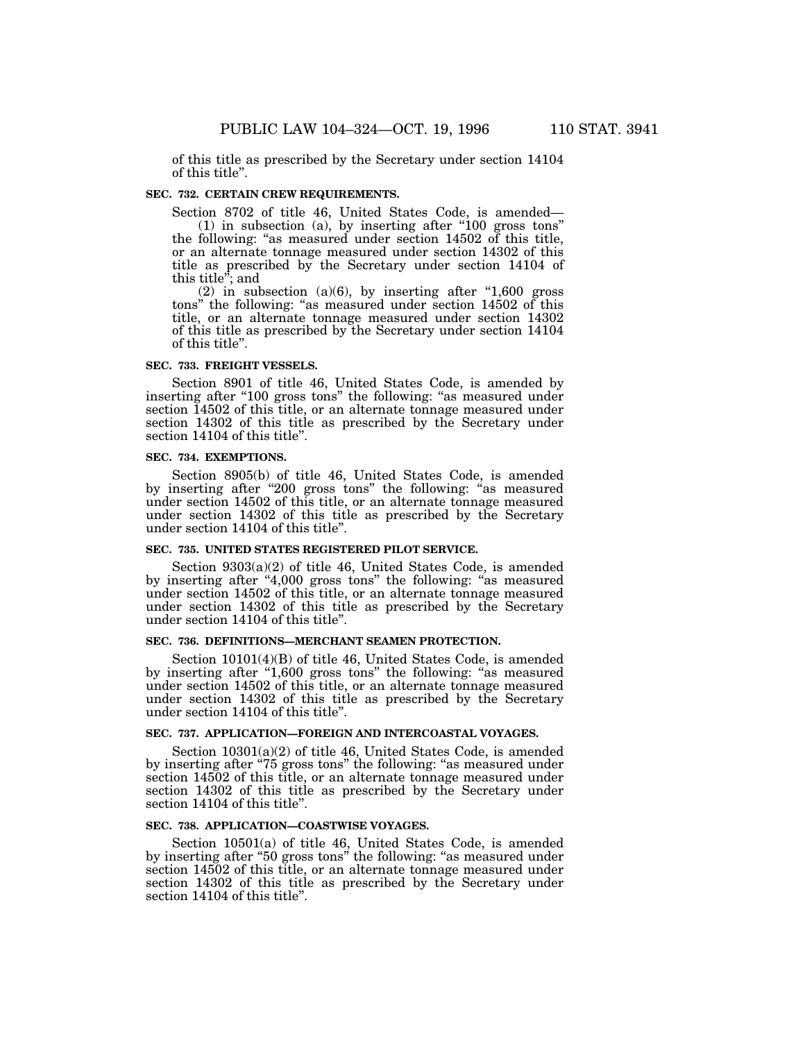of this title as prescribed by the Secretary under section 14104 of this title''.

# **SEC. 732. CERTAIN CREW REQUIREMENTS.**

Section 8702 of title 46, United States Code, is amended—

(1) in subsection (a), by inserting after ''100 gross tons'' the following: ''as measured under section 14502 of this title, or an alternate tonnage measured under section 14302 of this title as prescribed by the Secretary under section 14104 of this title''; and

 $(2)$  in subsection  $(a)(6)$ , by inserting after "1,600 gross" tons" the following: "as measured under section 14502 of this title, or an alternate tonnage measured under section 14302 of this title as prescribed by the Secretary under section 14104 of this title''.

#### **SEC. 733. FREIGHT VESSELS.**

Section 8901 of title 46, United States Code, is amended by inserting after "100 gross tons" the following: "as measured under section 14502 of this title, or an alternate tonnage measured under section 14302 of this title as prescribed by the Secretary under section 14104 of this title''.

#### **SEC. 734. EXEMPTIONS.**

Section 8905(b) of title 46, United States Code, is amended by inserting after "200 gross tons" the following: "as measured under section 14502 of this title, or an alternate tonnage measured under section 14302 of this title as prescribed by the Secretary under section 14104 of this title''.

#### **SEC. 735. UNITED STATES REGISTERED PILOT SERVICE.**

Section 9303(a)(2) of title 46, United States Code, is amended by inserting after "4,000 gross tons" the following: "as measured under section 14502 of this title, or an alternate tonnage measured under section 14302 of this title as prescribed by the Secretary under section 14104 of this title''.

## **SEC. 736. DEFINITIONS—MERCHANT SEAMEN PROTECTION.**

Section 10101(4)(B) of title 46, United States Code, is amended by inserting after "1,600 gross tons" the following: "as measured under section 14502 of this title, or an alternate tonnage measured under section 14302 of this title as prescribed by the Secretary under section 14104 of this title''.

# **SEC. 737. APPLICATION—FOREIGN AND INTERCOASTAL VOYAGES.**

Section 10301(a)(2) of title 46, United States Code, is amended by inserting after "75 gross tons" the following: "as measured under section 14502 of this title, or an alternate tonnage measured under section 14302 of this title as prescribed by the Secretary under section 14104 of this title''.

#### **SEC. 738. APPLICATION—COASTWISE VOYAGES.**

Section 10501(a) of title 46, United States Code, is amended by inserting after "50 gross tons" the following: "as measured under section 14502 of this title, or an alternate tonnage measured under section 14302 of this title as prescribed by the Secretary under section 14104 of this title''.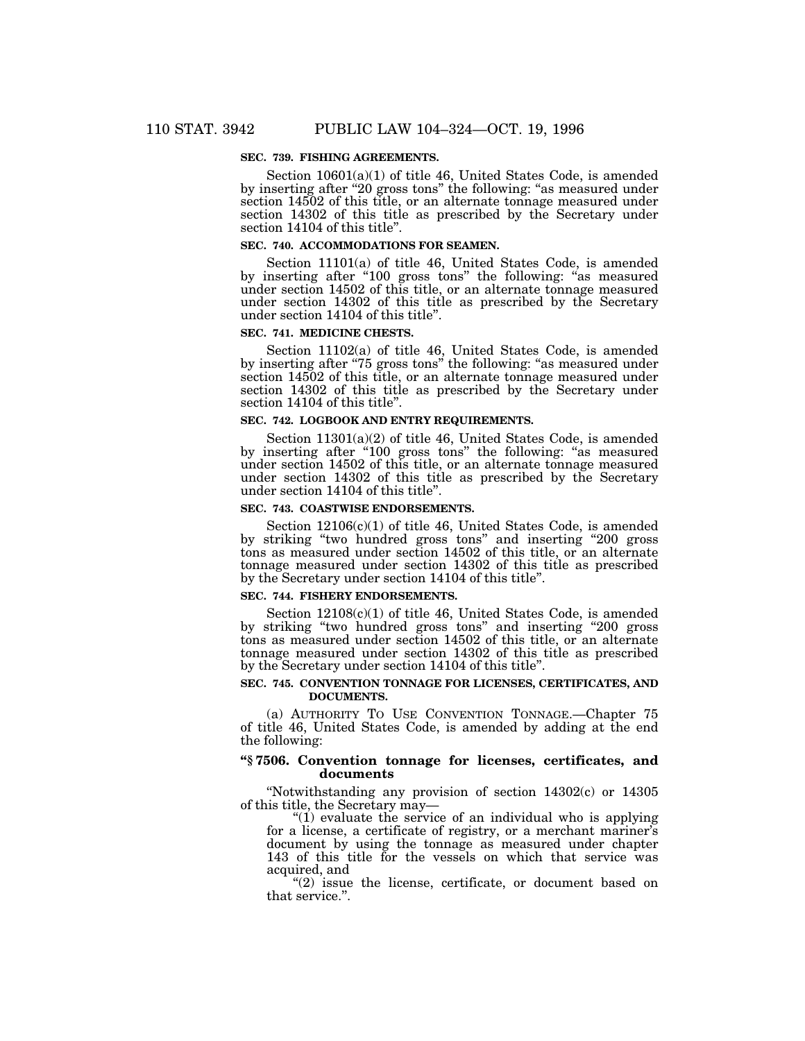# **SEC. 739. FISHING AGREEMENTS.**

Section 10601(a)(1) of title 46, United States Code, is amended by inserting after "20 gross tons" the following: "as measured under section 14502 of this title, or an alternate tonnage measured under section 14302 of this title as prescribed by the Secretary under section 14104 of this title''.

#### **SEC. 740. ACCOMMODATIONS FOR SEAMEN.**

Section 11101(a) of title 46, United States Code, is amended by inserting after "100 gross tons" the following: "as measured under section 14502 of this title, or an alternate tonnage measured under section 14302 of this title as prescribed by the Secretary under section 14104 of this title''.

#### **SEC. 741. MEDICINE CHESTS.**

Section 11102(a) of title 46, United States Code, is amended by inserting after ''75 gross tons'' the following: ''as measured under section 14502 of this title, or an alternate tonnage measured under section 14302 of this title as prescribed by the Secretary under section 14104 of this title''.

# **SEC. 742. LOGBOOK AND ENTRY REQUIREMENTS.**

Section 11301(a)(2) of title 46, United States Code, is amended by inserting after "100 gross tons" the following: "as measured under section 14502 of this title, or an alternate tonnage measured under section 14302 of this title as prescribed by the Secretary under section 14104 of this title''.

#### **SEC. 743. COASTWISE ENDORSEMENTS.**

Section  $12106(c)(1)$  of title 46, United States Code, is amended by striking ''two hundred gross tons'' and inserting ''200 gross tons as measured under section 14502 of this title, or an alternate tonnage measured under section 14302 of this title as prescribed by the Secretary under section 14104 of this title''.

#### **SEC. 744. FISHERY ENDORSEMENTS.**

Section 12108(c)(1) of title 46, United States Code, is amended by striking ''two hundred gross tons'' and inserting ''200 gross tons as measured under section 14502 of this title, or an alternate tonnage measured under section 14302 of this title as prescribed by the Secretary under section 14104 of this title''.

#### **SEC. 745. CONVENTION TONNAGE FOR LICENSES, CERTIFICATES, AND DOCUMENTS.**

(a) AUTHORITY TO USE CONVENTION TONNAGE.—Chapter 75 of title 46, United States Code, is amended by adding at the end the following:

# **''§ 7506. Convention tonnage for licenses, certificates, and documents**

''Notwithstanding any provision of section 14302(c) or 14305 of this title, the Secretary may—

" $(1)$  evaluate the service of an individual who is applying for a license, a certificate of registry, or a merchant mariner's document by using the tonnage as measured under chapter 143 of this title for the vessels on which that service was acquired, and

"(2) issue the license, certificate, or document based on that service.''.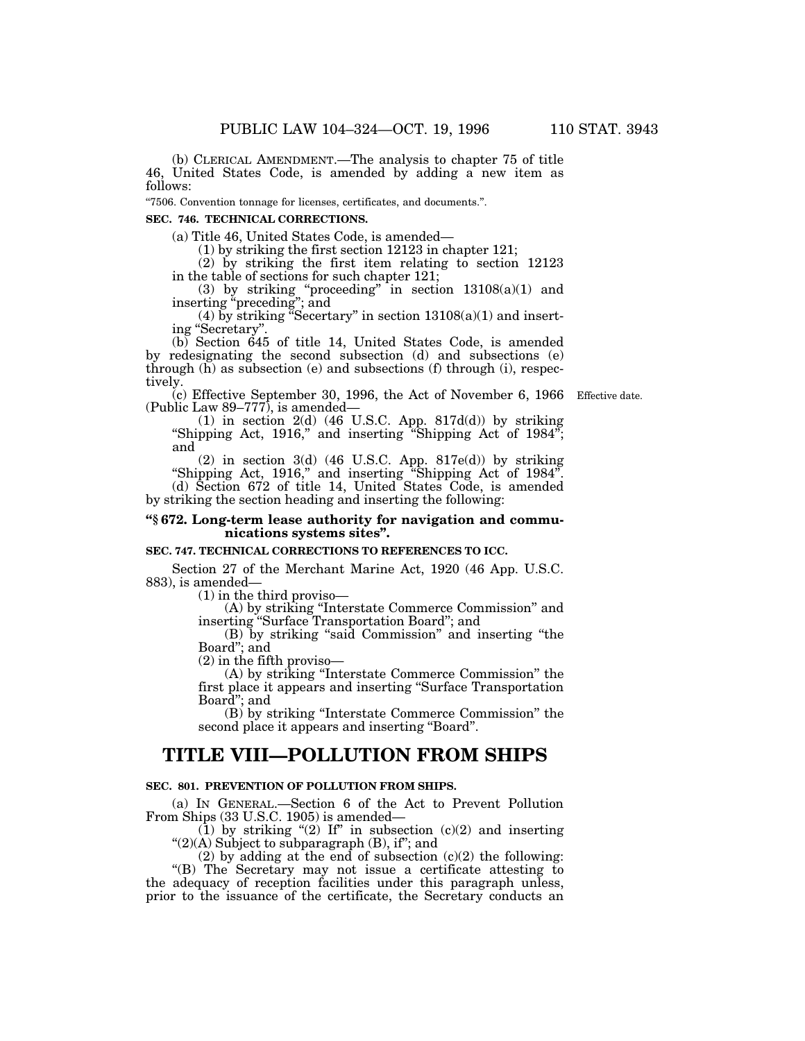''7506. Convention tonnage for licenses, certificates, and documents.''.

#### **SEC. 746. TECHNICAL CORRECTIONS.**

(a) Title 46, United States Code, is amended—

(1) by striking the first section 12123 in chapter 121;

(2) by striking the first item relating to section 12123 in the table of sections for such chapter 121;

(3) by striking "proceeding" in section  $13108(a)(1)$  and inserting ''preceding''; and

(4) by striking "Secertary" in section  $13108(a)(1)$  and inserting ''Secretary''.

(b) Section 645 of title 14, United States Code, is amended by redesignating the second subsection (d) and subsections (e) through  $(h)$  as subsection (e) and subsections  $(f)$  through  $(i)$ , respectively.

(c) Effective September 30, 1996, the Act of November 6, 1966 Effective date.(Public Law 89–777), is amended—

(1) in section 2(d) (46 U.S.C. App. 817d(d)) by striking ''Shipping Act, 1916,'' and inserting ''Shipping Act of 1984''; and

 $(2)$  in section 3(d) (46 U.S.C. App. 817e(d)) by striking ''Shipping Act, 1916,'' and inserting ''Shipping Act of 1984''. (d) Section 672 of title 14, United States Code, is amended by striking the section heading and inserting the following:

### **''§ 672. Long-term lease authority for navigation and communications systems sites''.**

# **SEC. 747. TECHNICAL CORRECTIONS TO REFERENCES TO ICC.**

Section 27 of the Merchant Marine Act, 1920 (46 App. U.S.C. 883), is amended—

(1) in the third proviso—

(A) by striking ''Interstate Commerce Commission'' and inserting ''Surface Transportation Board''; and

(B) by striking ''said Commission'' and inserting ''the Board''; and

(2) in the fifth proviso—

(A) by striking ''Interstate Commerce Commission'' the first place it appears and inserting ''Surface Transportation Board''; and

(B) by striking ''Interstate Commerce Commission'' the second place it appears and inserting ''Board''.

# **TITLE VIII—POLLUTION FROM SHIPS**

# **SEC. 801. PREVENTION OF POLLUTION FROM SHIPS.**

(a) IN GENERAL.—Section 6 of the Act to Prevent Pollution From Ships (33 U.S.C. 1905) is amended—

 $(1)$  by striking "(2) If" in subsection  $(c)(2)$  and inserting " $(2)(A)$  Subject to subparagraph  $(B)$ , if"; and

 $(2)$  by adding at the end of subsection  $(c)(2)$  the following:

''(B) The Secretary may not issue a certificate attesting to the adequacy of reception facilities under this paragraph unless, prior to the issuance of the certificate, the Secretary conducts an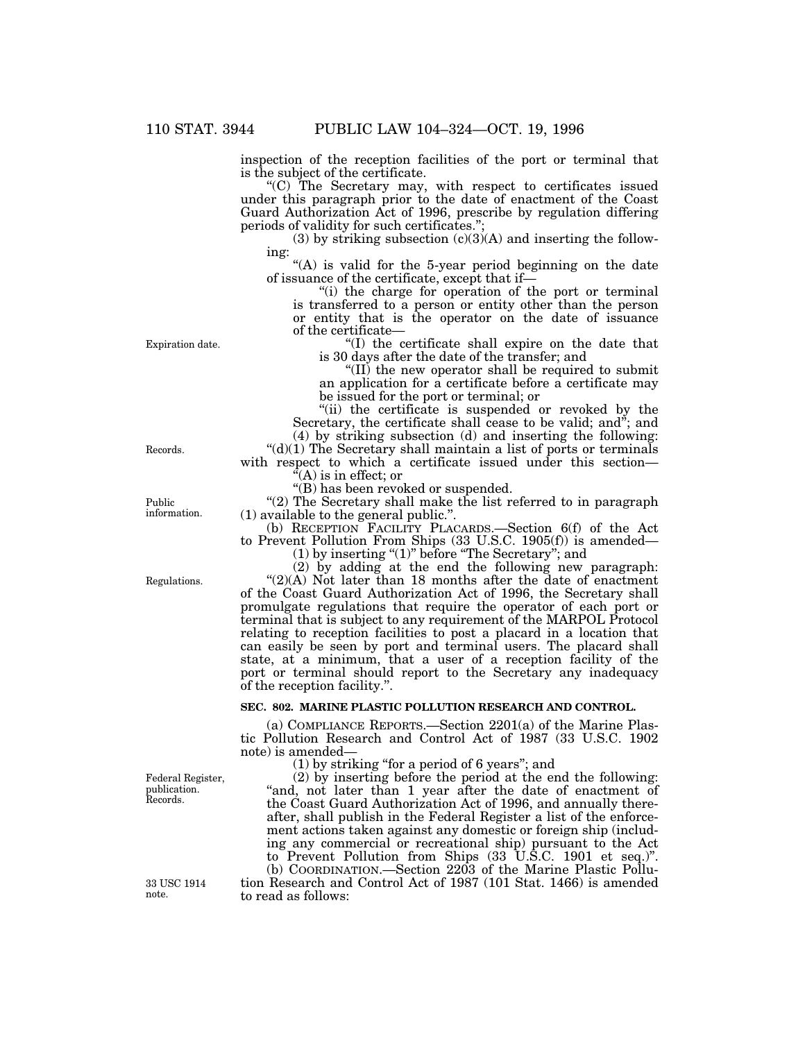inspection of the reception facilities of the port or terminal that is the subject of the certificate.

''(C) The Secretary may, with respect to certificates issued under this paragraph prior to the date of enactment of the Coast Guard Authorization Act of 1996, prescribe by regulation differing periods of validity for such certificates.'';

(3) by striking subsection  $(c)(3)(A)$  and inserting the following:

" $(A)$  is valid for the 5-year period beginning on the date of issuance of the certificate, except that if—

"(i) the charge for operation of the port or terminal is transferred to a person or entity other than the person or entity that is the operator on the date of issuance of the certificate—

''(I) the certificate shall expire on the date that is 30 days after the date of the transfer; and

''(II) the new operator shall be required to submit an application for a certificate before a certificate may be issued for the port or terminal; or

"(ii) the certificate is suspended or revoked by the Secretary, the certificate shall cease to be valid; and"; and

(4) by striking subsection (d) and inserting the following:  $"(d)(1)$  The Secretary shall maintain a list of ports or terminals with respect to which a certificate issued under this section—

 ${}^{\alpha}(A)$  is in effect; or

''(B) has been revoked or suspended.

"(2) The Secretary shall make the list referred to in paragraph (1) available to the general public.''.

(b) RECEPTION FACILITY PLACARDS.—Section 6(f) of the Act to Prevent Pollution From Ships (33 U.S.C. 1905(f)) is amended—

(1) by inserting "(1)" before "The Secretary"; and

(2) by adding at the end the following new paragraph:  $!(2)(A)$  Not later than 18 months after the date of enactment of the Coast Guard Authorization Act of 1996, the Secretary shall promulgate regulations that require the operator of each port or terminal that is subject to any requirement of the MARPOL Protocol relating to reception facilities to post a placard in a location that can easily be seen by port and terminal users. The placard shall state, at a minimum, that a user of a reception facility of the port or terminal should report to the Secretary any inadequacy of the reception facility.''.

#### **SEC. 802. MARINE PLASTIC POLLUTION RESEARCH AND CONTROL.**

(a) COMPLIANCE REPORTS.—Section 2201(a) of the Marine Plastic Pollution Research and Control Act of 1987 (33 U.S.C. 1902 note) is amended—

(1) by striking ''for a period of 6 years''; and

(2) by inserting before the period at the end the following: "and, not later than 1 year after the date of enactment of the Coast Guard Authorization Act of 1996, and annually thereafter, shall publish in the Federal Register a list of the enforcement actions taken against any domestic or foreign ship (including any commercial or recreational ship) pursuant to the Act to Prevent Pollution from Ships (33 U.S.C. 1901 et seq.)''. (b) COORDINATION.—Section 2203 of the Marine Plastic Pollu-

tion Research and Control Act of 1987 (101 Stat. 1466) is amended to read as follows:

Expiration date.

information.

Public

Records.

Regulations.

Federal Register, publication. Records.

33 USC 1914 note.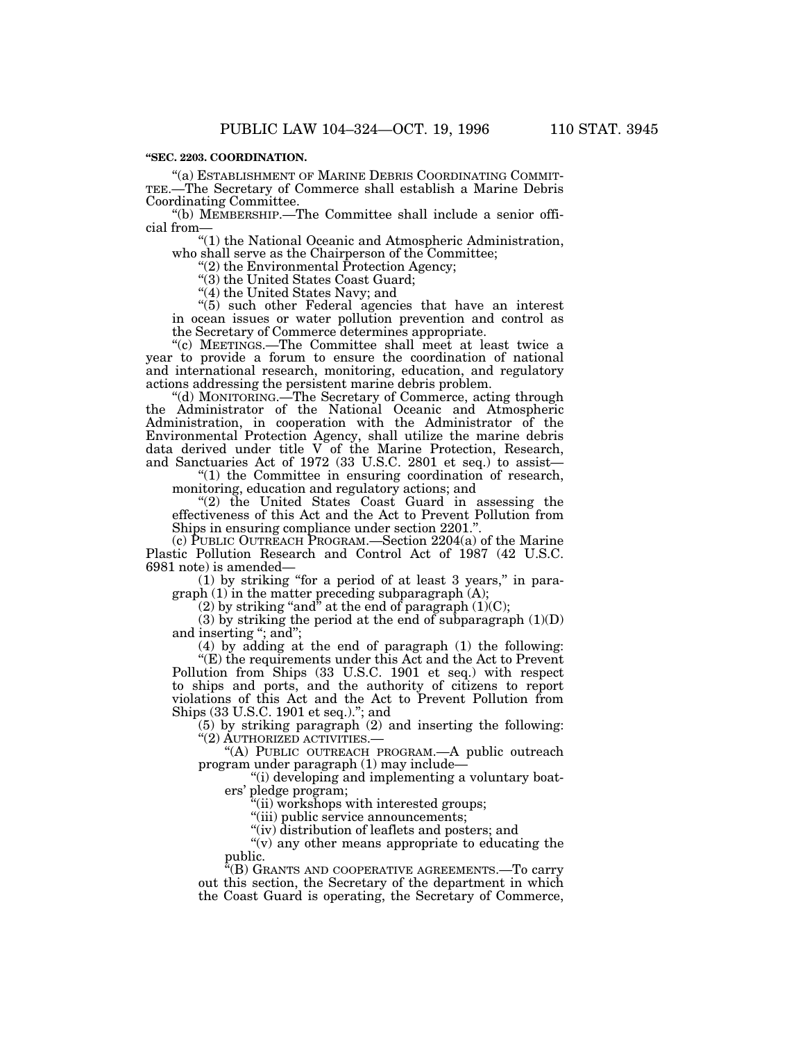# **''SEC. 2203. COORDINATION.**

''(a) ESTABLISHMENT OF MARINE DEBRIS COORDINATING COMMIT- TEE.—The Secretary of Commerce shall establish a Marine Debris Coordinating Committee.

''(b) MEMBERSHIP.—The Committee shall include a senior official from—

''(1) the National Oceanic and Atmospheric Administration, who shall serve as the Chairperson of the Committee;

''(2) the Environmental Protection Agency;

''(3) the United States Coast Guard;

"(4) the United States Navy; and

''(5) such other Federal agencies that have an interest in ocean issues or water pollution prevention and control as the Secretary of Commerce determines appropriate.

''(c) MEETINGS.—The Committee shall meet at least twice a year to provide a forum to ensure the coordination of national and international research, monitoring, education, and regulatory actions addressing the persistent marine debris problem.

''(d) MONITORING.—The Secretary of Commerce, acting through the Administrator of the National Oceanic and Atmospheric Administration, in cooperation with the Administrator of the Environmental Protection Agency, shall utilize the marine debris data derived under title V of the Marine Protection, Research, and Sanctuaries Act of 1972 (33 U.S.C. 2801 et seq.) to assist—

''(1) the Committee in ensuring coordination of research, monitoring, education and regulatory actions; and

"(2) the United States Coast Guard in assessing the effectiveness of this Act and the Act to Prevent Pollution from Ships in ensuring compliance under section 2201.''.

(c) PUBLIC OUTREACH PROGRAM.—Section 2204(a) of the Marine Plastic Pollution Research and Control Act of 1987 (42 U.S.C. 6981 note) is amended—

 $(1)$  by striking "for a period of at least 3 years," in paragraph (1) in the matter preceding subparagraph (A);

(2) by striking "and" at the end of paragraph  $(1)(C)$ ;

(3) by striking the period at the end of subparagraph  $(1)(D)$ and inserting "; and";

(4) by adding at the end of paragraph (1) the following: "(E) the requirements under this Act and the Act to Prevent

Pollution from Ships (33 U.S.C. 1901 et seq.) with respect to ships and ports, and the authority of citizens to report violations of this Act and the Act to Prevent Pollution from Ships (33 U.S.C. 1901 et seq.).''; and

(5) by striking paragraph (2) and inserting the following: ''(2) AUTHORIZED ACTIVITIES.—

''(A) PUBLIC OUTREACH PROGRAM.—A public outreach program under paragraph (1) may include—

''(i) developing and implementing a voluntary boaters' pledge program;

'(ii) workshops with interested groups;

"(iii) public service announcements;

"(iv) distribution of leaflets and posters; and

"(v) any other means appropriate to educating the public.

''(B) GRANTS AND COOPERATIVE AGREEMENTS.—To carry out this section, the Secretary of the department in which the Coast Guard is operating, the Secretary of Commerce,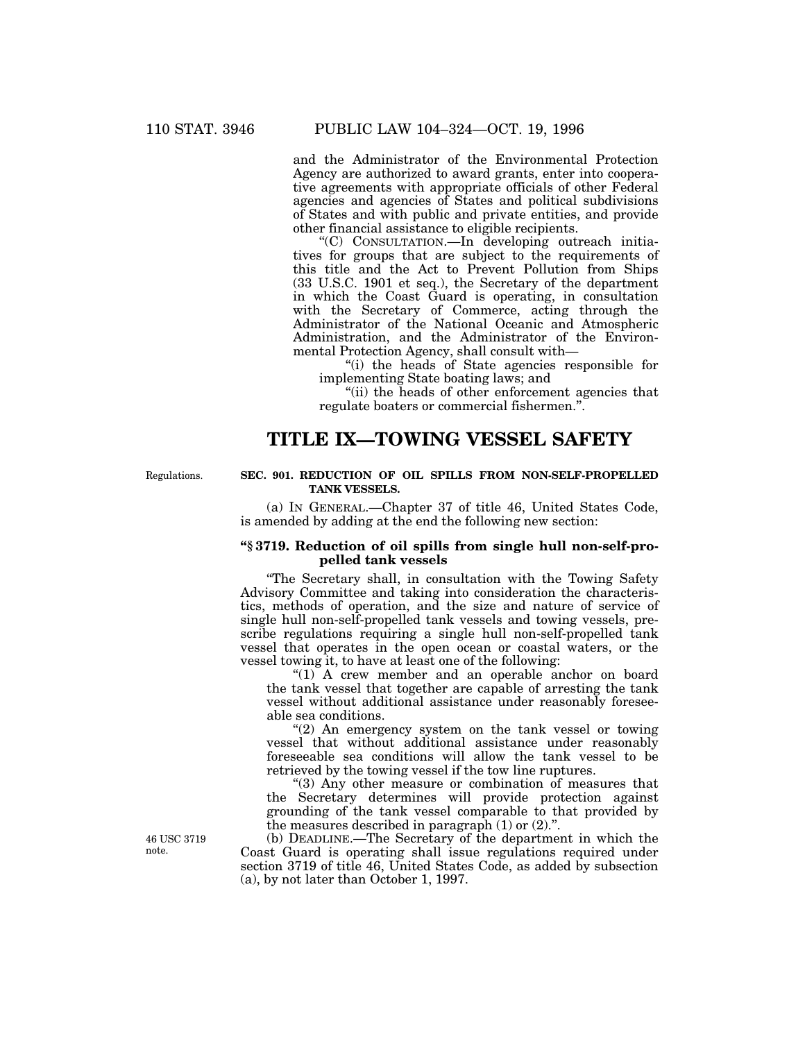and the Administrator of the Environmental Protection Agency are authorized to award grants, enter into cooperative agreements with appropriate officials of other Federal agencies and agencies of States and political subdivisions of States and with public and private entities, and provide other financial assistance to eligible recipients.

''(C) CONSULTATION.—In developing outreach initiatives for groups that are subject to the requirements of this title and the Act to Prevent Pollution from Ships (33 U.S.C. 1901 et seq.), the Secretary of the department in which the Coast Guard is operating, in consultation with the Secretary of Commerce, acting through the Administrator of the National Oceanic and Atmospheric Administration, and the Administrator of the Environmental Protection Agency, shall consult with—

''(i) the heads of State agencies responsible for implementing State boating laws; and

''(ii) the heads of other enforcement agencies that regulate boaters or commercial fishermen.''.

# **TITLE IX—TOWING VESSEL SAFETY**

Regulations.

# **SEC. 901. REDUCTION OF OIL SPILLS FROM NON-SELF-PROPELLED TANK VESSELS.**

(a) IN GENERAL.—Chapter 37 of title 46, United States Code, is amended by adding at the end the following new section:

# **''§ 3719. Reduction of oil spills from single hull non-self-propelled tank vessels**

''The Secretary shall, in consultation with the Towing Safety Advisory Committee and taking into consideration the characteristics, methods of operation, and the size and nature of service of single hull non-self-propelled tank vessels and towing vessels, prescribe regulations requiring a single hull non-self-propelled tank vessel that operates in the open ocean or coastal waters, or the vessel towing it, to have at least one of the following:

" $(1)$  A crew member and an operable anchor on board the tank vessel that together are capable of arresting the tank vessel without additional assistance under reasonably foreseeable sea conditions.

 $(2)$  An emergency system on the tank vessel or towing vessel that without additional assistance under reasonably foreseeable sea conditions will allow the tank vessel to be retrieved by the towing vessel if the tow line ruptures.

''(3) Any other measure or combination of measures that the Secretary determines will provide protection against grounding of the tank vessel comparable to that provided by the measures described in paragraph  $(1)$  or  $(2)$ .".

(b) DEADLINE.—The Secretary of the department in which the Coast Guard is operating shall issue regulations required under section 3719 of title 46, United States Code, as added by subsection (a), by not later than October 1, 1997.

46 USC 3719 note.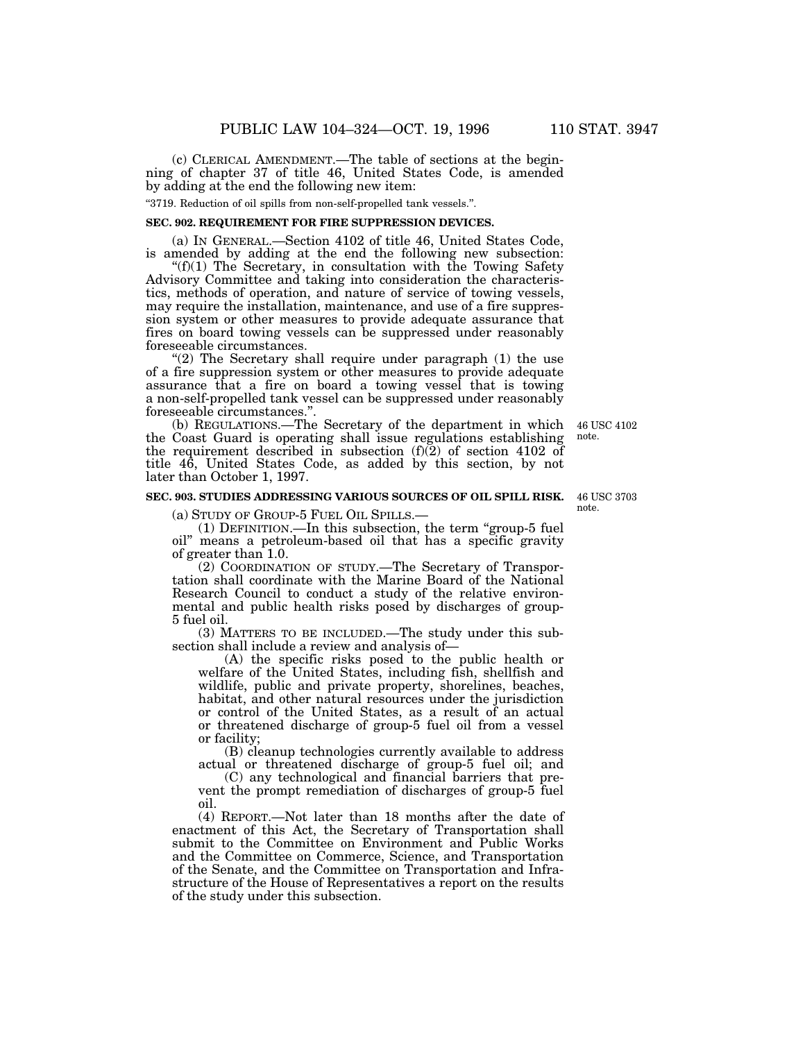(c) CLERICAL AMENDMENT.—The table of sections at the beginning of chapter 37 of title 46, United States Code, is amended by adding at the end the following new item:

''3719. Reduction of oil spills from non-self-propelled tank vessels.''.

# **SEC. 902. REQUIREMENT FOR FIRE SUPPRESSION DEVICES.**

(a) IN GENERAL.—Section 4102 of title 46, United States Code, is amended by adding at the end the following new subsection:

" $(f)(1)$  The Secretary, in consultation with the Towing Safety Advisory Committee and taking into consideration the characteristics, methods of operation, and nature of service of towing vessels, may require the installation, maintenance, and use of a fire suppression system or other measures to provide adequate assurance that fires on board towing vessels can be suppressed under reasonably foreseeable circumstances.

" $(2)$  The Secretary shall require under paragraph  $(1)$  the use of a fire suppression system or other measures to provide adequate assurance that a fire on board a towing vessel that is towing a non-self-propelled tank vessel can be suppressed under reasonably foreseeable circumstances.''.

(b) REGULATIONS.—The Secretary of the department in which the Coast Guard is operating shall issue regulations establishing the requirement described in subsection (f)(2) of section 4102 of title 46, United States Code, as added by this section, by not later than October 1, 1997. 46 USC 4102 note.

# **SEC. 903. STUDIES ADDRESSING VARIOUS SOURCES OF OIL SPILL RISK.**

46 USC 3703 note.

(a) STUDY OF GROUP-5 FUEL OIL SPILLS.—

(1) DEFINITION.—In this subsection, the term ''group-5 fuel oil'' means a petroleum-based oil that has a specific gravity of greater than 1.0.

(2) COORDINATION OF STUDY.—The Secretary of Transportation shall coordinate with the Marine Board of the National Research Council to conduct a study of the relative environmental and public health risks posed by discharges of group-5 fuel oil.

(3) MATTERS TO BE INCLUDED.—The study under this subsection shall include a review and analysis of—

(A) the specific risks posed to the public health or welfare of the United States, including fish, shellfish and wildlife, public and private property, shorelines, beaches, habitat, and other natural resources under the jurisdiction or control of the United States, as a result of an actual or threatened discharge of group-5 fuel oil from a vessel or facility;

(B) cleanup technologies currently available to address actual or threatened discharge of group-5 fuel oil; and

(C) any technological and financial barriers that prevent the prompt remediation of discharges of group-5 fuel oil.

(4) REPORT.—Not later than 18 months after the date of enactment of this Act, the Secretary of Transportation shall submit to the Committee on Environment and Public Works and the Committee on Commerce, Science, and Transportation of the Senate, and the Committee on Transportation and Infrastructure of the House of Representatives a report on the results of the study under this subsection.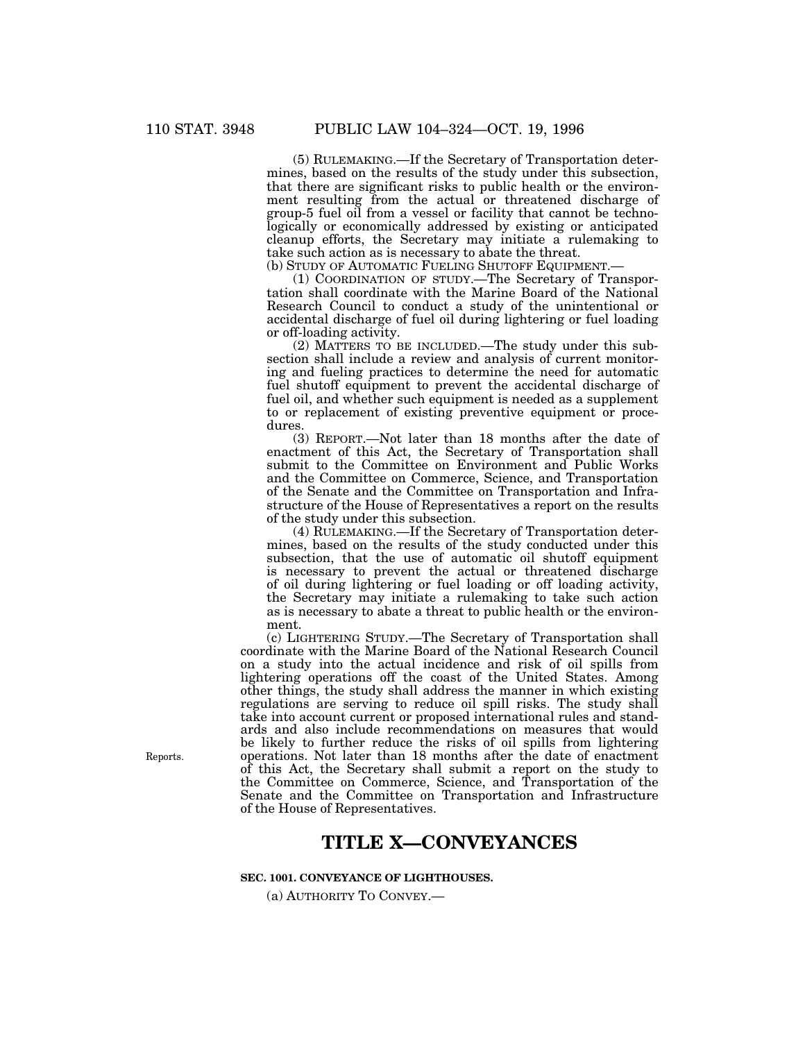(5) RULEMAKING.—If the Secretary of Transportation determines, based on the results of the study under this subsection, that there are significant risks to public health or the environment resulting from the actual or threatened discharge of group-5 fuel oil from a vessel or facility that cannot be technologically or economically addressed by existing or anticipated cleanup efforts, the Secretary may initiate a rulemaking to take such action as is necessary to abate the threat.

(b) STUDY OF AUTOMATIC FUELING SHUTOFF EQUIPMENT.—

(1) COORDINATION OF STUDY.—The Secretary of Transportation shall coordinate with the Marine Board of the National Research Council to conduct a study of the unintentional or accidental discharge of fuel oil during lightering or fuel loading or off-loading activity.

(2) MATTERS TO BE INCLUDED.—The study under this subsection shall include a review and analysis of current monitoring and fueling practices to determine the need for automatic fuel shutoff equipment to prevent the accidental discharge of fuel oil, and whether such equipment is needed as a supplement to or replacement of existing preventive equipment or procedures.

(3) REPORT.—Not later than 18 months after the date of enactment of this Act, the Secretary of Transportation shall submit to the Committee on Environment and Public Works and the Committee on Commerce, Science, and Transportation of the Senate and the Committee on Transportation and Infrastructure of the House of Representatives a report on the results of the study under this subsection.

(4) RULEMAKING.—If the Secretary of Transportation determines, based on the results of the study conducted under this subsection, that the use of automatic oil shutoff equipment is necessary to prevent the actual or threatened discharge of oil during lightering or fuel loading or off loading activity, the Secretary may initiate a rulemaking to take such action as is necessary to abate a threat to public health or the environment.

(c) LIGHTERING STUDY.—The Secretary of Transportation shall coordinate with the Marine Board of the National Research Council on a study into the actual incidence and risk of oil spills from lightering operations off the coast of the United States. Among other things, the study shall address the manner in which existing regulations are serving to reduce oil spill risks. The study shall take into account current or proposed international rules and standards and also include recommendations on measures that would be likely to further reduce the risks of oil spills from lightering operations. Not later than 18 months after the date of enactment of this Act, the Secretary shall submit a report on the study to the Committee on Commerce, Science, and Transportation of the Senate and the Committee on Transportation and Infrastructure of the House of Representatives.

# **TITLE X—CONVEYANCES**

# **SEC. 1001. CONVEYANCE OF LIGHTHOUSES.**

(a) AUTHORITY TO CONVEY.—

Reports.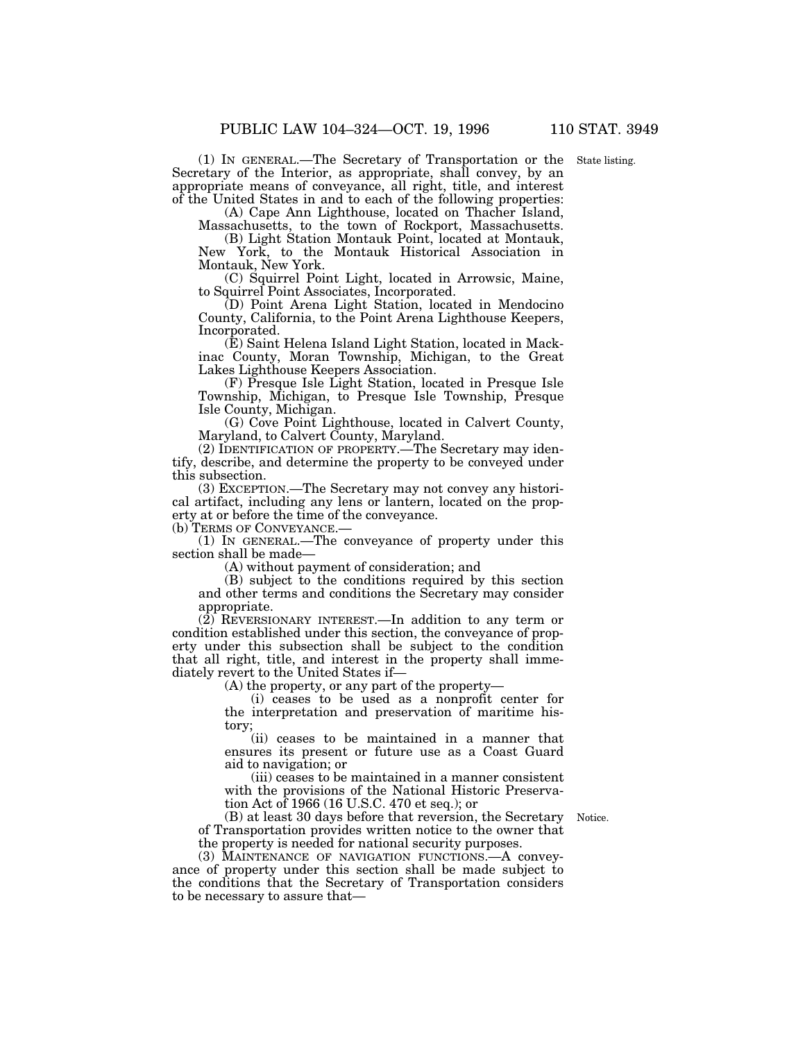(1) IN GENERAL.—The Secretary of Transportation or the Secretary of the Interior, as appropriate, shall convey, by an appropriate means of conveyance, all right, title, and interest of the United States in and to each of the following properties:

(A) Cape Ann Lighthouse, located on Thacher Island, Massachusetts, to the town of Rockport, Massachusetts.

(B) Light Station Montauk Point, located at Montauk, New York, to the Montauk Historical Association in Montauk, New York.

(C) Squirrel Point Light, located in Arrowsic, Maine, to Squirrel Point Associates, Incorporated.

(D) Point Arena Light Station, located in Mendocino County, California, to the Point Arena Lighthouse Keepers, Incorporated.

(E) Saint Helena Island Light Station, located in Mackinac County, Moran Township, Michigan, to the Great Lakes Lighthouse Keepers Association.

(F) Presque Isle Light Station, located in Presque Isle Township, Michigan, to Presque Isle Township, Presque Isle County, Michigan.

(G) Cove Point Lighthouse, located in Calvert County, Maryland, to Calvert County, Maryland.

(2) IDENTIFICATION OF PROPERTY.—The Secretary may identify, describe, and determine the property to be conveyed under this subsection.

(3) EXCEPTION.—The Secretary may not convey any historical artifact, including any lens or lantern, located on the property at or before the time of the conveyance.

(b) TERMS OF CONVEYANCE.—

(1) IN GENERAL.—The conveyance of property under this section shall be made—

(A) without payment of consideration; and

(B) subject to the conditions required by this section and other terms and conditions the Secretary may consider appropriate.

 $(2)$  REVERSIONARY INTEREST.—In addition to any term or condition established under this section, the conveyance of property under this subsection shall be subject to the condition that all right, title, and interest in the property shall immediately revert to the United States if—

(A) the property, or any part of the property—

(i) ceases to be used as a nonprofit center for the interpretation and preservation of maritime history;

(ii) ceases to be maintained in a manner that ensures its present or future use as a Coast Guard aid to navigation; or

(iii) ceases to be maintained in a manner consistent with the provisions of the National Historic Preservation Act of 1966 (16 U.S.C. 470 et seq.); or

Notice.

(B) at least 30 days before that reversion, the Secretary of Transportation provides written notice to the owner that the property is needed for national security purposes.

(3) MAINTENANCE OF NAVIGATION FUNCTIONS.—A conveyance of property under this section shall be made subject to the conditions that the Secretary of Transportation considers to be necessary to assure that—

State listing.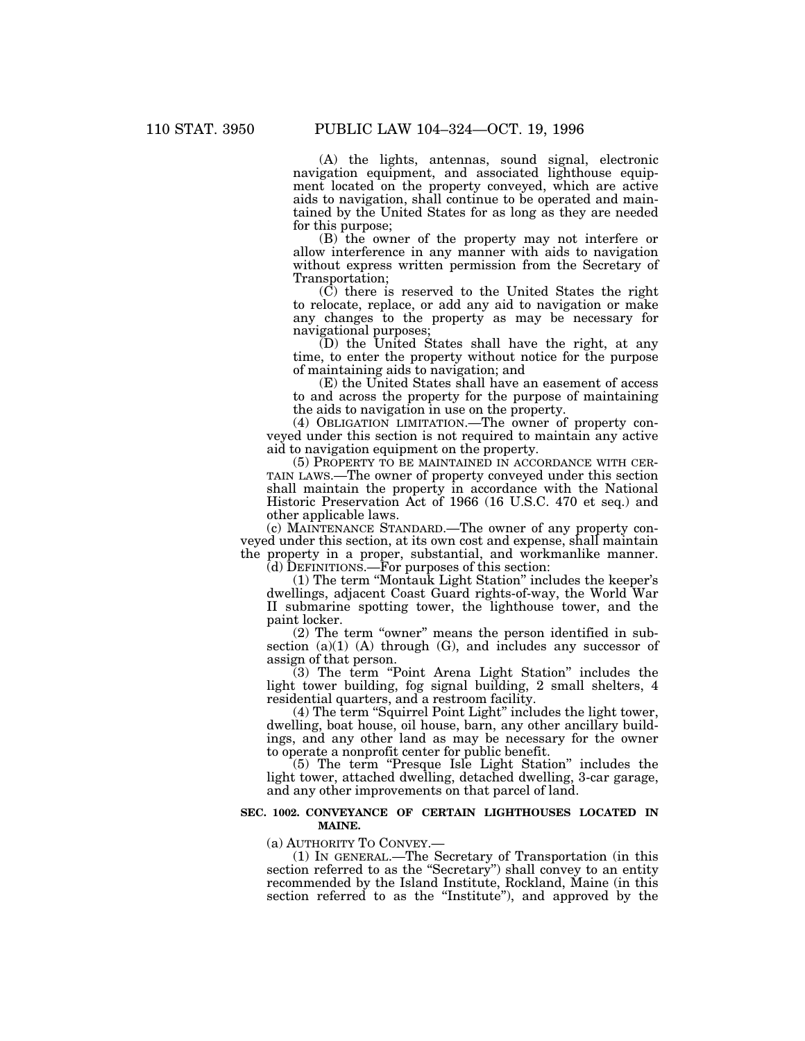(A) the lights, antennas, sound signal, electronic navigation equipment, and associated lighthouse equipment located on the property conveyed, which are active aids to navigation, shall continue to be operated and maintained by the United States for as long as they are needed for this purpose;

(B) the owner of the property may not interfere or allow interference in any manner with aids to navigation without express written permission from the Secretary of Transportation;

 $(C)$  there is reserved to the United States the right to relocate, replace, or add any aid to navigation or make any changes to the property as may be necessary for navigational purposes;

(D) the United States shall have the right, at any time, to enter the property without notice for the purpose of maintaining aids to navigation; and

(E) the United States shall have an easement of access to and across the property for the purpose of maintaining the aids to navigation in use on the property.

(4) OBLIGATION LIMITATION.—The owner of property conveyed under this section is not required to maintain any active aid to navigation equipment on the property.

(5) PROPERTY TO BE MAINTAINED IN ACCORDANCE WITH CER-TAIN LAWS.—The owner of property conveyed under this section shall maintain the property in accordance with the National Historic Preservation Act of 1966 (16 U.S.C. 470 et seq.) and other applicable laws.

(c) MAINTENANCE STANDARD.—The owner of any property conveyed under this section, at its own cost and expense, shall maintain the property in a proper, substantial, and workmanlike manner.

 $(d)$  DEFINITIONS.—For purposes of this section: (1) The term ''Montauk Light Station'' includes the keeper's

dwellings, adjacent Coast Guard rights-of-way, the World War II submarine spotting tower, the lighthouse tower, and the paint locker.

 $(2)$  The term "owner" means the person identified in subsection  $(a)(1)$  (A) through  $(G)$ , and includes any successor of assign of that person.

(3) The term ''Point Arena Light Station'' includes the light tower building, fog signal building, 2 small shelters, 4 residential quarters, and a restroom facility.

(4) The term "Squirrel Point Light" includes the light tower, dwelling, boat house, oil house, barn, any other ancillary buildings, and any other land as may be necessary for the owner to operate a nonprofit center for public benefit.

(5) The term ''Presque Isle Light Station'' includes the light tower, attached dwelling, detached dwelling, 3-car garage, and any other improvements on that parcel of land.

#### **SEC. 1002. CONVEYANCE OF CERTAIN LIGHTHOUSES LOCATED IN MAINE.**

(a) AUTHORITY TO CONVEY.—

(1) IN GENERAL.—The Secretary of Transportation (in this section referred to as the "Secretary") shall convey to an entity recommended by the Island Institute, Rockland, Maine (in this section referred to as the ''Institute''), and approved by the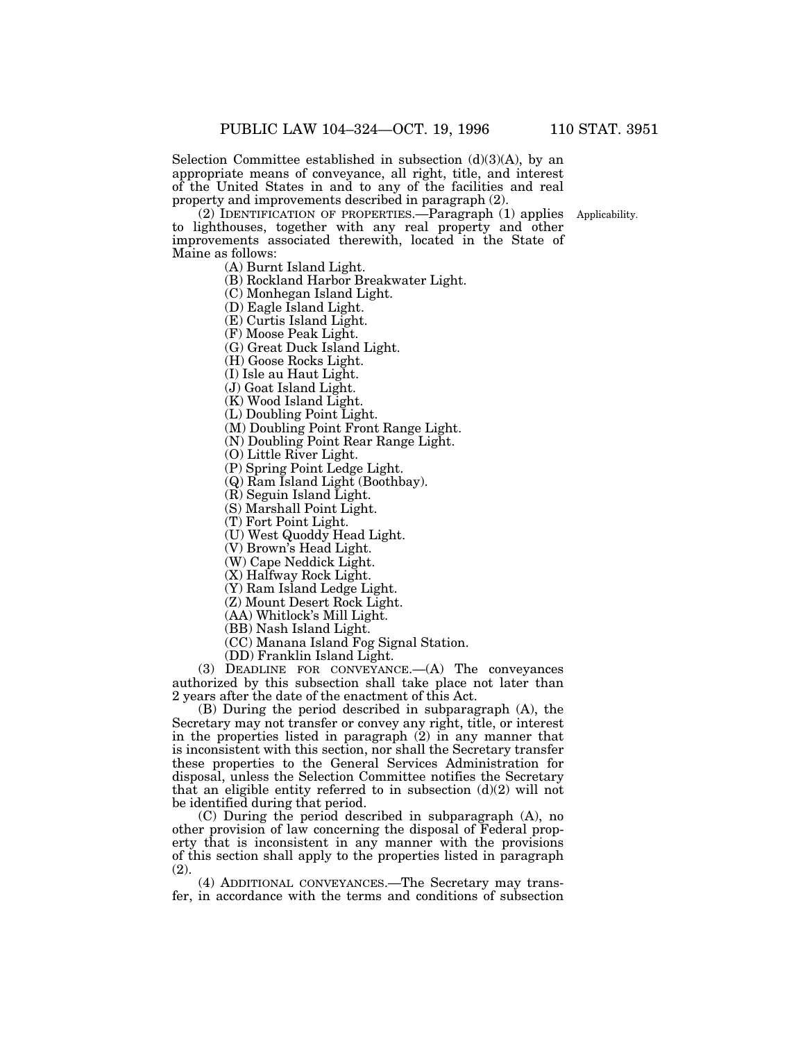Selection Committee established in subsection  $(d)(3)(A)$ , by an appropriate means of conveyance, all right, title, and interest of the United States in and to any of the facilities and real property and improvements described in paragraph (2).

(2) IDENTIFICATION OF PROPERTIES.—Paragraph (1) applies Applicability.to lighthouses, together with any real property and other improvements associated therewith, located in the State of Maine as follows:

(A) Burnt Island Light.

(B) Rockland Harbor Breakwater Light.

(C) Monhegan Island Light.

(D) Eagle Island Light.

(E) Curtis Island Light.

(F) Moose Peak Light.

(G) Great Duck Island Light.

(H) Goose Rocks Light.

(I) Isle au Haut Light.

(J) Goat Island Light.

(K) Wood Island Light.

(L) Doubling Point Light.

(M) Doubling Point Front Range Light.

(N) Doubling Point Rear Range Light.

(O) Little River Light.

(P) Spring Point Ledge Light.

(Q) Ram Island Light (Boothbay).

(R) Seguin Island Light.

(S) Marshall Point Light.

(T) Fort Point Light.

(U) West Quoddy Head Light.

(V) Brown's Head Light.

(W) Cape Neddick Light.

(X) Halfway Rock Light.

(Y) Ram Island Ledge Light.

(Z) Mount Desert Rock Light.

(AA) Whitlock's Mill Light.

(BB) Nash Island Light.

(CC) Manana Island Fog Signal Station.

(DD) Franklin Island Light.

(3) DEADLINE FOR CONVEYANCE.—(A) The conveyances authorized by this subsection shall take place not later than 2 years after the date of the enactment of this Act.

(B) During the period described in subparagraph (A), the Secretary may not transfer or convey any right, title, or interest in the properties listed in paragraph (2) in any manner that is inconsistent with this section, nor shall the Secretary transfer these properties to the General Services Administration for disposal, unless the Selection Committee notifies the Secretary that an eligible entity referred to in subsection  $(d)(2)$  will not be identified during that period.

(C) During the period described in subparagraph (A), no other provision of law concerning the disposal of Federal property that is inconsistent in any manner with the provisions of this section shall apply to the properties listed in paragraph (2).

(4) ADDITIONAL CONVEYANCES.—The Secretary may transfer, in accordance with the terms and conditions of subsection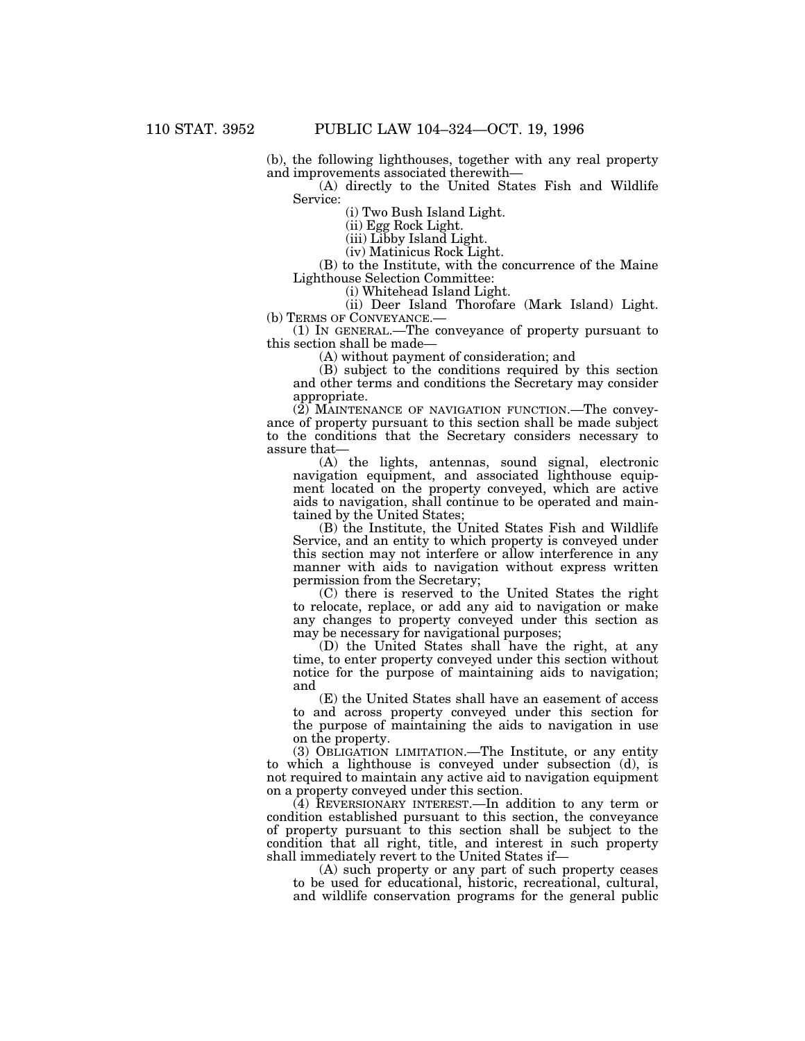(b), the following lighthouses, together with any real property and improvements associated therewith—

(A) directly to the United States Fish and Wildlife Service:

(i) Two Bush Island Light.

(ii) Egg Rock Light.

(iii) Libby Island Light.

(iv) Matinicus Rock Light.

(B) to the Institute, with the concurrence of the Maine Lighthouse Selection Committee:

(i) Whitehead Island Light.

(ii) Deer Island Thorofare (Mark Island) Light. (b) TERMS OF CONVEYANCE.—

(1) IN GENERAL.—The conveyance of property pursuant to this section shall be made—

(A) without payment of consideration; and

(B) subject to the conditions required by this section and other terms and conditions the Secretary may consider appropriate.

(2) MAINTENANCE OF NAVIGATION FUNCTION.—The conveyance of property pursuant to this section shall be made subject to the conditions that the Secretary considers necessary to assure that—

(A) the lights, antennas, sound signal, electronic navigation equipment, and associated lighthouse equipment located on the property conveyed, which are active aids to navigation, shall continue to be operated and maintained by the United States;

(B) the Institute, the United States Fish and Wildlife Service, and an entity to which property is conveyed under this section may not interfere or allow interference in any manner with aids to navigation without express written permission from the Secretary;

(C) there is reserved to the United States the right to relocate, replace, or add any aid to navigation or make any changes to property conveyed under this section as may be necessary for navigational purposes;

(D) the United States shall have the right, at any time, to enter property conveyed under this section without notice for the purpose of maintaining aids to navigation; and

(E) the United States shall have an easement of access to and across property conveyed under this section for the purpose of maintaining the aids to navigation in use on the property.

(3) OBLIGATION LIMITATION.—The Institute, or any entity to which a lighthouse is conveyed under subsection (d), is not required to maintain any active aid to navigation equipment on a property conveyed under this section.

(4) REVERSIONARY INTEREST.—In addition to any term or condition established pursuant to this section, the conveyance of property pursuant to this section shall be subject to the condition that all right, title, and interest in such property shall immediately revert to the United States if—

(A) such property or any part of such property ceases to be used for educational, historic, recreational, cultural, and wildlife conservation programs for the general public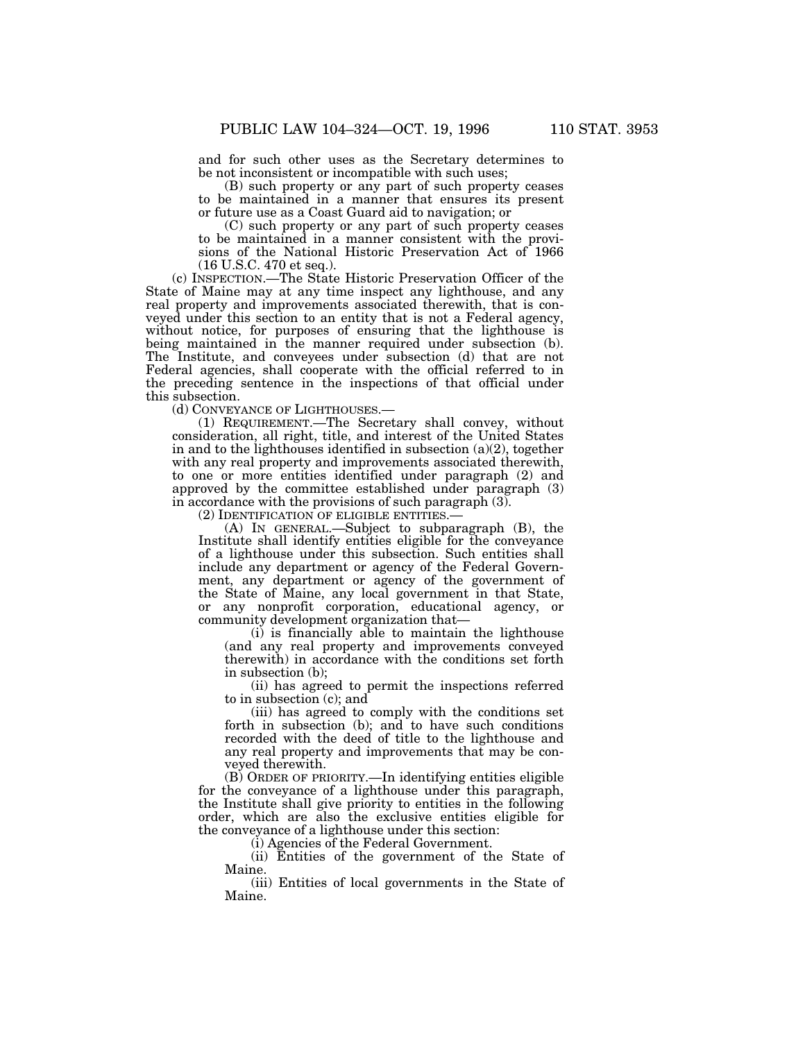and for such other uses as the Secretary determines to be not inconsistent or incompatible with such uses;

(B) such property or any part of such property ceases to be maintained in a manner that ensures its present or future use as a Coast Guard aid to navigation; or

(C) such property or any part of such property ceases to be maintained in a manner consistent with the provisions of the National Historic Preservation Act of 1966 (16 U.S.C. 470 et seq.).

(c) INSPECTION.—The State Historic Preservation Officer of the State of Maine may at any time inspect any lighthouse, and any real property and improvements associated therewith, that is conveyed under this section to an entity that is not a Federal agency, without notice, for purposes of ensuring that the lighthouse is being maintained in the manner required under subsection (b). The Institute, and conveyees under subsection (d) that are not Federal agencies, shall cooperate with the official referred to in the preceding sentence in the inspections of that official under this subsection.

(d) CONVEYANCE OF LIGHTHOUSES.—

(1) REQUIREMENT.—The Secretary shall convey, without consideration, all right, title, and interest of the United States in and to the lighthouses identified in subsection (a)(2), together with any real property and improvements associated therewith, to one or more entities identified under paragraph (2) and approved by the committee established under paragraph (3) in accordance with the provisions of such paragraph (3).

(2) IDENTIFICATION OF ELIGIBLE ENTITIES.—

(A) IN GENERAL.—Subject to subparagraph (B), the Institute shall identify entities eligible for the conveyance of a lighthouse under this subsection. Such entities shall include any department or agency of the Federal Government, any department or agency of the government of the State of Maine, any local government in that State, or any nonprofit corporation, educational agency, or community development organization that—

(i) is financially able to maintain the lighthouse (and any real property and improvements conveyed therewith) in accordance with the conditions set forth in subsection (b);

(ii) has agreed to permit the inspections referred to in subsection (c); and

(iii) has agreed to comply with the conditions set forth in subsection (b); and to have such conditions recorded with the deed of title to the lighthouse and any real property and improvements that may be conveyed therewith.

(B) ORDER OF PRIORITY.—In identifying entities eligible for the conveyance of a lighthouse under this paragraph, the Institute shall give priority to entities in the following order, which are also the exclusive entities eligible for the conveyance of a lighthouse under this section:

(i) Agencies of the Federal Government.

(ii) Entities of the government of the State of Maine.

(iii) Entities of local governments in the State of Maine.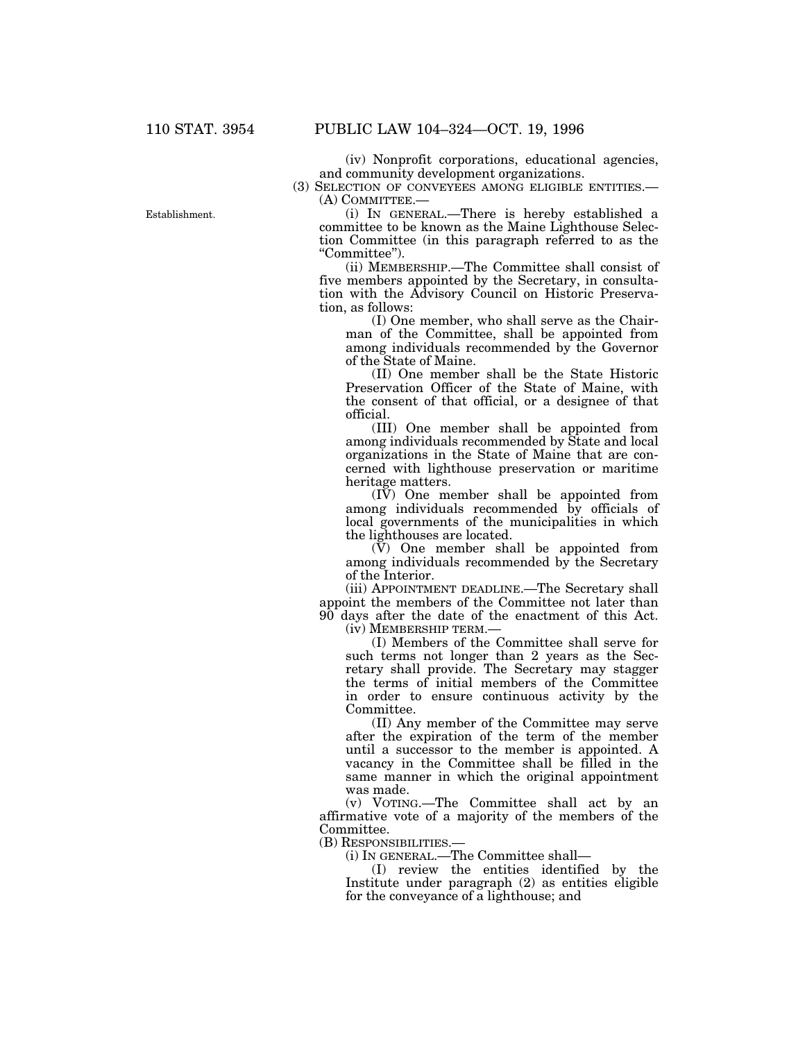(iv) Nonprofit corporations, educational agencies, and community development organizations.

(3) SELECTION OF CONVEYEES AMONG ELIGIBLE ENTITIES.— (A) COMMITTEE.—

(i) IN GENERAL.—There is hereby established a committee to be known as the Maine Lighthouse Selection Committee (in this paragraph referred to as the ''Committee'').

(ii) MEMBERSHIP.—The Committee shall consist of five members appointed by the Secretary, in consultation with the Advisory Council on Historic Preservation, as follows:

(I) One member, who shall serve as the Chairman of the Committee, shall be appointed from among individuals recommended by the Governor of the State of Maine.

(II) One member shall be the State Historic Preservation Officer of the State of Maine, with the consent of that official, or a designee of that official.

(III) One member shall be appointed from among individuals recommended by State and local organizations in the State of Maine that are concerned with lighthouse preservation or maritime heritage matters.

(IV) One member shall be appointed from among individuals recommended by officials of local governments of the municipalities in which the lighthouses are located.

 $(V)$  One member shall be appointed from among individuals recommended by the Secretary of the Interior.

(iii) APPOINTMENT DEADLINE.—The Secretary shall appoint the members of the Committee not later than 90 days after the date of the enactment of this Act.

(iv) MEMBERSHIP TERM.—

(I) Members of the Committee shall serve for such terms not longer than 2 years as the Secretary shall provide. The Secretary may stagger the terms of initial members of the Committee in order to ensure continuous activity by the Committee.

(II) Any member of the Committee may serve after the expiration of the term of the member until a successor to the member is appointed. A vacancy in the Committee shall be filled in the same manner in which the original appointment was made.

(v) VOTING.—The Committee shall act by an affirmative vote of a majority of the members of the Committee.

(B) RESPONSIBILITIES.—

(i) IN GENERAL.—The Committee shall—

(I) review the entities identified by the Institute under paragraph (2) as entities eligible for the conveyance of a lighthouse; and

Establishment.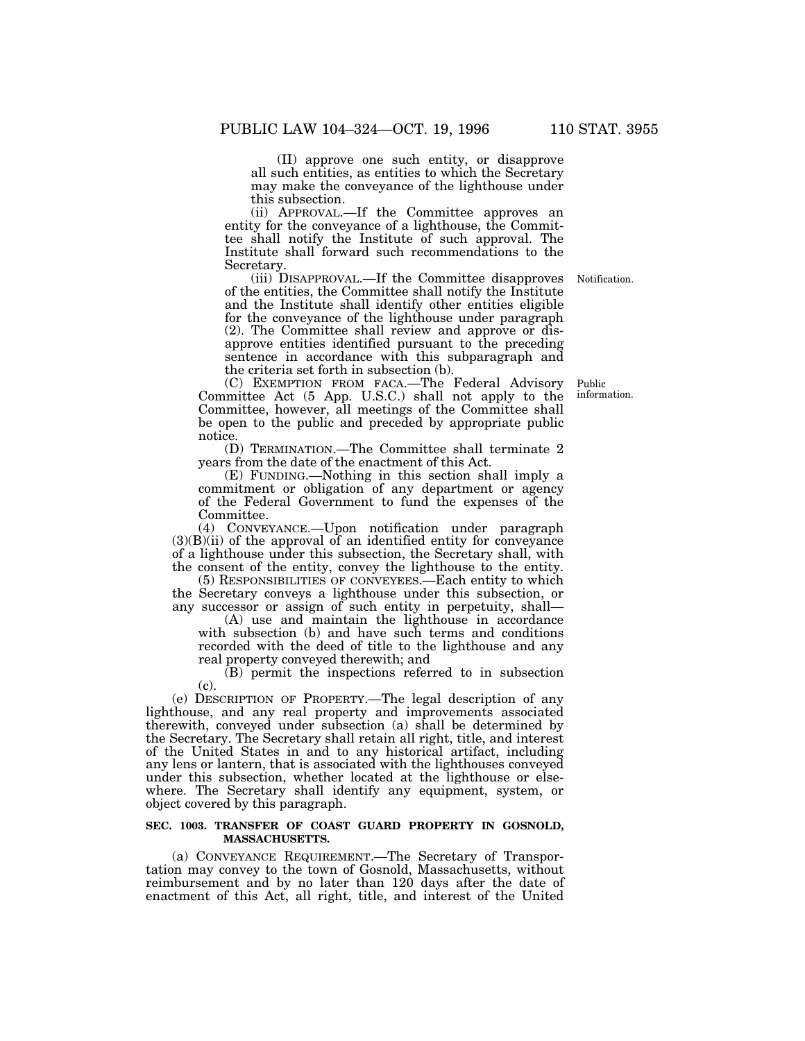(II) approve one such entity, or disapprove all such entities, as entities to which the Secretary may make the conveyance of the lighthouse under this subsection.

(ii) APPROVAL.—If the Committee approves an entity for the conveyance of a lighthouse, the Committee shall notify the Institute of such approval. The Institute shall forward such recommendations to the Secretary.

Notification.

(iii) DISAPPROVAL.—If the Committee disapproves of the entities, the Committee shall notify the Institute and the Institute shall identify other entities eligible for the conveyance of the lighthouse under paragraph (2). The Committee shall review and approve or disapprove entities identified pursuant to the preceding sentence in accordance with this subparagraph and the criteria set forth in subsection (b).

(C) EXEMPTION FROM FACA.—The Federal Advisory Committee Act (5 App. U.S.C.) shall not apply to the Committee, however, all meetings of the Committee shall be open to the public and preceded by appropriate public notice.

(D) TERMINATION.—The Committee shall terminate 2 years from the date of the enactment of this Act.

(E) FUNDING.—Nothing in this section shall imply a commitment or obligation of any department or agency of the Federal Government to fund the expenses of the Committee.

(4) CONVEYANCE.—Upon notification under paragraph  $(3)(B)(ii)$  of the approval of an identified entity for conveyance of a lighthouse under this subsection, the Secretary shall, with the consent of the entity, convey the lighthouse to the entity.

(5) RESPONSIBILITIES OF CONVEYEES.—Each entity to which the Secretary conveys a lighthouse under this subsection, or any successor or assign of such entity in perpetuity, shall—

(A) use and maintain the lighthouse in accordance with subsection (b) and have such terms and conditions recorded with the deed of title to the lighthouse and any real property conveyed therewith; and

(B) permit the inspections referred to in subsection (c).

(e) DESCRIPTION OF PROPERTY.—The legal description of any lighthouse, and any real property and improvements associated therewith, conveyed under subsection (a) shall be determined by the Secretary. The Secretary shall retain all right, title, and interest of the United States in and to any historical artifact, including any lens or lantern, that is associated with the lighthouses conveyed under this subsection, whether located at the lighthouse or elsewhere. The Secretary shall identify any equipment, system, or object covered by this paragraph.

# **SEC. 1003. TRANSFER OF COAST GUARD PROPERTY IN GOSNOLD, MASSACHUSETTS.**

(a) CONVEYANCE REQUIREMENT.—The Secretary of Transportation may convey to the town of Gosnold, Massachusetts, without reimbursement and by no later than 120 days after the date of enactment of this Act, all right, title, and interest of the United

Public information.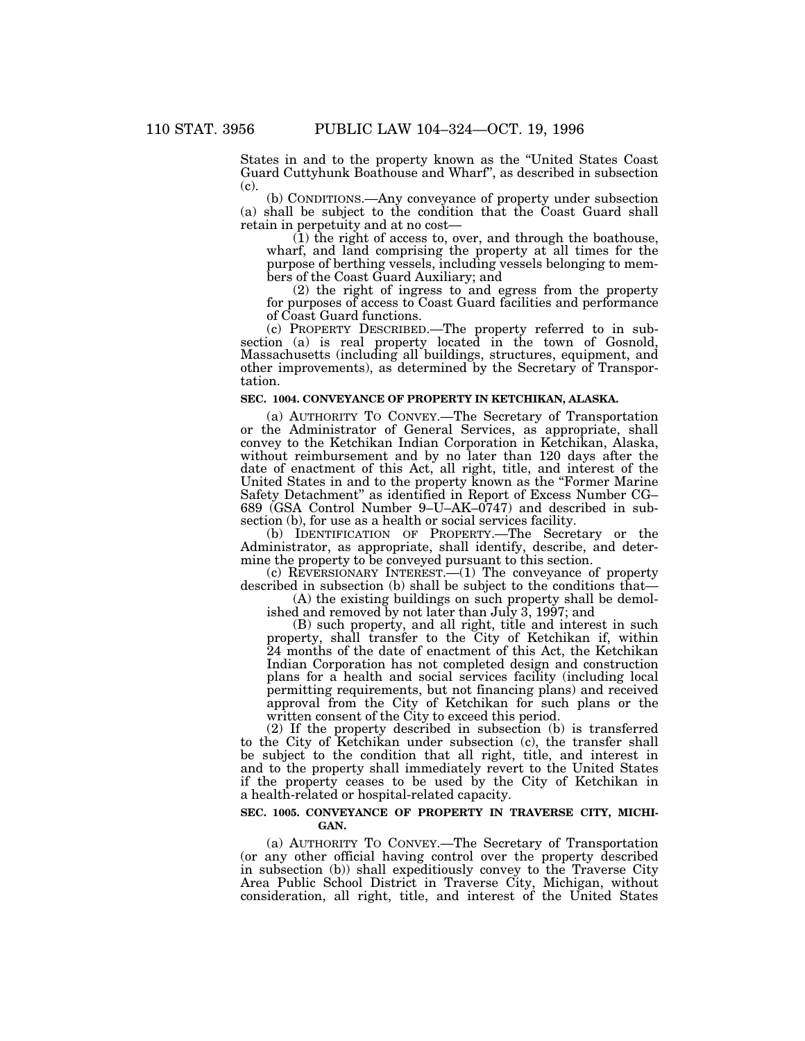States in and to the property known as the ''United States Coast Guard Cuttyhunk Boathouse and Wharf'', as described in subsection (c).

(b) CONDITIONS.—Any conveyance of property under subsection (a) shall be subject to the condition that the Coast Guard shall retain in perpetuity and at no cost—

(1) the right of access to, over, and through the boathouse, wharf, and land comprising the property at all times for the purpose of berthing vessels, including vessels belonging to members of the Coast Guard Auxiliary; and

(2) the right of ingress to and egress from the property for purposes of access to Coast Guard facilities and performance of Coast Guard functions.

(c) PROPERTY DESCRIBED.—The property referred to in subsection (a) is real property located in the town of Gosnold, Massachusetts (including all buildings, structures, equipment, and other improvements), as determined by the Secretary of Transportation.

# **SEC. 1004. CONVEYANCE OF PROPERTY IN KETCHIKAN, ALASKA.**

(a) AUTHORITY TO CONVEY.—The Secretary of Transportation or the Administrator of General Services, as appropriate, shall convey to the Ketchikan Indian Corporation in Ketchikan, Alaska, without reimbursement and by no later than 120 days after the date of enactment of this Act, all right, title, and interest of the United States in and to the property known as the "Former Marine Safety Detachment'' as identified in Report of Excess Number CG– 689 (GSA Control Number 9–U–AK–0747) and described in subsection (b), for use as a health or social services facility.

(b) IDENTIFICATION OF PROPERTY.—The Secretary or the Administrator, as appropriate, shall identify, describe, and determine the property to be conveyed pursuant to this section.

(c) REVERSIONARY INTEREST.—(1) The conveyance of property described in subsection (b) shall be subject to the conditions that—

(A) the existing buildings on such property shall be demolished and removed by not later than July 3, 1997; and

(B) such property, and all right, title and interest in such property, shall transfer to the City of Ketchikan if, within 24 months of the date of enactment of this Act, the Ketchikan Indian Corporation has not completed design and construction plans for a health and social services facility (including local permitting requirements, but not financing plans) and received approval from the City of Ketchikan for such plans or the written consent of the City to exceed this period.

(2) If the property described in subsection (b) is transferred to the City of Ketchikan under subsection (c), the transfer shall be subject to the condition that all right, title, and interest in and to the property shall immediately revert to the United States if the property ceases to be used by the City of Ketchikan in a health-related or hospital-related capacity.

# **SEC. 1005. CONVEYANCE OF PROPERTY IN TRAVERSE CITY, MICHI-GAN.**

(a) AUTHORITY TO CONVEY.—The Secretary of Transportation (or any other official having control over the property described in subsection (b)) shall expeditiously convey to the Traverse City Area Public School District in Traverse City, Michigan, without consideration, all right, title, and interest of the United States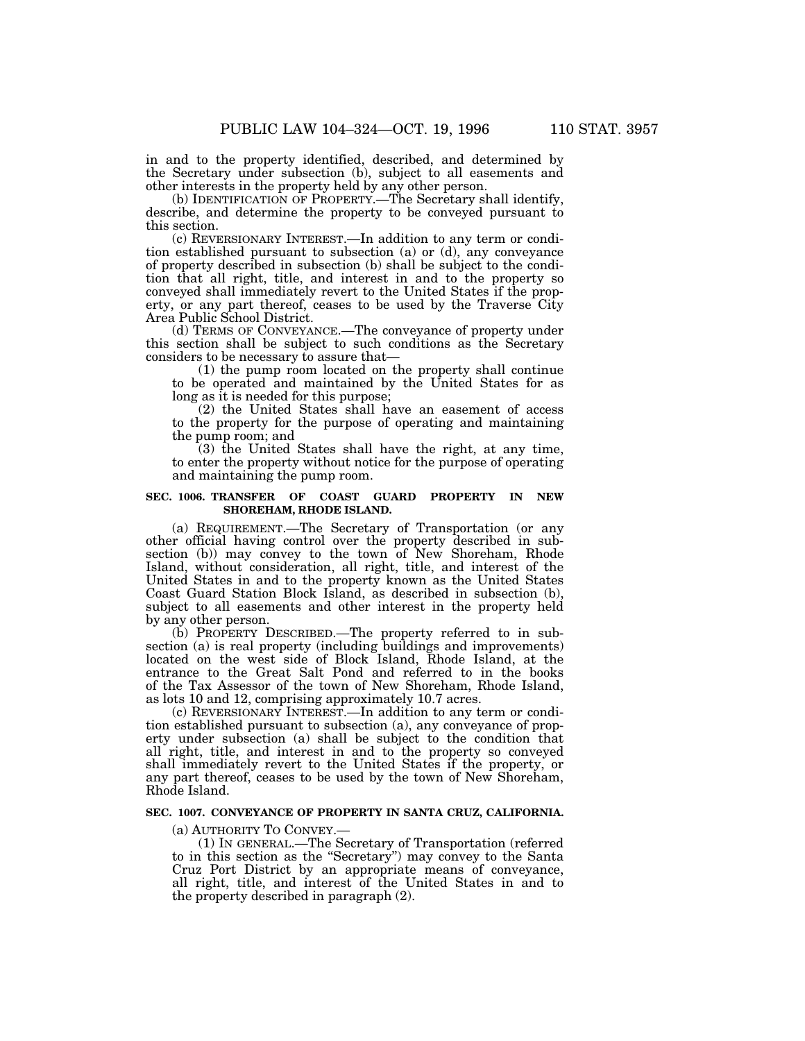in and to the property identified, described, and determined by the Secretary under subsection (b), subject to all easements and other interests in the property held by any other person.

(b) IDENTIFICATION OF PROPERTY.—The Secretary shall identify, describe, and determine the property to be conveyed pursuant to this section.

(c) REVERSIONARY INTEREST.—In addition to any term or condition established pursuant to subsection (a) or (d), any conveyance of property described in subsection (b) shall be subject to the condition that all right, title, and interest in and to the property so conveyed shall immediately revert to the United States if the property, or any part thereof, ceases to be used by the Traverse City Area Public School District.

(d) TERMS OF CONVEYANCE.—The conveyance of property under this section shall be subject to such conditions as the Secretary considers to be necessary to assure that—

(1) the pump room located on the property shall continue to be operated and maintained by the United States for as long as it is needed for this purpose;

(2) the United States shall have an easement of access to the property for the purpose of operating and maintaining the pump room; and

(3) the United States shall have the right, at any time, to enter the property without notice for the purpose of operating and maintaining the pump room.

# **SEC. 1006. TRANSFER OF COAST GUARD PROPERTY IN NEW SHOREHAM, RHODE ISLAND.**

(a) REQUIREMENT.—The Secretary of Transportation (or any other official having control over the property described in subsection (b)) may convey to the town of New Shoreham, Rhode Island, without consideration, all right, title, and interest of the United States in and to the property known as the United States Coast Guard Station Block Island, as described in subsection (b), subject to all easements and other interest in the property held by any other person.

(b) PROPERTY DESCRIBED.—The property referred to in subsection (a) is real property (including buildings and improvements) located on the west side of Block Island, Rhode Island, at the entrance to the Great Salt Pond and referred to in the books of the Tax Assessor of the town of New Shoreham, Rhode Island, as lots 10 and 12, comprising approximately 10.7 acres.

(c) REVERSIONARY INTEREST.—In addition to any term or condition established pursuant to subsection (a), any conveyance of property under subsection (a) shall be subject to the condition that all right, title, and interest in and to the property so conveyed shall immediately revert to the United States if the property, or any part thereof, ceases to be used by the town of New Shoreham, Rhode Island.

# **SEC. 1007. CONVEYANCE OF PROPERTY IN SANTA CRUZ, CALIFORNIA.**

# (a) AUTHORITY TO CONVEY.—

(1) IN GENERAL.—The Secretary of Transportation (referred to in this section as the ''Secretary'') may convey to the Santa Cruz Port District by an appropriate means of conveyance, all right, title, and interest of the United States in and to the property described in paragraph (2).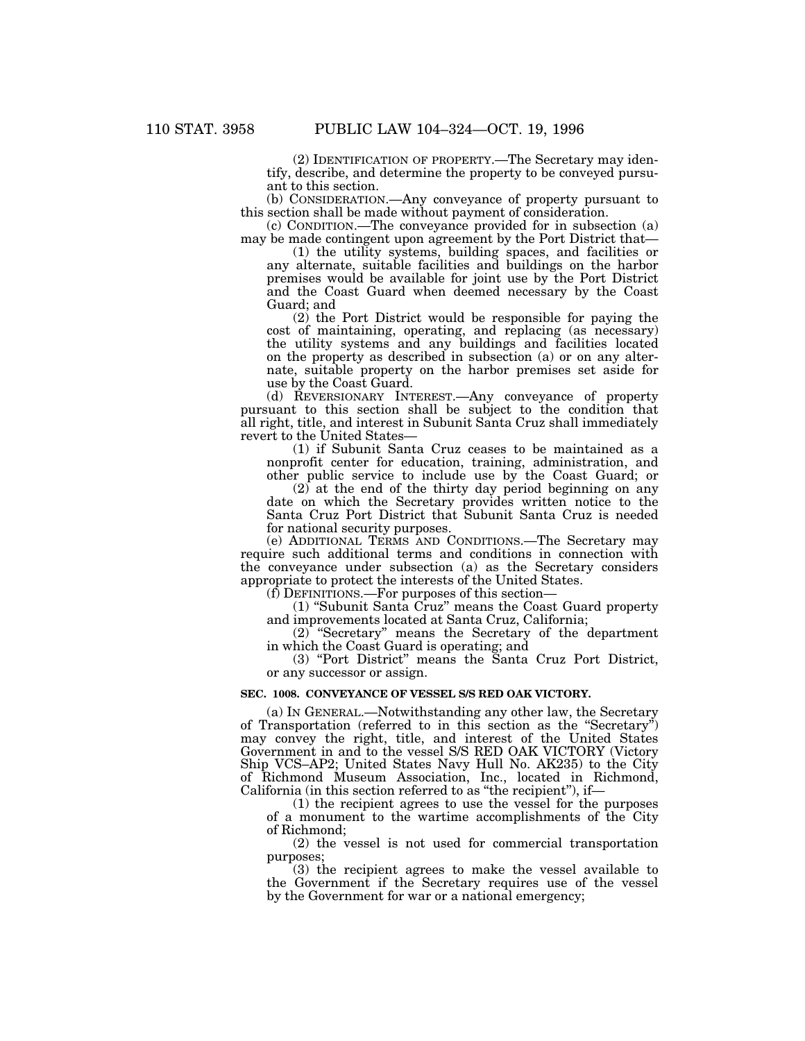(2) IDENTIFICATION OF PROPERTY.—The Secretary may identify, describe, and determine the property to be conveyed pursuant to this section.

(b) CONSIDERATION.—Any conveyance of property pursuant to this section shall be made without payment of consideration.

(c) CONDITION.—The conveyance provided for in subsection (a) may be made contingent upon agreement by the Port District that—

(1) the utility systems, building spaces, and facilities or any alternate, suitable facilities and buildings on the harbor premises would be available for joint use by the Port District and the Coast Guard when deemed necessary by the Coast Guard; and

(2) the Port District would be responsible for paying the cost of maintaining, operating, and replacing (as necessary) the utility systems and any buildings and facilities located on the property as described in subsection (a) or on any alternate, suitable property on the harbor premises set aside for use by the Coast Guard.

(d) REVERSIONARY INTEREST.—Any conveyance of property pursuant to this section shall be subject to the condition that all right, title, and interest in Subunit Santa Cruz shall immediately revert to the United States—

(1) if Subunit Santa Cruz ceases to be maintained as a nonprofit center for education, training, administration, and other public service to include use by the Coast Guard; or

(2) at the end of the thirty day period beginning on any date on which the Secretary provides written notice to the Santa Cruz Port District that Subunit Santa Cruz is needed for national security purposes.

(e) ADDITIONAL TERMS AND CONDITIONS.—The Secretary may require such additional terms and conditions in connection with the conveyance under subsection (a) as the Secretary considers appropriate to protect the interests of the United States.

(f) DEFINITIONS.—For purposes of this section—

(1) ''Subunit Santa Cruz'' means the Coast Guard property and improvements located at Santa Cruz, California;

(2) ''Secretary'' means the Secretary of the department in which the Coast Guard is operating; and

(3) ''Port District'' means the Santa Cruz Port District, or any successor or assign.

# **SEC. 1008. CONVEYANCE OF VESSEL S/S RED OAK VICTORY.**

(a) IN GENERAL.—Notwithstanding any other law, the Secretary of Transportation (referred to in this section as the ''Secretary'') may convey the right, title, and interest of the United States Government in and to the vessel S/S RED OAK VICTORY (Victory Ship VCS–AP2; United States Navy Hull No. AK235) to the City of Richmond Museum Association, Inc., located in Richmond, California (in this section referred to as ''the recipient''), if—

(1) the recipient agrees to use the vessel for the purposes of a monument to the wartime accomplishments of the City of Richmond;

(2) the vessel is not used for commercial transportation purposes;

(3) the recipient agrees to make the vessel available to the Government if the Secretary requires use of the vessel by the Government for war or a national emergency;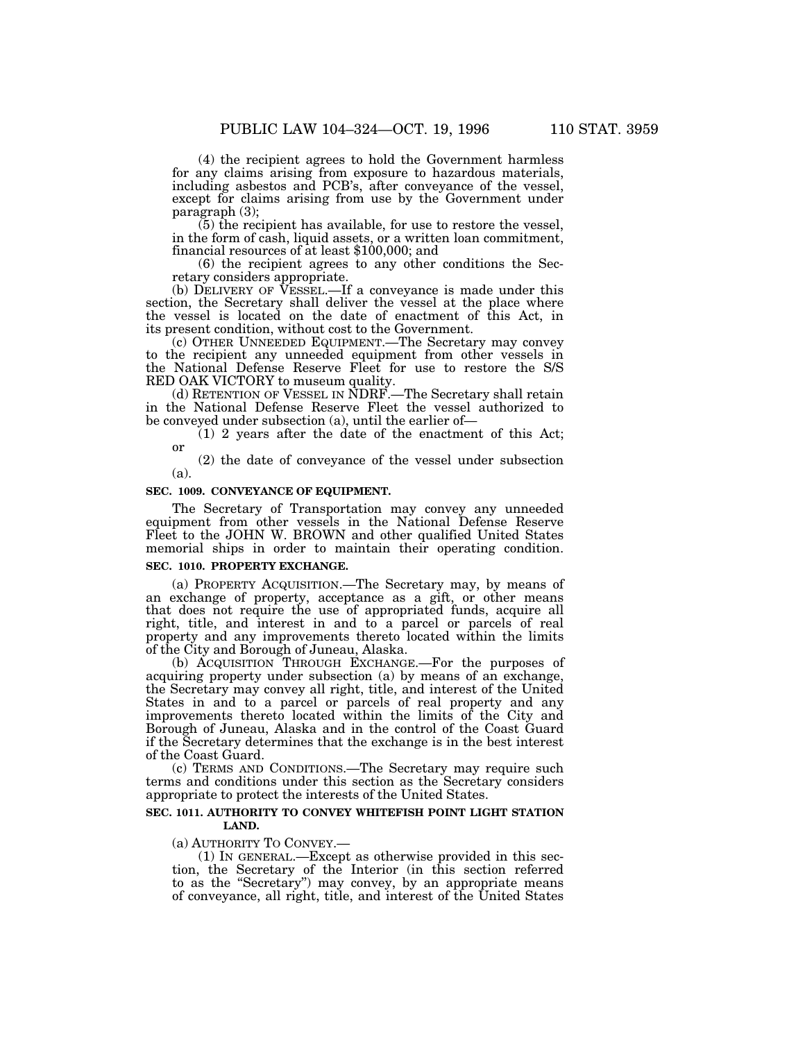(4) the recipient agrees to hold the Government harmless for any claims arising from exposure to hazardous materials, including asbestos and PCB's, after conveyance of the vessel, except for claims arising from use by the Government under paragraph (3);

(5) the recipient has available, for use to restore the vessel, in the form of cash, liquid assets, or a written loan commitment, financial resources of at least \$100,000; and

(6) the recipient agrees to any other conditions the Secretary considers appropriate.

(b) DELIVERY OF VESSEL.—If a conveyance is made under this section, the Secretary shall deliver the vessel at the place where the vessel is located on the date of enactment of this Act, in its present condition, without cost to the Government.

(c) OTHER UNNEEDED EQUIPMENT.—The Secretary may convey to the recipient any unneeded equipment from other vessels in the National Defense Reserve Fleet for use to restore the S/S RED OAK VICTORY to museum quality.

(d) RETENTION OF VESSEL IN NDRF.—The Secretary shall retain in the National Defense Reserve Fleet the vessel authorized to be conveyed under subsection (a), until the earlier of—

(1) 2 years after the date of the enactment of this Act; or

(2) the date of conveyance of the vessel under subsection (a).

# **SEC. 1009. CONVEYANCE OF EQUIPMENT.**

The Secretary of Transportation may convey any unneeded equipment from other vessels in the National Defense Reserve Fleet to the JOHN W. BROWN and other qualified United States memorial ships in order to maintain their operating condition. **SEC. 1010. PROPERTY EXCHANGE.**

(a) PROPERTY ACQUISITION.—The Secretary may, by means of an exchange of property, acceptance as a gift, or other means that does not require the use of appropriated funds, acquire all right, title, and interest in and to a parcel or parcels of real property and any improvements thereto located within the limits of the City and Borough of Juneau, Alaska.

(b) ACQUISITION THROUGH EXCHANGE.—For the purposes of acquiring property under subsection (a) by means of an exchange, the Secretary may convey all right, title, and interest of the United States in and to a parcel or parcels of real property and any improvements thereto located within the limits of the City and Borough of Juneau, Alaska and in the control of the Coast Guard if the Secretary determines that the exchange is in the best interest of the Coast Guard.

(c) TERMS AND CONDITIONS.—The Secretary may require such terms and conditions under this section as the Secretary considers appropriate to protect the interests of the United States.

# **SEC. 1011. AUTHORITY TO CONVEY WHITEFISH POINT LIGHT STATION LAND.**

(a) AUTHORITY TO CONVEY.— (1) IN GENERAL.—Except as otherwise provided in this section, the Secretary of the Interior (in this section referred to as the ''Secretary'') may convey, by an appropriate means of conveyance, all right, title, and interest of the United States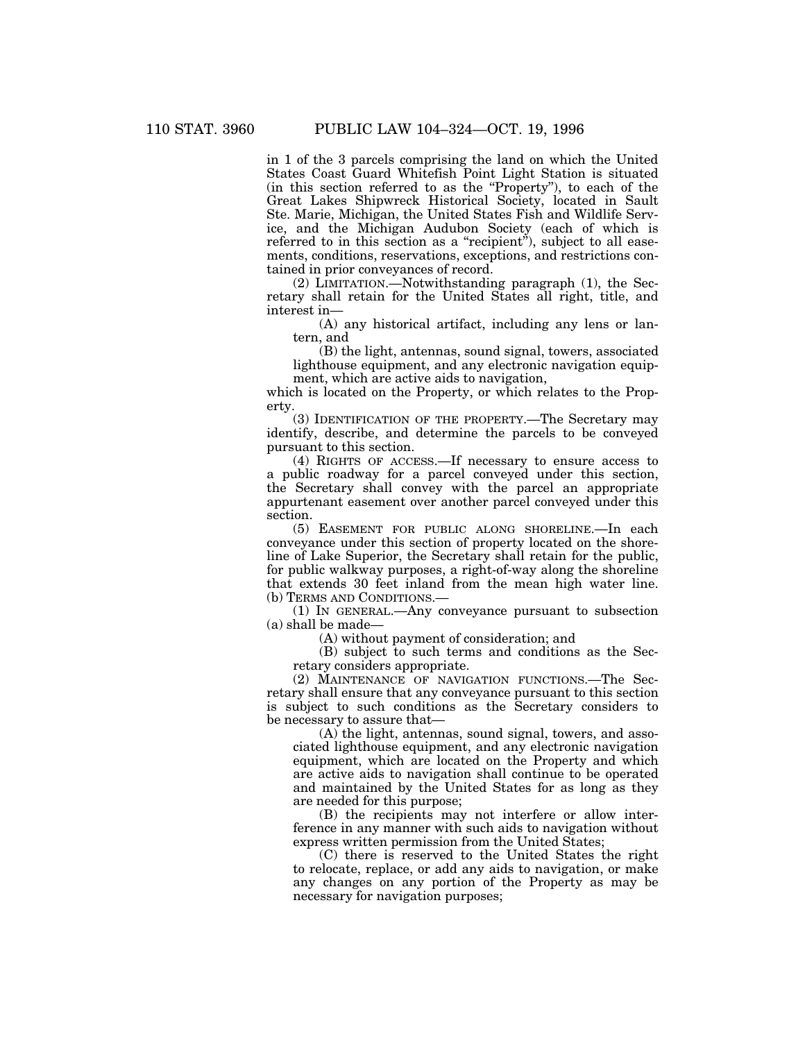in 1 of the 3 parcels comprising the land on which the United States Coast Guard Whitefish Point Light Station is situated (in this section referred to as the ''Property''), to each of the Great Lakes Shipwreck Historical Society, located in Sault Ste. Marie, Michigan, the United States Fish and Wildlife Service, and the Michigan Audubon Society (each of which is referred to in this section as a "recipient"), subject to all easements, conditions, reservations, exceptions, and restrictions contained in prior conveyances of record.

(2) LIMITATION.—Notwithstanding paragraph (1), the Secretary shall retain for the United States all right, title, and interest in—

(A) any historical artifact, including any lens or lantern, and

(B) the light, antennas, sound signal, towers, associated lighthouse equipment, and any electronic navigation equipment, which are active aids to navigation,

which is located on the Property, or which relates to the Property.

(3) IDENTIFICATION OF THE PROPERTY.—The Secretary may identify, describe, and determine the parcels to be conveyed pursuant to this section.

(4) RIGHTS OF ACCESS.—If necessary to ensure access to a public roadway for a parcel conveyed under this section, the Secretary shall convey with the parcel an appropriate appurtenant easement over another parcel conveyed under this section.

(5) EASEMENT FOR PUBLIC ALONG SHORELINE.—In each conveyance under this section of property located on the shoreline of Lake Superior, the Secretary shall retain for the public, for public walkway purposes, a right-of-way along the shoreline that extends 30 feet inland from the mean high water line. (b) TERMS AND CONDITIONS.—

(1) IN GENERAL.—Any conveyance pursuant to subsection (a) shall be made—

(A) without payment of consideration; and

(B) subject to such terms and conditions as the Secretary considers appropriate.

(2) MAINTENANCE OF NAVIGATION FUNCTIONS.—The Secretary shall ensure that any conveyance pursuant to this section is subject to such conditions as the Secretary considers to be necessary to assure that—

(A) the light, antennas, sound signal, towers, and associated lighthouse equipment, and any electronic navigation equipment, which are located on the Property and which are active aids to navigation shall continue to be operated and maintained by the United States for as long as they are needed for this purpose;

(B) the recipients may not interfere or allow interference in any manner with such aids to navigation without express written permission from the United States;

(C) there is reserved to the United States the right to relocate, replace, or add any aids to navigation, or make any changes on any portion of the Property as may be necessary for navigation purposes;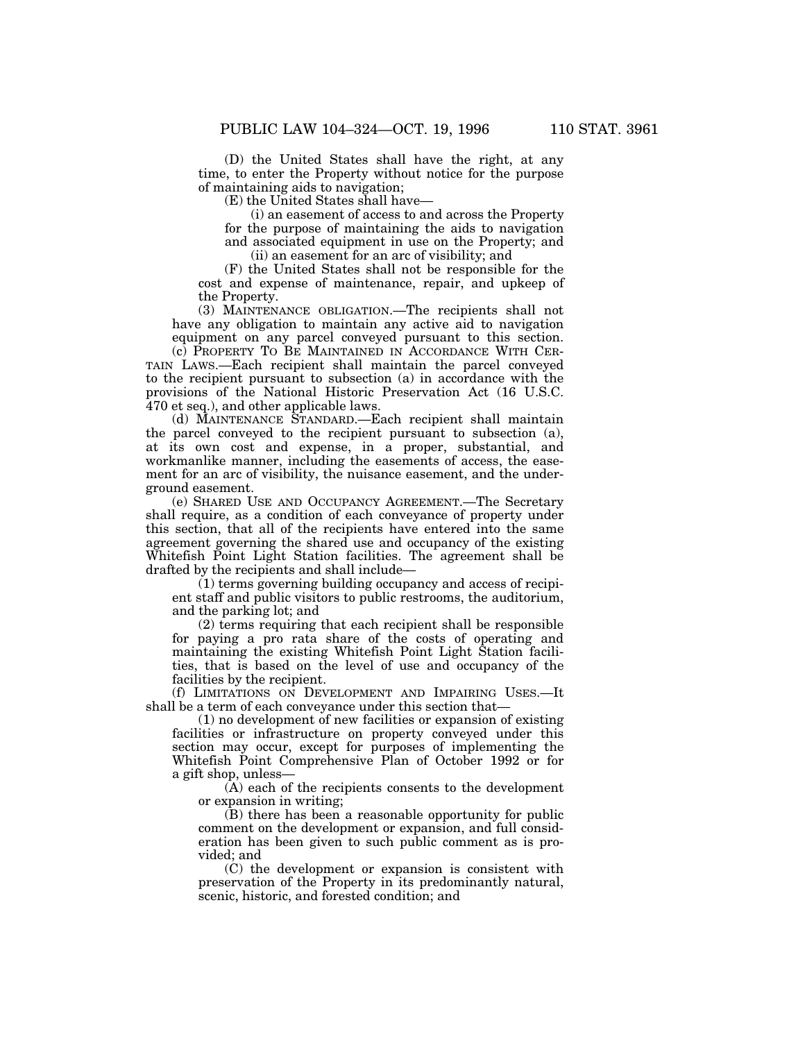(D) the United States shall have the right, at any time, to enter the Property without notice for the purpose of maintaining aids to navigation;

(E) the United States shall have—

(i) an easement of access to and across the Property for the purpose of maintaining the aids to navigation and associated equipment in use on the Property; and

(ii) an easement for an arc of visibility; and

(F) the United States shall not be responsible for the cost and expense of maintenance, repair, and upkeep of the Property.

(3) MAINTENANCE OBLIGATION.—The recipients shall not have any obligation to maintain any active aid to navigation equipment on any parcel conveyed pursuant to this section.

(c) PROPERTY TO BE MAINTAINED IN ACCORDANCE WITH CER-TAIN LAWS.—Each recipient shall maintain the parcel conveyed to the recipient pursuant to subsection (a) in accordance with the provisions of the National Historic Preservation Act (16 U.S.C. 470 et seq.), and other applicable laws.

(d) MAINTENANCE STANDARD.—Each recipient shall maintain the parcel conveyed to the recipient pursuant to subsection (a), at its own cost and expense, in a proper, substantial, and workmanlike manner, including the easements of access, the easement for an arc of visibility, the nuisance easement, and the underground easement.

(e) SHARED USE AND OCCUPANCY AGREEMENT.—The Secretary shall require, as a condition of each conveyance of property under this section, that all of the recipients have entered into the same agreement governing the shared use and occupancy of the existing Whitefish Point Light Station facilities. The agreement shall be drafted by the recipients and shall include—

(1) terms governing building occupancy and access of recipient staff and public visitors to public restrooms, the auditorium, and the parking lot; and

(2) terms requiring that each recipient shall be responsible for paying a pro rata share of the costs of operating and maintaining the existing Whitefish Point Light Station facilities, that is based on the level of use and occupancy of the facilities by the recipient.

(f) LIMITATIONS ON DEVELOPMENT AND IMPAIRING USES.—It shall be a term of each conveyance under this section that—

(1) no development of new facilities or expansion of existing facilities or infrastructure on property conveyed under this section may occur, except for purposes of implementing the Whitefish Point Comprehensive Plan of October 1992 or for a gift shop, unless—

(A) each of the recipients consents to the development or expansion in writing;

(B) there has been a reasonable opportunity for public comment on the development or expansion, and full consideration has been given to such public comment as is provided; and

(C) the development or expansion is consistent with preservation of the Property in its predominantly natural, scenic, historic, and forested condition; and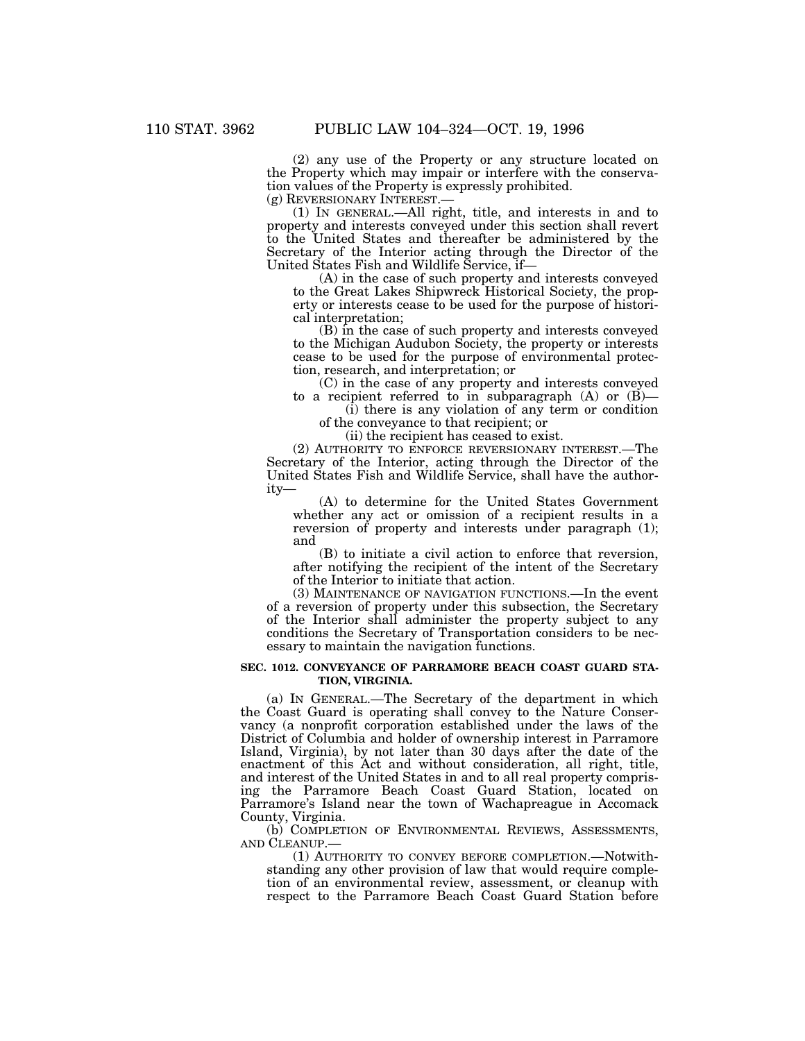(2) any use of the Property or any structure located on the Property which may impair or interfere with the conservation values of the Property is expressly prohibited.

(g) REVERSIONARY INTEREST.—

(1) IN GENERAL.—All right, title, and interests in and to property and interests conveyed under this section shall revert to the United States and thereafter be administered by the Secretary of the Interior acting through the Director of the United States Fish and Wildlife Service, if—

(A) in the case of such property and interests conveyed to the Great Lakes Shipwreck Historical Society, the property or interests cease to be used for the purpose of historical interpretation;

(B) in the case of such property and interests conveyed to the Michigan Audubon Society, the property or interests cease to be used for the purpose of environmental protection, research, and interpretation; or

(C) in the case of any property and interests conveyed to a recipient referred to in subparagraph  $(A)$  or  $(\vec{B})$ —

(i) there is any violation of any term or condition of the conveyance to that recipient; or

(ii) the recipient has ceased to exist.

(2) AUTHORITY TO ENFORCE REVERSIONARY INTEREST.—The Secretary of the Interior, acting through the Director of the United States Fish and Wildlife Service, shall have the authority—

(A) to determine for the United States Government whether any act or omission of a recipient results in a reversion of property and interests under paragraph (1); and

(B) to initiate a civil action to enforce that reversion, after notifying the recipient of the intent of the Secretary of the Interior to initiate that action.

(3) MAINTENANCE OF NAVIGATION FUNCTIONS.—In the event of a reversion of property under this subsection, the Secretary of the Interior shall administer the property subject to any conditions the Secretary of Transportation considers to be necessary to maintain the navigation functions.

# **SEC. 1012. CONVEYANCE OF PARRAMORE BEACH COAST GUARD STA-TION, VIRGINIA.**

(a) IN GENERAL.—The Secretary of the department in which the Coast Guard is operating shall convey to the Nature Conservancy (a nonprofit corporation established under the laws of the District of Columbia and holder of ownership interest in Parramore Island, Virginia), by not later than 30 days after the date of the enactment of this Act and without consideration, all right, title, and interest of the United States in and to all real property comprising the Parramore Beach Coast Guard Station, located on Parramore's Island near the town of Wachapreague in Accomack County, Virginia.

(b) COMPLETION OF ENVIRONMENTAL REVIEWS, ASSESSMENTS, AND CLEANUP.—

(1) AUTHORITY TO CONVEY BEFORE COMPLETION.—Notwithstanding any other provision of law that would require completion of an environmental review, assessment, or cleanup with respect to the Parramore Beach Coast Guard Station before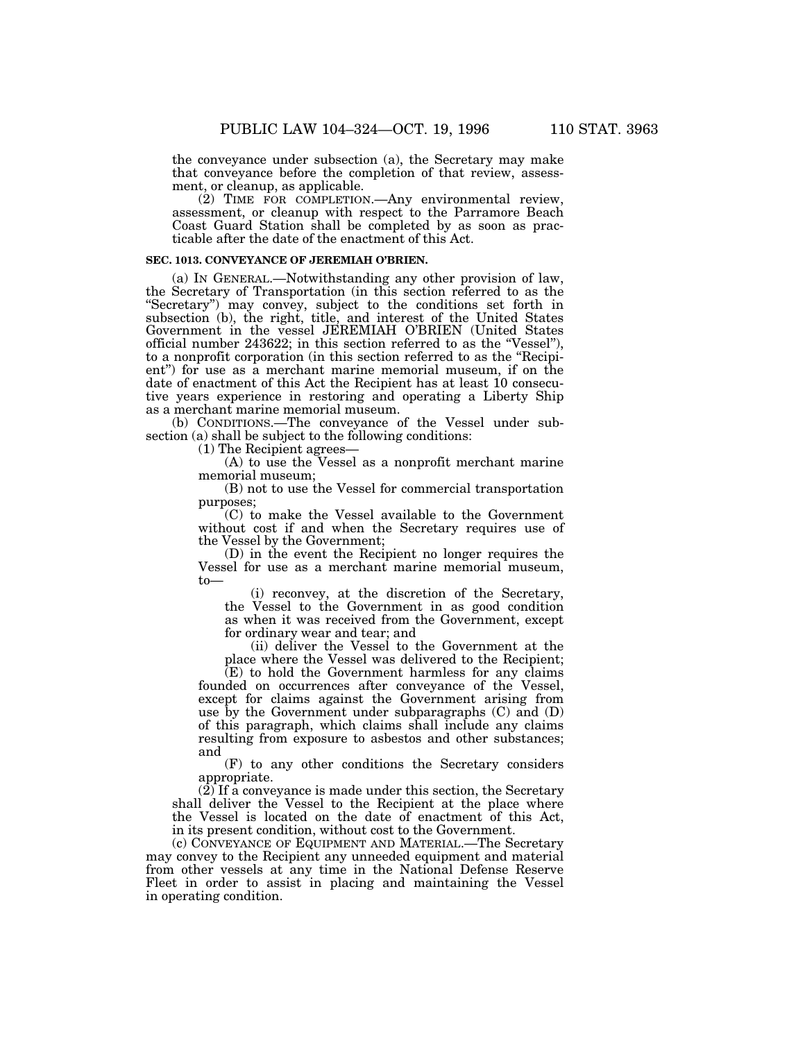the conveyance under subsection (a), the Secretary may make that conveyance before the completion of that review, assessment, or cleanup, as applicable.

(2) TIME FOR COMPLETION.—Any environmental review, assessment, or cleanup with respect to the Parramore Beach Coast Guard Station shall be completed by as soon as practicable after the date of the enactment of this Act.

# **SEC. 1013. CONVEYANCE OF JEREMIAH O'BRIEN.**

(a) IN GENERAL.—Notwithstanding any other provision of law, the Secretary of Transportation (in this section referred to as the ''Secretary'') may convey, subject to the conditions set forth in subsection (b), the right, title, and interest of the United States Government in the vessel JEREMIAH O'BRIEN (United States official number 243622; in this section referred to as the ''Vessel''), to a nonprofit corporation (in this section referred to as the ''Recipient'') for use as a merchant marine memorial museum, if on the date of enactment of this Act the Recipient has at least 10 consecutive years experience in restoring and operating a Liberty Ship as a merchant marine memorial museum.

(b) CONDITIONS.—The conveyance of the Vessel under subsection (a) shall be subject to the following conditions:

(1) The Recipient agrees—

(A) to use the Vessel as a nonprofit merchant marine memorial museum;

(B) not to use the Vessel for commercial transportation purposes;

(C) to make the Vessel available to the Government without cost if and when the Secretary requires use of the Vessel by the Government;

(D) in the event the Recipient no longer requires the Vessel for use as a merchant marine memorial museum, to—

(i) reconvey, at the discretion of the Secretary, the Vessel to the Government in as good condition as when it was received from the Government, except for ordinary wear and tear; and

(ii) deliver the Vessel to the Government at the place where the Vessel was delivered to the Recipient;

(E) to hold the Government harmless for any claims founded on occurrences after conveyance of the Vessel, except for claims against the Government arising from use by the Government under subparagraphs (C) and (D) of this paragraph, which claims shall include any claims resulting from exposure to asbestos and other substances; and

(F) to any other conditions the Secretary considers appropriate.

 $(2)$  If a conveyance is made under this section, the Secretary shall deliver the Vessel to the Recipient at the place where the Vessel is located on the date of enactment of this Act, in its present condition, without cost to the Government.

(c) CONVEYANCE OF EQUIPMENT AND MATERIAL.—The Secretary may convey to the Recipient any unneeded equipment and material from other vessels at any time in the National Defense Reserve Fleet in order to assist in placing and maintaining the Vessel in operating condition.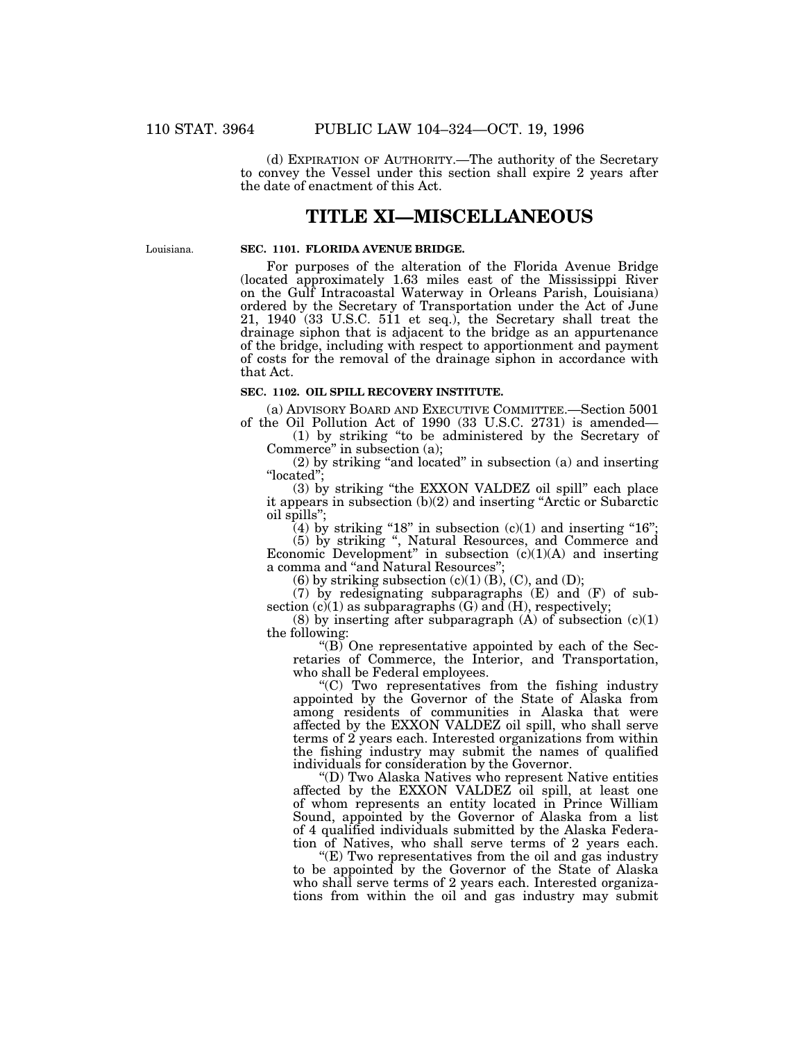(d) EXPIRATION OF AUTHORITY.—The authority of the Secretary to convey the Vessel under this section shall expire 2 years after the date of enactment of this Act.

# **TITLE XI—MISCELLANEOUS**

Louisiana.

#### **SEC. 1101. FLORIDA AVENUE BRIDGE.**

For purposes of the alteration of the Florida Avenue Bridge (located approximately 1.63 miles east of the Mississippi River on the Gulf Intracoastal Waterway in Orleans Parish, Louisiana) ordered by the Secretary of Transportation under the Act of June 21, 1940 (33 U.S.C. 511 et seq.), the Secretary shall treat the drainage siphon that is adjacent to the bridge as an appurtenance of the bridge, including with respect to apportionment and payment of costs for the removal of the drainage siphon in accordance with that Act.

#### **SEC. 1102. OIL SPILL RECOVERY INSTITUTE.**

(a) ADVISORY BOARD AND EXECUTIVE COMMITTEE.—Section 5001 of the Oil Pollution Act of 1990 (33 U.S.C. 2731) is amended—

(1) by striking ''to be administered by the Secretary of Commerce'' in subsection (a);

(2) by striking ''and located'' in subsection (a) and inserting ''located'';

(3) by striking ''the EXXON VALDEZ oil spill'' each place it appears in subsection (b)(2) and inserting ''Arctic or Subarctic oil spills'';

(4) by striking "18" in subsection  $(c)(1)$  and inserting "16";

(5) by striking '', Natural Resources, and Commerce and Economic Development'' in subsection (c)(1)(A) and inserting a comma and ''and Natural Resources'';

 $(6)$  by striking subsection  $(c)(1)$   $(B)$ ,  $(C)$ , and  $(D)$ ;

(7) by redesignating subparagraphs (E) and (F) of subsection  $(c)(1)$  as subparagraphs  $(G)$  and  $(H)$ , respectively;

(8) by inserting after subparagraph  $(A)$  of subsection  $(c)(1)$ the following:

" $(B)$  One representative appointed by each of the Secretaries of Commerce, the Interior, and Transportation, who shall be Federal employees.

''(C) Two representatives from the fishing industry appointed by the Governor of the State of Alaska from among residents of communities in Alaska that were affected by the EXXON VALDEZ oil spill, who shall serve terms of 2 years each. Interested organizations from within the fishing industry may submit the names of qualified individuals for consideration by the Governor.

''(D) Two Alaska Natives who represent Native entities affected by the EXXON VALDEZ oil spill, at least one of whom represents an entity located in Prince William Sound, appointed by the Governor of Alaska from a list of 4 qualified individuals submitted by the Alaska Federation of Natives, who shall serve terms of 2 years each.

 $E(E)$  Two representatives from the oil and gas industry to be appointed by the Governor of the State of Alaska who shall serve terms of 2 years each. Interested organizations from within the oil and gas industry may submit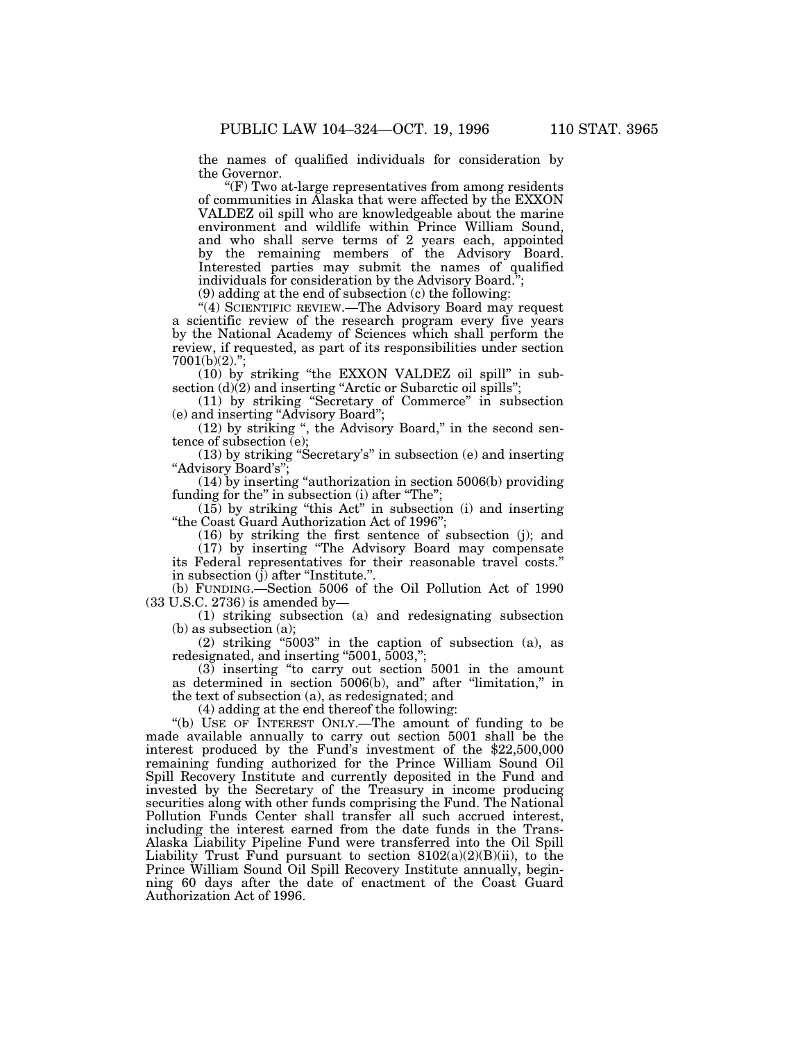the names of qualified individuals for consideration by the Governor.

 $F(F)$  Two at-large representatives from among residents of communities in Alaska that were affected by the EXXON VALDEZ oil spill who are knowledgeable about the marine environment and wildlife within Prince William Sound, and who shall serve terms of 2 years each, appointed by the remaining members of the Advisory Board. Interested parties may submit the names of qualified individuals for consideration by the Advisory Board.'';

(9) adding at the end of subsection (c) the following:

"(4) SCIENTIFIC REVIEW.—The Advisory Board may request a scientific review of the research program every five years by the National Academy of Sciences which shall perform the review, if requested, as part of its responsibilities under section 7001(b)(2).'';

(10) by striking ''the EXXON VALDEZ oil spill'' in subsection (d)(2) and inserting "Arctic or Subarctic oil spills";

(11) by striking ''Secretary of Commerce'' in subsection (e) and inserting ''Advisory Board'';

(12) by striking '', the Advisory Board,'' in the second sentence of subsection (e);

(13) by striking ''Secretary's'' in subsection (e) and inserting "Advisory Board's";

 $(14)$  by inserting "authorization in section 5006(b) providing funding for the" in subsection (i) after "The";

 $(15)$  by striking "this Act" in subsection (i) and inserting ''the Coast Guard Authorization Act of 1996'';

(16) by striking the first sentence of subsection (j); and

(17) by inserting ''The Advisory Board may compensate its Federal representatives for their reasonable travel costs.'' in subsection (j) after "Institute.".

(b) FUNDING.—Section 5006 of the Oil Pollution Act of 1990 (33 U.S.C. 2736) is amended by—

(1) striking subsection (a) and redesignating subsection (b) as subsection (a);

(2) striking ''5003'' in the caption of subsection (a), as redesignated, and inserting "5001, 5003,";

 $(3)$  inserting "to carry out section 5001 in the amount as determined in section 5006(b), and'' after ''limitation,'' in the text of subsection (a), as redesignated; and

(4) adding at the end thereof the following:

''(b) USE OF INTEREST ONLY.—The amount of funding to be made available annually to carry out section 5001 shall be the interest produced by the Fund's investment of the \$22,500,000 remaining funding authorized for the Prince William Sound Oil Spill Recovery Institute and currently deposited in the Fund and invested by the Secretary of the Treasury in income producing securities along with other funds comprising the Fund. The National Pollution Funds Center shall transfer all such accrued interest, including the interest earned from the date funds in the Trans-Alaska Liability Pipeline Fund were transferred into the Oil Spill Liability Trust Fund pursuant to section 8102(a)(2)(B)(ii), to the Prince William Sound Oil Spill Recovery Institute annually, beginning 60 days after the date of enactment of the Coast Guard Authorization Act of 1996.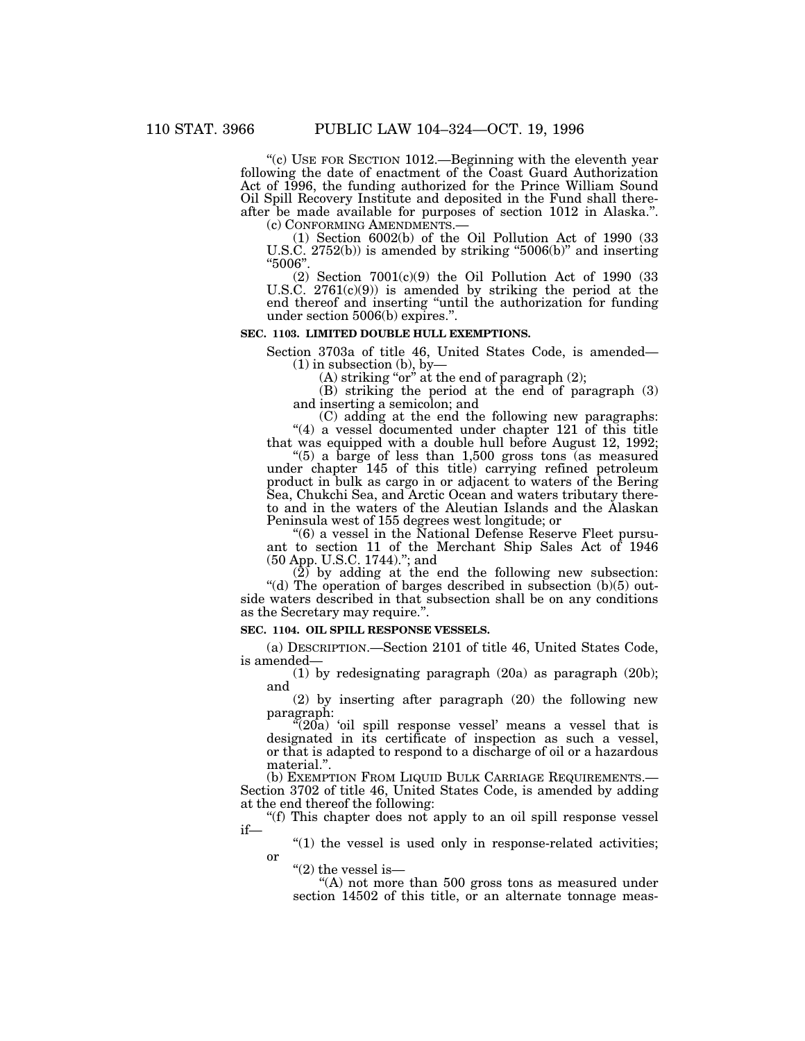''(c) USE FOR SECTION 1012.—Beginning with the eleventh year following the date of enactment of the Coast Guard Authorization Act of 1996, the funding authorized for the Prince William Sound Oil Spill Recovery Institute and deposited in the Fund shall thereafter be made available for purposes of section 1012 in Alaska.''.

(1) Section  $6002(b)$  of the Oil Pollution Act of 1990 (33 U.S.C. 2752(b)) is amended by striking "5006(b)" and inserting ''5006''.

 $(2)$  Section  $7001(c)(9)$  the Oil Pollution Act of 1990  $(33)$ U.S.C.  $2761(c)(9)$  is amended by striking the period at the end thereof and inserting ''until the authorization for funding under section 5006(b) expires.''.

# **SEC. 1103. LIMITED DOUBLE HULL EXEMPTIONS.**

Section 3703a of title 46, United States Code, is amended—  $(1)$  in subsection  $(b)$ , by-

 $(A)$  striking "or" at the end of paragraph  $(2)$ ;

(B) striking the period at the end of paragraph (3) and inserting a semicolon; and

(C) adding at the end the following new paragraphs: " $(4)$  a vessel documented under chapter 121 of this title

that was equipped with a double hull before August 12, 1992; " $(5)$  a barge of less than 1,500 gross tons (as measured under chapter 145 of this title) carrying refined petroleum product in bulk as cargo in or adjacent to waters of the Bering Sea, Chukchi Sea, and Arctic Ocean and waters tributary thereto and in the waters of the Aleutian Islands and the Alaskan Peninsula west of 155 degrees west longitude; or

''(6) a vessel in the National Defense Reserve Fleet pursuant to section 11 of the Merchant Ship Sales Act of 1946 (50 App. U.S.C. 1744).''; and

 $(2)$  by adding at the end the following new subsection: "(d) The operation of barges described in subsection  $(b)(5)$  outside waters described in that subsection shall be on any conditions as the Secretary may require.''.

# **SEC. 1104. OIL SPILL RESPONSE VESSELS.**

(a) DESCRIPTION.—Section 2101 of title 46, United States Code, is amended—

(1) by redesignating paragraph (20a) as paragraph (20b); and

(2) by inserting after paragraph (20) the following new paragraph:

''(20a) 'oil spill response vessel' means a vessel that is designated in its certificate of inspection as such a vessel, or that is adapted to respond to a discharge of oil or a hazardous material.".<br>(b) EXEMPTION FROM LIQUID BULK CARRIAGE REQUIREMENTS.-

Section 3702 of title 46, United States Code, is amended by adding at the end thereof the following:

''(f) This chapter does not apply to an oil spill response vessel if—

 $''(1)$  the vessel is used only in response-related activities; or

"(2) the vessel is-

''(A) not more than 500 gross tons as measured under section 14502 of this title, or an alternate tonnage meas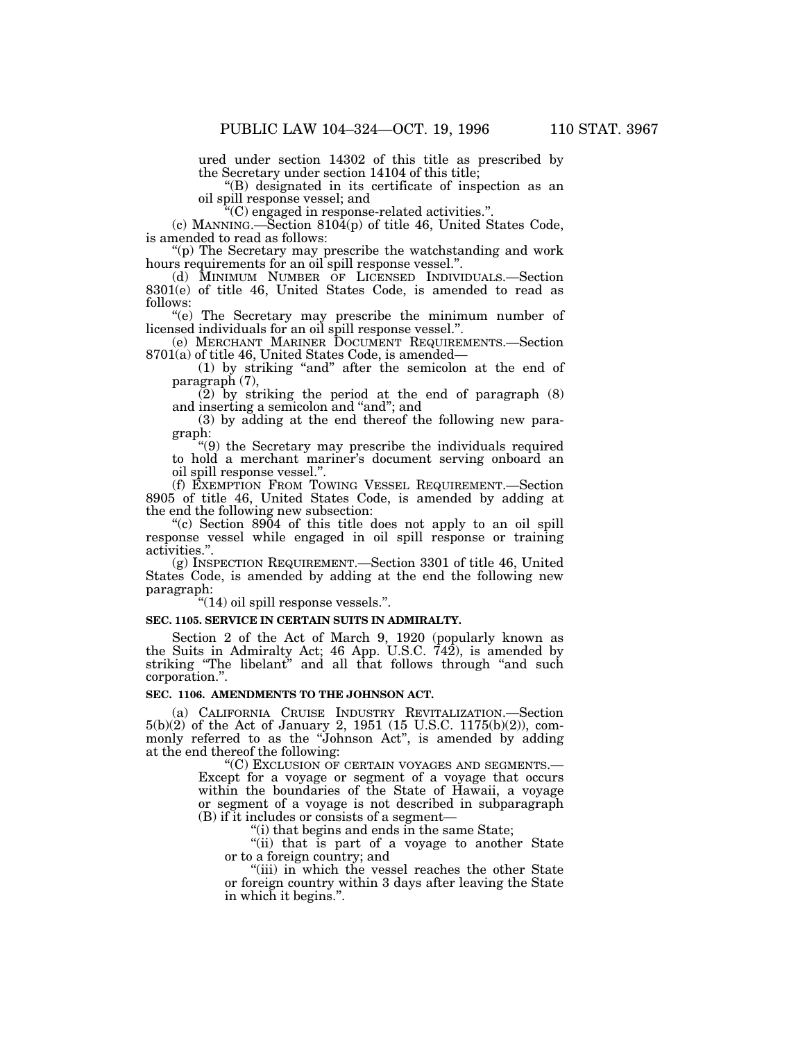ured under section 14302 of this title as prescribed by the Secretary under section 14104 of this title;

''(B) designated in its certificate of inspection as an oil spill response vessel; and

''(C) engaged in response-related activities.''.

 $(c)$  MANNING.—Section 810 $\overline{4}$ (p) of title 46, United States Code, is amended to read as follows:

''(p) The Secretary may prescribe the watchstanding and work hours requirements for an oil spill response vessel.''.

(d) MINIMUM NUMBER OF LICENSED INDIVIDUALS.—Section 8301(e) of title 46, United States Code, is amended to read as follows:

''(e) The Secretary may prescribe the minimum number of licensed individuals for an oil spill response vessel.''.

(e) MERCHANT MARINER DOCUMENT REQUIREMENTS.—Section 8701(a) of title 46, United States Code, is amended—

(1) by striking ''and'' after the semicolon at the end of paragraph (7),

 $(2)$  by striking the period at the end of paragraph  $(8)$ and inserting a semicolon and "and"; and

(3) by adding at the end thereof the following new paragraph:

''(9) the Secretary may prescribe the individuals required to hold a merchant mariner's document serving onboard an oil spill response vessel.''.

(f) EXEMPTION FROM TOWING VESSEL REQUIREMENT.—Section 8905 of title 46, United States Code, is amended by adding at the end the following new subsection:

''(c) Section 8904 of this title does not apply to an oil spill response vessel while engaged in oil spill response or training activities.''.

(g) INSPECTION REQUIREMENT.—Section 3301 of title 46, United States Code, is amended by adding at the end the following new paragraph:

''(14) oil spill response vessels.''.

#### **SEC. 1105. SERVICE IN CERTAIN SUITS IN ADMIRALTY.**

Section 2 of the Act of March 9, 1920 (popularly known as the Suits in Admiralty Act; 46 App. U.S.C. 742), is amended by striking ''The libelant'' and all that follows through ''and such corporation.''.

# **SEC. 1106. AMENDMENTS TO THE JOHNSON ACT.**

(a) CALIFORNIA CRUISE INDUSTRY REVITALIZATION.—Section 5(b)(2) of the Act of January 2, 1951 (15 U.S.C. 1175(b)(2)), commonly referred to as the ''Johnson Act'', is amended by adding at the end thereof the following:<br>"(C) Exclusion of CERTAIN VOYAGES AND SEGMENTS.—

Except for a voyage or segment of a voyage that occurs within the boundaries of the State of Hawaii, a voyage or segment of a voyage is not described in subparagraph (B) if it includes or consists of a segment—

''(i) that begins and ends in the same State;

"(ii) that is part of a voyage to another State or to a foreign country; and

''(iii) in which the vessel reaches the other State or foreign country within 3 days after leaving the State in which it begins.''.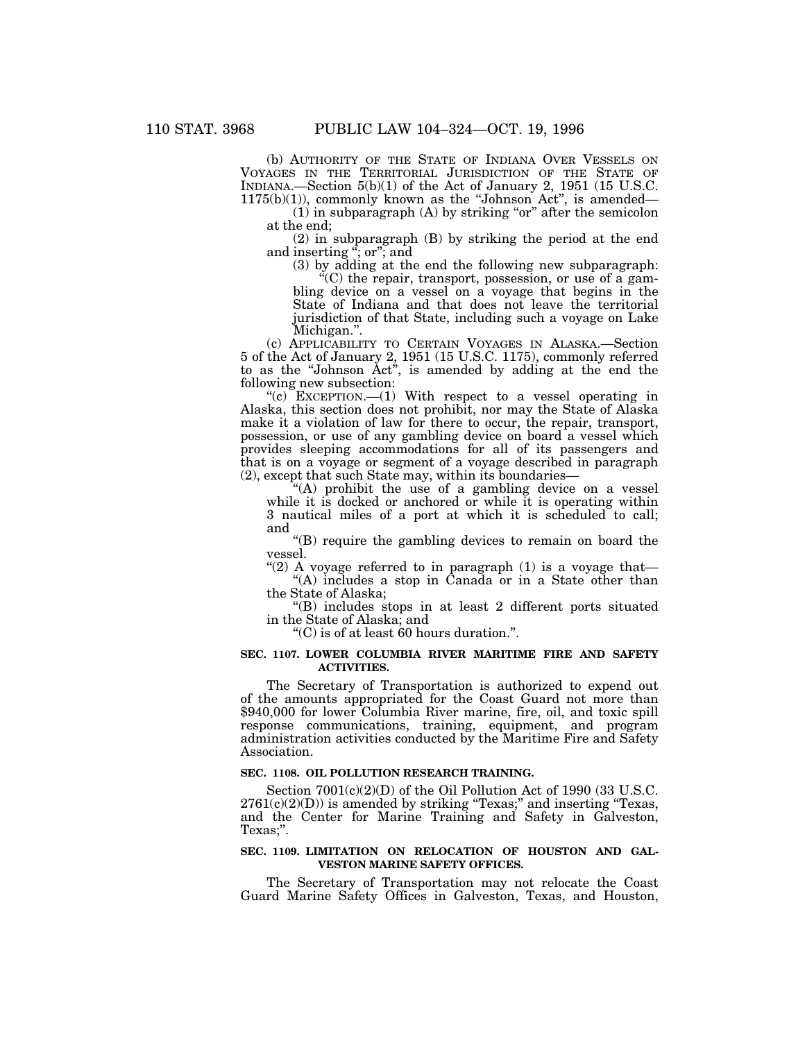(b) AUTHORITY OF THE STATE OF INDIANA OVER VESSELS ON VOYAGES IN THE TERRITORIAL JURISDICTION OF THE STATE OF INDIANA.—Section 5(b)(1) of the Act of January 2, 1951 (15 U.S.C.  $1175(b)(1)$ , commonly known as the "Johnson Act", is amended—

 $(1)$  in subparagraph  $(A)$  by striking "or" after the semicolon at the end;

(2) in subparagraph (B) by striking the period at the end and inserting "; or"; and

(3) by adding at the end the following new subparagraph: ''(C) the repair, transport, possession, or use of a gambling device on a vessel on a voyage that begins in the State of Indiana and that does not leave the territorial jurisdiction of that State, including such a voyage on Lake Michigan.''.

(c) APPLICABILITY TO CERTAIN VOYAGES IN ALASKA.—Section 5 of the Act of January 2, 1951 (15 U.S.C. 1175), commonly referred to as the ''Johnson Act'', is amended by adding at the end the following new subsection:

"(c) EXCEPTION.—(1) With respect to a vessel operating in Alaska, this section does not prohibit, nor may the State of Alaska make it a violation of law for there to occur, the repair, transport, possession, or use of any gambling device on board a vessel which provides sleeping accommodations for all of its passengers and that is on a voyage or segment of a voyage described in paragraph (2), except that such State may, within its boundaries—

''(A) prohibit the use of a gambling device on a vessel while it is docked or anchored or while it is operating within 3 nautical miles of a port at which it is scheduled to call; and

''(B) require the gambling devices to remain on board the vessel.

"(2) A voyage referred to in paragraph  $(1)$  is a voyage that-"(A) includes a stop in Canada or in a State other than

the State of Alaska;

''(B) includes stops in at least 2 different ports situated in the State of Alaska; and

''(C) is of at least 60 hours duration.''.

#### **SEC. 1107. LOWER COLUMBIA RIVER MARITIME FIRE AND SAFETY ACTIVITIES.**

The Secretary of Transportation is authorized to expend out of the amounts appropriated for the Coast Guard not more than \$940,000 for lower Columbia River marine, fire, oil, and toxic spill response communications, training, equipment, and program administration activities conducted by the Maritime Fire and Safety Association.

#### **SEC. 1108. OIL POLLUTION RESEARCH TRAINING.**

Section 7001(c)(2)(D) of the Oil Pollution Act of 1990 (33 U.S.C.  $2761(c)(2)(D)$ ) is amended by striking "Texas;" and inserting "Texas, and the Center for Marine Training and Safety in Galveston, Texas;".

## **SEC. 1109. LIMITATION ON RELOCATION OF HOUSTON AND GAL-VESTON MARINE SAFETY OFFICES.**

The Secretary of Transportation may not relocate the Coast Guard Marine Safety Offices in Galveston, Texas, and Houston,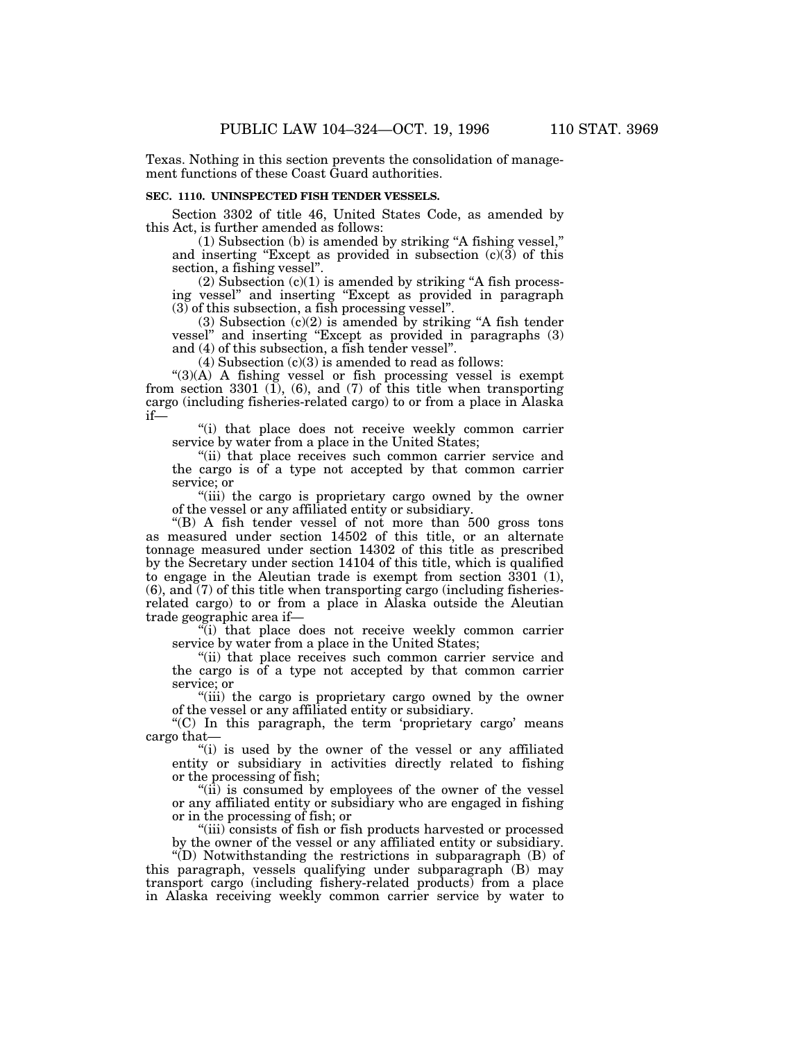Texas. Nothing in this section prevents the consolidation of management functions of these Coast Guard authorities.

# **SEC. 1110. UNINSPECTED FISH TENDER VESSELS.**

Section 3302 of title 46, United States Code, as amended by this Act, is further amended as follows:

(1) Subsection (b) is amended by striking ''A fishing vessel,'' and inserting "Except as provided in subsection  $(c)(3)$  of this section, a fishing vessel''.

 $(2)$  Subsection  $(c)(1)$  is amended by striking "A fish processing vessel'' and inserting ''Except as provided in paragraph (3) of this subsection, a fish processing vessel''.

(3) Subsection  $(c)(2)$  is amended by striking "A fish tender vessel'' and inserting ''Except as provided in paragraphs (3) and (4) of this subsection, a fish tender vessel''.

(4) Subsection  $(c)(3)$  is amended to read as follows:

''(3)(A) A fishing vessel or fish processing vessel is exempt from section 3301 (1), (6), and (7) of this title when transporting cargo (including fisheries-related cargo) to or from a place in Alaska if—

''(i) that place does not receive weekly common carrier service by water from a place in the United States;

"(ii) that place receives such common carrier service and the cargo is of a type not accepted by that common carrier service; or

''(iii) the cargo is proprietary cargo owned by the owner of the vessel or any affiliated entity or subsidiary.

''(B) A fish tender vessel of not more than 500 gross tons as measured under section 14502 of this title, or an alternate tonnage measured under section 14302 of this title as prescribed by the Secretary under section 14104 of this title, which is qualified to engage in the Aleutian trade is exempt from section 3301 (1), (6), and (7) of this title when transporting cargo (including fisheriesrelated cargo) to or from a place in Alaska outside the Aleutian trade geographic area if—

"(i) that place does not receive weekly common carrier service by water from a place in the United States;

"(ii) that place receives such common carrier service and the cargo is of a type not accepted by that common carrier service; or

''(iii) the cargo is proprietary cargo owned by the owner of the vessel or any affiliated entity or subsidiary.

" $(C)$  In this paragraph, the term 'proprietary cargo' means cargo that—

"(i) is used by the owner of the vessel or any affiliated entity or subsidiary in activities directly related to fishing or the processing of fish;

"(ii) is consumed by employees of the owner of the vessel or any affiliated entity or subsidiary who are engaged in fishing or in the processing of fish; or

''(iii) consists of fish or fish products harvested or processed by the owner of the vessel or any affiliated entity or subsidiary.

''(D) Notwithstanding the restrictions in subparagraph (B) of this paragraph, vessels qualifying under subparagraph (B) may transport cargo (including fishery-related products) from a place in Alaska receiving weekly common carrier service by water to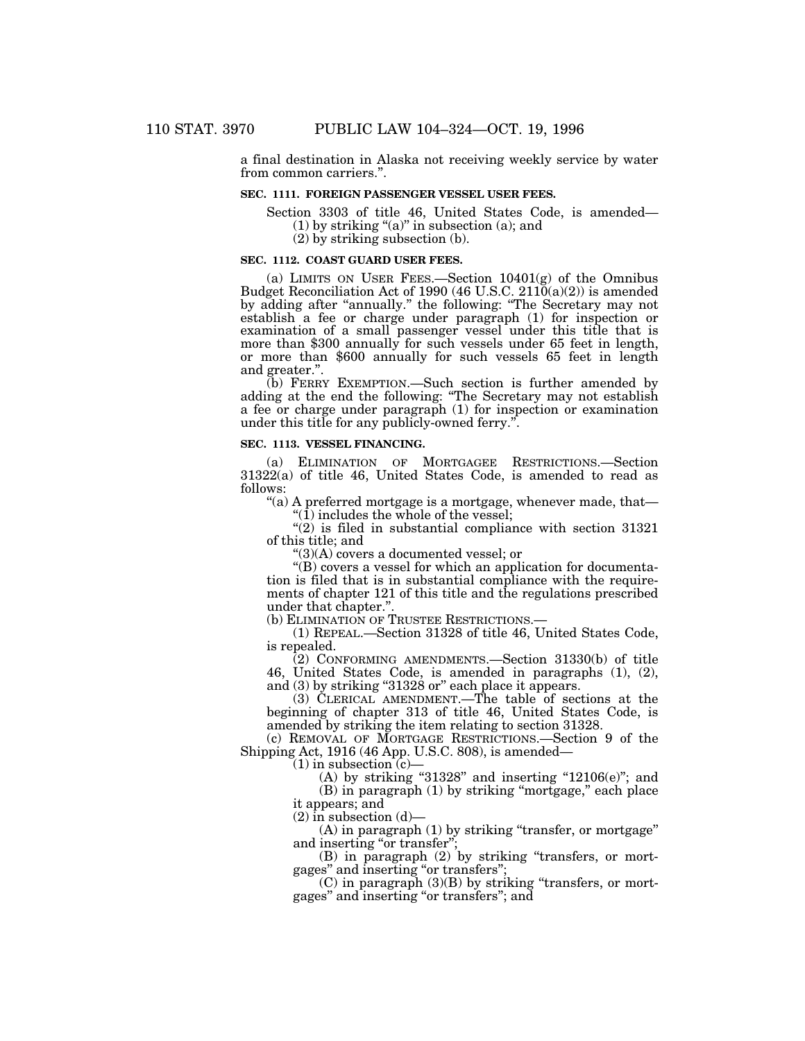a final destination in Alaska not receiving weekly service by water from common carriers.''.

# **SEC. 1111. FOREIGN PASSENGER VESSEL USER FEES.**

Section 3303 of title 46, United States Code, is amended—

(1) by striking " $(a)$ " in subsection  $(a)$ ; and

(2) by striking subsection (b).

# **SEC. 1112. COAST GUARD USER FEES.**

(a) LIMITS ON USER FEES.—Section 10401(g) of the Omnibus Budget Reconciliation Act of 1990 (46 U.S.C. 2110(a)(2)) is amended by adding after "annually." the following: "The Secretary may not establish a fee or charge under paragraph (1) for inspection or examination of a small passenger vessel under this title that is more than \$300 annually for such vessels under 65 feet in length, or more than \$600 annually for such vessels 65 feet in length and greater.''.

(b) FERRY EXEMPTION.—Such section is further amended by adding at the end the following: ''The Secretary may not establish a fee or charge under paragraph (1) for inspection or examination under this title for any publicly-owned ferry.''.

## **SEC. 1113. VESSEL FINANCING.**

(a) ELIMINATION OF MORTGAGEE RESTRICTIONS.—Section 31322(a) of title 46, United States Code, is amended to read as follows:

''(a) A preferred mortgage is a mortgage, whenever made, that— " $(1)$  includes the whole of the vessel;

 $(2)$  is filed in substantial compliance with section 31321 of this title; and

''(3)(A) covers a documented vessel; or

''(B) covers a vessel for which an application for documentation is filed that is in substantial compliance with the requirements of chapter 121 of this title and the regulations prescribed under that chapter."

(b) ELIMINATION OF TRUSTEE RESTRICTIONS.—

(1) REPEAL.—Section 31328 of title 46, United States Code, is repealed.

 $(2)$  CONFORMING AMENDMENTS.—Section 31330(b) of title 46, United States Code, is amended in paragraphs (1), (2), and (3) by striking "31328 or" each place it appears.

(3) CLERICAL AMENDMENT.—The table of sections at the beginning of chapter 313 of title 46, United States Code, is amended by striking the item relating to section 31328.

(c) REMOVAL OF MORTGAGE RESTRICTIONS.—Section 9 of the Shipping Act, 1916 (46 App. U.S.C. 808), is amended—

 $(1)$  in subsection  $(c)$ –

(A) by striking "31328" and inserting "12106(e)"; and (B) in paragraph (1) by striking ''mortgage,'' each place it appears; and

 $(2)$  in subsection  $(d)$ 

(A) in paragraph (1) by striking "transfer, or mortgage" and inserting "or transfer"

(B) in paragraph (2) by striking ''transfers, or mortgages'' and inserting ''or transfers'';

 $(C)$  in paragraph  $(3)(B)$  by striking "transfers, or mortgages'' and inserting ''or transfers''; and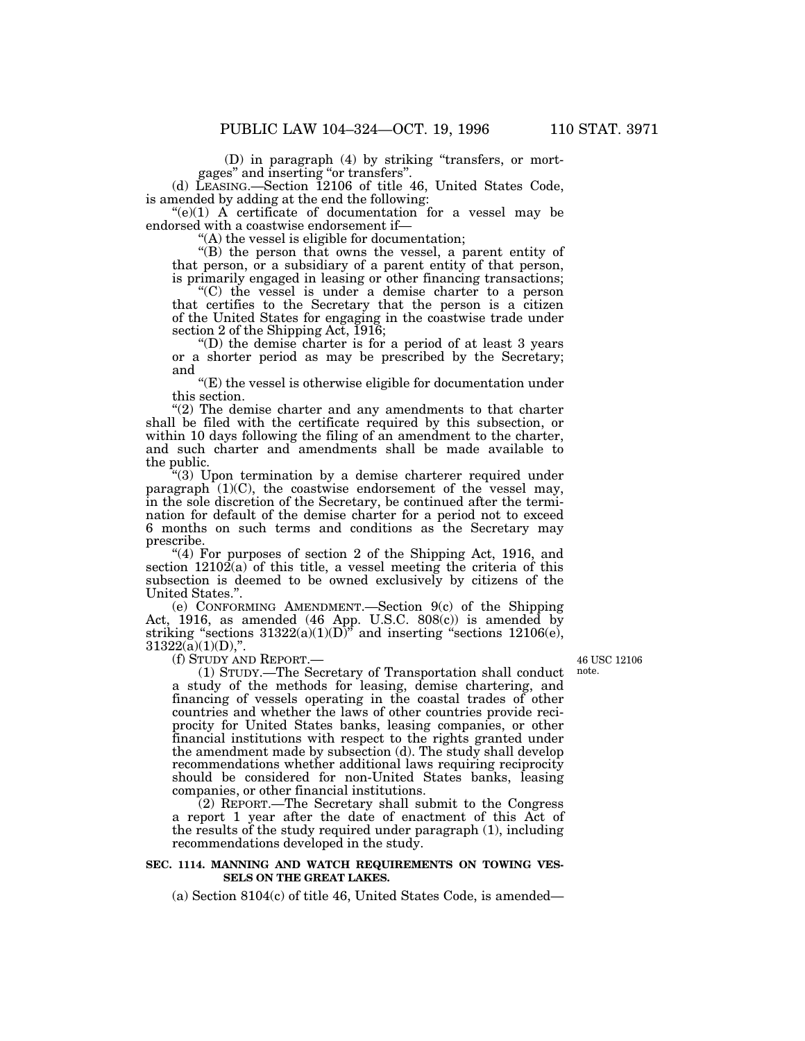(D) in paragraph (4) by striking ''transfers, or mortgages'' and inserting ''or transfers''.

(d) LEASING.—Section 12106 of title 46, United States Code, is amended by adding at the end the following:

 $((e)(1)$  A certificate of documentation for a vessel may be endorsed with a coastwise endorsement if—

''(A) the vessel is eligible for documentation;

''(B) the person that owns the vessel, a parent entity of that person, or a subsidiary of a parent entity of that person, is primarily engaged in leasing or other financing transactions;

''(C) the vessel is under a demise charter to a person that certifies to the Secretary that the person is a citizen of the United States for engaging in the coastwise trade under section 2 of the Shipping Act, 1916;

''(D) the demise charter is for a period of at least 3 years or a shorter period as may be prescribed by the Secretary; and

 $E(E)$  the vessel is otherwise eligible for documentation under this section.

"(2) The demise charter and any amendments to that charter shall be filed with the certificate required by this subsection, or within 10 days following the filing of an amendment to the charter, and such charter and amendments shall be made available to the public.

''(3) Upon termination by a demise charterer required under paragraph  $(1)(C)$ , the coastwise endorsement of the vessel may, in the sole discretion of the Secretary, be continued after the termination for default of the demise charter for a period not to exceed 6 months on such terms and conditions as the Secretary may prescribe.

"(4) For purposes of section 2 of the Shipping Act, 1916, and section 12102(a) of this title, a vessel meeting the criteria of this subsection is deemed to be owned exclusively by citizens of the United States.''.

(e) CONFORMING AMENDMENT.—Section 9(c) of the Shipping Act, 1916, as amended (46 App. U.S.C. 808(c)) is amended by striking "sections  $31322(a)(1)(D)$ " and inserting "sections  $12106(e)$ ,  $31322(\text{a})(1)(\text{D})$ ,".

(f) STUDY AND REPORT.—

(1) STUDY.—The Secretary of Transportation shall conduct a study of the methods for leasing, demise chartering, and financing of vessels operating in the coastal trades of other countries and whether the laws of other countries provide reciprocity for United States banks, leasing companies, or other financial institutions with respect to the rights granted under the amendment made by subsection (d). The study shall develop recommendations whether additional laws requiring reciprocity should be considered for non-United States banks, leasing companies, or other financial institutions.

(2) REPORT.—The Secretary shall submit to the Congress a report 1 year after the date of enactment of this Act of the results of the study required under paragraph (1), including recommendations developed in the study.

# **SEC. 1114. MANNING AND WATCH REQUIREMENTS ON TOWING VES-SELS ON THE GREAT LAKES.**

(a) Section 8104(c) of title 46, United States Code, is amended—

46 USC 12106 note.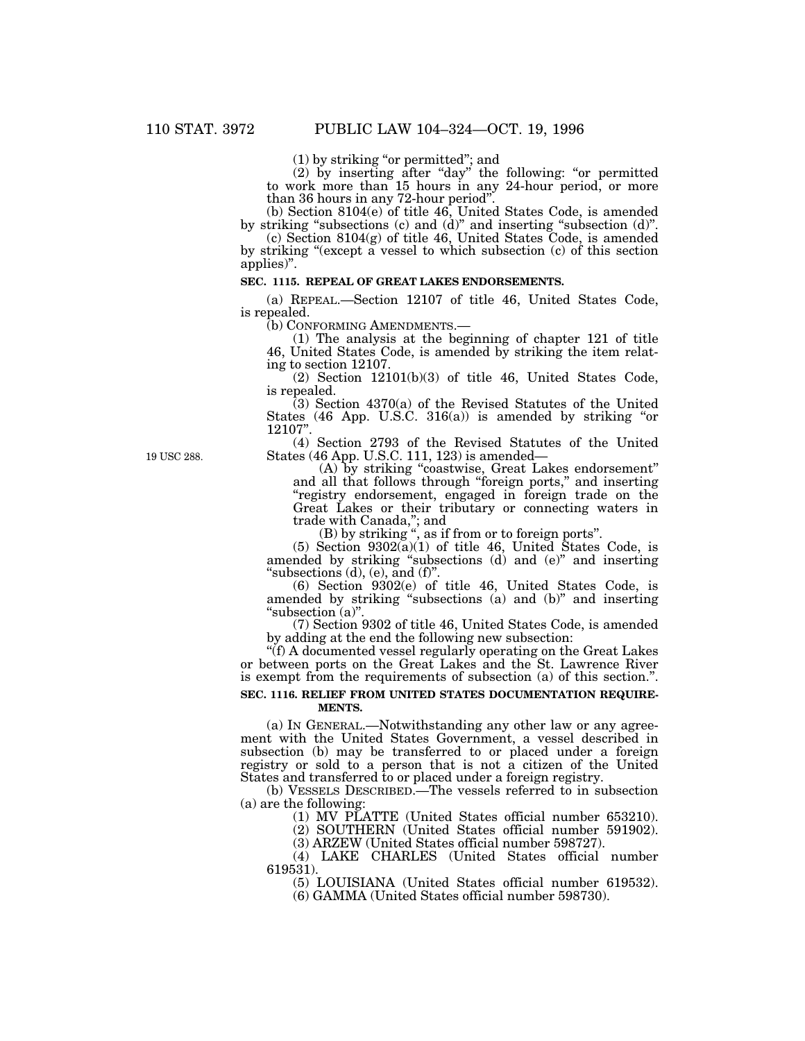(1) by striking ''or permitted''; and

(2) by inserting after "day" the following: "or permitted to work more than 15 hours in any 24-hour period, or more than 36 hours in any 72-hour period''.

(b) Section 8104(e) of title 46, United States Code, is amended by striking ''subsections (c) and (d)'' and inserting ''subsection (d)''.

(c) Section 8104(g) of title 46, United States Code, is amended by striking ''(except a vessel to which subsection (c) of this section applies)''.

# **SEC. 1115. REPEAL OF GREAT LAKES ENDORSEMENTS.**

(a) REPEAL.—Section 12107 of title 46, United States Code, is repealed.

(b) CONFORMING AMENDMENTS.— (1) The analysis at the beginning of chapter 121 of title 46, United States Code, is amended by striking the item relating to section 12107.

(2) Section 12101(b)(3) of title 46, United States Code, is repealed.

(3) Section 4370(a) of the Revised Statutes of the United States (46 App. U.S.C. 316(a)) is amended by striking ''or 12107''.

(4) Section 2793 of the Revised Statutes of the United States (46 App. U.S.C. 111, 123) is amended—

(A) by striking ''coastwise, Great Lakes endorsement'' and all that follows through "foreign ports," and inserting ''registry endorsement, engaged in foreign trade on the Great Lakes or their tributary or connecting waters in trade with Canada,''; and

(B) by striking '', as if from or to foreign ports''.

 $(5)$  Section  $9302(a)(1)$  of title 46, United States Code, is amended by striking "subsections (d) and (e)" and inserting "subsections  $(d)$ ,  $(e)$ , and  $(f)$ ".

(6) Section 9302(e) of title 46, United States Code, is amended by striking "subsections (a) and (b)" and inserting ''subsection (a)''.

(7) Section 9302 of title 46, United States Code, is amended by adding at the end the following new subsection:

"(f) A documented vessel regularly operating on the Great Lakes or between ports on the Great Lakes and the St. Lawrence River is exempt from the requirements of subsection (a) of this section.''.

# **SEC. 1116. RELIEF FROM UNITED STATES DOCUMENTATION REQUIRE-MENTS.**

(a) IN GENERAL.—Notwithstanding any other law or any agreement with the United States Government, a vessel described in subsection (b) may be transferred to or placed under a foreign registry or sold to a person that is not a citizen of the United States and transferred to or placed under a foreign registry.

(b) VESSELS DESCRIBED.—The vessels referred to in subsection (a) are the following:

(1) MV PLATTE (United States official number 653210).

(2) SOUTHERN (United States official number 591902).

(3) ARZEW (United States official number 598727).

(4) LAKE CHARLES (United States official number 619531).

(5) LOUISIANA (United States official number 619532).

(6) GAMMA (United States official number 598730).

19 USC 288.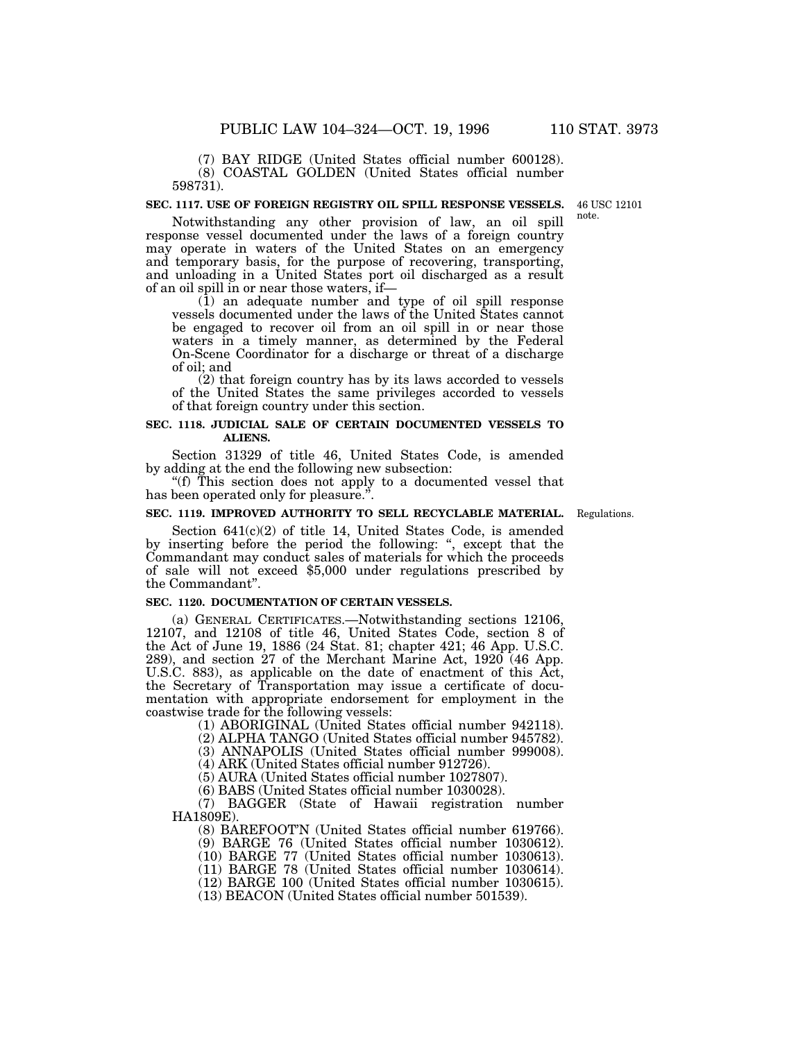(7) BAY RIDGE (United States official number 600128). (8) COASTAL GOLDEN (United States official number 598731).

#### **SEC. 1117. USE OF FOREIGN REGISTRY OIL SPILL RESPONSE VESSELS.**

46 USC 12101 note.

Notwithstanding any other provision of law, an oil spill response vessel documented under the laws of a foreign country may operate in waters of the United States on an emergency and temporary basis, for the purpose of recovering, transporting, and unloading in a United States port oil discharged as a result of an oil spill in or near those waters, if—

(1) an adequate number and type of oil spill response vessels documented under the laws of the United States cannot be engaged to recover oil from an oil spill in or near those waters in a timely manner, as determined by the Federal On-Scene Coordinator for a discharge or threat of a discharge of oil; and

(2) that foreign country has by its laws accorded to vessels of the United States the same privileges accorded to vessels of that foreign country under this section.

### **SEC. 1118. JUDICIAL SALE OF CERTAIN DOCUMENTED VESSELS TO ALIENS.**

Section 31329 of title 46, United States Code, is amended by adding at the end the following new subsection:

''(f) This section does not apply to a documented vessel that has been operated only for pleasure.''.

# **SEC. 1119. IMPROVED AUTHORITY TO SELL RECYCLABLE MATERIAL.**

Regulations.

Section  $641(c)(2)$  of title 14, United States Code, is amended by inserting before the period the following: '', except that the Commandant may conduct sales of materials for which the proceeds of sale will not exceed \$5,000 under regulations prescribed by the Commandant''.

#### **SEC. 1120. DOCUMENTATION OF CERTAIN VESSELS.**

(a) GENERAL CERTIFICATES.—Notwithstanding sections 12106, 12107, and 12108 of title 46, United States Code, section 8 of the Act of June 19, 1886 (24 Stat. 81; chapter 421; 46 App. U.S.C. 289), and section 27 of the Merchant Marine Act, 1920 (46 App. U.S.C. 883), as applicable on the date of enactment of this Act, the Secretary of Transportation may issue a certificate of documentation with appropriate endorsement for employment in the coastwise trade for the following vessels:

(1) ABORIGINAL (United States official number 942118).

(2) ALPHA TANGO (United States official number 945782).

(3) ANNAPOLIS (United States official number 999008).

(4) ARK (United States official number 912726).

(5) AURA (United States official number 1027807).

(6) BABS (United States official number 1030028).

(7) BAGGER (State of Hawaii registration number HA1809E).

(8) BAREFOOT'N (United States official number 619766).

(9) BARGE 76 (United States official number 1030612).

(10) BARGE 77 (United States official number 1030613).

(11) BARGE 78 (United States official number 1030614).

(12) BARGE 100 (United States official number 1030615).

(13) BEACON (United States official number 501539).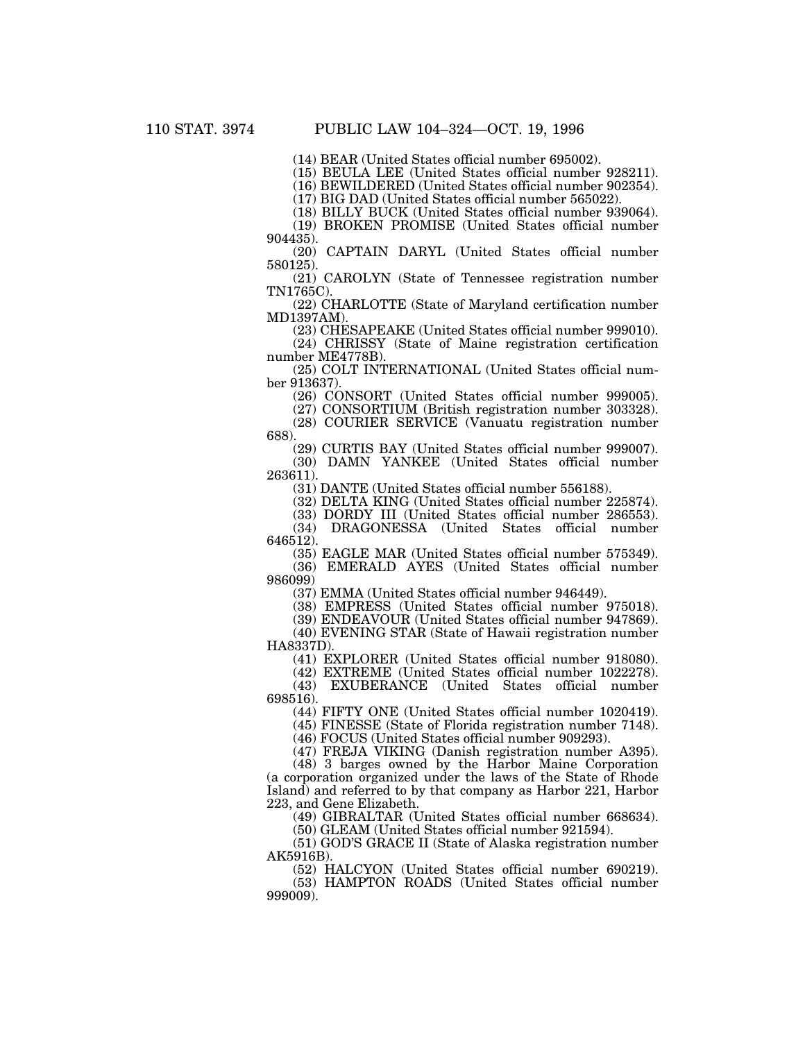(14) BEAR (United States official number 695002).

(15) BEULA LEE (United States official number 928211).

(16) BEWILDERED (United States official number 902354).

(17) BIG DAD (United States official number 565022).

(18) BILLY BUCK (United States official number 939064). (19) BROKEN PROMISE (United States official number

904435).

(20) CAPTAIN DARYL (United States official number 580125).

(21) CAROLYN (State of Tennessee registration number TN1765C).

(22) CHARLOTTE (State of Maryland certification number MD1397AM).

(23) CHESAPEAKE (United States official number 999010).

(24) CHRISSY (State of Maine registration certification number ME4778B).

(25) COLT INTERNATIONAL (United States official number 913637).

(26) CONSORT (United States official number 999005).

(27) CONSORTIUM (British registration number 303328). (28) COURIER SERVICE (Vanuatu registration number 688).

(29) CURTIS BAY (United States official number 999007).

(30) DAMN YANKEE (United States official number 263611).

(31) DANTE (United States official number 556188).

(32) DELTA KING (United States official number 225874).

(33) DORDY III (United States official number 286553). (34) DRAGONESSA (United States official number 646512).

(35) EAGLE MAR (United States official number 575349).

(36) EMERALD AYES (United States official number 986099)

(37) EMMA (United States official number 946449).

(38) EMPRESS (United States official number 975018).

(39) ENDEAVOUR (United States official number 947869).

(40) EVENING STAR (State of Hawaii registration number HA8337D).

(41) EXPLORER (United States official number 918080).

(42) EXTREME (United States official number 1022278). (43) EXUBERANCE (United States official number

698516).

(44) FIFTY ONE (United States official number 1020419).

(45) FINESSE (State of Florida registration number 7148). (46) FOCUS (United States official number 909293).

(47) FREJA VIKING (Danish registration number A395).

(48) 3 barges owned by the Harbor Maine Corporation (a corporation organized under the laws of the State of Rhode Island) and referred to by that company as Harbor 221, Harbor 223, and Gene Elizabeth.

(49) GIBRALTAR (United States official number 668634).

(50) GLEAM (United States official number 921594).

(51) GOD'S GRACE II (State of Alaska registration number AK5916B).

(52) HALCYON (United States official number 690219).

(53) HAMPTON ROADS (United States official number 999009).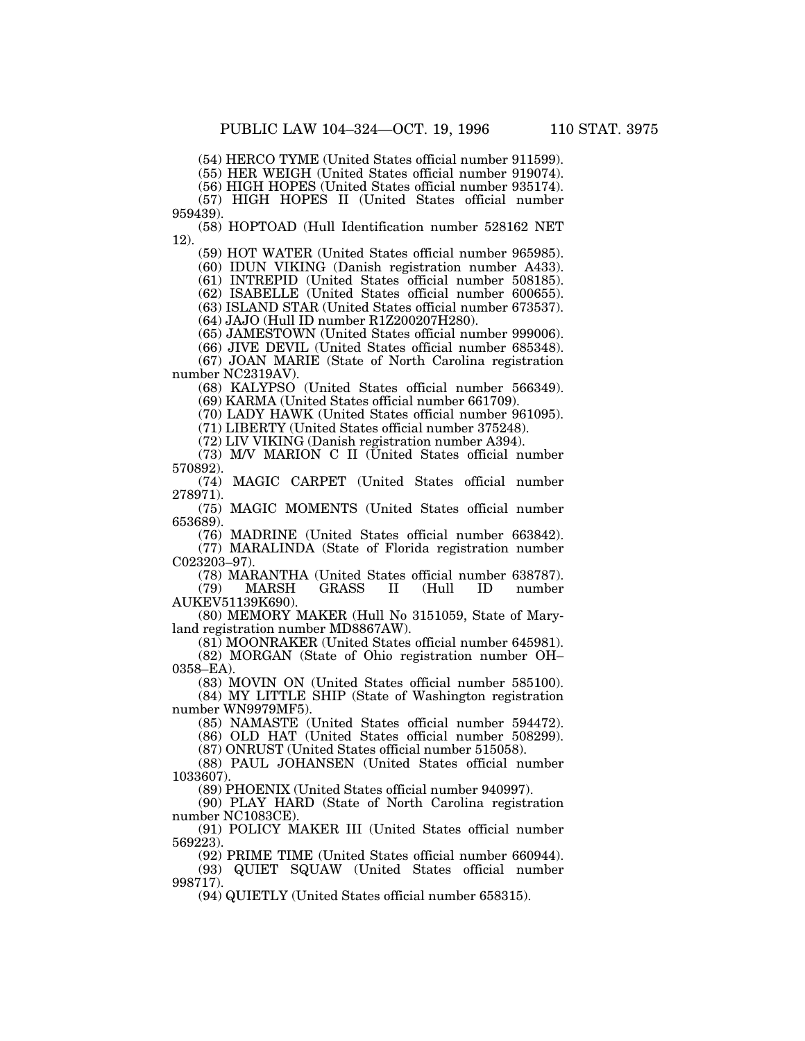(54) HERCO TYME (United States official number 911599).

(55) HER WEIGH (United States official number 919074).

(56) HIGH HOPES (United States official number 935174).

(57) HIGH HOPES II (United States official number 959439).

(58) HOPTOAD (Hull Identification number 528162 NET 12).

(59) HOT WATER (United States official number 965985).

(60) IDUN VIKING (Danish registration number A433).

(61) INTREPID (United States official number 508185).

(62) ISABELLE (United States official number 600655). (63) ISLAND STAR (United States official number 673537).

(64) JAJO (Hull ID number R1Z200207H280).

(65) JAMESTOWN (United States official number 999006).

(66) JIVE DEVIL (United States official number 685348).

(67) JOAN MARIE (State of North Carolina registration number NC2319AV).

(68) KALYPSO (United States official number 566349). (69) KARMA (United States official number 661709).

(70) LADY HAWK (United States official number 961095).

(71) LIBERTY (United States official number 375248).

(72) LIV VIKING (Danish registration number A394).

(73) M/V MARION C II (United States official number 570892).

(74) MAGIC CARPET (United States official number 278971).

(75) MAGIC MOMENTS (United States official number 653689).

(76) MADRINE (United States official number 663842). (77) MARALINDA (State of Florida registration number

C023203–97).

(78) MARANTHA (United States official number 638787). (79) MARSH GRASS II (Hull ID number AUKEV51139K690).

(80) MEMORY MAKER (Hull No 3151059, State of Maryland registration number MD8867AW).

(81) MOONRAKER (United States official number 645981).

(82) MORGAN (State of Ohio registration number OH– 0358–EA).

(83) MOVIN ON (United States official number 585100).

(84) MY LITTLE SHIP (State of Washington registration number WN9979MF5).

(85) NAMASTE (United States official number 594472).

(86) OLD HAT (United States official number 508299).

(87) ONRUST (United States official number 515058).

(88) PAUL JOHANSEN (United States official number 1033607).

(89) PHOENIX (United States official number 940997).

(90) PLAY HARD (State of North Carolina registration number NC1083CE).

(91) POLICY MAKER III (United States official number 569223).

(92) PRIME TIME (United States official number 660944).

(93) QUIET SQUAW (United States official number 998717).

(94) QUIETLY (United States official number 658315).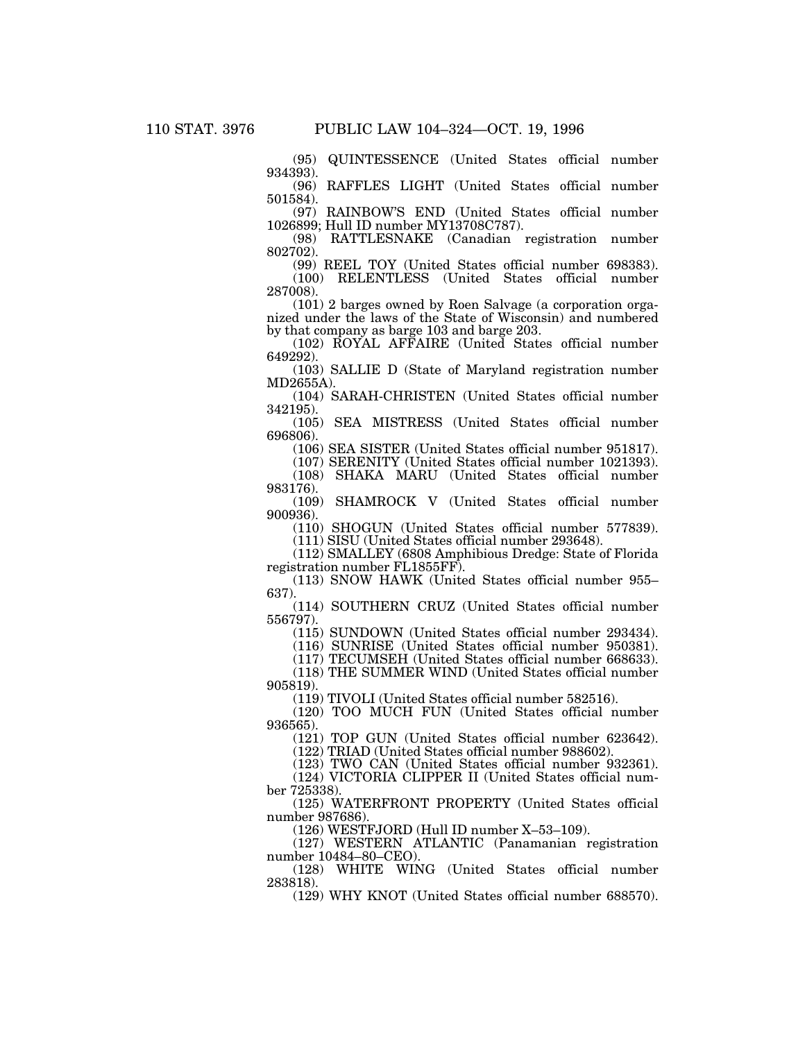(95) QUINTESSENCE (United States official number 934393).

(96) RAFFLES LIGHT (United States official number 501584).

(97) RAINBOW'S END (United States official number 1026899; Hull ID number MY13708C787).

(98) RATTLESNAKE (Canadian registration number 802702).

(99) REEL TOY (United States official number 698383). (100) RELENTLESS (United States official number 287008).

(101) 2 barges owned by Roen Salvage (a corporation organized under the laws of the State of Wisconsin) and numbered by that company as barge 103 and barge 203.

(102) ROYAL AFFAIRE (United States official number 649292).

(103) SALLIE D (State of Maryland registration number MD2655A).

(104) SARAH-CHRISTEN (United States official number 342195).

(105) SEA MISTRESS (United States official number 696806).

(106) SEA SISTER (United States official number 951817).

(107) SERENITY (United States official number 1021393). (108) SHAKA MARU (United States official number

983176).

(109) SHAMROCK V (United States official number 900936).

(110) SHOGUN (United States official number 577839).

(111) SISU (United States official number 293648).

(112) SMALLEY (6808 Amphibious Dredge: State of Florida registration number FL1855FF).

(113) SNOW HAWK (United States official number 955– 637).

(114) SOUTHERN CRUZ (United States official number 556797).

(115) SUNDOWN (United States official number 293434).

(116) SUNRISE (United States official number 950381).

(117) TECUMSEH (United States official number 668633).

(118) THE SUMMER WIND (United States official number 905819).

(119) TIVOLI (United States official number 582516).

(120) TOO MUCH FUN (United States official number 936565).

(121) TOP GUN (United States official number 623642). (122) TRIAD (United States official number 988602).

(123) TWO CAN (United States official number 932361).

(124) VICTORIA CLIPPER II (United States official number 725338).

(125) WATERFRONT PROPERTY (United States official number 987686).

(126) WESTFJORD (Hull ID number X–53–109).

(127) WESTERN ATLANTIC (Panamanian registration number 10484–80–CEO).

(128) WHITE WING (United States official number 283818).

(129) WHY KNOT (United States official number 688570).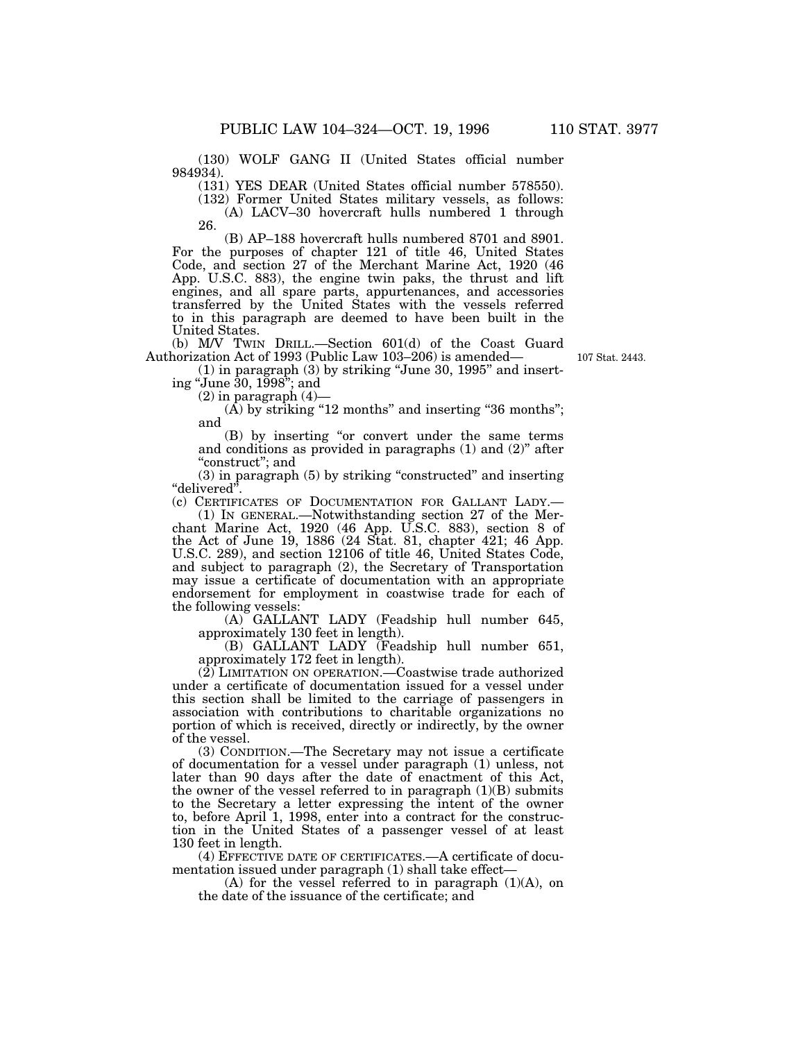(130) WOLF GANG II (United States official number 984934).

(131) YES DEAR (United States official number 578550).

(132) Former United States military vessels, as follows: (A) LACV–30 hovercraft hulls numbered 1 through 26.

(B) AP–188 hovercraft hulls numbered 8701 and 8901. For the purposes of chapter 121 of title 46, United States Code, and section 27 of the Merchant Marine Act, 1920 (46 App. U.S.C. 883), the engine twin paks, the thrust and lift engines, and all spare parts, appurtenances, and accessories transferred by the United States with the vessels referred to in this paragraph are deemed to have been built in the United States.

(b) M/V TWIN DRILL.—Section 601(d) of the Coast Guard Authorization Act of 1993 (Public Law 103–206) is amended—

107 Stat. 2443.

(1) in paragraph (3) by striking ''June 30, 1995'' and inserting ''June 30, 1998''; and

 $(2)$  in paragraph  $(4)$ —

 $(A)$  by striking "12 months" and inserting "36 months"; and

(B) by inserting ''or convert under the same terms and conditions as provided in paragraphs  $(1)$  and  $(2)$ " after "construct"; and

(3) in paragraph (5) by striking ''constructed'' and inserting ''delivered''.

(c) CERTIFICATES OF DOCUMENTATION FOR GALLANT LADY.—

(1) IN GENERAL.—Notwithstanding section 27 of the Merchant Marine Act, 1920 (46 App. U.S.C. 883), section 8 of the Act of June 19, 1886 (24 Stat. 81, chapter 421; 46 App. U.S.C. 289), and section 12106 of title 46, United States Code, and subject to paragraph (2), the Secretary of Transportation may issue a certificate of documentation with an appropriate endorsement for employment in coastwise trade for each of the following vessels:

(A) GALLANT LADY (Feadship hull number 645, approximately 130 feet in length).

(B) GALLANT LADY (Feadship hull number 651, approximately 172 feet in length).

(2) LIMITATION ON OPERATION.—Coastwise trade authorized under a certificate of documentation issued for a vessel under this section shall be limited to the carriage of passengers in association with contributions to charitable organizations no portion of which is received, directly or indirectly, by the owner of the vessel.

(3) CONDITION.—The Secretary may not issue a certificate of documentation for a vessel under paragraph (1) unless, not later than 90 days after the date of enactment of this Act, the owner of the vessel referred to in paragraph  $(1)(B)$  submits to the Secretary a letter expressing the intent of the owner to, before April 1, 1998, enter into a contract for the construction in the United States of a passenger vessel of at least 130 feet in length.

(4) EFFECTIVE DATE OF CERTIFICATES.—A certificate of documentation issued under paragraph (1) shall take effect—

 $(A)$  for the vessel referred to in paragraph  $(1)(A)$ , on the date of the issuance of the certificate; and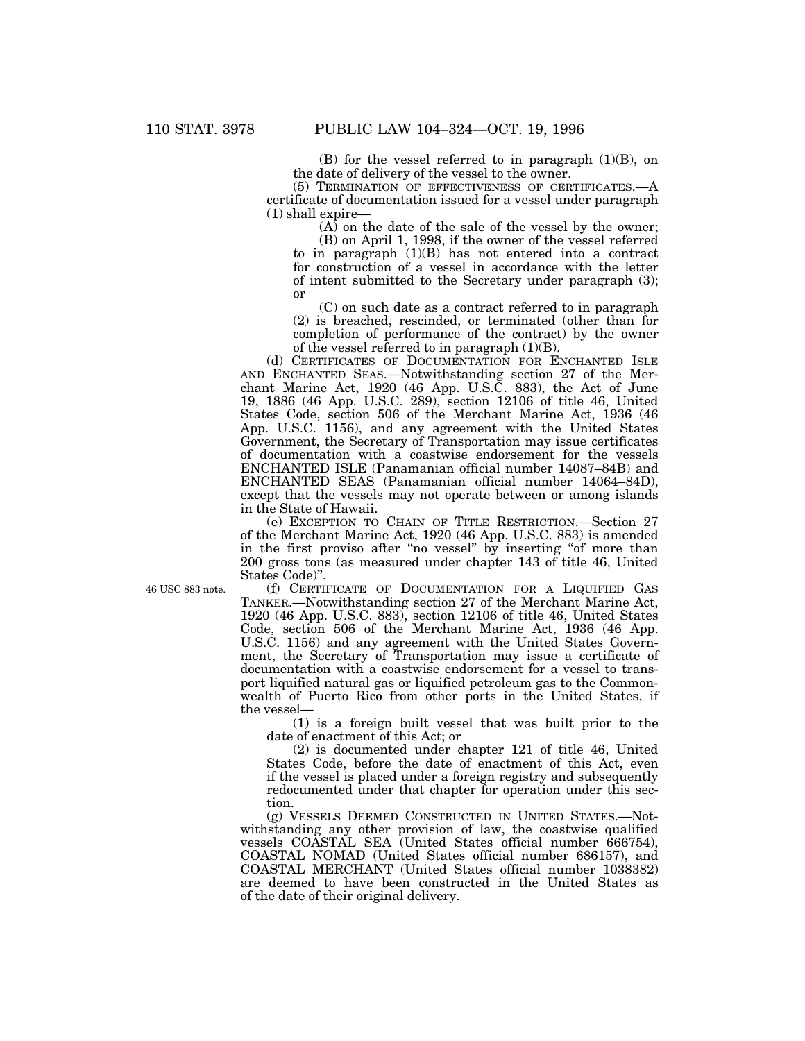(B) for the vessel referred to in paragraph (1)(B), on the date of delivery of the vessel to the owner.

(5) TERMINATION OF EFFECTIVENESS OF CERTIFICATES.—A certificate of documentation issued for a vessel under paragraph (1) shall expire—

(A) on the date of the sale of the vessel by the owner;

(B) on April 1, 1998, if the owner of the vessel referred to in paragraph  $(1)(B)$  has not entered into a contract for construction of a vessel in accordance with the letter of intent submitted to the Secretary under paragraph (3); or

(C) on such date as a contract referred to in paragraph (2) is breached, rescinded, or terminated (other than for completion of performance of the contract) by the owner of the vessel referred to in paragraph  $(1)(B)$ .

(d) CERTIFICATES OF DOCUMENTATION FOR ENCHANTED ISLE AND ENCHANTED SEAS.—Notwithstanding section 27 of the Merchant Marine Act, 1920 (46 App. U.S.C. 883), the Act of June 19, 1886 (46 App. U.S.C. 289), section 12106 of title 46, United States Code, section 506 of the Merchant Marine Act, 1936 (46 App. U.S.C. 1156), and any agreement with the United States Government, the Secretary of Transportation may issue certificates of documentation with a coastwise endorsement for the vessels ENCHANTED ISLE (Panamanian official number 14087–84B) and ENCHANTED SEAS (Panamanian official number 14064–84D), except that the vessels may not operate between or among islands in the State of Hawaii.

(e) EXCEPTION TO CHAIN OF TITLE RESTRICTION.—Section 27 of the Merchant Marine Act, 1920 (46 App. U.S.C. 883) is amended in the first proviso after "no vessel" by inserting "of more than 200 gross tons (as measured under chapter 143 of title 46, United States Code)''.

(f) CERTIFICATE OF DOCUMENTATION FOR A LIQUIFIED GAS TANKER.—Notwithstanding section 27 of the Merchant Marine Act, 1920 (46 App. U.S.C. 883), section 12106 of title 46, United States Code, section 506 of the Merchant Marine Act, 1936 (46 App. U.S.C. 1156) and any agreement with the United States Government, the Secretary of Transportation may issue a certificate of documentation with a coastwise endorsement for a vessel to transport liquified natural gas or liquified petroleum gas to the Commonwealth of Puerto Rico from other ports in the United States, if the vessel—

(1) is a foreign built vessel that was built prior to the date of enactment of this Act; or

(2) is documented under chapter 121 of title 46, United States Code, before the date of enactment of this Act, even if the vessel is placed under a foreign registry and subsequently redocumented under that chapter for operation under this section.

(g) VESSELS DEEMED CONSTRUCTED IN UNITED STATES.—Notwithstanding any other provision of law, the coastwise qualified vessels COASTAL SEA (United States official number 666754), COASTAL NOMAD (United States official number 686157), and COASTAL MERCHANT (United States official number 1038382) are deemed to have been constructed in the United States as of the date of their original delivery.

46 USC 883 note.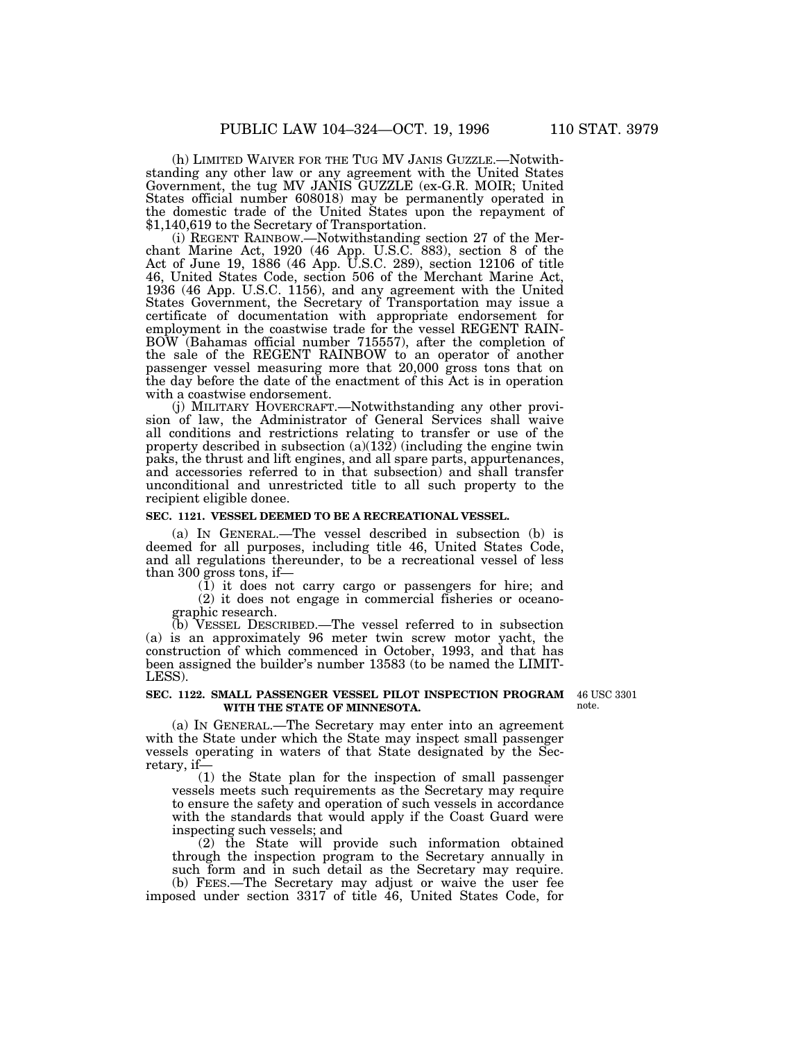(h) LIMITED WAIVER FOR THE TUG MV JANIS GUZZLE.—Notwithstanding any other law or any agreement with the United States Government, the tug MV JANIS GUZZLE (ex-G.R. MOIR; United States official number 608018) may be permanently operated in the domestic trade of the United States upon the repayment of \$1,140,619 to the Secretary of Transportation.

(i) REGENT RAINBOW.—Notwithstanding section 27 of the Merchant Marine Act, 1920 (46 App. U.S.C. 883), section 8 of the Act of June 19, 1886 (46 App. U.S.C. 289), section 12106 of title 46, United States Code, section 506 of the Merchant Marine Act, 1936 (46 App. U.S.C. 1156), and any agreement with the United States Government, the Secretary of Transportation may issue a certificate of documentation with appropriate endorsement for employment in the coastwise trade for the vessel REGENT RAIN-BOW (Bahamas official number 715557), after the completion of the sale of the REGENT RAINBOW to an operator of another passenger vessel measuring more that 20,000 gross tons that on the day before the date of the enactment of this Act is in operation with a coastwise endorsement.

(j) MILITARY HOVERCRAFT.—Notwithstanding any other provision of law, the Administrator of General Services shall waive all conditions and restrictions relating to transfer or use of the property described in subsection  $(a)(132)$  (including the engine twin paks, the thrust and lift engines, and all spare parts, appurtenances, and accessories referred to in that subsection) and shall transfer unconditional and unrestricted title to all such property to the recipient eligible donee.

#### **SEC. 1121. VESSEL DEEMED TO BE A RECREATIONAL VESSEL.**

(a) IN GENERAL.—The vessel described in subsection (b) is deemed for all purposes, including title 46, United States Code, and all regulations thereunder, to be a recreational vessel of less than 300 gross tons, if—

(1) it does not carry cargo or passengers for hire; and

(2) it does not engage in commercial fisheries or oceanographic research.

(b) VESSEL DESCRIBED.—The vessel referred to in subsection (a) is an approximately 96 meter twin screw motor yacht, the construction of which commenced in October, 1993, and that has been assigned the builder's number 13583 (to be named the LIMIT-LESS).

# **SEC. 1122. SMALL PASSENGER VESSEL PILOT INSPECTION PROGRAM WITH THE STATE OF MINNESOTA.**

46 USC 3301 note.

(a) IN GENERAL.—The Secretary may enter into an agreement with the State under which the State may inspect small passenger vessels operating in waters of that State designated by the Secretary, if—

(1) the State plan for the inspection of small passenger vessels meets such requirements as the Secretary may require to ensure the safety and operation of such vessels in accordance with the standards that would apply if the Coast Guard were inspecting such vessels; and

(2) the State will provide such information obtained through the inspection program to the Secretary annually in such form and in such detail as the Secretary may require. (b) FEES.—The Secretary may adjust or waive the user fee

imposed under section 3317 of title 46, United States Code, for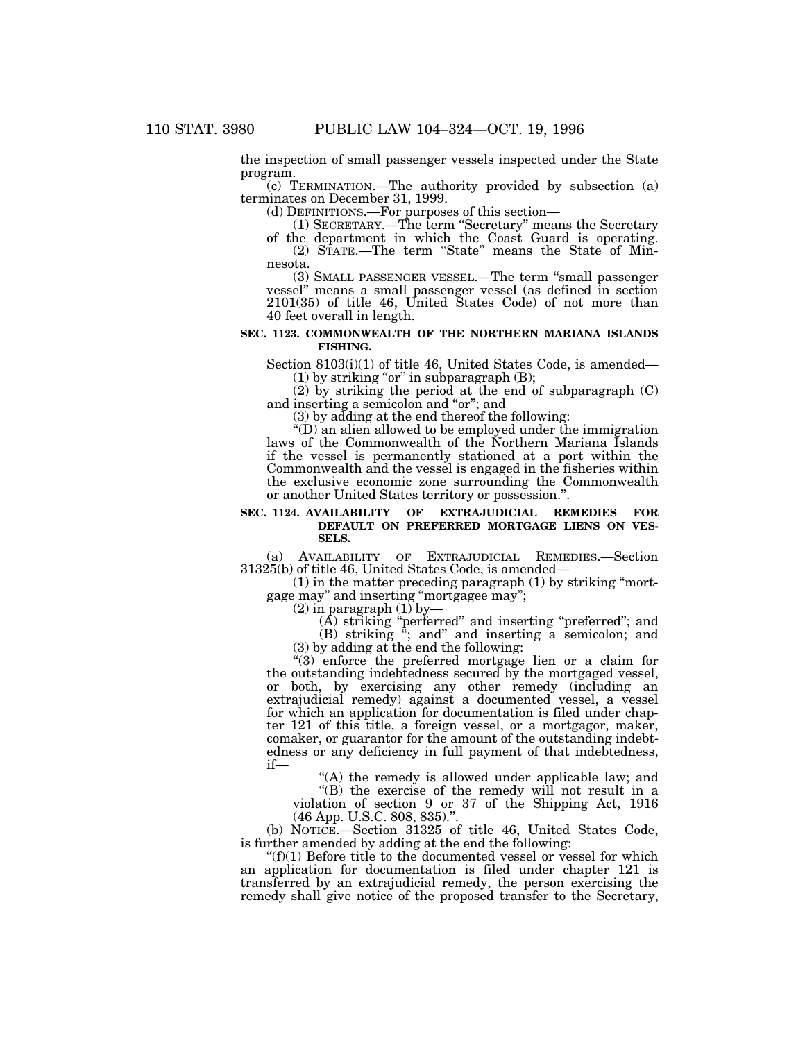the inspection of small passenger vessels inspected under the State program.

(c) TERMINATION.—The authority provided by subsection (a) terminates on December 31, 1999.

(d) DEFINITIONS.—For purposes of this section—

(1) SECRETARY.—The term ''Secretary'' means the Secretary

of the department in which the Coast Guard is operating. (2) STATE.—The term ''State'' means the State of Minnesota.

(3) SMALL PASSENGER VESSEL.—The term ''small passenger vessel'' means a small passenger vessel (as defined in section 2101(35) of title 46, United States Code) of not more than 40 feet overall in length.

### **SEC. 1123. COMMONWEALTH OF THE NORTHERN MARIANA ISLANDS FISHING.**

Section 8103(i)(1) of title 46, United States Code, is amended—  $(1)$  by striking "or" in subparagraph  $(B)$ ;

(2) by striking the period at the end of subparagraph (C) and inserting a semicolon and "or"; and

(3) by adding at the end thereof the following:

''(D) an alien allowed to be employed under the immigration laws of the Commonwealth of the Northern Mariana Islands if the vessel is permanently stationed at a port within the Commonwealth and the vessel is engaged in the fisheries within the exclusive economic zone surrounding the Commonwealth or another United States territory or possession.''.

#### **SEC. 1124. AVAILABILITY OF EXTRAJUDICIAL REMEDIES FOR DEFAULT ON PREFERRED MORTGAGE LIENS ON VES-SELS.**

(a) AVAILABILITY OF EXTRAJUDICIAL REMEDIES.—Section 31325(b) of title 46, United States Code, is amended—

 $(1)$  in the matter preceding paragraph  $(1)$  by striking "mortgage may'' and inserting ''mortgagee may'';

 $(2)$  in paragraph  $(1)$  by-

(A) striking ''perferred'' and inserting ''preferred''; and (B) striking ''; and'' and inserting a semicolon; and

(3) by adding at the end the following:

''(3) enforce the preferred mortgage lien or a claim for the outstanding indebtedness secured by the mortgaged vessel, or both, by exercising any other remedy (including an extrajudicial remedy) against a documented vessel, a vessel for which an application for documentation is filed under chapter 121 of this title, a foreign vessel, or a mortgagor, maker, comaker, or guarantor for the amount of the outstanding indebtedness or any deficiency in full payment of that indebtedness, if—

''(A) the remedy is allowed under applicable law; and

''(B) the exercise of the remedy will not result in a violation of section 9 or 37 of the Shipping Act, 1916 (46 App. U.S.C. 808, 835).''.

(b) NOTICE.—Section 31325 of title 46, United States Code, is further amended by adding at the end the following:

 $f(f)(1)$  Before title to the documented vessel or vessel for which an application for documentation is filed under chapter 121 is transferred by an extrajudicial remedy, the person exercising the remedy shall give notice of the proposed transfer to the Secretary,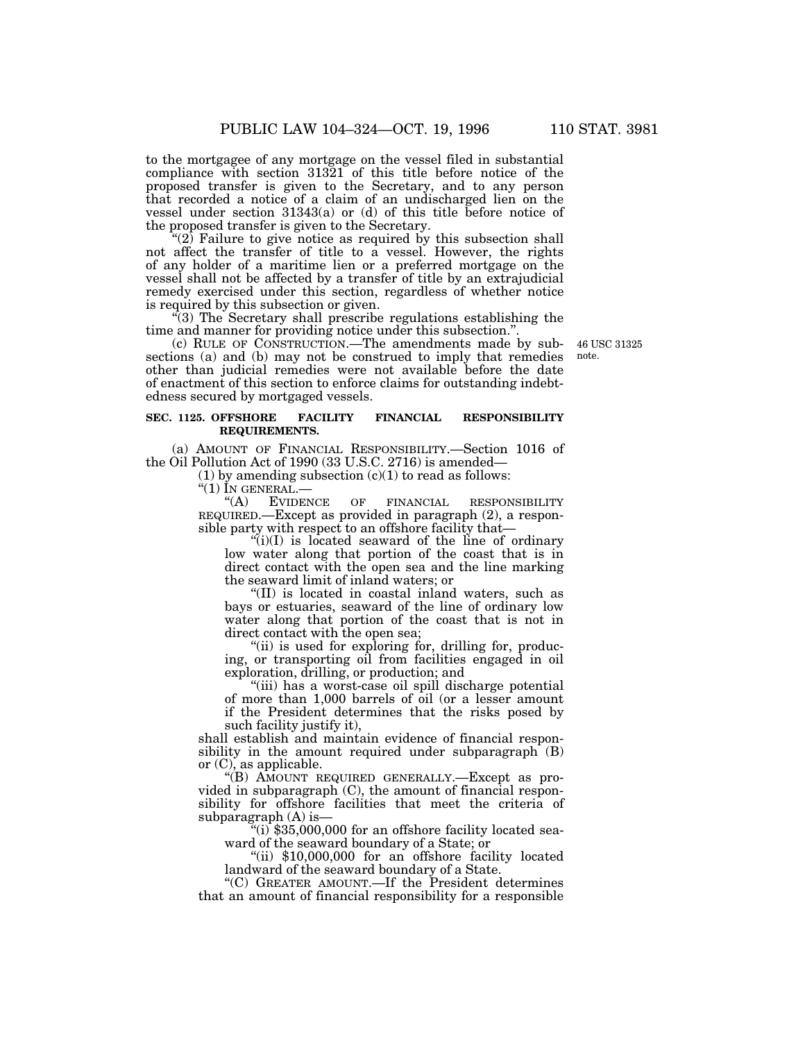to the mortgagee of any mortgage on the vessel filed in substantial compliance with section 31321 of this title before notice of the proposed transfer is given to the Secretary, and to any person that recorded a notice of a claim of an undischarged lien on the vessel under section 31343(a) or (d) of this title before notice of the proposed transfer is given to the Secretary.

 $(2)$  Failure to give notice as required by this subsection shall not affect the transfer of title to a vessel. However, the rights of any holder of a maritime lien or a preferred mortgage on the vessel shall not be affected by a transfer of title by an extrajudicial remedy exercised under this section, regardless of whether notice is required by this subsection or given.

''(3) The Secretary shall prescribe regulations establishing the time and manner for providing notice under this subsection."

(c) RULE OF CONSTRUCTION.—The amendments made by subsections (a) and (b) may not be construed to imply that remedies other than judicial remedies were not available before the date of enactment of this section to enforce claims for outstanding indebtedness secured by mortgaged vessels.

### **SEC. 1125. OFFSHORE FACILITY FINANCIAL RESPONSIBILITY REQUIREMENTS.**

(a) AMOUNT OF FINANCIAL RESPONSIBILITY.—Section 1016 of the Oil Pollution Act of 1990 (33 U.S.C. 2716) is amended—

(1) by amending subsection  $(c)(1)$  to read as follows:

"(1) IN GENERAL.—<br>"(A) EVIDENCE OF FINANCIAL RESPONSIBILITY REQUIRED.—Except as provided in paragraph (2), a responsible party with respect to an offshore facility that—

 $(i)(I)$  is located seaward of the line of ordinary low water along that portion of the coast that is in direct contact with the open sea and the line marking the seaward limit of inland waters; or

''(II) is located in coastal inland waters, such as bays or estuaries, seaward of the line of ordinary low water along that portion of the coast that is not in direct contact with the open sea;

''(ii) is used for exploring for, drilling for, producing, or transporting oil from facilities engaged in oil exploration, drilling, or production; and

"(iii) has a worst-case oil spill discharge potential of more than 1,000 barrels of oil (or a lesser amount if the President determines that the risks posed by such facility justify it),

shall establish and maintain evidence of financial responsibility in the amount required under subparagraph (B) or (C), as applicable.

''(B) AMOUNT REQUIRED GENERALLY.—Except as provided in subparagraph (C), the amount of financial responsibility for offshore facilities that meet the criteria of subparagraph (A) is—

 $\tilde{f}$ (i) \$35,000,000 for an offshore facility located seaward of the seaward boundary of a State; or

''(ii) \$10,000,000 for an offshore facility located landward of the seaward boundary of a State.

''(C) GREATER AMOUNT.—If the President determines that an amount of financial responsibility for a responsible

46 USC 31325 note.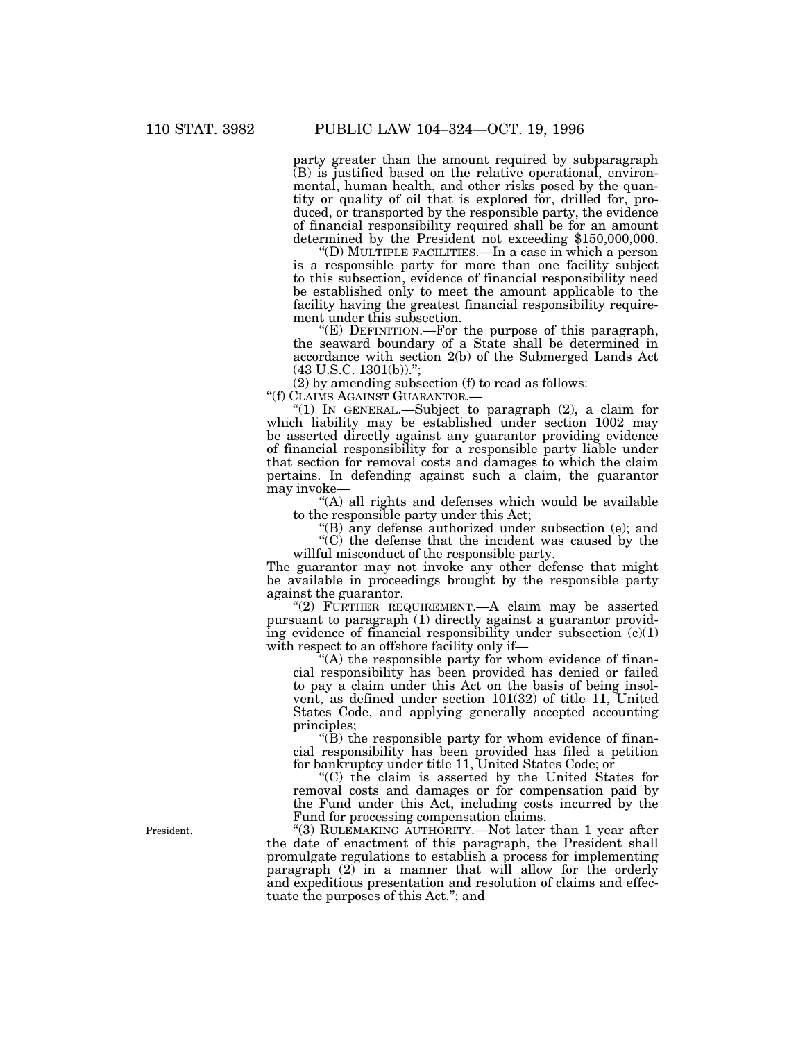party greater than the amount required by subparagraph (B) is justified based on the relative operational, environmental, human health, and other risks posed by the quantity or quality of oil that is explored for, drilled for, produced, or transported by the responsible party, the evidence of financial responsibility required shall be for an amount determined by the President not exceeding \$150,000,000.

''(D) MULTIPLE FACILITIES.—In a case in which a person is a responsible party for more than one facility subject to this subsection, evidence of financial responsibility need be established only to meet the amount applicable to the facility having the greatest financial responsibility requirement under this subsection.

''(E) DEFINITION.—For the purpose of this paragraph, the seaward boundary of a State shall be determined in accordance with section 2(b) of the Submerged Lands Act  $(43 \text{ U.S.C. } 1301(b))$ .";

(2) by amending subsection (f) to read as follows:

''(f) CLAIMS AGAINST GUARANTOR.—

''(1) IN GENERAL.—Subject to paragraph (2), a claim for which liability may be established under section 1002 may be asserted directly against any guarantor providing evidence of financial responsibility for a responsible party liable under that section for removal costs and damages to which the claim pertains. In defending against such a claim, the guarantor may invoke—

''(A) all rights and defenses which would be available to the responsible party under this Act;

"(B) any defense authorized under subsection (e); and  $\mathcal{C}(C)$  the defense that the incident was caused by the

willful misconduct of the responsible party. The guarantor may not invoke any other defense that might

be available in proceedings brought by the responsible party against the guarantor.

" $(2)$  FURTHER REQUIREMENT.—A claim may be asserted pursuant to paragraph (1) directly against a guarantor providing evidence of financial responsibility under subsection  $(c)(1)$ with respect to an offshore facility only if—

''(A) the responsible party for whom evidence of financial responsibility has been provided has denied or failed to pay a claim under this Act on the basis of being insolvent, as defined under section 101(32) of title 11, United States Code, and applying generally accepted accounting principles;

" $(b)$  the responsible party for whom evidence of financial responsibility has been provided has filed a petition for bankruptcy under title 11, United States Code; or

''(C) the claim is asserted by the United States for removal costs and damages or for compensation paid by the Fund under this Act, including costs incurred by the Fund for processing compensation claims.

"(3) RULEMAKING AUTHORITY.—Not later than 1 year after the date of enactment of this paragraph, the President shall promulgate regulations to establish a process for implementing paragraph (2) in a manner that will allow for the orderly and expeditious presentation and resolution of claims and effectuate the purposes of this Act.''; and

President.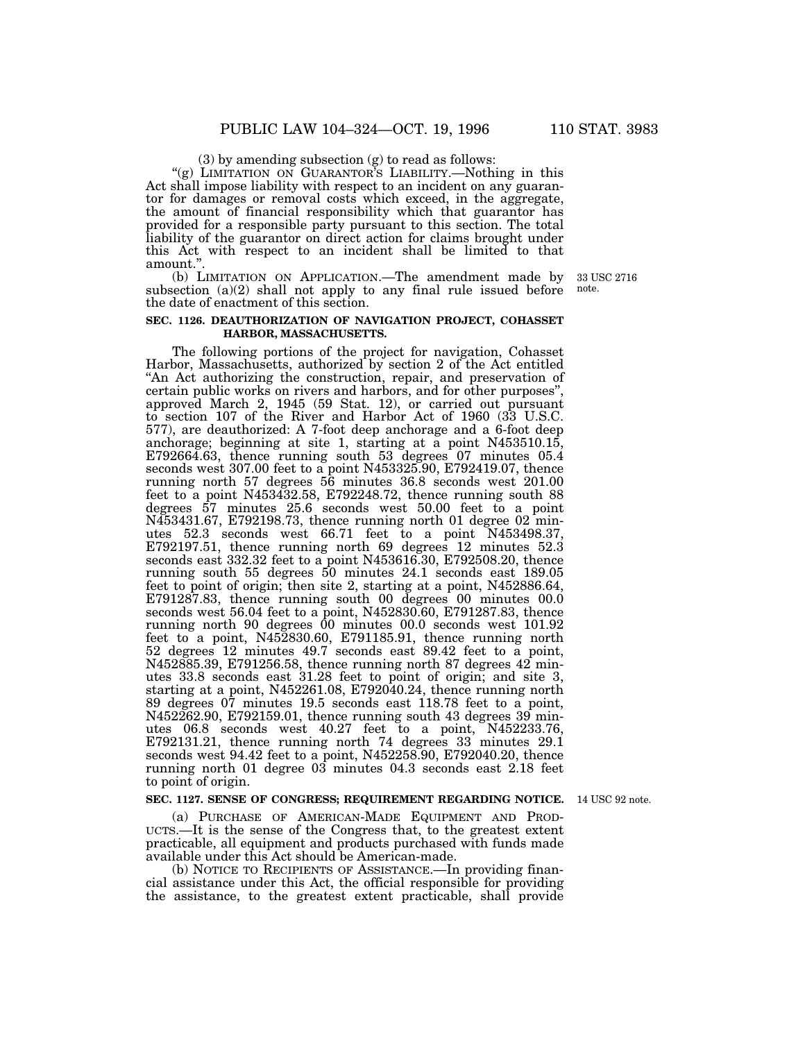(3) by amending subsection (g) to read as follows:

"(g) LIMITATION ON GUARANTOR'S LIABILITY.—Nothing in this Act shall impose liability with respect to an incident on any guarantor for damages or removal costs which exceed, in the aggregate, the amount of financial responsibility which that guarantor has provided for a responsible party pursuant to this section. The total liability of the guarantor on direct action for claims brought under this Act with respect to an incident shall be limited to that amount.''.

(b) LIMITATION ON APPLICATION.—The amendment made by subsection  $(a)(2)$  shall not apply to any final rule issued before the date of enactment of this section.

### **SEC. 1126. DEAUTHORIZATION OF NAVIGATION PROJECT, COHASSET HARBOR, MASSACHUSETTS.**

The following portions of the project for navigation, Cohasset Harbor, Massachusetts, authorized by section 2 of the Act entitled ''An Act authorizing the construction, repair, and preservation of certain public works on rivers and harbors, and for other purposes" approved March 2, 1945 (59 Stat. 12), or carried out pursuant to section 107 of the River and Harbor Act of 1960 (33 U.S.C. 577), are deauthorized: A 7-foot deep anchorage and a 6-foot deep anchorage; beginning at site 1, starting at a point N453510.15, E792664.63, thence running south 53 degrees 07 minutes 05.4 seconds west 307.00 feet to a point N453325.90, E792419.07, thence running north 57 degrees 56 minutes 36.8 seconds west 201.00 feet to a point N453432.58, E792248.72, thence running south 88 degrees 57 minutes 25.6 seconds west 50.00 feet to a point N453431.67, E792198.73, thence running north 01 degree 02 minutes 52.3 seconds west 66.71 feet to a point N453498.37, E792197.51, thence running north 69 degrees 12 minutes 52.3 seconds east 332.32 feet to a point N453616.30, E792508.20, thence running south 55 degrees 50 minutes 24.1 seconds east 189.05 feet to point of origin; then site 2, starting at a point, N452886.64, E791287.83, thence running south 00 degrees 00 minutes 00.0 seconds west 56.04 feet to a point, N452830.60, E791287.83, thence running north 90 degrees 00 minutes 00.0 seconds west 101.92 feet to a point, N452830.60, E791185.91, thence running north 52 degrees 12 minutes 49.7 seconds east 89.42 feet to a point, N452885.39, E791256.58, thence running north 87 degrees 42 minutes 33.8 seconds east 31.28 feet to point of origin; and site 3, starting at a point,  $N452261.08$ ,  $E792040.24$ , thence running north 89 degrees 07 minutes 19.5 seconds east 118.78 feet to a point, N452262.90, E792159.01, thence running south 43 degrees 39 minutes 06.8 seconds west 40.27 feet to a point, N452233.76, E792131.21, thence running north 74 degrees 33 minutes 29.1 seconds west 94.42 feet to a point, N452258.90, E792040.20, thence running north 01 degree 03 minutes 04.3 seconds east 2.18 feet to point of origin.

#### **SEC. 1127. SENSE OF CONGRESS; REQUIREMENT REGARDING NOTICE.** 14 USC 92 note.

(a) PURCHASE OF AMERICAN-MADE EQUIPMENT AND PROD- UCTS.—It is the sense of the Congress that, to the greatest extent practicable, all equipment and products purchased with funds made available under this Act should be American-made.

(b) NOTICE TO RECIPIENTS OF ASSISTANCE.—In providing financial assistance under this Act, the official responsible for providing the assistance, to the greatest extent practicable, shall provide

33 USC 2716 note.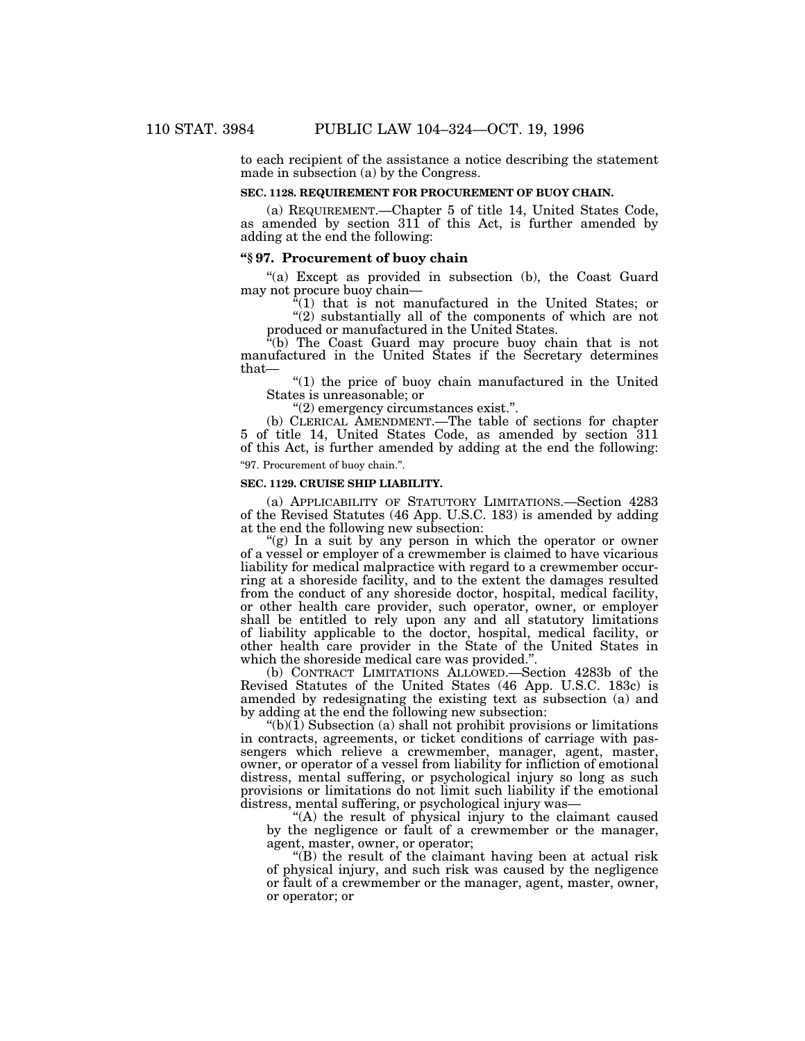to each recipient of the assistance a notice describing the statement made in subsection (a) by the Congress.

# **SEC. 1128. REQUIREMENT FOR PROCUREMENT OF BUOY CHAIN.**

(a) REQUIREMENT.—Chapter 5 of title 14, United States Code, as amended by section 311 of this Act, is further amended by adding at the end the following:

# **''§ 97. Procurement of buoy chain**

''(a) Except as provided in subsection (b), the Coast Guard may not procure buoy chain—

 $\lambda^2(1)$  that is not manufactured in the United States; or

''(2) substantially all of the components of which are not produced or manufactured in the United States.

''(b) The Coast Guard may procure buoy chain that is not manufactured in the United States if the Secretary determines that—

''(1) the price of buoy chain manufactured in the United States is unreasonable; or

''(2) emergency circumstances exist.''.

(b) CLERICAL AMENDMENT.—The table of sections for chapter 5 of title 14, United States Code, as amended by section 311 of this Act, is further amended by adding at the end the following: ''97. Procurement of buoy chain.''.

### **SEC. 1129. CRUISE SHIP LIABILITY.**

(a) APPLICABILITY OF STATUTORY LIMITATIONS.—Section 4283 of the Revised Statutes (46 App. U.S.C. 183) is amended by adding at the end the following new subsection:

''(g) In a suit by any person in which the operator or owner of a vessel or employer of a crewmember is claimed to have vicarious liability for medical malpractice with regard to a crewmember occurring at a shoreside facility, and to the extent the damages resulted from the conduct of any shoreside doctor, hospital, medical facility, or other health care provider, such operator, owner, or employer shall be entitled to rely upon any and all statutory limitations of liability applicable to the doctor, hospital, medical facility, or other health care provider in the State of the United States in which the shoreside medical care was provided.".

(b) CONTRACT LIMITATIONS ALLOWED.—Section 4283b of the Revised Statutes of the United States (46 App. U.S.C. 183c) is amended by redesignating the existing text as subsection (a) and by adding at the end the following new subsection:

 $\mathcal{L}(b)(1)$  Subsection (a) shall not prohibit provisions or limitations in contracts, agreements, or ticket conditions of carriage with passengers which relieve a crewmember, manager, agent, master, owner, or operator of a vessel from liability for infliction of emotional distress, mental suffering, or psychological injury so long as such provisions or limitations do not limit such liability if the emotional distress, mental suffering, or psychological injury was-

"(A) the result of physical injury to the claimant caused by the negligence or fault of a crewmember or the manager, agent, master, owner, or operator;

 $\mathcal{L}(B)$  the result of the claimant having been at actual risk of physical injury, and such risk was caused by the negligence or fault of a crewmember or the manager, agent, master, owner, or operator; or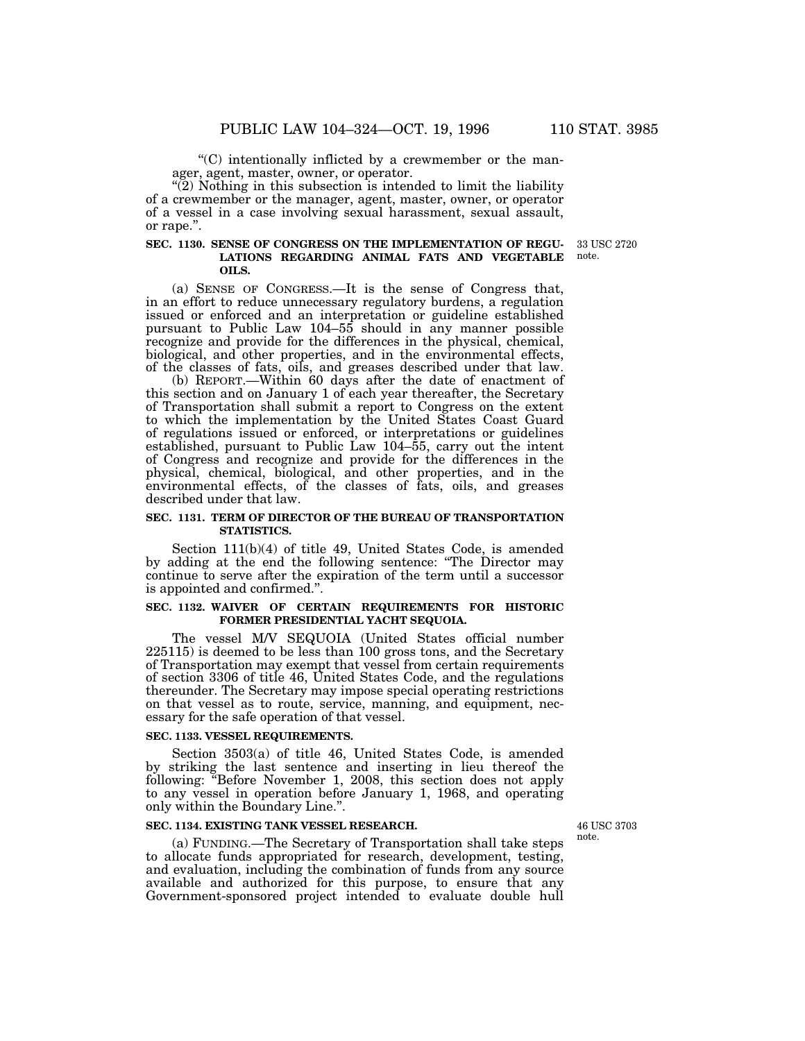$C$ ) intentionally inflicted by a crewmember or the manager, agent, master, owner, or operator.

" $(2)$  Nothing in this subsection is intended to limit the liability of a crewmember or the manager, agent, master, owner, or operator of a vessel in a case involving sexual harassment, sexual assault, or rape.''.

# **SEC. 1130. SENSE OF CONGRESS ON THE IMPLEMENTATION OF REGU-LATIONS REGARDING ANIMAL FATS AND VEGETABLE OILS.**

(a) SENSE OF CONGRESS.—It is the sense of Congress that, in an effort to reduce unnecessary regulatory burdens, a regulation issued or enforced and an interpretation or guideline established pursuant to Public Law 104–55 should in any manner possible recognize and provide for the differences in the physical, chemical, biological, and other properties, and in the environmental effects, of the classes of fats, oils, and greases described under that law.

(b) REPORT.—Within 60 days after the date of enactment of this section and on January 1 of each year thereafter, the Secretary of Transportation shall submit a report to Congress on the extent to which the implementation by the United States Coast Guard of regulations issued or enforced, or interpretations or guidelines established, pursuant to Public Law 104–55, carry out the intent of Congress and recognize and provide for the differences in the physical, chemical, biological, and other properties, and in the environmental effects, of the classes of fats, oils, and greases described under that law.

# **SEC. 1131. TERM OF DIRECTOR OF THE BUREAU OF TRANSPORTATION STATISTICS.**

Section 111(b)(4) of title 49, United States Code, is amended by adding at the end the following sentence: ''The Director may continue to serve after the expiration of the term until a successor is appointed and confirmed.''.

### **SEC. 1132. WAIVER OF CERTAIN REQUIREMENTS FOR HISTORIC FORMER PRESIDENTIAL YACHT SEQUOIA.**

The vessel M/V SEQUOIA (United States official number 225115) is deemed to be less than 100 gross tons, and the Secretary of Transportation may exempt that vessel from certain requirements of section 3306 of title 46, United States Code, and the regulations thereunder. The Secretary may impose special operating restrictions on that vessel as to route, service, manning, and equipment, necessary for the safe operation of that vessel.

### **SEC. 1133. VESSEL REQUIREMENTS.**

Section 3503(a) of title 46, United States Code, is amended by striking the last sentence and inserting in lieu thereof the following: ''Before November 1, 2008, this section does not apply to any vessel in operation before January 1, 1968, and operating only within the Boundary Line.''.

# **SEC. 1134. EXISTING TANK VESSEL RESEARCH.**

(a) FUNDING.—The Secretary of Transportation shall take steps to allocate funds appropriated for research, development, testing, and evaluation, including the combination of funds from any source available and authorized for this purpose, to ensure that any Government-sponsored project intended to evaluate double hull

46 USC 3703 note.

33 USC 2720 note.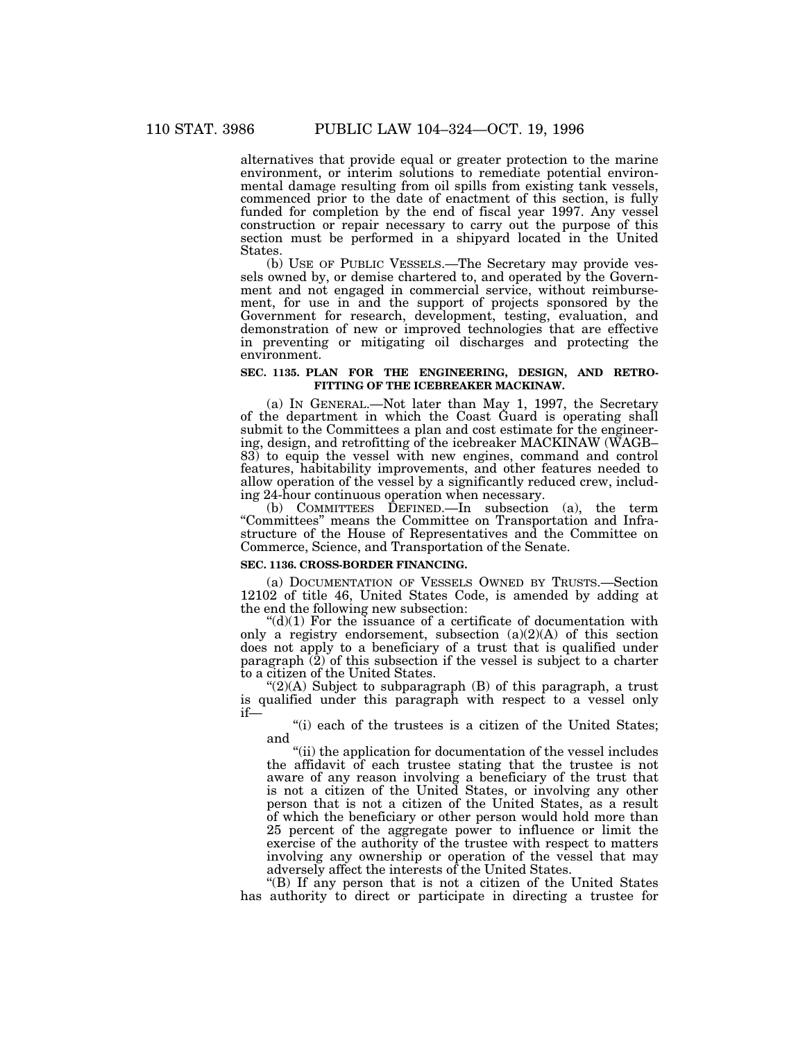alternatives that provide equal or greater protection to the marine environment, or interim solutions to remediate potential environmental damage resulting from oil spills from existing tank vessels, commenced prior to the date of enactment of this section, is fully funded for completion by the end of fiscal year 1997. Any vessel construction or repair necessary to carry out the purpose of this section must be performed in a shipyard located in the United States.

(b) USE OF PUBLIC VESSELS.—The Secretary may provide vessels owned by, or demise chartered to, and operated by the Government and not engaged in commercial service, without reimbursement, for use in and the support of projects sponsored by the Government for research, development, testing, evaluation, and demonstration of new or improved technologies that are effective in preventing or mitigating oil discharges and protecting the environment.

### **SEC. 1135. PLAN FOR THE ENGINEERING, DESIGN, AND RETRO-FITTING OF THE ICEBREAKER MACKINAW.**

(a) IN GENERAL.—Not later than May 1, 1997, the Secretary of the department in which the Coast Guard is operating shall submit to the Committees a plan and cost estimate for the engineering, design, and retrofitting of the icebreaker MACKINAW (WAGB– 83) to equip the vessel with new engines, command and control features, habitability improvements, and other features needed to allow operation of the vessel by a significantly reduced crew, including 24-hour continuous operation when necessary.

(b) COMMITTEES DEFINED.—In subsection (a), the term ''Committees'' means the Committee on Transportation and Infrastructure of the House of Representatives and the Committee on Commerce, Science, and Transportation of the Senate.

### **SEC. 1136. CROSS-BORDER FINANCING.**

(a) DOCUMENTATION OF VESSELS OWNED BY TRUSTS.—Section 12102 of title 46, United States Code, is amended by adding at the end the following new subsection:

 $((d)(1)$  For the issuance of a certificate of documentation with only a registry endorsement, subsection  $(a)(2)(A)$  of this section does not apply to a beneficiary of a trust that is qualified under paragraph (2) of this subsection if the vessel is subject to a charter to a citizen of the United States.

" $(2)(A)$  Subject to subparagraph  $(B)$  of this paragraph, a trust is qualified under this paragraph with respect to a vessel only if—

"(i) each of the trustees is a citizen of the United States; and

"(ii) the application for documentation of the vessel includes the affidavit of each trustee stating that the trustee is not aware of any reason involving a beneficiary of the trust that is not a citizen of the United States, or involving any other person that is not a citizen of the United States, as a result of which the beneficiary or other person would hold more than 25 percent of the aggregate power to influence or limit the exercise of the authority of the trustee with respect to matters involving any ownership or operation of the vessel that may adversely affect the interests of the United States.

''(B) If any person that is not a citizen of the United States has authority to direct or participate in directing a trustee for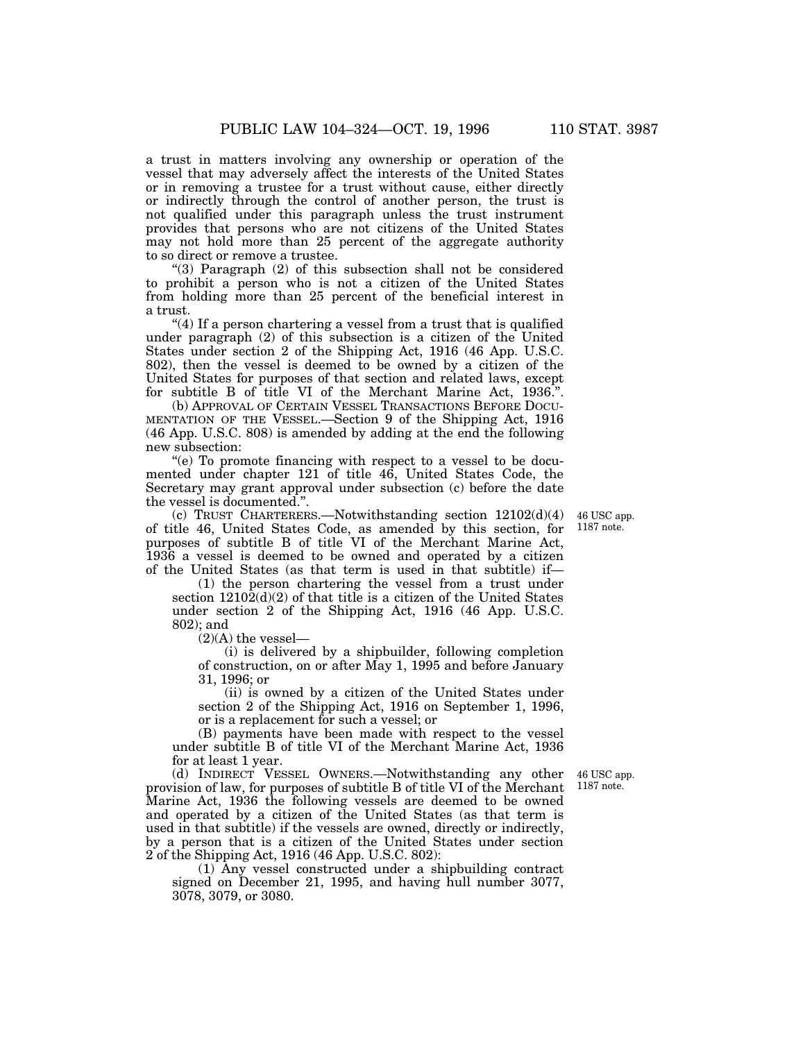a trust in matters involving any ownership or operation of the vessel that may adversely affect the interests of the United States or in removing a trustee for a trust without cause, either directly or indirectly through the control of another person, the trust is not qualified under this paragraph unless the trust instrument provides that persons who are not citizens of the United States may not hold more than 25 percent of the aggregate authority to so direct or remove a trustee.

''(3) Paragraph (2) of this subsection shall not be considered to prohibit a person who is not a citizen of the United States from holding more than 25 percent of the beneficial interest in a trust.

" $(4)$  If a person chartering a vessel from a trust that is qualified under paragraph (2) of this subsection is a citizen of the United States under section 2 of the Shipping Act, 1916 (46 App. U.S.C. 802), then the vessel is deemed to be owned by a citizen of the United States for purposes of that section and related laws, except for subtitle B of title VI of the Merchant Marine Act, 1936.''.

(b) APPROVAL OF CERTAIN VESSEL TRANSACTIONS BEFORE DOCU-MENTATION OF THE VESSEL.—Section 9 of the Shipping Act, 1916 (46 App. U.S.C. 808) is amended by adding at the end the following new subsection:

''(e) To promote financing with respect to a vessel to be documented under chapter 121 of title 46, United States Code, the Secretary may grant approval under subsection (c) before the date the vessel is documented.''.

(c) TRUST CHARTERERS.—Notwithstanding section 12102(d)(4) of title 46, United States Code, as amended by this section, for purposes of subtitle B of title VI of the Merchant Marine Act, 1936 a vessel is deemed to be owned and operated by a citizen of the United States (as that term is used in that subtitle) if—

(1) the person chartering the vessel from a trust under section  $12102(d)(2)$  of that title is a citizen of the United States under section 2 of the Shipping Act, 1916 (46 App. U.S.C. 802); and

 $(2)(A)$  the vessel—

(i) is delivered by a shipbuilder, following completion of construction, on or after May 1, 1995 and before January 31, 1996; or

(ii) is owned by a citizen of the United States under section 2 of the Shipping Act, 1916 on September 1, 1996, or is a replacement for such a vessel; or

(B) payments have been made with respect to the vessel under subtitle B of title VI of the Merchant Marine Act, 1936 for at least 1 year.

> 46 USC app. 1187 note.

(d) INDIRECT VESSEL OWNERS.—Notwithstanding any other provision of law, for purposes of subtitle B of title VI of the Merchant Marine Act, 1936 the following vessels are deemed to be owned and operated by a citizen of the United States (as that term is used in that subtitle) if the vessels are owned, directly or indirectly, by a person that is a citizen of the United States under section 2 of the Shipping Act, 1916 (46 App. U.S.C. 802):

(1) Any vessel constructed under a shipbuilding contract signed on December 21, 1995, and having hull number 3077, 3078, 3079, or 3080.

46 USC app. 1187 note.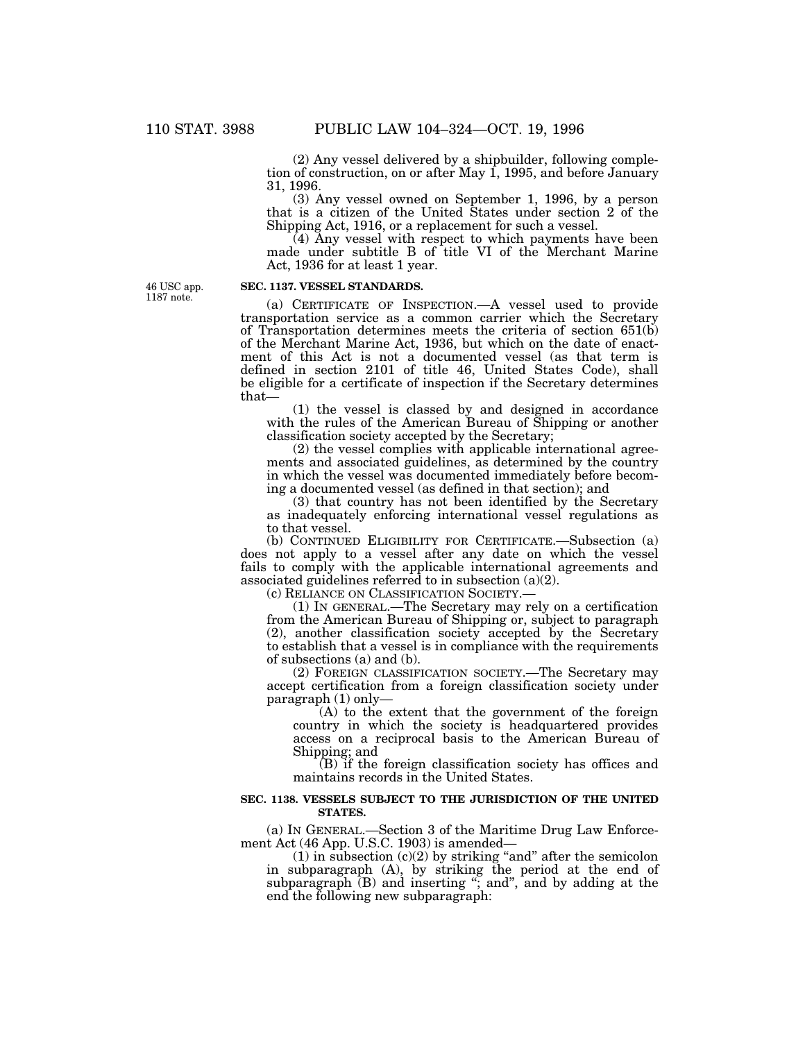(2) Any vessel delivered by a shipbuilder, following completion of construction, on or after May 1, 1995, and before January 31, 1996.

(3) Any vessel owned on September 1, 1996, by a person that is a citizen of the United States under section 2 of the Shipping Act, 1916, or a replacement for such a vessel.

(4) Any vessel with respect to which payments have been made under subtitle B of title VI of the Merchant Marine Act, 1936 for at least 1 year.

46 USC app. 1187 note.

# **SEC. 1137. VESSEL STANDARDS.**

(a) CERTIFICATE OF INSPECTION.—A vessel used to provide transportation service as a common carrier which the Secretary of Transportation determines meets the criteria of section 651(b) of the Merchant Marine Act, 1936, but which on the date of enactment of this Act is not a documented vessel (as that term is defined in section 2101 of title 46, United States Code), shall be eligible for a certificate of inspection if the Secretary determines that—

(1) the vessel is classed by and designed in accordance with the rules of the American Bureau of Shipping or another classification society accepted by the Secretary;

(2) the vessel complies with applicable international agreements and associated guidelines, as determined by the country in which the vessel was documented immediately before becoming a documented vessel (as defined in that section); and

(3) that country has not been identified by the Secretary as inadequately enforcing international vessel regulations as to that vessel.

(b) CONTINUED ELIGIBILITY FOR CERTIFICATE.—Subsection (a) does not apply to a vessel after any date on which the vessel fails to comply with the applicable international agreements and associated guidelines referred to in subsection (a)(2).

(c) RELIANCE ON CLASSIFICATION SOCIETY.—

(1) IN GENERAL.—The Secretary may rely on a certification from the American Bureau of Shipping or, subject to paragraph (2), another classification society accepted by the Secretary to establish that a vessel is in compliance with the requirements of subsections (a) and (b).

(2) FOREIGN CLASSIFICATION SOCIETY.—The Secretary may accept certification from a foreign classification society under paragraph (1) only—

(A) to the extent that the government of the foreign country in which the society is headquartered provides access on a reciprocal basis to the American Bureau of Shipping; and

(B) if the foreign classification society has offices and maintains records in the United States.

# **SEC. 1138. VESSELS SUBJECT TO THE JURISDICTION OF THE UNITED STATES.**

(a) IN GENERAL.—Section 3 of the Maritime Drug Law Enforcement Act (46 App. U.S.C. 1903) is amended—

(1) in subsection  $(c)(2)$  by striking "and" after the semicolon in subparagraph (A), by striking the period at the end of subparagraph (B) and inserting "; and", and by adding at the end the following new subparagraph: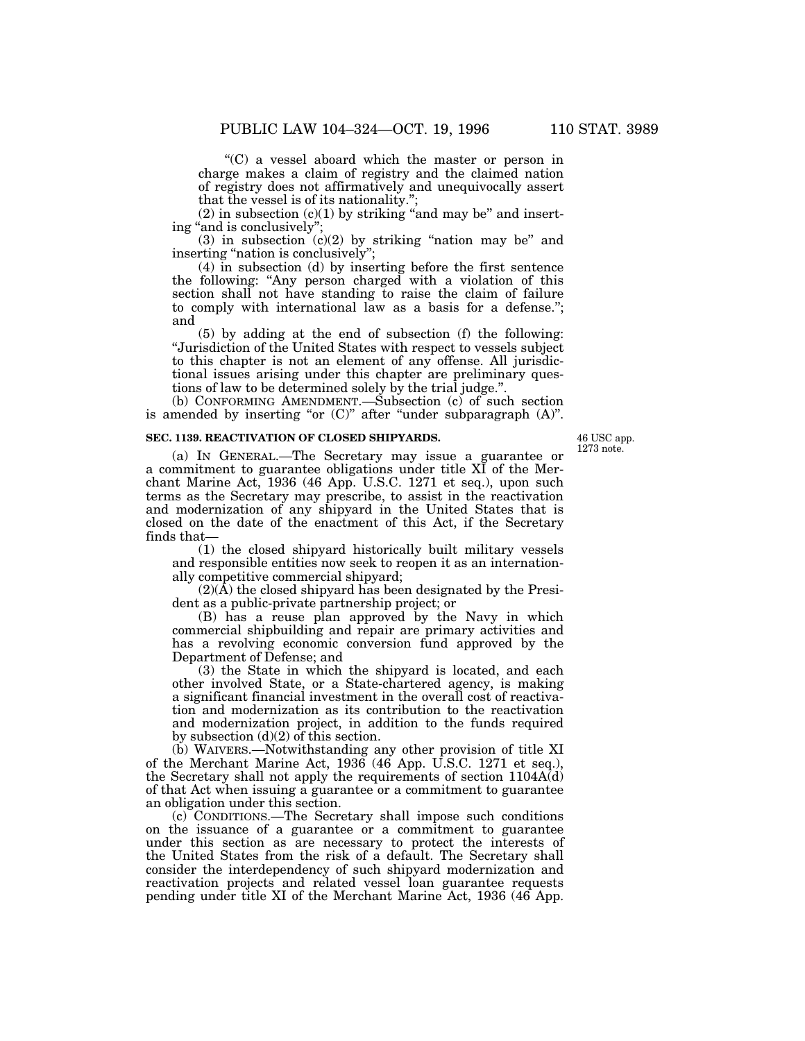''(C) a vessel aboard which the master or person in charge makes a claim of registry and the claimed nation of registry does not affirmatively and unequivocally assert that the vessel is of its nationality.'';

(2) in subsection  $(c)(1)$  by striking "and may be" and inserting "and is conclusively".

(3) in subsection  $(c)(2)$  by striking "nation may be" and inserting "nation is conclusively".

(4) in subsection (d) by inserting before the first sentence the following: ''Any person charged with a violation of this section shall not have standing to raise the claim of failure to comply with international law as a basis for a defense.''; and

(5) by adding at the end of subsection (f) the following: ''Jurisdiction of the United States with respect to vessels subject to this chapter is not an element of any offense. All jurisdictional issues arising under this chapter are preliminary questions of law to be determined solely by the trial judge.''.

(b) CONFORMING AMENDMENT.—Subsection (c) of such section is amended by inserting "or  $(C)$ " after "under subparagraph  $(A)$ ".

### **SEC. 1139. REACTIVATION OF CLOSED SHIPYARDS.**

46 USC app. 1273 note.

(a) IN GENERAL.—The Secretary may issue a guarantee or a commitment to guarantee obligations under title XI of the Merchant Marine Act, 1936 (46 App. U.S.C. 1271 et seq.), upon such terms as the Secretary may prescribe, to assist in the reactivation and modernization of any shipyard in the United States that is closed on the date of the enactment of this Act, if the Secretary finds that—

(1) the closed shipyard historically built military vessels and responsible entities now seek to reopen it as an internationally competitive commercial shipyard;

 $(2)(\overline{A})$  the closed shipyard has been designated by the President as a public-private partnership project; or

(B) has a reuse plan approved by the Navy in which commercial shipbuilding and repair are primary activities and has a revolving economic conversion fund approved by the Department of Defense; and

(3) the State in which the shipyard is located, and each other involved State, or a State-chartered agency, is making a significant financial investment in the overall cost of reactivation and modernization as its contribution to the reactivation and modernization project, in addition to the funds required by subsection  $(d)(2)$  of this section.

(b) WAIVERS.—Notwithstanding any other provision of title XI of the Merchant Marine Act, 1936 (46 App. U.S.C. 1271 et seq.), the Secretary shall not apply the requirements of section 1104A(d) of that Act when issuing a guarantee or a commitment to guarantee an obligation under this section.

(c) CONDITIONS.—The Secretary shall impose such conditions on the issuance of a guarantee or a commitment to guarantee under this section as are necessary to protect the interests of the United States from the risk of a default. The Secretary shall consider the interdependency of such shipyard modernization and reactivation projects and related vessel loan guarantee requests pending under title XI of the Merchant Marine Act, 1936 (46 App.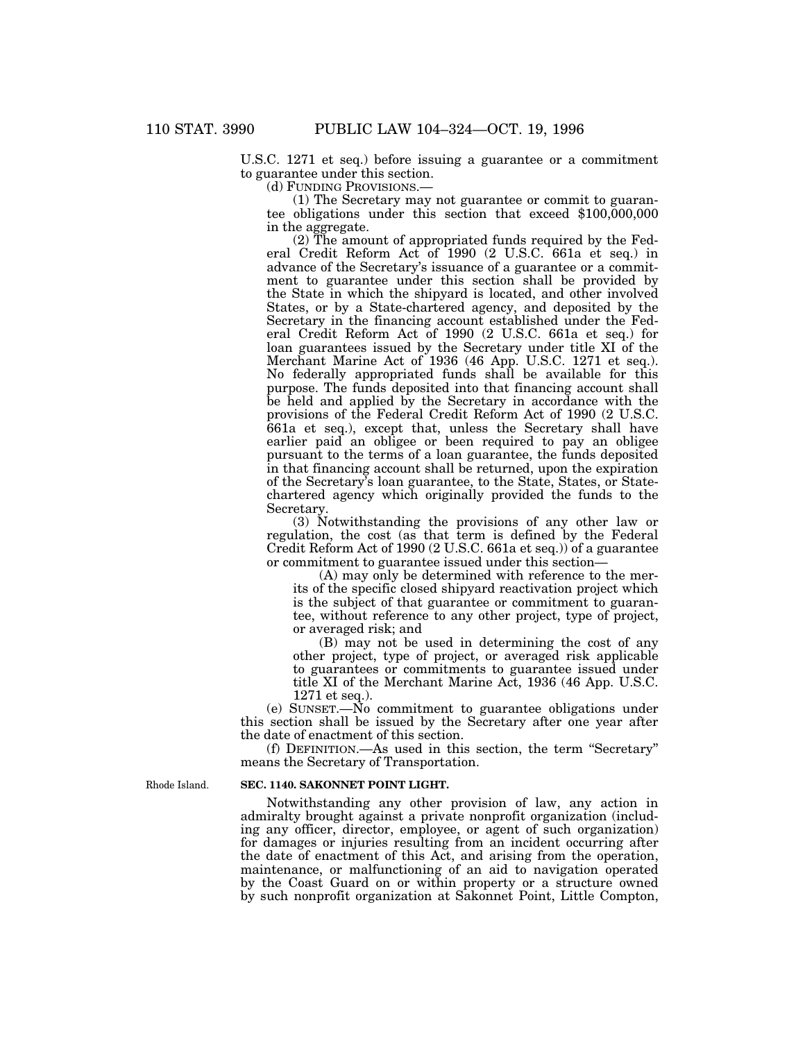U.S.C. 1271 et seq.) before issuing a guarantee or a commitment to guarantee under this section.

(d) FUNDING PROVISIONS.—

(1) The Secretary may not guarantee or commit to guarantee obligations under this section that exceed \$100,000,000 in the aggregate.

(2) The amount of appropriated funds required by the Federal Credit Reform Act of 1990 (2 U.S.C. 661a et seq.) in advance of the Secretary's issuance of a guarantee or a commitment to guarantee under this section shall be provided by the State in which the shipyard is located, and other involved States, or by a State-chartered agency, and deposited by the Secretary in the financing account established under the Federal Credit Reform Act of 1990 (2 U.S.C. 661a et seq.) for loan guarantees issued by the Secretary under title XI of the Merchant Marine Act of 1936 (46 App. U.S.C. 1271 et seq.). No federally appropriated funds shall be available for this purpose. The funds deposited into that financing account shall be held and applied by the Secretary in accordance with the provisions of the Federal Credit Reform Act of 1990 (2 U.S.C. 661a et seq.), except that, unless the Secretary shall have earlier paid an obligee or been required to pay an obligee pursuant to the terms of a loan guarantee, the funds deposited in that financing account shall be returned, upon the expiration of the Secretary's loan guarantee, to the State, States, or Statechartered agency which originally provided the funds to the Secretary.

(3) Notwithstanding the provisions of any other law or regulation, the cost (as that term is defined by the Federal Credit Reform Act of 1990 (2 U.S.C. 661a et seq.)) of a guarantee or commitment to guarantee issued under this section—

(A) may only be determined with reference to the merits of the specific closed shipyard reactivation project which is the subject of that guarantee or commitment to guarantee, without reference to any other project, type of project, or averaged risk; and

(B) may not be used in determining the cost of any other project, type of project, or averaged risk applicable to guarantees or commitments to guarantee issued under title XI of the Merchant Marine Act, 1936 (46 App. U.S.C. 1271 et seq.).

(e) SUNSET.—No commitment to guarantee obligations under this section shall be issued by the Secretary after one year after the date of enactment of this section.

(f) DEFINITION.—As used in this section, the term ''Secretary'' means the Secretary of Transportation.

#### **SEC. 1140. SAKONNET POINT LIGHT.**

Notwithstanding any other provision of law, any action in admiralty brought against a private nonprofit organization (including any officer, director, employee, or agent of such organization) for damages or injuries resulting from an incident occurring after the date of enactment of this Act, and arising from the operation, maintenance, or malfunctioning of an aid to navigation operated by the Coast Guard on or within property or a structure owned by such nonprofit organization at Sakonnet Point, Little Compton,

Rhode Island.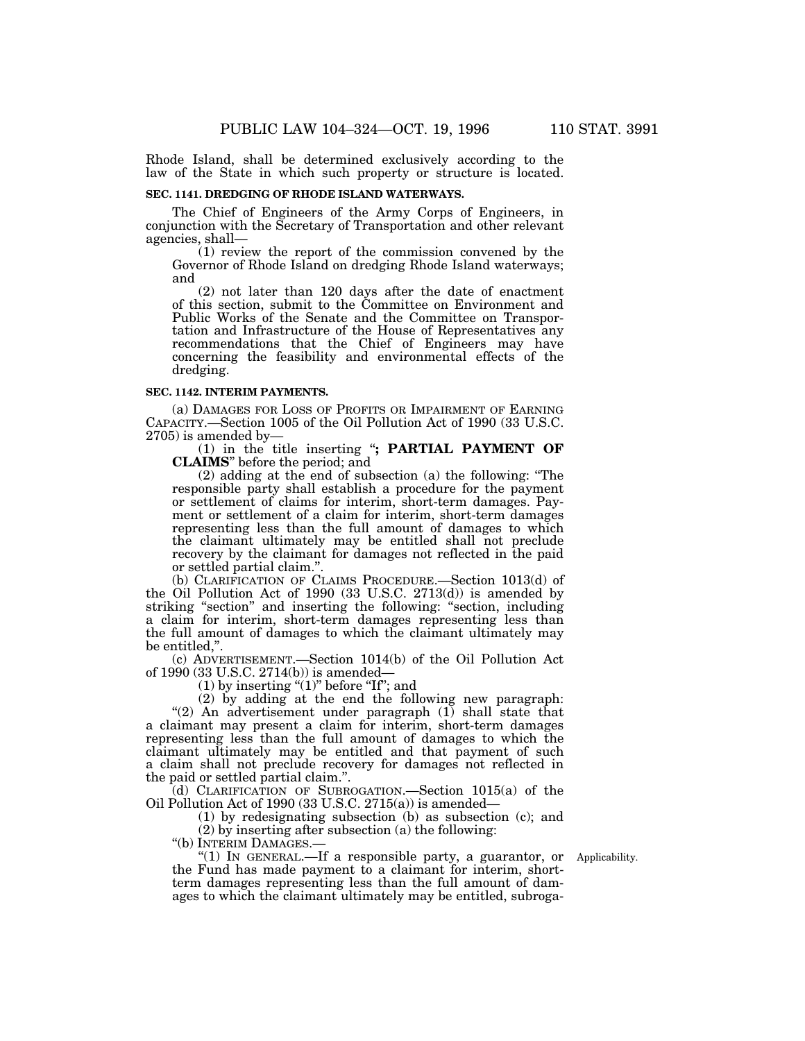Rhode Island, shall be determined exclusively according to the law of the State in which such property or structure is located.

### **SEC. 1141. DREDGING OF RHODE ISLAND WATERWAYS.**

The Chief of Engineers of the Army Corps of Engineers, in conjunction with the Secretary of Transportation and other relevant agencies, shall—

(1) review the report of the commission convened by the Governor of Rhode Island on dredging Rhode Island waterways; and

(2) not later than 120 days after the date of enactment of this section, submit to the Committee on Environment and Public Works of the Senate and the Committee on Transportation and Infrastructure of the House of Representatives any recommendations that the Chief of Engineers may have concerning the feasibility and environmental effects of the dredging.

### **SEC. 1142. INTERIM PAYMENTS.**

(a) DAMAGES FOR LOSS OF PROFITS OR IMPAIRMENT OF EARNING CAPACITY.—Section 1005 of the Oil Pollution Act of 1990 (33 U.S.C. 2705) is amended by—

(1) in the title inserting ''**; PARTIAL PAYMENT OF CLAIMS**'' before the period; and

(2) adding at the end of subsection (a) the following: ''The responsible party shall establish a procedure for the payment or settlement of claims for interim, short-term damages. Payment or settlement of a claim for interim, short-term damages representing less than the full amount of damages to which the claimant ultimately may be entitled shall not preclude recovery by the claimant for damages not reflected in the paid or settled partial claim."

(b) CLARIFICATION OF CLAIMS PROCEDURE.—Section 1013(d) of the Oil Pollution Act of 1990 (33 U.S.C. 2713(d)) is amended by striking "section" and inserting the following: "section, including a claim for interim, short-term damages representing less than the full amount of damages to which the claimant ultimately may be entitled,''.

(c) ADVERTISEMENT.—Section 1014(b) of the Oil Pollution Act of 1990 (33 U.S.C. 2714(b)) is amended—

 $(1)$  by inserting " $(1)$ " before "If"; and

(2) by adding at the end the following new paragraph: "(2) An advertisement under paragraph  $(1)$  shall state that

a claimant may present a claim for interim, short-term damages representing less than the full amount of damages to which the claimant ultimately may be entitled and that payment of such a claim shall not preclude recovery for damages not reflected in the paid or settled partial claim.''.

(d) CLARIFICATION OF SUBROGATION.—Section 1015(a) of the Oil Pollution Act of 1990 (33 U.S.C. 2715(a)) is amended—

(1) by redesignating subsection (b) as subsection (c); and (2) by inserting after subsection (a) the following:

''(b) INTERIM DAMAGES.—

"(1) In GENERAL.—If a responsible party, a guarantor, or Applicability. the Fund has made payment to a claimant for interim, shortterm damages representing less than the full amount of damages to which the claimant ultimately may be entitled, subroga-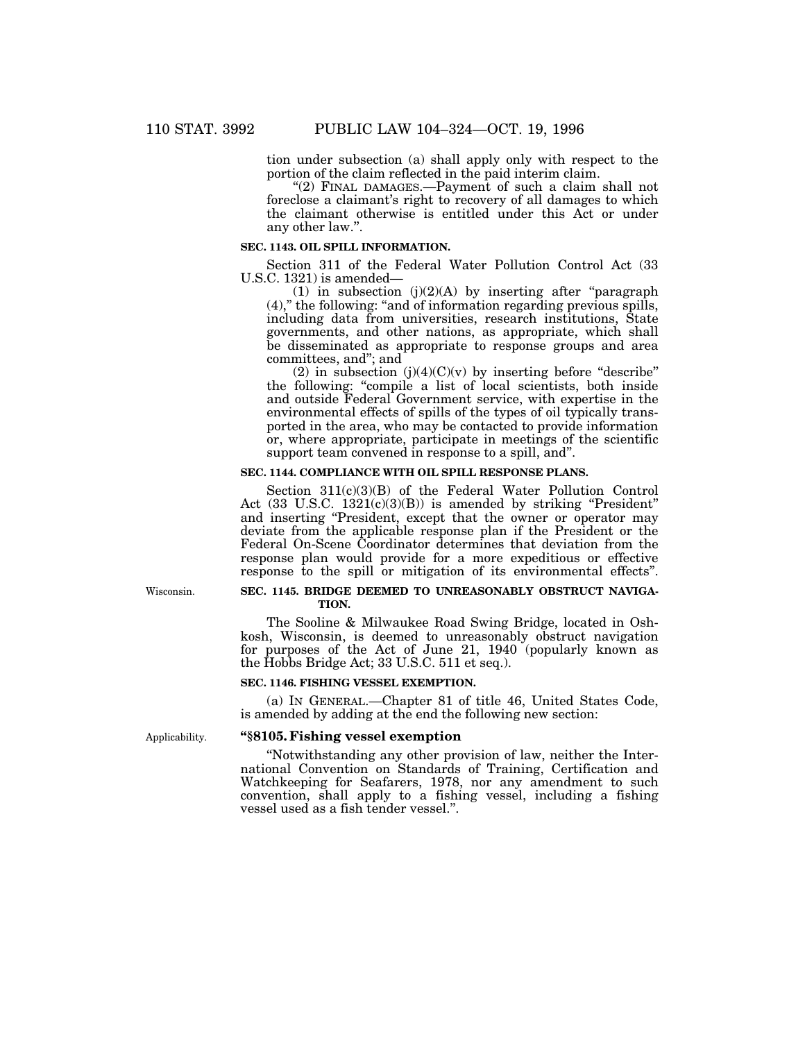tion under subsection (a) shall apply only with respect to the portion of the claim reflected in the paid interim claim.

"(2) FINAL DAMAGES.—Payment of such a claim shall not foreclose a claimant's right to recovery of all damages to which the claimant otherwise is entitled under this Act or under any other law.''.

# **SEC. 1143. OIL SPILL INFORMATION.**

Section 311 of the Federal Water Pollution Control Act (33 U.S.C. 1321) is amended—

(1) in subsection  $(j)(2)(A)$  by inserting after "paragraph" (4),'' the following: ''and of information regarding previous spills, including data from universities, research institutions, State governments, and other nations, as appropriate, which shall be disseminated as appropriate to response groups and area committees, and''; and

(2) in subsection  $(j)(4)(C)(v)$  by inserting before "describe" the following: ''compile a list of local scientists, both inside and outside Federal Government service, with expertise in the environmental effects of spills of the types of oil typically transported in the area, who may be contacted to provide information or, where appropriate, participate in meetings of the scientific support team convened in response to a spill, and''.

# **SEC. 1144. COMPLIANCE WITH OIL SPILL RESPONSE PLANS.**

Section 311(c)(3)(B) of the Federal Water Pollution Control Act (33 U.S.C. 1321(c)(3)(B)) is amended by striking "President" and inserting ''President, except that the owner or operator may deviate from the applicable response plan if the President or the Federal On-Scene Coordinator determines that deviation from the response plan would provide for a more expeditious or effective response to the spill or mitigation of its environmental effects''.

Wisconsin.

### **SEC. 1145. BRIDGE DEEMED TO UNREASONABLY OBSTRUCT NAVIGA-TION.**

The Sooline & Milwaukee Road Swing Bridge, located in Oshkosh, Wisconsin, is deemed to unreasonably obstruct navigation for purposes of the Act of June 21, 1940 (popularly known as the Hobbs Bridge Act; 33 U.S.C. 511 et seq.).

#### **SEC. 1146. FISHING VESSEL EXEMPTION.**

(a) IN GENERAL.—Chapter 81 of title 46, United States Code, is amended by adding at the end the following new section:

Applicability.

# **''§8105. Fishing vessel exemption**

''Notwithstanding any other provision of law, neither the International Convention on Standards of Training, Certification and Watchkeeping for Seafarers, 1978, nor any amendment to such convention, shall apply to a fishing vessel, including a fishing vessel used as a fish tender vessel.''.